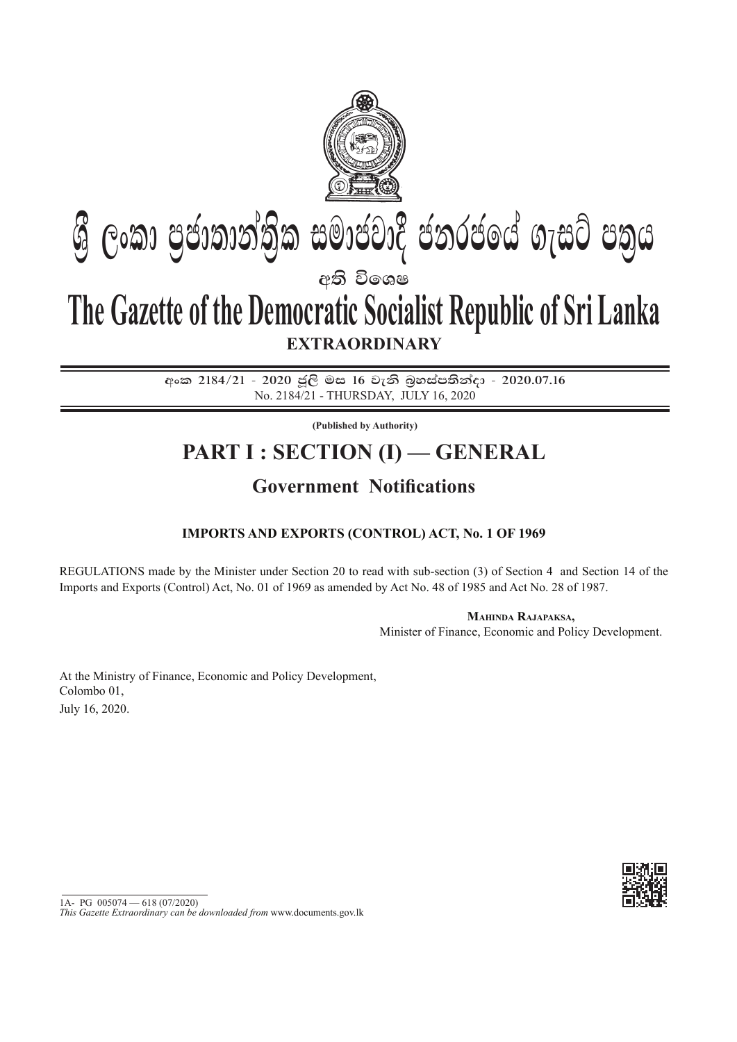

# **අති වි**ගෙෂ  $\mathcal{G}$  ලංකා පුජාතාන්තික සමාජවාදී ජනරජයේ ගැසට් පතුය

## **EXTRAORDINARY The Gazette of the Democratic Socialist Republic of Sri Lanka**

අංක 2184/21 - 2020 ජූලි මස 16 වැනි බුහස්පතින්දා - 2020.07.16 No. 2184/21 - thursDAY, July 16, 2020

**(Published by Authority)**

## **PART I : SECTION (I) — GENERAL**

### **Government Notifications**

### **Imports and Exports (Control) Act, No. 1 of 1969**

REGULATIONS made by the Minister under Section 20 to read with sub-section (3) of Section 4 and Section 14 of the Imports and Exports (Control) Act, No. 01 of 1969 as amended by Act No. 48 of 1985 and Act No. 28 of 1987.

**Mahinda Rajapaksa,**

Minister of Finance, Economic and Policy Development.

At the Ministry of Finance, Economic and Policy Development, Colombo 01, July 16, 2020.



 $1A- PG$   $005074 - 618 (07/2020)$ 

*This Gazette Extraordinary can be downloaded from* www.documents.gov.lk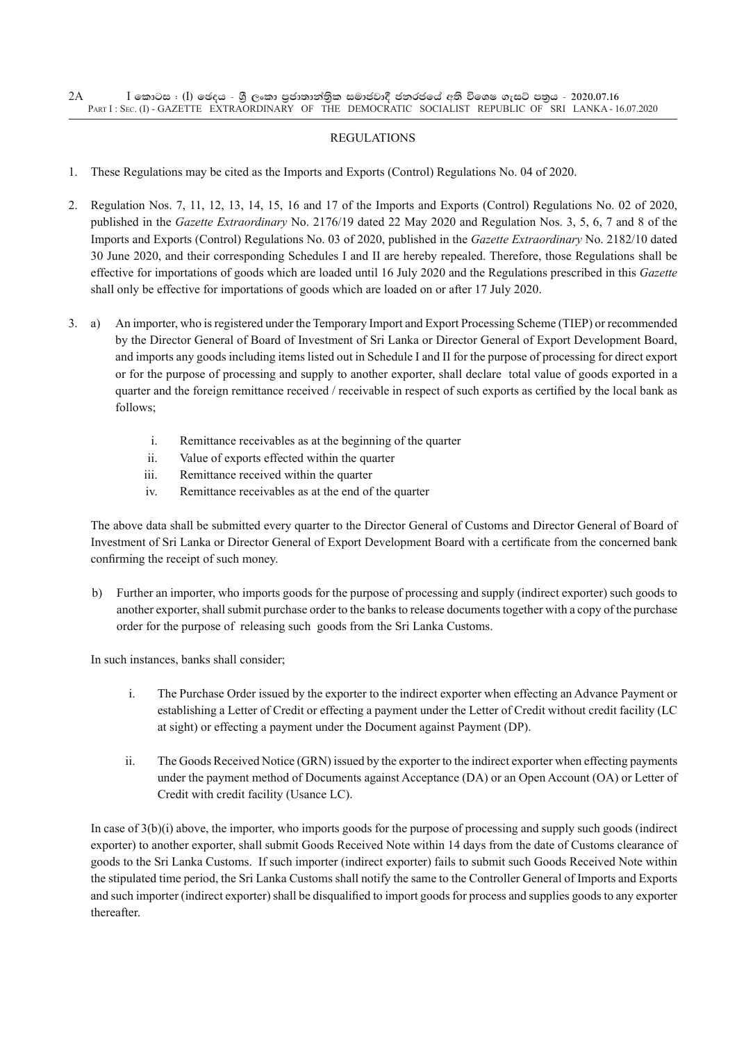#### **REGULATIONS**

- 1. These Regulations may be cited as the Imports and Exports (Control) Regulations No. 04 of 2020.
- 2. Regulation Nos. 7, 11, 12, 13, 14, 15, 16 and 17 of the Imports and Exports (Control) Regulations No. 02 of 2020, published in the *Gazette Extraordinary* No. 2176/19 dated 22 May 2020 and Regulation Nos. 3, 5, 6, 7 and 8 of the Imports and Exports (Control) Regulations No. 03 of 2020, published in the *Gazette Extraordinary* No. 2182/10 dated 30 June 2020, and their corresponding Schedules I and II are hereby repealed. Therefore, those Regulations shall be effective for importations of goods which are loaded until 16 July 2020 and the Regulations prescribed in this *Gazette* shall only be effective for importations of goods which are loaded on or after 17 July 2020.
- 3. a) An importer, who is registered under the Temporary Import and Export Processing Scheme (TIEP) or recommended by the Director General of Board of Investment of Sri Lanka or Director General of Export Development Board, and imports any goods including items listed out in Schedule I and II for the purpose of processing for direct export or for the purpose of processing and supply to another exporter, shall declare total value of goods exported in a quarter and the foreign remittance received / receivable in respect of such exports as certified by the local bank as follows;
	- i. Remittance receivables as at the beginning of the quarter
	- ii. Value of exports effected within the quarter
	- iii. Remittance received within the quarter
	- iv. Remittance receivables as at the end of the quarter

The above data shall be submitted every quarter to the Director General of Customs and Director General of Board of Investment of Sri Lanka or Director General of Export Development Board with a certificate from the concerned bank confirming the receipt of such money.

b) Further an importer, who imports goods for the purpose of processing and supply (indirect exporter) such goods to another exporter, shall submit purchase order to the banks to release documents together with a copy of the purchase order for the purpose of releasing such goods from the Sri Lanka Customs.

In such instances, banks shall consider;

- i. The Purchase Order issued by the exporter to the indirect exporter when effecting an Advance Payment or establishing a Letter of Credit or effecting a payment under the Letter of Credit without credit facility (LC at sight) or effecting a payment under the Document against Payment (DP).
- ii. The Goods Received Notice (GRN) issued by the exporter to the indirect exporter when effecting payments under the payment method of Documents against Acceptance (DA) or an Open Account (OA) or Letter of Credit with credit facility (Usance LC).

In case of 3(b)(i) above, the importer, who imports goods for the purpose of processing and supply such goods (indirect exporter) to another exporter, shall submit Goods Received Note within 14 days from the date of Customs clearance of goods to the Sri Lanka Customs. If such importer (indirect exporter) fails to submit such Goods Received Note within the stipulated time period, the Sri Lanka Customs shall notify the same to the Controller General of Imports and Exports and such importer (indirect exporter) shall be disqualified to import goods for process and supplies goods to any exporter thereafter.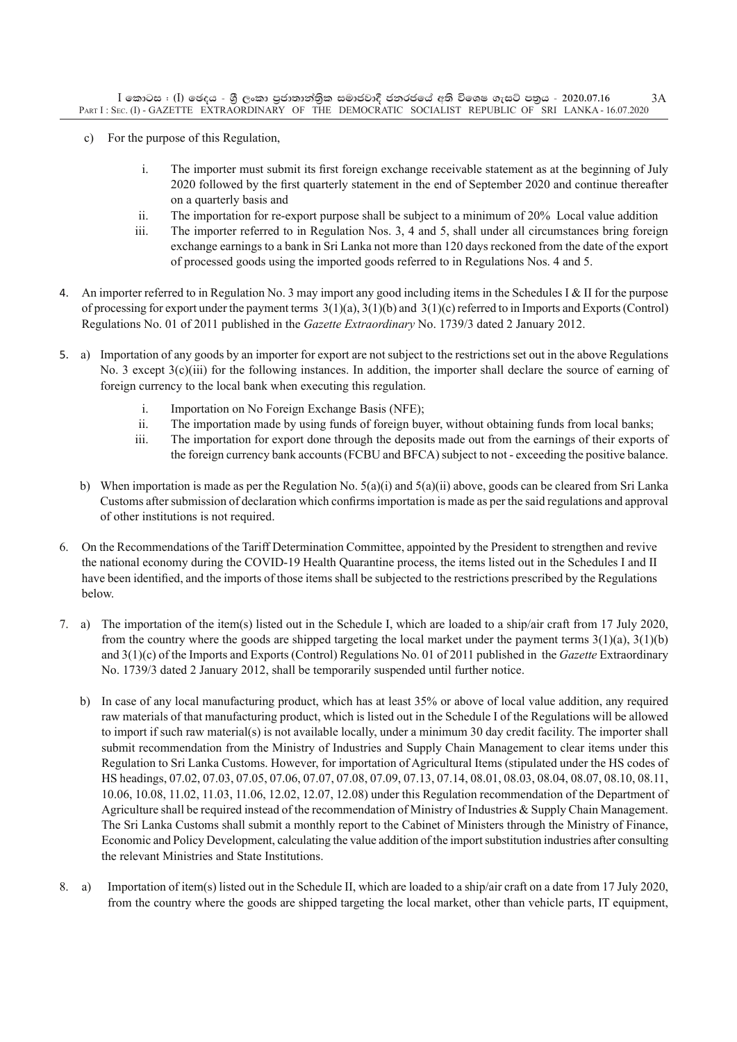- c) For the purpose of this Regulation,
	- i. The importer must submit its first foreign exchange receivable statement as at the beginning of July 2020 followed by the first quarterly statement in the end of September 2020 and continue thereafter on a quarterly basis and
	- ii. The importation for re-export purpose shall be subject to a minimum of 20% Local value addition
	- iii. The importer referred to in Regulation Nos. 3, 4 and 5, shall under all circumstances bring foreign exchange earnings to a bank in Sri Lanka not more than 120 days reckoned from the date of the export of processed goods using the imported goods referred to in Regulations Nos. 4 and 5.
- 4. An importer referred to in Regulation No. 3 may import any good including items in the Schedules I & II for the purpose of processing for export under the payment terms  $3(1)(a)$ ,  $3(1)(b)$  and  $3(1)(c)$  referred to in Imports and Exports (Control) Regulations No. 01 of 2011 published in the *Gazette Extraordinary* No. 1739/3 dated 2 January 2012.
- 5. a) Importation of any goods by an importer for export are not subject to the restrictions set out in the above Regulations No. 3 except 3(c)(iii) for the following instances. In addition, the importer shall declare the source of earning of foreign currency to the local bank when executing this regulation.
	- i. Importation on No Foreign Exchange Basis (NFE);
	- ii. The importation made by using funds of foreign buyer, without obtaining funds from local banks;
	- iii. The importation for export done through the deposits made out from the earnings of their exports of the foreign currency bank accounts (FCBU and BFCA) subject to not - exceeding the positive balance.
	- b) When importation is made as per the Regulation No.  $5(a)(i)$  and  $5(a)(ii)$  above, goods can be cleared from Sri Lanka Customs after submission of declaration which confirms importation is made as per the said regulations and approval of other institutions is not required.
- 6. On the Recommendations of the Tariff Determination Committee, appointed by the President to strengthen and revive the national economy during the COVID-19 Health Quarantine process, the items listed out in the Schedules I and II have been identified, and the imports of those items shall be subjected to the restrictions prescribed by the Regulations below.
- 7. a) The importation of the item(s) listed out in the Schedule I, which are loaded to a ship/air craft from 17 July 2020, from the country where the goods are shipped targeting the local market under the payment terms  $3(1)(a)$ ,  $3(1)(b)$ and 3(1)(c) of the Imports and Exports (Control) Regulations No. 01 of 2011 published in the *Gazette* Extraordinary No. 1739/3 dated 2 January 2012, shall be temporarily suspended until further notice.
	- b) In case of any local manufacturing product, which has at least 35% or above of local value addition, any required raw materials of that manufacturing product, which is listed out in the Schedule I of the Regulations will be allowed to import if such raw material(s) is not available locally, under a minimum 30 day credit facility. The importer shall submit recommendation from the Ministry of Industries and Supply Chain Management to clear items under this Regulation to Sri Lanka Customs. However, for importation of Agricultural Items (stipulated under the HS codes of HS headings, 07.02, 07.03, 07.05, 07.06, 07.07, 07.08, 07.09, 07.13, 07.14, 08.01, 08.03, 08.04, 08.07, 08.10, 08.11, 10.06, 10.08, 11.02, 11.03, 11.06, 12.02, 12.07, 12.08) under this regulation recommendation of the Department of Agriculture shall be required instead of the recommendation of Ministry of Industries & Supply Chain Management. The Sri Lanka Customs shall submit a monthly report to the Cabinet of Ministers through the Ministry of Finance, Economic and Policy Development, calculating the value addition of the import substitution industries after consulting the relevant Ministries and State Institutions.
- 8. a) Importation of item(s) listed out in the Schedule II, which are loaded to a ship/air craft on a date from 17 July 2020, from the country where the goods are shipped targeting the local market, other than vehicle parts, IT equipment,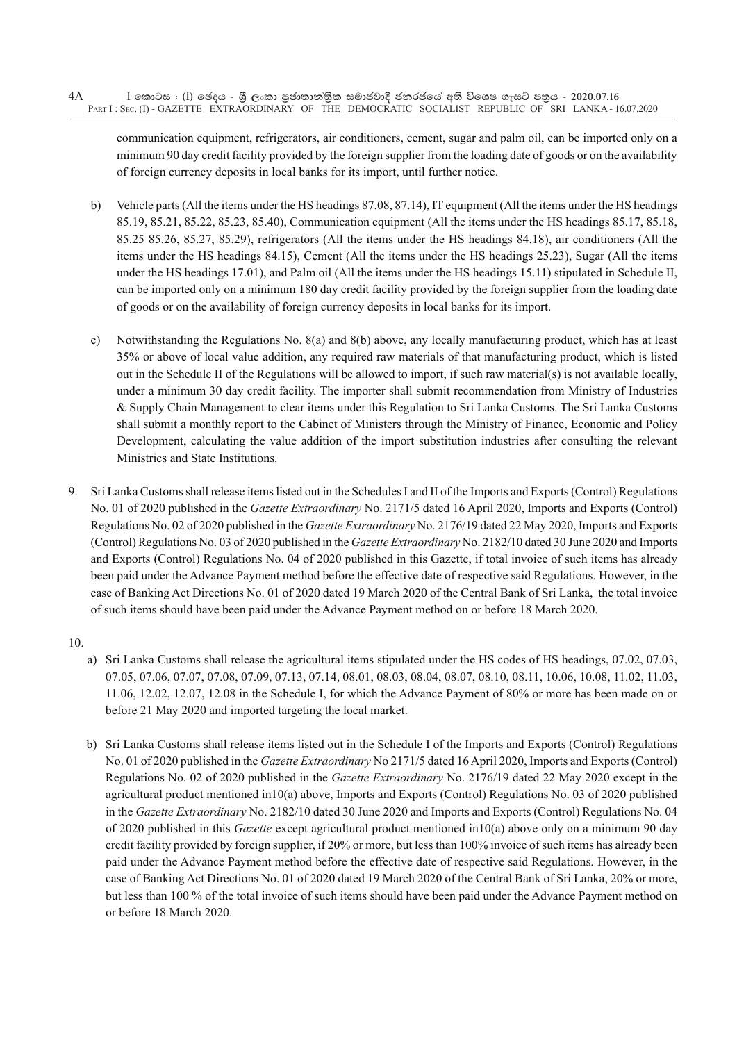#### $I$  කොටස : (I) ඡෙදය - ශූී ලංකා පුජාතාන්තිුක සමාජවාදී ජනරජයේ අති විශෙෂ ගැසට් පනුය - 2020.07.16 PART I : SEC. (I) - GAZETTE EXTRAORDINARY OF THE DEMOCRATIC SOCIALIST REPUBLIC OF SRI LANKA - 16.07.2020 4A

communication equipment, refrigerators, air conditioners, cement, sugar and palm oil, can be imported only on a minimum 90 day credit facility provided by the foreign supplier from the loading date of goods or on the availability of foreign currency deposits in local banks for its import, until further notice.

- b) Vehicle parts (All the items under the HS headings 87.08, 87.14), IT equipment (All the items under the HS headings 85.19, 85.21, 85.22, 85.23, 85.40), Communication equipment (All the items under the HS headings 85.17, 85.18, 85.25 85.26, 85.27, 85.29), refrigerators (All the items under the HS headings 84.18), air conditioners (All the items under the HS headings 84.15), Cement (All the items under the HS headings 25.23), Sugar (All the items under the HS headings 17.01), and Palm oil (All the items under the HS headings 15.11) stipulated in Schedule II, can be imported only on a minimum 180 day credit facility provided by the foreign supplier from the loading date of goods or on the availability of foreign currency deposits in local banks for its import.
- c) Notwithstanding the Regulations No. 8(a) and 8(b) above, any locally manufacturing product, which has at least 35% or above of local value addition, any required raw materials of that manufacturing product, which is listed out in the Schedule II of the Regulations will be allowed to import, if such raw material(s) is not available locally, under a minimum 30 day credit facility. The importer shall submit recommendation from Ministry of Industries & Supply Chain Management to clear items under this Regulation to Sri Lanka Customs. The Sri Lanka Customs shall submit a monthly report to the Cabinet of Ministers through the Ministry of Finance, Economic and Policy Development, calculating the value addition of the import substitution industries after consulting the relevant Ministries and State Institutions.
- 9. Sri Lanka Customs shall release items listed out in the Schedules I and II of the Imports and Exports (Control) Regulations No. 01 of 2020 published in the *Gazette Extraordinary* No. 2171/5 dated 16 April 2020, Imports and Exports (Control) Regulations No. 02 of 2020 published in the *Gazette Extraordinary* No. 2176/19 dated 22 May 2020, Imports and Exports (Control) Regulations No. 03 of 2020 published in the *Gazette Extraordinary* No. 2182/10 dated 30 June 2020 and Imports and Exports (Control) Regulations No. 04 of 2020 published in this Gazette, if total invoice of such items has already been paid under the Advance Payment method before the effective date of respective said Regulations. However, in the case of Banking Act Directions No. 01 of 2020 dated 19 March 2020 of the Central Bank of Sri Lanka, the total invoice of such items should have been paid under the Advance Payment method on or before 18 March 2020.
- 10.
	- a) Sri Lanka Customs shall release the agricultural items stipulated under the HS codes of HS headings, 07.02, 07.03, 07.05, 07.06, 07.07, 07.08, 07.09, 07.13, 07.14, 08.01, 08.03, 08.04, 08.07, 08.10, 08.11, 10.06, 10.08, 11.02, 11.03, 11.06, 12.02, 12.07, 12.08 in the Schedule I, for which the advance payment of 80% or more has been made on or before 21 May 2020 and imported targeting the local market.
	- b) Sri Lanka Customs shall release items listed out in the Schedule I of the Imports and Exports (Control) Regulations No. 01 of 2020 published in the *Gazette Extraordinary* No 2171/5 dated 16 April 2020, Imports and Exports (Control) Regulations No. 02 of 2020 published in the *Gazette Extraordinary* No. 2176/19 dated 22 May 2020 except in the agricultural product mentioned in10(a) above, Imports and Exports (Control) Regulations No. 03 of 2020 published in the *Gazette Extraordinary* No. 2182/10 dated 30 June 2020 and Imports and Exports (Control) Regulations No. 04 of 2020 published in this *Gazette* except agricultural product mentioned in10(a) above only on a minimum 90 day credit facility provided by foreign supplier, if 20% or more, but less than 100% invoice of such items has already been paid under the Advance Payment method before the effective date of respective said Regulations. However, in the case of Banking Act Directions No. 01 of 2020 dated 19 March 2020 of the Central Bank of Sri Lanka, 20% or more, but less than 100 % of the total invoice of such items should have been paid under the Advance Payment method on or before 18 March 2020.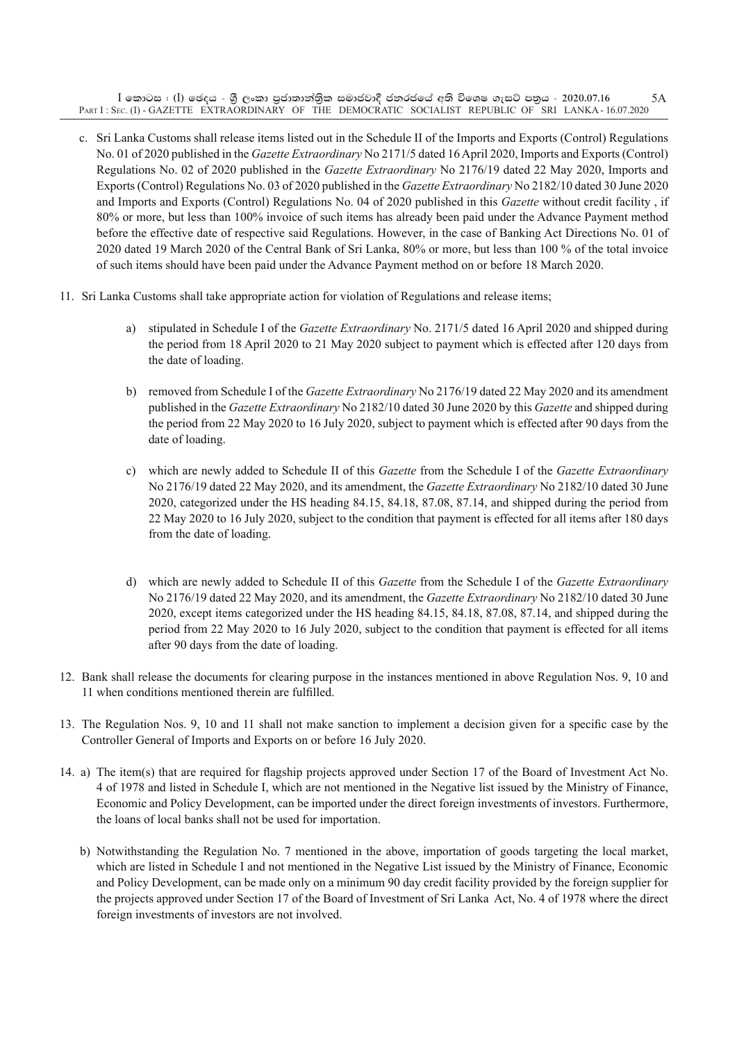$\rm I$  කොටස : ( $\rm I$ ) ඡෙදය - ශුී ලංකා පුජාතාන්තිුක සමාජවාදී ජනරජයේ අති විශෙෂ ගැසට් පතුය - 2020.07.16 Part I : Sec. (I) - GAZETTE EXTRAORDINARY OF THE DEMOCRATIC SOCIALIST REPUBLIC OF SRI LANKA - 16.07.2020 5A

- c. Sri Lanka Customs shall release items listed out in the Schedule II of the Imports and Exports (Control) Regulations No. 01 of 2020 published in the *Gazette Extraordinary* No 2171/5 dated 16 April 2020, Imports and Exports (Control) Regulations No. 02 of 2020 published in the *Gazette Extraordinary* No 2176/19 dated 22 May 2020, Imports and Exports (Control) Regulations No. 03 of 2020 published in the *Gazette Extraordinary* No 2182/10 dated 30 June 2020 and Imports and Exports (Control) Regulations No. 04 of 2020 published in this *Gazette* without credit facility , if 80% or more, but less than 100% invoice of such items has already been paid under the Advance Payment method before the effective date of respective said Regulations. However, in the case of Banking Act Directions No. 01 of 2020 dated 19 March 2020 of the Central Bank of Sri Lanka, 80% or more, but less than 100 % of the total invoice of such items should have been paid under the Advance Payment method on or before 18 March 2020.
- 11. Sri Lanka customs shall take appropriate action for violation of Regulations and release items;
	- a) stipulated in Schedule I of the *Gazette Extraordinary* No. 2171/5 dated 16 April 2020 and shipped during the period from 18 April 2020 to 21 May 2020 subject to payment which is effected after 120 days from the date of loading.
	- b) removed from Schedule I of the *Gazette Extraordinary* No 2176/19 dated 22 May 2020 and its amendment published in the *Gazette Extraordinary* No 2182/10 dated 30 June 2020 by this *Gazette* and shipped during the period from 22 May 2020 to 16 July 2020, subject to payment which is effected after 90 days from the date of loading.
	- c) which are newly added to Schedule II of this *Gazette* from the Schedule I of the *Gazette Extraordinary* No 2176/19 dated 22 May 2020, and its amendment, the *Gazette Extraordinary* No 2182/10 dated 30 June 2020, categorized under the HS heading 84.15, 84.18, 87.08, 87.14, and shipped during the period from 22 May 2020 to 16 July 2020, subject to the condition that payment is effected for all items after 180 days from the date of loading.
	- d) which are newly added to Schedule II of this *Gazette* from the Schedule I of the *Gazette Extraordinary* No 2176/19 dated 22 May 2020, and its amendment, the *Gazette Extraordinary* No 2182/10 dated 30 June 2020, except items categorized under the HS heading 84.15, 84.18, 87.08, 87.14, and shipped during the period from 22 May 2020 to 16 July 2020, subject to the condition that payment is effected for all items after 90 days from the date of loading.
- 12. Bank shall release the documents for clearing purpose in the instances mentioned in above Regulation Nos. 9, 10 and 11 when conditions mentioned therein are fulfilled.
- 13. The Regulation Nos. 9, 10 and 11 shall not make sanction to implement a decision given for a specific case by the Controller General of Imports and Exports on or before 16 July 2020.
- 14. a) The item(s) that are required for flagship projects approved under Section 17 of the Board of Investment Act No. 4 of 1978 and listed in Schedule I, which are not mentioned in the Negative list issued by the Ministry of Finance, Economic and Policy Development, can be imported under the direct foreign investments of investors. Furthermore, the loans of local banks shall not be used for importation.
	- b) Notwithstanding the Regulation No. 7 mentioned in the above, importation of goods targeting the local market, which are listed in Schedule I and not mentioned in the Negative List issued by the Ministry of Finance, Economic and Policy Development, can be made only on a minimum 90 day credit facility provided by the foreign supplier for the projects approved under Section 17 of the Board of Investment of Sri Lanka Act, No. 4 of 1978 where the direct foreign investments of investors are not involved.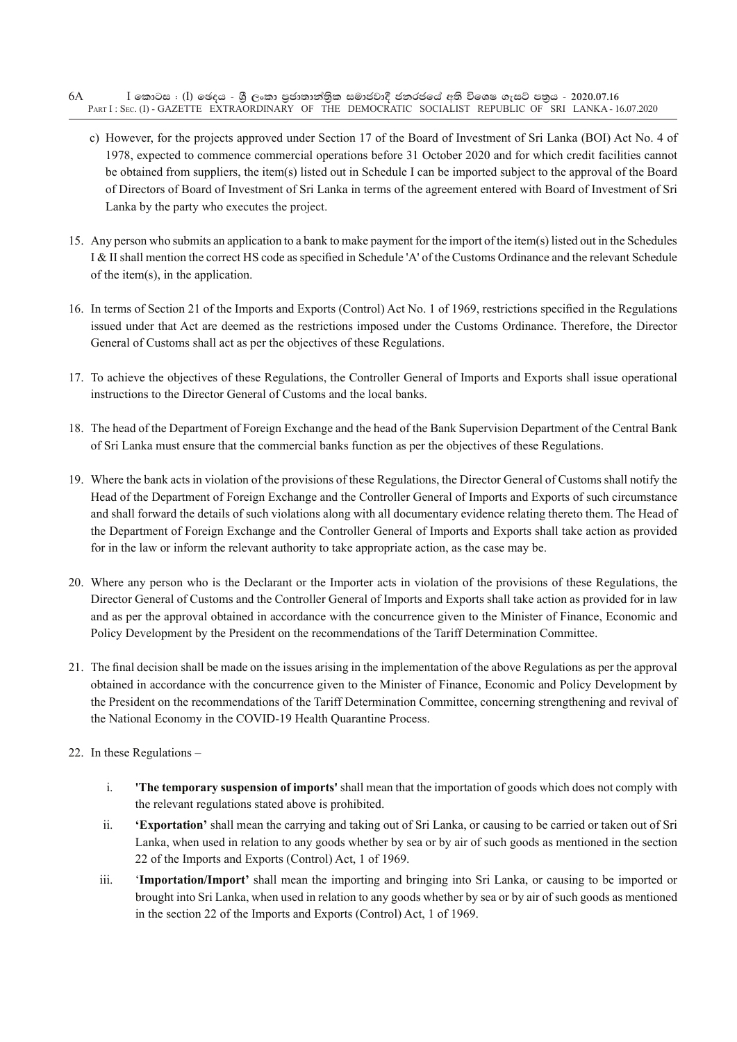- $I$  කොටස : (I) ඡෙදය ශූී ලංකා පුජාතාන්තිුක සමාජවාදී ජනරජයේ අති විශෙෂ ගැසට් පනුය 2020.07.16 PART I: SEC. (I) - GAZETTE EXTRAORDINARY OF THE DEMOCRATIC SOCIALIST REPUBLIC OF SRI LANKA - 16.07.2020 6A
	- c) However, for the projects approved under Section 17 of the Board of Investment of Sri Lanka (BOI) Act No. 4 of 1978, expected to commence commercial operations before 31 October 2020 and for which credit facilities cannot be obtained from suppliers, the item(s) listed out in Schedule I can be imported subject to the approval of the Board of Directors of Board of Investment of Sri Lanka in terms of the agreement entered with Board of Investment of Sri Lanka by the party who executes the project.
- 15. Any person who submits an application to a bank to make payment for the import of the item(s) listed out in the Schedules I & II shall mention the correct HS code as specified in Schedule 'A' of the Customs Ordinance and the relevant Schedule of the item(s), in the application.
- 16. In terms of Section 21 of the Imports and Exports (Control) Act No. 1 of 1969, restrictions specified in the Regulations issued under that Act are deemed as the restrictions imposed under the Customs Ordinance. Therefore, the Director General of Customs shall act as per the objectives of these Regulations.
- 17. To achieve the objectives of these Regulations, the Controller General of Imports and Exports shall issue operational instructions to the Director General of Customs and the local banks.
- 18. The head of the Department of Foreign Exchange and the head of the Bank Supervision Department of the Central Bank of Sri Lanka must ensure that the commercial banks function as per the objectives of these Regulations.
- 19. Where the bank acts in violation of the provisions of these Regulations, the Director General of Customs shall notify the Head of the Department of Foreign Exchange and the Controller General of Imports and Exports of such circumstance and shall forward the details of such violations along with all documentary evidence relating thereto them. The Head of the Department of Foreign Exchange and the Controller General of Imports and Exports shall take action as provided for in the law or inform the relevant authority to take appropriate action, as the case may be.
- 20. Where any person who is the Declarant or the Importer acts in violation of the provisions of these Regulations, the Director General of Customs and the Controller General of Imports and Exports shall take action as provided for in law and as per the approval obtained in accordance with the concurrence given to the Minister of Finance, Economic and Policy Development by the President on the recommendations of the Tariff Determination Committee.
- 21. The final decision shall be made on the issues arising in the implementation of the above regulations as per the approval obtained in accordance with the concurrence given to the Minister of Finance, Economic and Policy Development by the President on the recommendations of the Tariff Determination Committee, concerning strengthening and revival of the National Economy in the COVID-19 Health Quarantine Process.
- 22. In these Regulations
	- i. **'The temporary suspension of imports'** shall mean that the importation of goods which does not comply with the relevant regulations stated above is prohibited.
	- ii. **'Exportation'** shall mean the carrying and taking out of Sri Lanka, or causing to be carried or taken out of Sri Lanka, when used in relation to any goods whether by sea or by air of such goods as mentioned in the section 22 of the Imports and Exports (Control) Act, 1 of 1969.
	- iii. '**Importation/Import'** shall mean the importing and bringing into Sri Lanka, or causing to be imported or brought into Sri Lanka, when used in relation to any goods whether by sea or by air of such goods as mentioned in the section 22 of the Imports and Exports (Control) Act, 1 of 1969.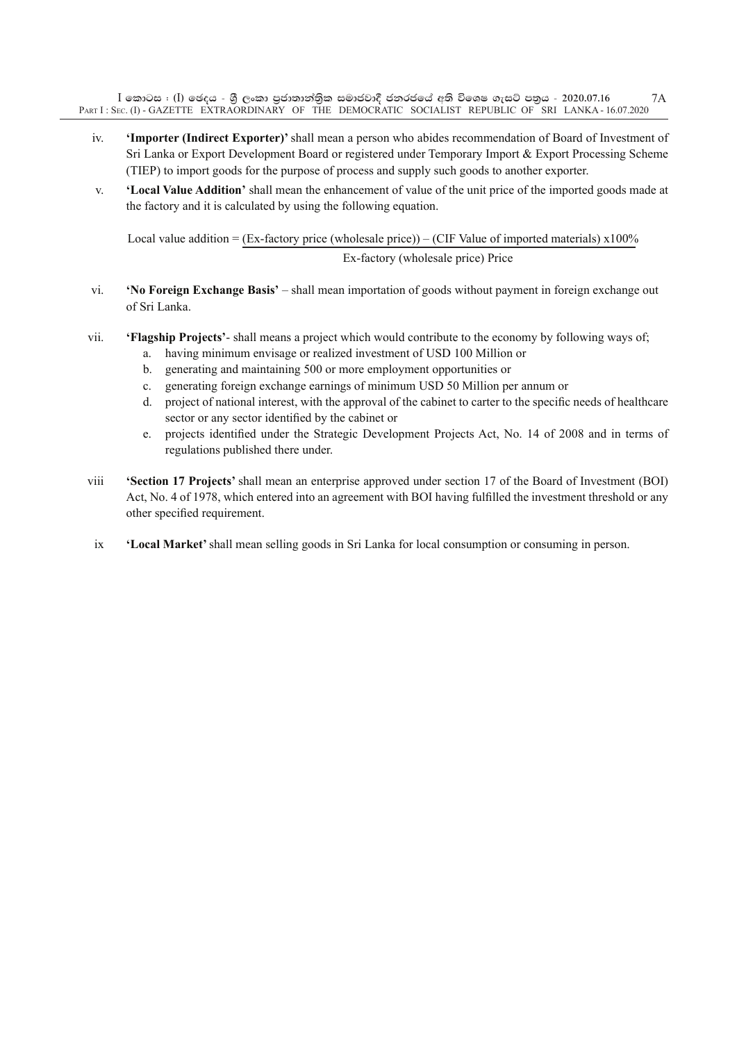$\rm I$  කොටස : ( $\rm I$ ) ඡෙදය - ශුී ලංකා පුජාතාන්තිුක සමාජවාදී ජනරජයේ අති විශෙෂ ගැසට් පතුය - 2020.07.16 Part I : Sec. (I) - GAZETTE EXTRAORDINARY OF THE DEMOCRATIC SOCIALIST REPUBLIC OF SRI LANKA - 16.07.2020 7A

- iv. **'Importer (Indirect Exporter)'** shall mean a person who abides recommendation of Board of Investment of Sri Lanka or Export Development Board or registered under Temporary Import & Export Processing Scheme (TIEP) to import goods for the purpose of process and supply such goods to another exporter.
- v. **'Local Value Addition'** shall mean the enhancement of value of the unit price of the imported goods made at the factory and it is calculated by using the following equation.

Local value addition = (Ex-factory price (wholesale price)) – (CIF Value of imported materials)  $x100\%$ Ex-factory (wholesale price) Price

- vi. **'No Foreign Exchange Basis'** shall mean importation of goods without payment in foreign exchange out of Sri Lanka.
- vii. **'flagship projects'** shall means a project which would contribute to the economy by following ways of;
	- a. having minimum envisage or realized investment of USD 100 Million or
	- b. generating and maintaining 500 or more employment opportunities or
	- c. generating foreign exchange earnings of minimum USD 50 Million per annum or
	- d. project of national interest, with the approval of the cabinet to carter to the specific needs of healthcare sector or any sector identified by the cabinet or
	- e. projects identified under the Strategic Development Projects Act, No. 14 of 2008 and in terms of regulations published there under.
- viii **'Section 17 projects'** shall mean an enterprise approved under section 17 of the Board of Investment (BOI) Act, No. 4 of 1978, which entered into an agreement with BOI having fulfilled the investment threshold or any other specified requirement.
- ix **'Local Market'** shall mean selling goods in Sri Lanka for local consumption or consuming in person.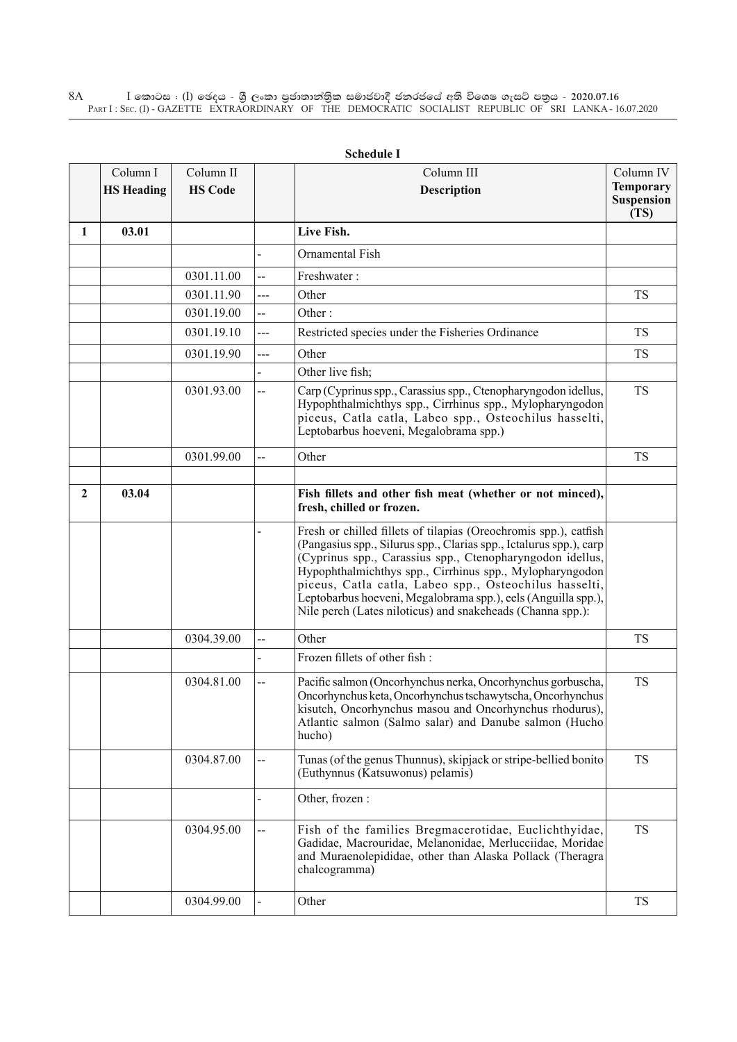$\rm I$  කොටස : ( $\rm I$ ) ඡෙදය - ශුී ලංකා පුජාතාන්තුික සමාජවාදී ජනරජයේ අති විශෙෂ ගැසට් පතුය - 2020.07.16 Part I : Sec. (I) - GAZETTE EXTRAORDINARY OF THE DEMOCRATIC SOCIALIST REPUBLIC OF SRI LANKA - 16.07.2020 8A

|   |                               |                             |                          | эспечию 1                                                                                                                                                                                                                                                                                                                                                                                                                                                |                               |
|---|-------------------------------|-----------------------------|--------------------------|----------------------------------------------------------------------------------------------------------------------------------------------------------------------------------------------------------------------------------------------------------------------------------------------------------------------------------------------------------------------------------------------------------------------------------------------------------|-------------------------------|
|   | Column I<br><b>HS</b> Heading | Column II<br><b>HS Code</b> |                          | Column III<br><b>Description</b>                                                                                                                                                                                                                                                                                                                                                                                                                         | Column IV<br><b>Temporary</b> |
|   |                               |                             |                          |                                                                                                                                                                                                                                                                                                                                                                                                                                                          | Suspension                    |
|   |                               |                             |                          |                                                                                                                                                                                                                                                                                                                                                                                                                                                          | (TS)                          |
| 1 | 03.01                         |                             |                          | Live Fish.                                                                                                                                                                                                                                                                                                                                                                                                                                               |                               |
|   |                               |                             |                          | Ornamental Fish                                                                                                                                                                                                                                                                                                                                                                                                                                          |                               |
|   |                               | 0301.11.00                  | --                       | Freshwater:                                                                                                                                                                                                                                                                                                                                                                                                                                              |                               |
|   |                               | 0301.11.90                  | ---                      | Other                                                                                                                                                                                                                                                                                                                                                                                                                                                    | <b>TS</b>                     |
|   |                               | 0301.19.00                  | --                       | Other:                                                                                                                                                                                                                                                                                                                                                                                                                                                   |                               |
|   |                               | 0301.19.10                  | ---                      | Restricted species under the Fisheries Ordinance                                                                                                                                                                                                                                                                                                                                                                                                         | <b>TS</b>                     |
|   |                               | 0301.19.90                  | $---$                    | Other                                                                                                                                                                                                                                                                                                                                                                                                                                                    | <b>TS</b>                     |
|   |                               |                             |                          | Other live fish;                                                                                                                                                                                                                                                                                                                                                                                                                                         |                               |
|   |                               | 0301.93.00                  | --                       | Carp (Cyprinus spp., Carassius spp., Ctenopharyngodon idellus,<br>Hypophthalmichthys spp., Cirrhinus spp., Mylopharyngodon<br>piceus, Catla catla, Labeo spp., Osteochilus hasselti,<br>Leptobarbus hoeveni, Megalobrama spp.)                                                                                                                                                                                                                           | <b>TS</b>                     |
|   |                               | 0301.99.00                  | $\overline{a}$           | Other                                                                                                                                                                                                                                                                                                                                                                                                                                                    | <b>TS</b>                     |
|   |                               |                             |                          |                                                                                                                                                                                                                                                                                                                                                                                                                                                          |                               |
| 2 | 03.04                         |                             |                          | Fish fillets and other fish meat (whether or not minced),<br>fresh, chilled or frozen.                                                                                                                                                                                                                                                                                                                                                                   |                               |
|   |                               |                             |                          | Fresh or chilled fillets of tilapias (Oreochromis spp.), catfish<br>(Pangasius spp., Silurus spp., Clarias spp., Ictalurus spp.), carp<br>(Cyprinus spp., Carassius spp., Ctenopharyngodon idellus,<br>Hypophthalmichthys spp., Cirrhinus spp., Mylopharyngodon<br>piceus, Catla catla, Labeo spp., Osteochilus hasselti,<br>Leptobarbus hoeveni, Megalobrama spp.), eels (Anguilla spp.),<br>Nile perch (Lates niloticus) and snakeheads (Channa spp.): |                               |
|   |                               | 0304.39.00                  | --                       | Other                                                                                                                                                                                                                                                                                                                                                                                                                                                    | <b>TS</b>                     |
|   |                               |                             |                          | Frozen fillets of other fish :                                                                                                                                                                                                                                                                                                                                                                                                                           |                               |
|   |                               | 0304.81.00                  | --                       | Pacific salmon (Oncorhynchus nerka, Oncorhynchus gorbuscha,<br>Oncorhynchus keta, Oncorhynchus tschawytscha, Oncorhynchus<br>kisutch, Oncorhynchus masou and Oncorhynchus rhodurus),<br>Atlantic salmon (Salmo salar) and Danube salmon (Hucho<br>hucho)                                                                                                                                                                                                 | <b>TS</b>                     |
|   |                               | 0304.87.00                  | $\overline{\phantom{a}}$ | Tunas (of the genus Thunnus), skipjack or stripe-bellied bonito<br>(Euthynnus (Katsuwonus) pelamis)                                                                                                                                                                                                                                                                                                                                                      | <b>TS</b>                     |
|   |                               |                             |                          | Other, frozen :                                                                                                                                                                                                                                                                                                                                                                                                                                          |                               |
|   |                               | 0304.95.00                  |                          | Fish of the families Bregmacerotidae, Euclichthyidae,<br>Gadidae, Macrouridae, Melanonidae, Merlucciidae, Moridae<br>and Muraenolepididae, other than Alaska Pollack (Theragra<br>chalcogramma)                                                                                                                                                                                                                                                          | <b>TS</b>                     |
|   |                               | 0304.99.00                  |                          | Other                                                                                                                                                                                                                                                                                                                                                                                                                                                    | TS                            |

**Schedule I**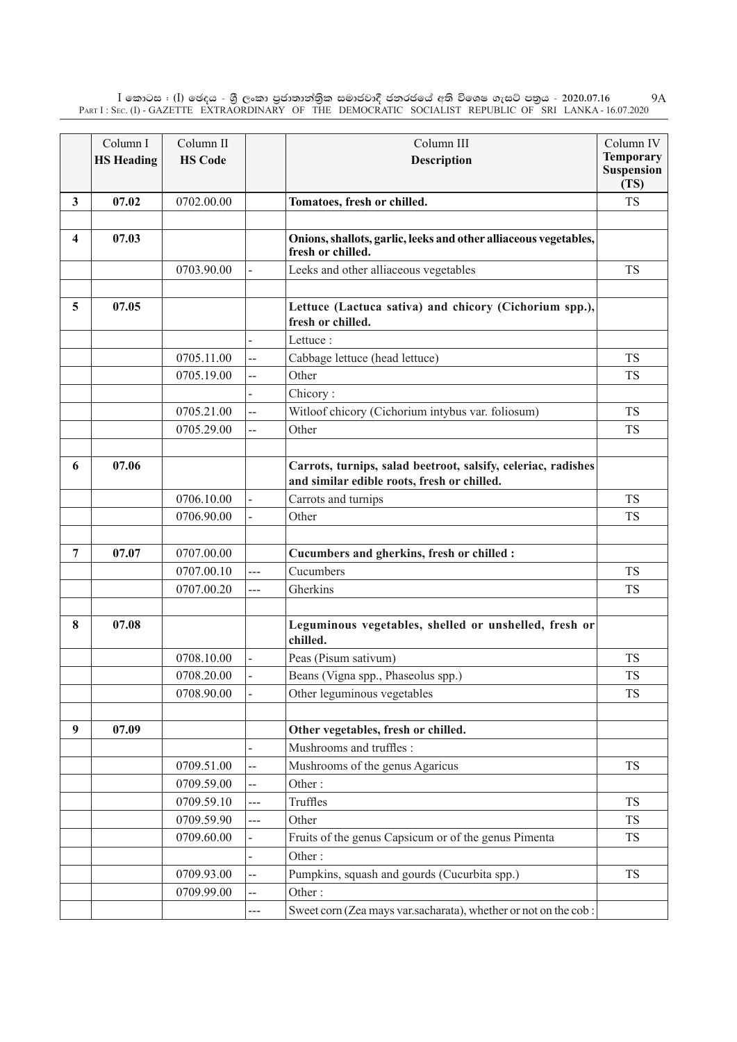$\rm I$  කොටස : ( $\rm I$ ) ඡෙදය - ශුී ලංකා පුජාතාන්තිුක සමාජවාදී ජනරජයේ අති විශෙෂ ගැසට් පතුය - 2020.07.16 Part I : Sec. (I) - GAZETTE EXTRAORDINARY OF THE DEMOCRATIC SOCIALIST REPUBLIC OF SRI LANKA - 16.07.2020 9A

|                         | Column I          | Column II      |                | Column III                                                                                                   | Column IV                             |
|-------------------------|-------------------|----------------|----------------|--------------------------------------------------------------------------------------------------------------|---------------------------------------|
|                         | <b>HS Heading</b> | <b>HS Code</b> |                | <b>Description</b>                                                                                           | <b>Temporary</b><br><b>Suspension</b> |
|                         |                   |                |                |                                                                                                              | (TS)                                  |
| $\mathbf{3}$            | 07.02             | 0702.00.00     |                | Tomatoes, fresh or chilled.                                                                                  | <b>TS</b>                             |
|                         |                   |                |                |                                                                                                              |                                       |
| $\overline{\mathbf{4}}$ | 07.03             |                |                | Onions, shallots, garlic, leeks and other alliaceous vegetables,<br>fresh or chilled.                        |                                       |
|                         |                   | 0703.90.00     |                | Leeks and other alliaceous vegetables                                                                        | <b>TS</b>                             |
|                         |                   |                |                |                                                                                                              |                                       |
| 5                       | 07.05             |                |                | Lettuce (Lactuca sativa) and chicory (Cichorium spp.),<br>fresh or chilled.                                  |                                       |
|                         |                   |                |                | Lettuce:                                                                                                     |                                       |
|                         |                   | 0705.11.00     | --             | Cabbage lettuce (head lettuce)                                                                               | <b>TS</b>                             |
|                         |                   | 0705.19.00     | --             | Other                                                                                                        | <b>TS</b>                             |
|                         |                   |                |                | Chicory:                                                                                                     |                                       |
|                         |                   | 0705.21.00     | --             | Witloof chicory (Cichorium intybus var. foliosum)                                                            | <b>TS</b>                             |
|                         |                   | 0705.29.00     | $\overline{a}$ | Other                                                                                                        | <b>TS</b>                             |
|                         |                   |                |                |                                                                                                              |                                       |
| 6                       | 07.06             |                |                | Carrots, turnips, salad beetroot, salsify, celeriac, radishes<br>and similar edible roots, fresh or chilled. |                                       |
|                         |                   | 0706.10.00     |                | Carrots and turnips                                                                                          | <b>TS</b>                             |
|                         |                   | 0706.90.00     |                | Other                                                                                                        | <b>TS</b>                             |
|                         |                   |                |                |                                                                                                              |                                       |
| 7                       | 07.07             | 0707.00.00     |                | Cucumbers and gherkins, fresh or chilled :                                                                   |                                       |
|                         |                   | 0707.00.10     | ---            | Cucumbers                                                                                                    | <b>TS</b>                             |
|                         |                   | 0707.00.20     | ---            | Gherkins                                                                                                     | <b>TS</b>                             |
|                         |                   |                |                |                                                                                                              |                                       |
| 8                       | 07.08             |                |                | Leguminous vegetables, shelled or unshelled, fresh or<br>chilled.                                            |                                       |
|                         |                   | 0708.10.00     |                | Peas (Pisum sativum)                                                                                         | TS                                    |
|                         |                   | 0708.20.00     |                | Beans (Vigna spp., Phaseolus spp.)                                                                           | <b>TS</b>                             |
|                         |                   | 0708.90.00     |                | Other leguminous vegetables                                                                                  | <b>TS</b>                             |
|                         |                   |                |                |                                                                                                              |                                       |
| 9                       | 07.09             |                |                | Other vegetables, fresh or chilled.                                                                          |                                       |
|                         |                   |                |                | Mushrooms and truffles :                                                                                     |                                       |
|                         |                   | 0709.51.00     | --             | Mushrooms of the genus Agaricus                                                                              | <b>TS</b>                             |
|                         |                   | 0709.59.00     | --             | Other:                                                                                                       |                                       |
|                         |                   | 0709.59.10     | ---            | Truffles                                                                                                     | <b>TS</b>                             |
|                         |                   | 0709.59.90     | ---            | Other                                                                                                        | <b>TS</b>                             |
|                         |                   | 0709.60.00     |                | Fruits of the genus Capsicum or of the genus Pimenta                                                         | <b>TS</b>                             |
|                         |                   |                |                | Other:                                                                                                       |                                       |
|                         |                   | 0709.93.00     | --             | Pumpkins, squash and gourds (Cucurbita spp.)                                                                 | <b>TS</b>                             |
|                         |                   | 0709.99.00     |                | Other:                                                                                                       |                                       |
|                         |                   |                | ---            | Sweet corn (Zea mays var.sacharata), whether or not on the cob:                                              |                                       |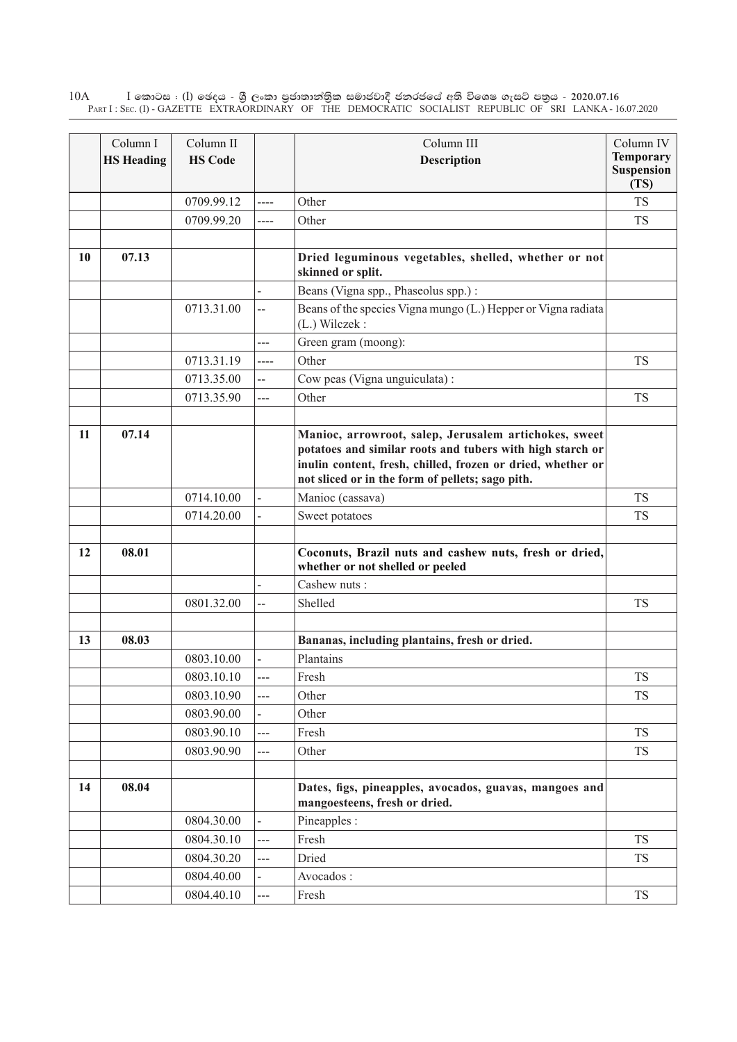$\rm I$  කොටස : ( $\rm I$ ) ඡෙදය - ශුී ලංකා පුජාතාන්තුික සමාජවාදී ජනරජයේ අති විශෙෂ ගැසට් පතුය - 2020.07.16 Part I : Sec. (I) - GAZETTE EXTRAORDINARY OF THE DEMOCRATIC SOCIALIST REPUBLIC OF SRI LANKA - 16.07.2020 10A

|    | Column I          | Column II      |                | Column III                                                                                                                                                                                                                            | Column IV                                     |
|----|-------------------|----------------|----------------|---------------------------------------------------------------------------------------------------------------------------------------------------------------------------------------------------------------------------------------|-----------------------------------------------|
|    | <b>HS Heading</b> | <b>HS Code</b> |                | Description                                                                                                                                                                                                                           | <b>Temporary</b><br><b>Suspension</b><br>(TS) |
|    |                   | 0709.99.12     | ----           | Other                                                                                                                                                                                                                                 | <b>TS</b>                                     |
|    |                   | 0709.99.20     | $---$          | Other                                                                                                                                                                                                                                 | <b>TS</b>                                     |
|    |                   |                |                |                                                                                                                                                                                                                                       |                                               |
| 10 | 07.13             |                |                | Dried leguminous vegetables, shelled, whether or not<br>skinned or split.                                                                                                                                                             |                                               |
|    |                   |                |                | Beans (Vigna spp., Phaseolus spp.):                                                                                                                                                                                                   |                                               |
|    |                   | 0713.31.00     | $\overline{a}$ | Beans of the species Vigna mungo (L.) Hepper or Vigna radiata<br>(L.) Wilczek:                                                                                                                                                        |                                               |
|    |                   |                | ---            | Green gram (moong):                                                                                                                                                                                                                   |                                               |
|    |                   | 0713.31.19     | $---$          | Other                                                                                                                                                                                                                                 | <b>TS</b>                                     |
|    |                   | 0713.35.00     | --             | Cow peas (Vigna unguiculata):                                                                                                                                                                                                         |                                               |
|    |                   | 0713.35.90     | ---            | Other                                                                                                                                                                                                                                 | <b>TS</b>                                     |
|    |                   |                |                |                                                                                                                                                                                                                                       |                                               |
| 11 | 07.14             |                |                | Manioc, arrowroot, salep, Jerusalem artichokes, sweet<br>potatoes and similar roots and tubers with high starch or<br>inulin content, fresh, chilled, frozen or dried, whether or<br>not sliced or in the form of pellets; sago pith. |                                               |
|    |                   | 0714.10.00     |                | Manioc (cassava)                                                                                                                                                                                                                      | <b>TS</b>                                     |
|    |                   | 0714.20.00     | $\blacksquare$ | Sweet potatoes                                                                                                                                                                                                                        | <b>TS</b>                                     |
| 12 | 08.01             |                |                | Coconuts, Brazil nuts and cashew nuts, fresh or dried,<br>whether or not shelled or peeled                                                                                                                                            |                                               |
|    |                   |                |                | Cashew nuts:                                                                                                                                                                                                                          |                                               |
|    |                   | 0801.32.00     | --             | Shelled                                                                                                                                                                                                                               | <b>TS</b>                                     |
|    |                   |                |                |                                                                                                                                                                                                                                       |                                               |
| 13 | 08.03             |                |                | Bananas, including plantains, fresh or dried.                                                                                                                                                                                         |                                               |
|    |                   | 0803.10.00     |                | Plantains                                                                                                                                                                                                                             |                                               |
|    |                   | 0803.10.10     | ---            | Fresh                                                                                                                                                                                                                                 | <b>TS</b>                                     |
|    |                   | 0803.10.90     | ---            | Other                                                                                                                                                                                                                                 | <b>TS</b>                                     |
|    |                   | 0803.90.00     |                | Other                                                                                                                                                                                                                                 |                                               |
|    |                   | 0803.90.10     | $\overline{a}$ | Fresh                                                                                                                                                                                                                                 | <b>TS</b>                                     |
|    |                   | 0803.90.90     | ---            | Other                                                                                                                                                                                                                                 | <b>TS</b>                                     |
|    |                   |                |                |                                                                                                                                                                                                                                       |                                               |
| 14 | 08.04             |                |                | Dates, figs, pineapples, avocados, guavas, mangoes and<br>mangoesteens, fresh or dried.                                                                                                                                               |                                               |
|    |                   | 0804.30.00     | $\overline{a}$ | Pineapples :                                                                                                                                                                                                                          |                                               |
|    |                   | 0804.30.10     | ---            | Fresh                                                                                                                                                                                                                                 | <b>TS</b>                                     |
|    |                   | 0804.30.20     | ---            | Dried                                                                                                                                                                                                                                 | <b>TS</b>                                     |
|    |                   | 0804.40.00     |                | Avocados:                                                                                                                                                                                                                             |                                               |
|    |                   | 0804.40.10     | ---            | Fresh                                                                                                                                                                                                                                 | <b>TS</b>                                     |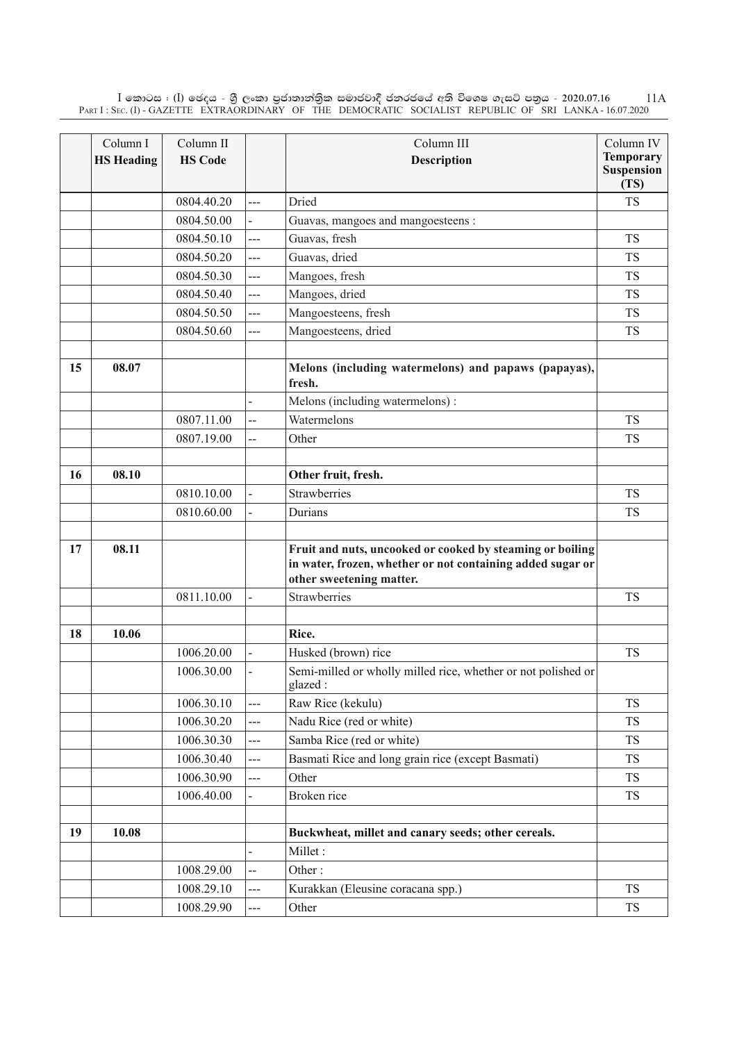$\rm I$  කොටස : ( $\rm I$ ) ඡෙදය - ශුී ලංකා පුජාතාන්තිුක සමාජවාදී ජනරජයේ අති විශෙෂ ගැසට් පතුය - 2020.07.16 Part I : Sec. (I) - GAZETTE EXTRAORDINARY OF THE DEMOCRATIC SOCIALIST REPUBLIC OF SRI LANKA - 16.07.2020 11A

|    | Column I          | Column II      |                          | Column III                                                                             | Column IV                 |
|----|-------------------|----------------|--------------------------|----------------------------------------------------------------------------------------|---------------------------|
|    | <b>HS Heading</b> | <b>HS Code</b> |                          | <b>Description</b>                                                                     | <b>Temporary</b>          |
|    |                   |                |                          |                                                                                        | <b>Suspension</b><br>(TS) |
|    |                   | 0804.40.20     | ---                      | Dried                                                                                  | <b>TS</b>                 |
|    |                   | 0804.50.00     |                          | Guavas, mangoes and mangoesteens :                                                     |                           |
|    |                   | 0804.50.10     | ---                      | Guavas, fresh                                                                          | <b>TS</b>                 |
|    |                   | 0804.50.20     | ---                      | Guavas, dried                                                                          | <b>TS</b>                 |
|    |                   | 0804.50.30     | ---                      | Mangoes, fresh                                                                         | <b>TS</b>                 |
|    |                   | 0804.50.40     | ---                      | Mangoes, dried                                                                         | <b>TS</b>                 |
|    |                   | 0804.50.50     | ---                      | Mangoesteens, fresh                                                                    | <b>TS</b>                 |
|    |                   | 0804.50.60     | ---                      | Mangoesteens, dried                                                                    | <b>TS</b>                 |
|    |                   |                |                          |                                                                                        |                           |
| 15 | 08.07             |                |                          | Melons (including watermelons) and papaws (papayas),<br>fresh.                         |                           |
|    |                   |                |                          | Melons (including watermelons):                                                        |                           |
|    |                   | 0807.11.00     | $\overline{a}$           | Watermelons                                                                            | <b>TS</b>                 |
|    |                   | 0807.19.00     | --                       | Other                                                                                  | <b>TS</b>                 |
|    |                   |                |                          |                                                                                        |                           |
| 16 | 08.10             |                |                          | Other fruit, fresh.                                                                    |                           |
|    |                   | 0810.10.00     |                          | Strawberries                                                                           | <b>TS</b>                 |
|    |                   | 0810.60.00     |                          | Durians                                                                                | <b>TS</b>                 |
|    |                   |                |                          |                                                                                        |                           |
| 17 | 08.11             |                |                          | Fruit and nuts, uncooked or cooked by steaming or boiling                              |                           |
|    |                   |                |                          | in water, frozen, whether or not containing added sugar or<br>other sweetening matter. |                           |
|    |                   | 0811.10.00     |                          | Strawberries                                                                           | <b>TS</b>                 |
|    |                   |                |                          |                                                                                        |                           |
| 18 | 10.06             |                |                          | Rice.                                                                                  |                           |
|    |                   | 1006.20.00     |                          | Husked (brown) rice                                                                    | <b>TS</b>                 |
|    |                   | 1006.30.00     |                          | Semi-milled or wholly milled rice, whether or not polished or<br>glazed:               |                           |
|    |                   | 1006.30.10     | ---                      | Raw Rice (kekulu)                                                                      | <b>TS</b>                 |
|    |                   | 1006.30.20     | ---                      | Nadu Rice (red or white)                                                               | <b>TS</b>                 |
|    |                   | 1006.30.30     | $---$                    | Samba Rice (red or white)                                                              | <b>TS</b>                 |
|    |                   | 1006.30.40     | ---                      | Basmati Rice and long grain rice (except Basmati)                                      | <b>TS</b>                 |
|    |                   | 1006.30.90     | ---                      | Other                                                                                  | <b>TS</b>                 |
|    |                   | 1006.40.00     |                          | Broken rice                                                                            | <b>TS</b>                 |
|    |                   |                |                          |                                                                                        |                           |
| 19 | 10.08             |                |                          | Buckwheat, millet and canary seeds; other cereals.                                     |                           |
|    |                   |                | $\overline{\phantom{0}}$ | Millet:                                                                                |                           |
|    |                   | 1008.29.00     | --                       | Other:                                                                                 |                           |
|    |                   | 1008.29.10     | ---                      | Kurakkan (Eleusine coracana spp.)                                                      | <b>TS</b>                 |
|    |                   | 1008.29.90     | ---                      | Other                                                                                  | <b>TS</b>                 |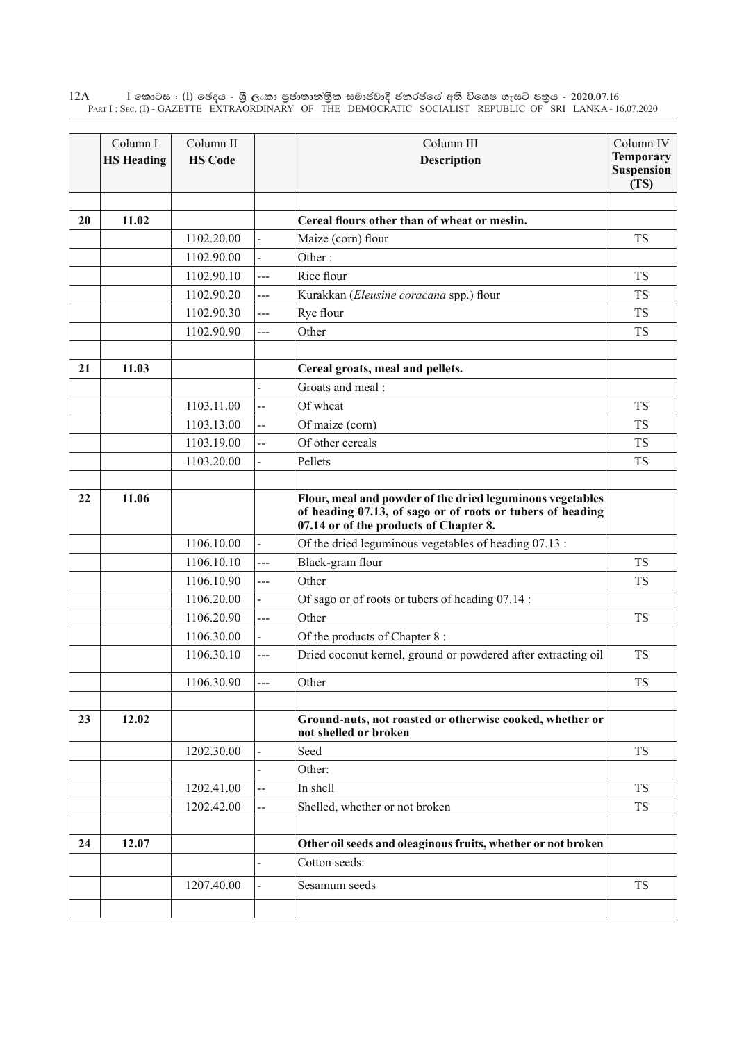$\rm I$  කොටස : ( $\rm I$ ) ඡෙදය - ශුී ලංකා පුජාතාන්තුික සමාජවාදී ජනරජයේ අති විශෙෂ ගැසට් පතුය - 2020.07.16 Part I : Sec. (I) - GAZETTE EXTRAORDINARY OF THE DEMOCRATIC SOCIALIST REPUBLIC OF SRI LANKA - 16.07.2020 12A

|    | Column I<br><b>HS Heading</b> | Column II<br><b>HS Code</b> |                | Column III<br>Description                                                                                                                                         | Column IV<br><b>Temporary</b><br>Suspension<br>(TS) |
|----|-------------------------------|-----------------------------|----------------|-------------------------------------------------------------------------------------------------------------------------------------------------------------------|-----------------------------------------------------|
| 20 | 11.02                         |                             |                | Cereal flours other than of wheat or meslin.                                                                                                                      |                                                     |
|    |                               | 1102.20.00                  |                | Maize (corn) flour                                                                                                                                                | <b>TS</b>                                           |
|    |                               | 1102.90.00                  |                | Other:                                                                                                                                                            |                                                     |
|    |                               | 1102.90.10                  | ---            | Rice flour                                                                                                                                                        | <b>TS</b>                                           |
|    |                               | 1102.90.20                  | ---            | Kurakkan (Eleusine coracana spp.) flour                                                                                                                           | <b>TS</b>                                           |
|    |                               | 1102.90.30                  | ---            | Rye flour                                                                                                                                                         | <b>TS</b>                                           |
|    |                               | 1102.90.90                  | ---            | Other                                                                                                                                                             | <b>TS</b>                                           |
| 21 | 11.03                         |                             |                | Cereal groats, meal and pellets.                                                                                                                                  |                                                     |
|    |                               |                             |                | Groats and meal:                                                                                                                                                  |                                                     |
|    |                               | 1103.11.00                  | $\overline{a}$ | Of wheat                                                                                                                                                          | <b>TS</b>                                           |
|    |                               | 1103.13.00                  | --             | Of maize (corn)                                                                                                                                                   | <b>TS</b>                                           |
|    |                               | 1103.19.00                  | --             | Of other cereals                                                                                                                                                  | <b>TS</b>                                           |
|    |                               | 1103.20.00                  |                | Pellets                                                                                                                                                           | <b>TS</b>                                           |
| 22 | 11.06                         |                             |                | Flour, meal and powder of the dried leguminous vegetables<br>of heading 07.13, of sago or of roots or tubers of heading<br>07.14 or of the products of Chapter 8. |                                                     |
|    |                               | 1106.10.00                  |                | Of the dried leguminous vegetables of heading 07.13 :                                                                                                             |                                                     |
|    |                               | 1106.10.10                  | ---            | Black-gram flour                                                                                                                                                  | <b>TS</b>                                           |
|    |                               | 1106.10.90                  | ---            | Other                                                                                                                                                             | <b>TS</b>                                           |
|    |                               | 1106.20.00                  |                | Of sago or of roots or tubers of heading 07.14 :                                                                                                                  |                                                     |
|    |                               | 1106.20.90                  | $---$          | Other                                                                                                                                                             | <b>TS</b>                                           |
|    |                               | 1106.30.00                  | $\overline{a}$ | Of the products of Chapter 8:                                                                                                                                     |                                                     |
|    |                               | 1106.30.10                  | ---            | Dried coconut kernel, ground or powdered after extracting oil                                                                                                     | <b>TS</b>                                           |
|    |                               | 1106.30.90                  |                | Other                                                                                                                                                             | <b>TS</b>                                           |
| 23 | 12.02                         |                             |                | Ground-nuts, not roasted or otherwise cooked, whether or<br>not shelled or broken                                                                                 |                                                     |
|    |                               | 1202.30.00                  |                | Seed                                                                                                                                                              | <b>TS</b>                                           |
|    |                               |                             |                | Other:                                                                                                                                                            |                                                     |
|    |                               | 1202.41.00                  | --             | In shell                                                                                                                                                          | <b>TS</b>                                           |
|    |                               | 1202.42.00                  | --             | Shelled, whether or not broken                                                                                                                                    | <b>TS</b>                                           |
| 24 | 12.07                         |                             |                | Other oil seeds and oleaginous fruits, whether or not broken                                                                                                      |                                                     |
|    |                               |                             |                | Cotton seeds:                                                                                                                                                     |                                                     |
|    |                               | 1207.40.00                  |                | Sesamum seeds                                                                                                                                                     | <b>TS</b>                                           |
|    |                               |                             |                |                                                                                                                                                                   |                                                     |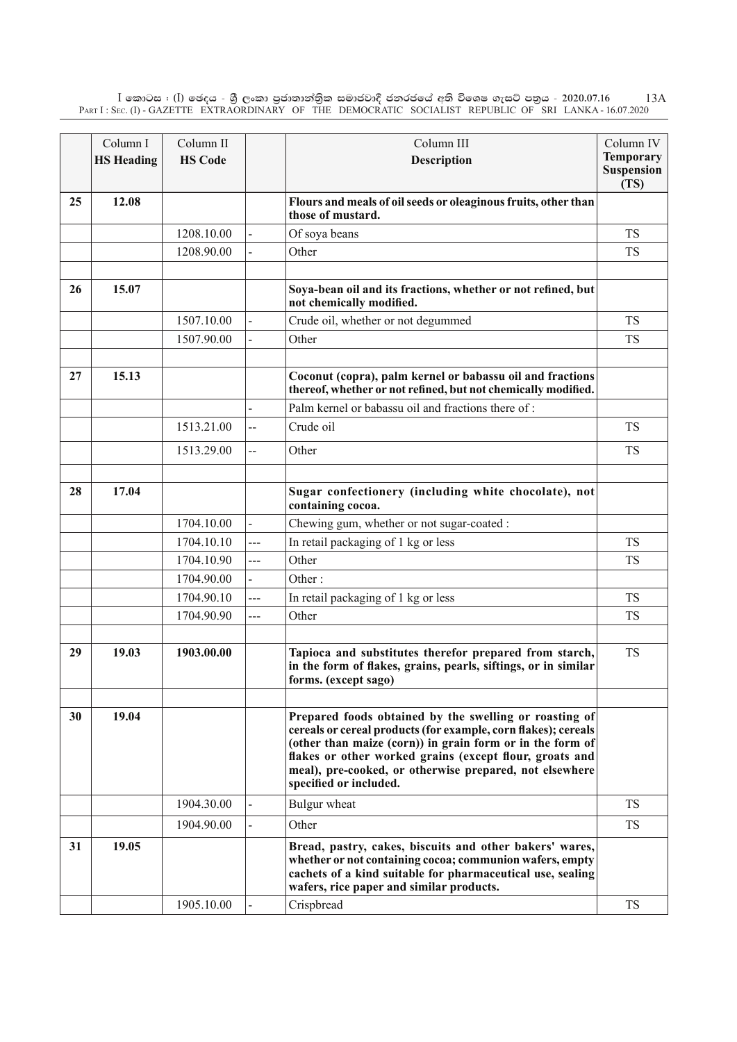$\rm I$  කොටස : ( $\rm I$ ) ඡෙදය - ශුී ලංකා පුජාතාන්තිුක සමාජවාදී ජනරජයේ අති විශෙෂ ගැසට් පතුය - 2020.07.16 Part I : Sec. (I) - GAZETTE EXTRAORDINARY OF THE DEMOCRATIC SOCIALIST REPUBLIC OF SRI LANKA - 16.07.2020 13A

|    | Column I          | Column II      |                | Column III                                                                                                                                                                                                                                                                                                                            | Column IV                              |
|----|-------------------|----------------|----------------|---------------------------------------------------------------------------------------------------------------------------------------------------------------------------------------------------------------------------------------------------------------------------------------------------------------------------------------|----------------------------------------|
|    | <b>HS Heading</b> | <b>HS Code</b> |                | <b>Description</b>                                                                                                                                                                                                                                                                                                                    | <b>Temporary</b><br>Suspension<br>(TS) |
| 25 | 12.08             |                |                | Flours and meals of oil seeds or oleaginous fruits, other than<br>those of mustard.                                                                                                                                                                                                                                                   |                                        |
|    |                   | 1208.10.00     |                | Of soya beans                                                                                                                                                                                                                                                                                                                         | <b>TS</b>                              |
|    |                   | 1208.90.00     |                | Other                                                                                                                                                                                                                                                                                                                                 | <b>TS</b>                              |
|    |                   |                |                |                                                                                                                                                                                                                                                                                                                                       |                                        |
| 26 | 15.07             |                |                | Soya-bean oil and its fractions, whether or not refined, but<br>not chemically modified.                                                                                                                                                                                                                                              |                                        |
|    |                   | 1507.10.00     |                | Crude oil, whether or not degummed                                                                                                                                                                                                                                                                                                    | <b>TS</b>                              |
|    |                   | 1507.90.00     | $\overline{a}$ | Other                                                                                                                                                                                                                                                                                                                                 | <b>TS</b>                              |
|    |                   |                |                |                                                                                                                                                                                                                                                                                                                                       |                                        |
| 27 | 15.13             |                |                | Coconut (copra), palm kernel or babassu oil and fractions<br>thereof, whether or not refined, but not chemically modified.                                                                                                                                                                                                            |                                        |
|    |                   |                |                | Palm kernel or babassu oil and fractions there of:                                                                                                                                                                                                                                                                                    |                                        |
|    |                   | 1513.21.00     | --             | Crude oil                                                                                                                                                                                                                                                                                                                             | <b>TS</b>                              |
|    |                   | 1513.29.00     | $\overline{a}$ | Other                                                                                                                                                                                                                                                                                                                                 | <b>TS</b>                              |
|    |                   |                |                |                                                                                                                                                                                                                                                                                                                                       |                                        |
| 28 | 17.04             |                |                | Sugar confectionery (including white chocolate), not<br>containing cocoa.                                                                                                                                                                                                                                                             |                                        |
|    |                   | 1704.10.00     |                | Chewing gum, whether or not sugar-coated :                                                                                                                                                                                                                                                                                            |                                        |
|    |                   | 1704.10.10     | $\overline{a}$ | In retail packaging of 1 kg or less                                                                                                                                                                                                                                                                                                   | <b>TS</b>                              |
|    |                   | 1704.10.90     | ---            | Other                                                                                                                                                                                                                                                                                                                                 | <b>TS</b>                              |
|    |                   | 1704.90.00     |                | Other:                                                                                                                                                                                                                                                                                                                                |                                        |
|    |                   | 1704.90.10     | ---            | In retail packaging of 1 kg or less                                                                                                                                                                                                                                                                                                   | <b>TS</b>                              |
|    |                   | 1704.90.90     | ---            | Other                                                                                                                                                                                                                                                                                                                                 | <b>TS</b>                              |
|    |                   |                |                |                                                                                                                                                                                                                                                                                                                                       |                                        |
| 29 | 19.03             | 1903.00.00     |                | Tapioca and substitutes therefor prepared from starch,<br>in the form of flakes, grains, pearls, siftings, or in similar<br>forms. (except sago)                                                                                                                                                                                      | <b>TS</b>                              |
|    |                   |                |                |                                                                                                                                                                                                                                                                                                                                       |                                        |
| 30 | 19.04             |                |                | Prepared foods obtained by the swelling or roasting of<br>cereals or cereal products (for example, corn flakes); cereals<br>(other than maize (corn)) in grain form or in the form of<br>flakes or other worked grains (except flour, groats and<br>meal), pre-cooked, or otherwise prepared, not elsewhere<br>specified or included. |                                        |
|    |                   | 1904.30.00     |                | Bulgur wheat                                                                                                                                                                                                                                                                                                                          | <b>TS</b>                              |
|    |                   | 1904.90.00     |                | Other                                                                                                                                                                                                                                                                                                                                 | <b>TS</b>                              |
| 31 | 19.05             |                |                | Bread, pastry, cakes, biscuits and other bakers' wares,<br>whether or not containing cocoa; communion wafers, empty<br>cachets of a kind suitable for pharmaceutical use, sealing<br>wafers, rice paper and similar products.                                                                                                         |                                        |
|    |                   | 1905.10.00     |                | Crispbread                                                                                                                                                                                                                                                                                                                            | <b>TS</b>                              |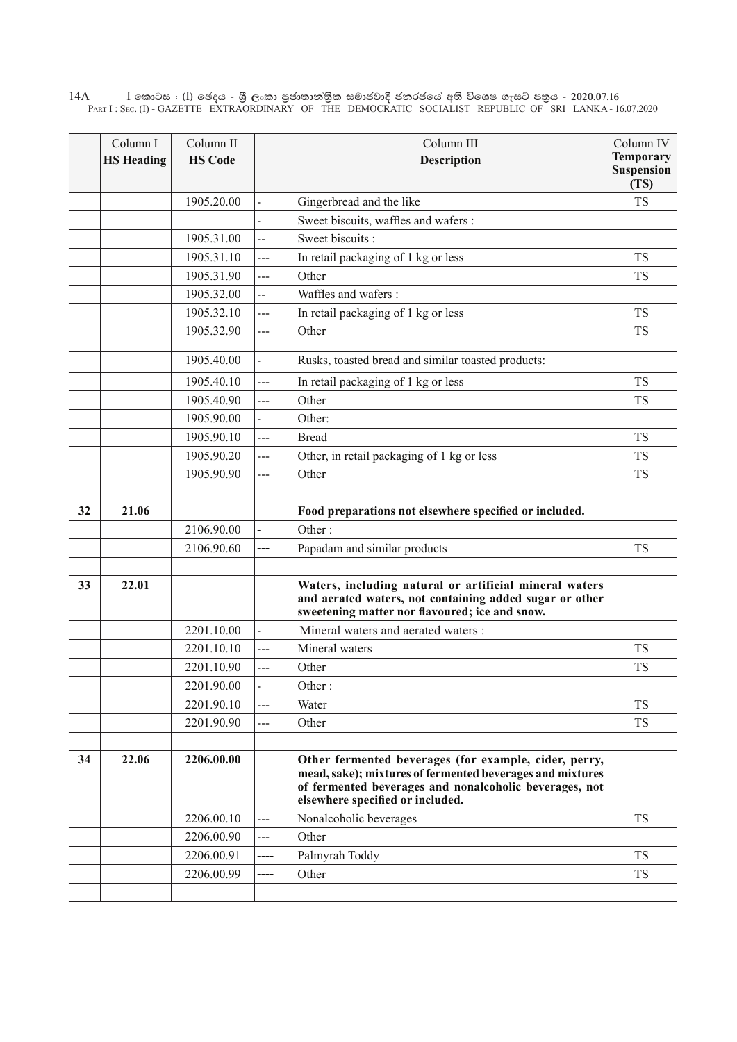$\rm I$  කොටස : ( $\rm I$ ) ඡෙදය - ශුී ලංකා පුජාතාන්තුික සමාජවාදී ජනරජයේ අති විශෙෂ ගැසට් පතුය - 2020.07.16 Part I : Sec. (I) - GAZETTE EXTRAORDINARY OF THE DEMOCRATIC SOCIALIST REPUBLIC OF SRI LANKA - 16.07.2020 14A

|    | Column I<br><b>HS Heading</b> | Column II<br><b>HS Code</b> |                          | Column III<br>Description                                                                                                                                                                                        | Column IV<br><b>Temporary</b><br><b>Suspension</b><br>(TS) |
|----|-------------------------------|-----------------------------|--------------------------|------------------------------------------------------------------------------------------------------------------------------------------------------------------------------------------------------------------|------------------------------------------------------------|
|    |                               | 1905.20.00                  |                          | Gingerbread and the like                                                                                                                                                                                         | <b>TS</b>                                                  |
|    |                               |                             |                          | Sweet biscuits, waffles and wafers :                                                                                                                                                                             |                                                            |
|    |                               | 1905.31.00                  | --                       | Sweet biscuits:                                                                                                                                                                                                  |                                                            |
|    |                               | 1905.31.10                  | ---                      | In retail packaging of 1 kg or less                                                                                                                                                                              | <b>TS</b>                                                  |
|    |                               | 1905.31.90                  | ---                      | Other                                                                                                                                                                                                            | <b>TS</b>                                                  |
|    |                               | 1905.32.00                  | --                       | Waffles and wafers:                                                                                                                                                                                              |                                                            |
|    |                               | 1905.32.10                  | ---                      | In retail packaging of 1 kg or less                                                                                                                                                                              | <b>TS</b>                                                  |
|    |                               | 1905.32.90                  | $---$                    | Other                                                                                                                                                                                                            | <b>TS</b>                                                  |
|    |                               | 1905.40.00                  | $\overline{\phantom{0}}$ | Rusks, toasted bread and similar toasted products:                                                                                                                                                               |                                                            |
|    |                               | 1905.40.10                  | ---                      | In retail packaging of 1 kg or less                                                                                                                                                                              | <b>TS</b>                                                  |
|    |                               | 1905.40.90                  | $\overline{a}$           | Other                                                                                                                                                                                                            | <b>TS</b>                                                  |
|    |                               | 1905.90.00                  |                          | Other:                                                                                                                                                                                                           |                                                            |
|    |                               | 1905.90.10                  | $\overline{a}$           | <b>Bread</b>                                                                                                                                                                                                     | <b>TS</b>                                                  |
|    |                               | 1905.90.20                  | ---                      | Other, in retail packaging of 1 kg or less                                                                                                                                                                       | <b>TS</b>                                                  |
|    |                               | 1905.90.90                  | ---                      | Other                                                                                                                                                                                                            | <b>TS</b>                                                  |
| 32 | 21.06                         |                             |                          | Food preparations not elsewhere specified or included.                                                                                                                                                           |                                                            |
|    |                               | 2106.90.00                  |                          | Other:                                                                                                                                                                                                           |                                                            |
|    |                               | 2106.90.60                  | ---                      | Papadam and similar products                                                                                                                                                                                     | <b>TS</b>                                                  |
|    |                               |                             |                          |                                                                                                                                                                                                                  |                                                            |
| 33 | 22.01                         |                             |                          | Waters, including natural or artificial mineral waters<br>and aerated waters, not containing added sugar or other<br>sweetening matter nor flavoured; ice and snow.                                              |                                                            |
|    |                               | 2201.10.00                  |                          | Mineral waters and aerated waters :                                                                                                                                                                              |                                                            |
|    |                               | 2201.10.10                  | ---                      | Mineral waters                                                                                                                                                                                                   | <b>TS</b>                                                  |
|    |                               | 2201.10.90                  | $\overline{a}$           | Other                                                                                                                                                                                                            | <b>TS</b>                                                  |
|    |                               | 2201.90.00                  | -                        | Other:                                                                                                                                                                                                           |                                                            |
|    |                               | 2201.90.10                  | ---                      | Water                                                                                                                                                                                                            | <b>TS</b>                                                  |
|    |                               | 2201.90.90                  | ---                      | Other                                                                                                                                                                                                            | <b>TS</b>                                                  |
| 34 | 22.06                         | 2206.00.00                  |                          | Other fermented beverages (for example, cider, perry,<br>mead, sake); mixtures of fermented beverages and mixtures<br>of fermented beverages and nonalcoholic beverages, not<br>elsewhere specified or included. |                                                            |
|    |                               | 2206.00.10                  | $--$                     | Nonalcoholic beverages                                                                                                                                                                                           | <b>TS</b>                                                  |
|    |                               | 2206.00.90                  | ---                      | Other                                                                                                                                                                                                            |                                                            |
|    |                               | 2206.00.91                  | ----                     | Palmyrah Toddy                                                                                                                                                                                                   | <b>TS</b>                                                  |
|    |                               | 2206.00.99                  | ----                     | Other                                                                                                                                                                                                            | <b>TS</b>                                                  |
|    |                               |                             |                          |                                                                                                                                                                                                                  |                                                            |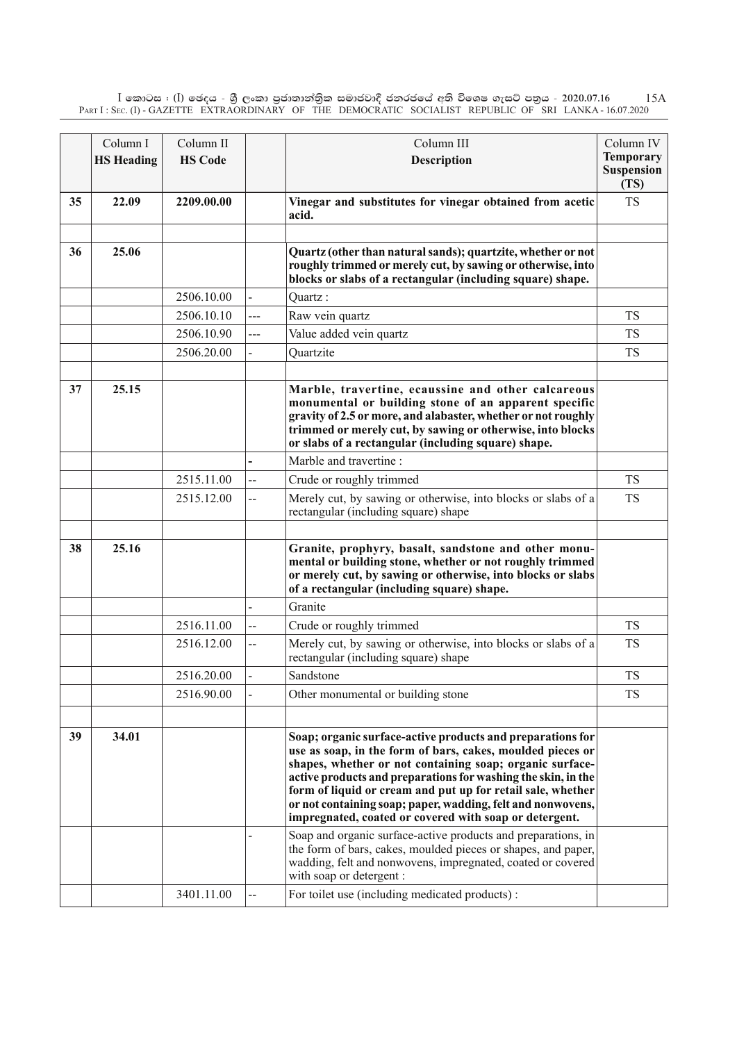$\rm I$  කොටස : ( $\rm I$ ) ඡෙදය - ශුී ලංකා පුජාතාන්තිුක සමාජවාදී ජනරජයේ අති විශෙෂ ගැසට් පතුය - 2020.07.16 Part I : Sec. (I) - GAZETTE EXTRAORDINARY OF THE DEMOCRATIC SOCIALIST REPUBLIC OF SRI LANKA - 16.07.2020 15A

|    | Column I          | Column II      |                | Column III                                                                                                                                                                                                                                                                                                                                                                                                                                    | Column IV                                     |
|----|-------------------|----------------|----------------|-----------------------------------------------------------------------------------------------------------------------------------------------------------------------------------------------------------------------------------------------------------------------------------------------------------------------------------------------------------------------------------------------------------------------------------------------|-----------------------------------------------|
|    | <b>HS Heading</b> | <b>HS Code</b> |                | <b>Description</b>                                                                                                                                                                                                                                                                                                                                                                                                                            | <b>Temporary</b><br><b>Suspension</b><br>(TS) |
| 35 | 22.09             | 2209.00.00     |                | Vinegar and substitutes for vinegar obtained from acetic<br>acid.                                                                                                                                                                                                                                                                                                                                                                             | <b>TS</b>                                     |
| 36 | 25.06             |                |                | Quartz (other than natural sands); quartzite, whether or not<br>roughly trimmed or merely cut, by sawing or otherwise, into<br>blocks or slabs of a rectangular (including square) shape.                                                                                                                                                                                                                                                     |                                               |
|    |                   | 2506.10.00     |                | Quartz:                                                                                                                                                                                                                                                                                                                                                                                                                                       |                                               |
|    |                   | 2506.10.10     | ---            | Raw vein quartz                                                                                                                                                                                                                                                                                                                                                                                                                               | TS                                            |
|    |                   | 2506.10.90     | ---            | Value added vein quartz                                                                                                                                                                                                                                                                                                                                                                                                                       | <b>TS</b>                                     |
|    |                   | 2506.20.00     |                | Quartzite                                                                                                                                                                                                                                                                                                                                                                                                                                     | <b>TS</b>                                     |
| 37 | 25.15             |                |                | Marble, travertine, ecaussine and other calcareous<br>monumental or building stone of an apparent specific<br>gravity of 2.5 or more, and alabaster, whether or not roughly<br>trimmed or merely cut, by sawing or otherwise, into blocks<br>or slabs of a rectangular (including square) shape.                                                                                                                                              |                                               |
|    |                   |                |                | Marble and travertine :                                                                                                                                                                                                                                                                                                                                                                                                                       |                                               |
|    |                   | 2515.11.00     | $\overline{a}$ | Crude or roughly trimmed                                                                                                                                                                                                                                                                                                                                                                                                                      | <b>TS</b>                                     |
|    |                   | 2515.12.00     | --             | Merely cut, by sawing or otherwise, into blocks or slabs of a<br>rectangular (including square) shape                                                                                                                                                                                                                                                                                                                                         | <b>TS</b>                                     |
| 38 | 25.16             |                |                | Granite, prophyry, basalt, sandstone and other monu-<br>mental or building stone, whether or not roughly trimmed<br>or merely cut, by sawing or otherwise, into blocks or slabs<br>of a rectangular (including square) shape.                                                                                                                                                                                                                 |                                               |
|    |                   |                |                | Granite                                                                                                                                                                                                                                                                                                                                                                                                                                       |                                               |
|    |                   | 2516.11.00     |                | Crude or roughly trimmed                                                                                                                                                                                                                                                                                                                                                                                                                      | <b>TS</b>                                     |
|    |                   | 2516.12.00     | --             | Merely cut, by sawing or otherwise, into blocks or slabs of a<br>rectangular (including square) shape                                                                                                                                                                                                                                                                                                                                         | <b>TS</b>                                     |
|    |                   | 2516.20.00     |                | Sandstone                                                                                                                                                                                                                                                                                                                                                                                                                                     | <b>TS</b>                                     |
|    |                   | 2516.90.00     |                | Other monumental or building stone                                                                                                                                                                                                                                                                                                                                                                                                            | <b>TS</b>                                     |
| 39 | 34.01             |                |                | Soap; organic surface-active products and preparations for<br>use as soap, in the form of bars, cakes, moulded pieces or<br>shapes, whether or not containing soap; organic surface-<br>active products and preparations for washing the skin, in the<br>form of liquid or cream and put up for retail sale, whether<br>or not containing soap; paper, wadding, felt and nonwovens,<br>impregnated, coated or covered with soap or detergent. |                                               |
|    |                   |                |                | Soap and organic surface-active products and preparations, in<br>the form of bars, cakes, moulded pieces or shapes, and paper,<br>wadding, felt and nonwovens, impregnated, coated or covered<br>with soap or detergent :                                                                                                                                                                                                                     |                                               |
|    |                   | 3401.11.00     | Щ.             | For toilet use (including medicated products):                                                                                                                                                                                                                                                                                                                                                                                                |                                               |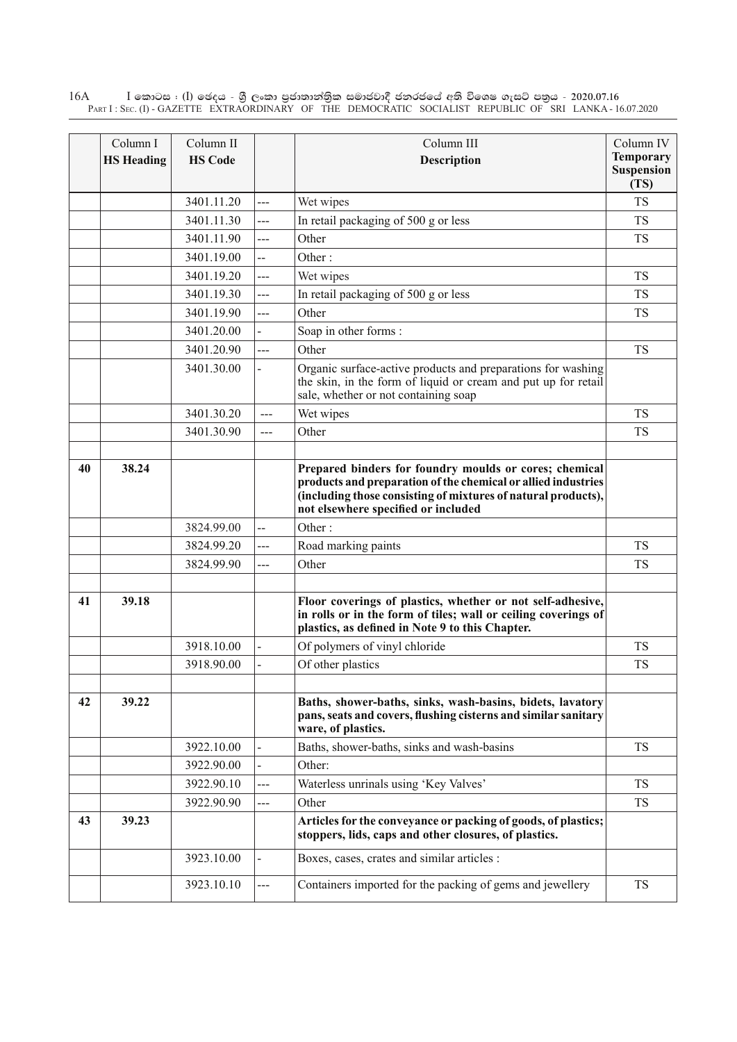$\rm I$  කොටස : ( $\rm I$ ) ඡෙදය - ශුී ලංකා පුජාතාන්තුික සමාජවාදී ජනරජයේ අති විශෙෂ ගැසට් පතුය - 2020.07.16 Part I : Sec. (I) - GAZETTE EXTRAORDINARY OF THE DEMOCRATIC SOCIALIST REPUBLIC OF SRI LANKA - 16.07.2020 16A

|    | Column I          | Column II      |        | Column III                                                                                                                                                                                                                      | Column IV                              |
|----|-------------------|----------------|--------|---------------------------------------------------------------------------------------------------------------------------------------------------------------------------------------------------------------------------------|----------------------------------------|
|    | <b>HS Heading</b> | <b>HS Code</b> |        | Description                                                                                                                                                                                                                     | <b>Temporary</b><br>Suspension<br>(TS) |
|    |                   | 3401.11.20     | ---    | Wet wipes                                                                                                                                                                                                                       | <b>TS</b>                              |
|    |                   | 3401.11.30     | ---    | In retail packaging of 500 g or less                                                                                                                                                                                            | <b>TS</b>                              |
|    |                   | 3401.11.90     | ---    | Other                                                                                                                                                                                                                           | <b>TS</b>                              |
|    |                   | 3401.19.00     | --     | Other:                                                                                                                                                                                                                          |                                        |
|    |                   | 3401.19.20     | ---    | Wet wipes                                                                                                                                                                                                                       | <b>TS</b>                              |
|    |                   | 3401.19.30     | ---    | In retail packaging of 500 g or less                                                                                                                                                                                            | <b>TS</b>                              |
|    |                   | 3401.19.90     | ---    | Other                                                                                                                                                                                                                           | <b>TS</b>                              |
|    |                   | 3401.20.00     |        | Soap in other forms:                                                                                                                                                                                                            |                                        |
|    |                   | 3401.20.90     | ---    | Other                                                                                                                                                                                                                           | <b>TS</b>                              |
|    |                   | 3401.30.00     |        | Organic surface-active products and preparations for washing<br>the skin, in the form of liquid or cream and put up for retail<br>sale, whether or not containing soap                                                          |                                        |
|    |                   | 3401.30.20     | ---    | Wet wipes                                                                                                                                                                                                                       | <b>TS</b>                              |
|    |                   | 3401.30.90     | $---$  | Other                                                                                                                                                                                                                           | <b>TS</b>                              |
|    |                   |                |        |                                                                                                                                                                                                                                 |                                        |
| 40 | 38.24             |                |        | Prepared binders for foundry moulds or cores; chemical<br>products and preparation of the chemical or allied industries<br>(including those consisting of mixtures of natural products),<br>not elsewhere specified or included |                                        |
|    |                   | 3824.99.00     | --     | Other:                                                                                                                                                                                                                          |                                        |
|    |                   | 3824.99.20     | ---    | Road marking paints                                                                                                                                                                                                             | <b>TS</b>                              |
|    |                   | 3824.99.90     | $\sim$ | Other                                                                                                                                                                                                                           | <b>TS</b>                              |
| 41 | 39.18             |                |        | Floor coverings of plastics, whether or not self-adhesive,<br>in rolls or in the form of tiles; wall or ceiling coverings of<br>plastics, as defined in Note 9 to this Chapter.                                                 |                                        |
|    |                   | 3918.10.00     |        | Of polymers of vinyl chloride                                                                                                                                                                                                   | <b>TS</b>                              |
|    |                   | 3918.90.00     |        | Of other plastics                                                                                                                                                                                                               | <b>TS</b>                              |
| 42 | 39.22             |                |        | Baths, shower-baths, sinks, wash-basins, bidets, lavatory<br>pans, seats and covers, flushing cisterns and similar sanitary<br>ware, of plastics.                                                                               |                                        |
|    |                   | 3922.10.00     |        | Baths, shower-baths, sinks and wash-basins                                                                                                                                                                                      | <b>TS</b>                              |
|    |                   | 3922.90.00     |        | Other:                                                                                                                                                                                                                          |                                        |
|    |                   | 3922.90.10     | ---    | Waterless unrinals using 'Key Valves'                                                                                                                                                                                           | <b>TS</b>                              |
|    |                   | 3922.90.90     | ---    | Other                                                                                                                                                                                                                           | <b>TS</b>                              |
| 43 | 39.23             |                |        | Articles for the conveyance or packing of goods, of plastics;<br>stoppers, lids, caps and other closures, of plastics.                                                                                                          |                                        |
|    |                   | 3923.10.00     |        | Boxes, cases, crates and similar articles :                                                                                                                                                                                     |                                        |
|    |                   | 3923.10.10     | $-$    | Containers imported for the packing of gems and jewellery                                                                                                                                                                       | <b>TS</b>                              |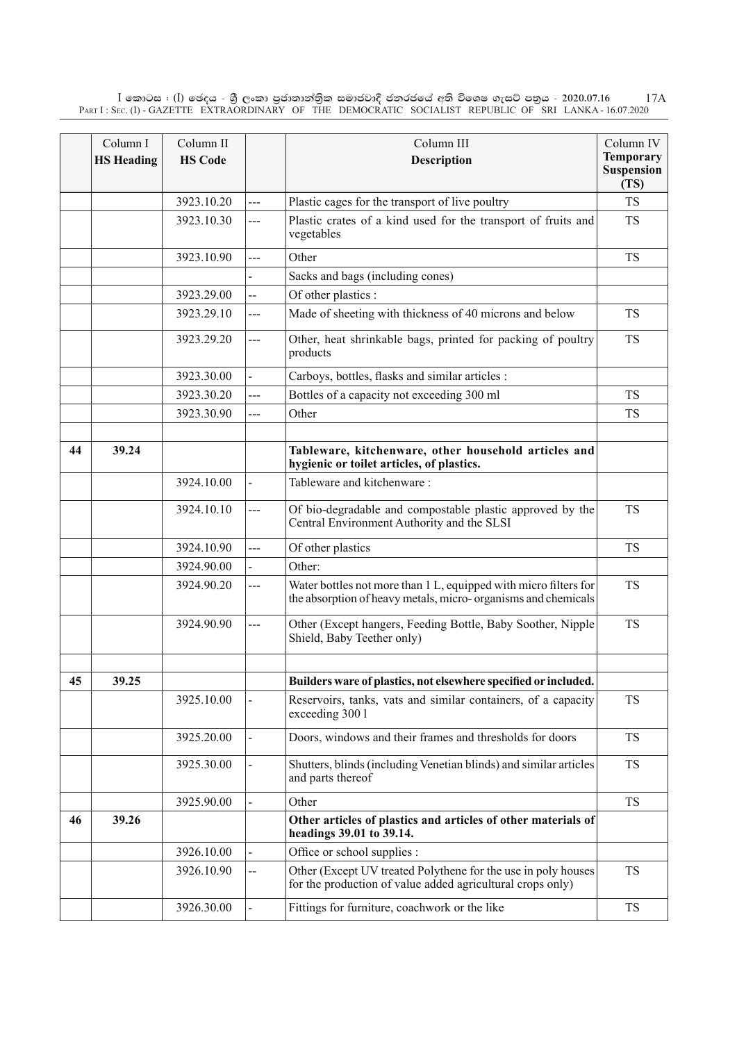$\rm I$  කොටස : ( $\rm I$ ) ඡෙදය - ශුී ලංකා පුජාතාන්තිුක සමාජවාදී ජනරජයේ අති විශෙෂ ගැසට් පතුය - 2020.07.16 Part I : Sec. (I) - GAZETTE EXTRAORDINARY OF THE DEMOCRATIC SOCIALIST REPUBLIC OF SRI LANKA - 16.07.2020 17A

|    | Column I          | Column II      |                | Column III                                                                                                                        | Column IV                 |
|----|-------------------|----------------|----------------|-----------------------------------------------------------------------------------------------------------------------------------|---------------------------|
|    | <b>HS Heading</b> | <b>HS Code</b> |                | <b>Description</b>                                                                                                                | <b>Temporary</b>          |
|    |                   |                |                |                                                                                                                                   | <b>Suspension</b><br>(TS) |
|    |                   | 3923.10.20     | ---            | Plastic cages for the transport of live poultry                                                                                   | <b>TS</b>                 |
|    |                   | 3923.10.30     | ---            | Plastic crates of a kind used for the transport of fruits and<br>vegetables                                                       | <b>TS</b>                 |
|    |                   | 3923.10.90     | $\overline{a}$ | Other                                                                                                                             | <b>TS</b>                 |
|    |                   |                |                | Sacks and bags (including cones)                                                                                                  |                           |
|    |                   | 3923.29.00     | Щ.             | Of other plastics :                                                                                                               |                           |
|    |                   | 3923.29.10     | ---            | Made of sheeting with thickness of 40 microns and below                                                                           | <b>TS</b>                 |
|    |                   | 3923.29.20     | ---            | Other, heat shrinkable bags, printed for packing of poultry<br>products                                                           | <b>TS</b>                 |
|    |                   | 3923.30.00     | $\blacksquare$ | Carboys, bottles, flasks and similar articles :                                                                                   |                           |
|    |                   | 3923.30.20     | $-$ - $-$      | Bottles of a capacity not exceeding 300 ml                                                                                        | <b>TS</b>                 |
|    |                   | 3923.30.90     | $---$          | Other                                                                                                                             | <b>TS</b>                 |
|    |                   |                |                |                                                                                                                                   |                           |
| 44 | 39.24             |                |                | Tableware, kitchenware, other household articles and<br>hygienic or toilet articles, of plastics.                                 |                           |
|    |                   | 3924.10.00     |                | Tableware and kitchenware:                                                                                                        |                           |
|    |                   | 3924.10.10     | $---$          | Of bio-degradable and compostable plastic approved by the<br>Central Environment Authority and the SLSI                           | <b>TS</b>                 |
|    |                   | 3924.10.90     | $\overline{a}$ | Of other plastics                                                                                                                 | <b>TS</b>                 |
|    |                   | 3924.90.00     |                | Other:                                                                                                                            |                           |
|    |                   | 3924.90.20     | ---            | Water bottles not more than 1 L, equipped with micro filters for<br>the absorption of heavy metals, micro-organisms and chemicals | <b>TS</b>                 |
|    |                   | 3924.90.90     | ---            | Other (Except hangers, Feeding Bottle, Baby Soother, Nipple<br>Shield, Baby Teether only)                                         | <b>TS</b>                 |
| 45 | 39.25             |                |                | Builders ware of plastics, not elsewhere specified or included.                                                                   |                           |
|    |                   | 3925.10.00     |                | Reservoirs, tanks, vats and similar containers, of a capacity<br>exceeding 300 l                                                  | <b>TS</b>                 |
|    |                   | 3925.20.00     |                | Doors, windows and their frames and thresholds for doors                                                                          | <b>TS</b>                 |
|    |                   | 3925.30.00     |                | Shutters, blinds (including Venetian blinds) and similar articles<br>and parts thereof                                            | <b>TS</b>                 |
|    |                   | 3925.90.00     |                | Other                                                                                                                             | <b>TS</b>                 |
| 46 | 39.26             |                |                | Other articles of plastics and articles of other materials of<br>headings 39.01 to 39.14.                                         |                           |
|    |                   | 3926.10.00     | $\overline{a}$ | Office or school supplies :                                                                                                       |                           |
|    |                   | 3926.10.90     | --             | Other (Except UV treated Polythene for the use in poly houses<br>for the production of value added agricultural crops only)       | <b>TS</b>                 |
|    |                   | 3926.30.00     |                | Fittings for furniture, coachwork or the like                                                                                     | <b>TS</b>                 |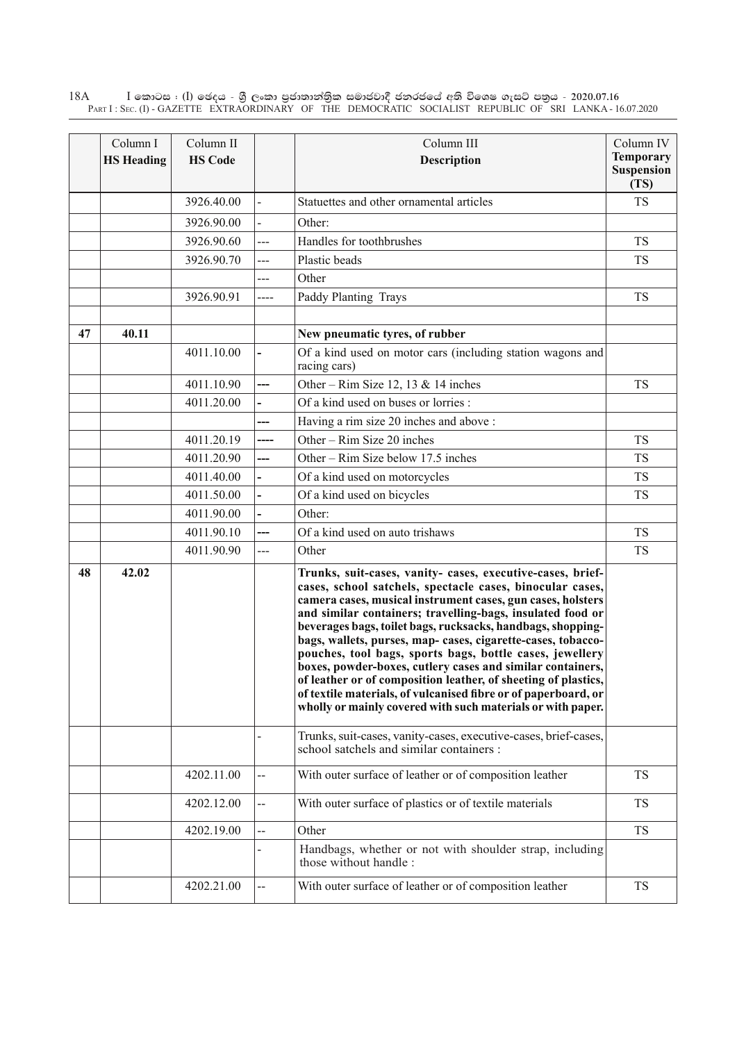$\rm I$  කොටස : ( $\rm I$ ) ඡෙදය - ශුී ලංකා පුජාතාන්තුික සමාජවාදී ජනරජයේ අති විශෙෂ ගැසට් පතුය - 2020.07.16 Part I : Sec. (I) - GAZETTE EXTRAORDINARY OF THE DEMOCRATIC SOCIALIST REPUBLIC OF SRI LANKA - 16.07.2020 18A

|    | Column I<br><b>HS Heading</b> | Column II<br><b>HS Code</b> |                | Column III<br><b>Description</b>                                                                                                                                                                                                                                                                                                                                                                                                                                                                                                                                                                                                                                                                                 | Column IV<br><b>Temporary</b> |
|----|-------------------------------|-----------------------------|----------------|------------------------------------------------------------------------------------------------------------------------------------------------------------------------------------------------------------------------------------------------------------------------------------------------------------------------------------------------------------------------------------------------------------------------------------------------------------------------------------------------------------------------------------------------------------------------------------------------------------------------------------------------------------------------------------------------------------------|-------------------------------|
|    |                               |                             |                |                                                                                                                                                                                                                                                                                                                                                                                                                                                                                                                                                                                                                                                                                                                  | <b>Suspension</b><br>(TS)     |
|    |                               | 3926.40.00                  |                | Statuettes and other ornamental articles                                                                                                                                                                                                                                                                                                                                                                                                                                                                                                                                                                                                                                                                         | <b>TS</b>                     |
|    |                               | 3926.90.00                  |                | Other:                                                                                                                                                                                                                                                                                                                                                                                                                                                                                                                                                                                                                                                                                                           |                               |
|    |                               | 3926.90.60                  | ---            | Handles for toothbrushes                                                                                                                                                                                                                                                                                                                                                                                                                                                                                                                                                                                                                                                                                         | TS                            |
|    |                               | 3926.90.70                  | ---            | Plastic beads                                                                                                                                                                                                                                                                                                                                                                                                                                                                                                                                                                                                                                                                                                    | <b>TS</b>                     |
|    |                               |                             | ---            | Other                                                                                                                                                                                                                                                                                                                                                                                                                                                                                                                                                                                                                                                                                                            |                               |
|    |                               | 3926.90.91                  | ----           | Paddy Planting Trays                                                                                                                                                                                                                                                                                                                                                                                                                                                                                                                                                                                                                                                                                             | <b>TS</b>                     |
| 47 | 40.11                         |                             |                | New pneumatic tyres, of rubber                                                                                                                                                                                                                                                                                                                                                                                                                                                                                                                                                                                                                                                                                   |                               |
|    |                               | 4011.10.00                  |                | Of a kind used on motor cars (including station wagons and<br>racing cars)                                                                                                                                                                                                                                                                                                                                                                                                                                                                                                                                                                                                                                       |                               |
|    |                               | 4011.10.90                  | ---            | Other – Rim Size 12, 13 & 14 inches                                                                                                                                                                                                                                                                                                                                                                                                                                                                                                                                                                                                                                                                              | <b>TS</b>                     |
|    |                               | 4011.20.00                  |                | Of a kind used on buses or lorries :                                                                                                                                                                                                                                                                                                                                                                                                                                                                                                                                                                                                                                                                             |                               |
|    |                               |                             |                | Having a rim size 20 inches and above :                                                                                                                                                                                                                                                                                                                                                                                                                                                                                                                                                                                                                                                                          |                               |
|    |                               | 4011.20.19                  | ----           | Other – $Rim$ Size 20 inches                                                                                                                                                                                                                                                                                                                                                                                                                                                                                                                                                                                                                                                                                     | <b>TS</b>                     |
|    |                               | 4011.20.90                  | ---            | Other – Rim Size below 17.5 inches                                                                                                                                                                                                                                                                                                                                                                                                                                                                                                                                                                                                                                                                               | <b>TS</b>                     |
|    |                               | 4011.40.00                  |                | Of a kind used on motorcycles                                                                                                                                                                                                                                                                                                                                                                                                                                                                                                                                                                                                                                                                                    | <b>TS</b>                     |
|    |                               | 4011.50.00                  |                | Of a kind used on bicycles                                                                                                                                                                                                                                                                                                                                                                                                                                                                                                                                                                                                                                                                                       | <b>TS</b>                     |
|    |                               | 4011.90.00                  |                | Other:                                                                                                                                                                                                                                                                                                                                                                                                                                                                                                                                                                                                                                                                                                           |                               |
|    |                               | 4011.90.10                  | ---            | Of a kind used on auto trishaws                                                                                                                                                                                                                                                                                                                                                                                                                                                                                                                                                                                                                                                                                  | <b>TS</b>                     |
|    |                               | 4011.90.90                  | ---            | Other                                                                                                                                                                                                                                                                                                                                                                                                                                                                                                                                                                                                                                                                                                            | <b>TS</b>                     |
| 48 | 42.02                         |                             |                | Trunks, suit-cases, vanity- cases, executive-cases, brief-<br>cases, school satchels, spectacle cases, binocular cases,<br>camera cases, musical instrument cases, gun cases, holsters<br>and similar containers; travelling-bags, insulated food or<br>beverages bags, toilet bags, rucksacks, handbags, shopping-<br>bags, wallets, purses, map- cases, cigarette-cases, tobacco-<br>pouches, tool bags, sports bags, bottle cases, jewellery<br>boxes, powder-boxes, cutlery cases and similar containers,<br>of leather or of composition leather, of sheeting of plastics,<br>of textile materials, of vulcanised fibre or of paperboard, or<br>wholly or mainly covered with such materials or with paper. |                               |
|    |                               |                             |                | Trunks, suit-cases, vanity-cases, executive-cases, brief-cases,<br>school satchels and similar containers :                                                                                                                                                                                                                                                                                                                                                                                                                                                                                                                                                                                                      |                               |
|    |                               | 4202.11.00                  | --             | With outer surface of leather or of composition leather                                                                                                                                                                                                                                                                                                                                                                                                                                                                                                                                                                                                                                                          | <b>TS</b>                     |
|    |                               | 4202.12.00                  | --             | With outer surface of plastics or of textile materials                                                                                                                                                                                                                                                                                                                                                                                                                                                                                                                                                                                                                                                           | <b>TS</b>                     |
|    |                               | 4202.19.00                  | $\overline{a}$ | Other                                                                                                                                                                                                                                                                                                                                                                                                                                                                                                                                                                                                                                                                                                            | <b>TS</b>                     |
|    |                               |                             |                | Handbags, whether or not with shoulder strap, including<br>those without handle:                                                                                                                                                                                                                                                                                                                                                                                                                                                                                                                                                                                                                                 |                               |
|    |                               | 4202.21.00                  | --             | With outer surface of leather or of composition leather                                                                                                                                                                                                                                                                                                                                                                                                                                                                                                                                                                                                                                                          | <b>TS</b>                     |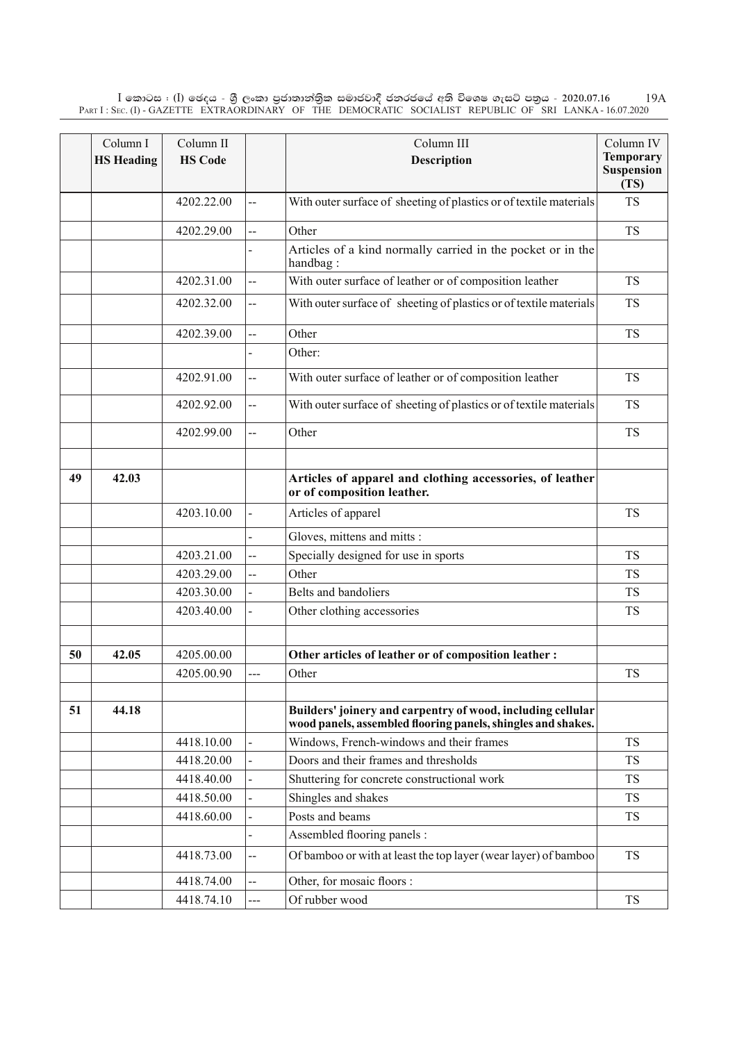$\rm I$  කොටස : ( $\rm I$ ) ඡෙදය - ශුී ලංකා පුජාතාන්තිුක සමාජවාදී ජනරජයේ අති විශෙෂ ගැසට් පතුය - 2020.07.16 Part I : Sec. (I) - GAZETTE EXTRAORDINARY OF THE DEMOCRATIC SOCIALIST REPUBLIC OF SRI LANKA - 16.07.2020 19A

|    | Column I          | Column II      |                | Column III                                                                                                                  | Column IV                                     |
|----|-------------------|----------------|----------------|-----------------------------------------------------------------------------------------------------------------------------|-----------------------------------------------|
|    | <b>HS Heading</b> | <b>HS Code</b> |                | <b>Description</b>                                                                                                          | <b>Temporary</b><br><b>Suspension</b><br>(TS) |
|    |                   | 4202.22.00     | Щ.             | With outer surface of sheeting of plastics or of textile materials                                                          | <b>TS</b>                                     |
|    |                   | 4202.29.00     | --             | Other                                                                                                                       | <b>TS</b>                                     |
|    |                   |                |                | Articles of a kind normally carried in the pocket or in the<br>handbag:                                                     |                                               |
|    |                   | 4202.31.00     | $\overline{a}$ | With outer surface of leather or of composition leather                                                                     | <b>TS</b>                                     |
|    |                   | 4202.32.00     | --             | With outer surface of sheeting of plastics or of textile materials                                                          | <b>TS</b>                                     |
|    |                   | 4202.39.00     | --             | Other                                                                                                                       | <b>TS</b>                                     |
|    |                   |                |                | Other:                                                                                                                      |                                               |
|    |                   | 4202.91.00     | --             | With outer surface of leather or of composition leather                                                                     | <b>TS</b>                                     |
|    |                   | 4202.92.00     | $\overline{a}$ | With outer surface of sheeting of plastics or of textile materials                                                          | <b>TS</b>                                     |
|    |                   | 4202.99.00     | --             | Other                                                                                                                       | <b>TS</b>                                     |
|    |                   |                |                |                                                                                                                             |                                               |
| 49 | 42.03             |                |                | Articles of apparel and clothing accessories, of leather<br>or of composition leather.                                      |                                               |
|    |                   | 4203.10.00     |                | Articles of apparel                                                                                                         | <b>TS</b>                                     |
|    |                   |                |                | Gloves, mittens and mitts :                                                                                                 |                                               |
|    |                   | 4203.21.00     | --             | Specially designed for use in sports                                                                                        | <b>TS</b>                                     |
|    |                   | 4203.29.00     | Ц.             | Other                                                                                                                       | <b>TS</b>                                     |
|    |                   | 4203.30.00     |                | Belts and bandoliers                                                                                                        | <b>TS</b>                                     |
|    |                   | 4203.40.00     |                | Other clothing accessories                                                                                                  | <b>TS</b>                                     |
|    |                   |                |                |                                                                                                                             |                                               |
| 50 | 42.05             | 4205.00.00     |                | Other articles of leather or of composition leather :                                                                       |                                               |
|    |                   | 4205.00.90     | ---            | Other                                                                                                                       | <b>TS</b>                                     |
|    |                   |                |                |                                                                                                                             |                                               |
| 51 | 44.18             |                |                | Builders' joinery and carpentry of wood, including cellular<br>wood panels, assembled flooring panels, shingles and shakes. |                                               |
|    |                   | 4418.10.00     |                | Windows, French-windows and their frames                                                                                    | <b>TS</b>                                     |
|    |                   | 4418.20.00     |                | Doors and their frames and thresholds                                                                                       | <b>TS</b>                                     |
|    |                   | 4418.40.00     |                | Shuttering for concrete constructional work                                                                                 | <b>TS</b>                                     |
|    |                   | 4418.50.00     |                | Shingles and shakes                                                                                                         | <b>TS</b>                                     |
|    |                   | 4418.60.00     |                | Posts and beams                                                                                                             | <b>TS</b>                                     |
|    |                   |                |                | Assembled flooring panels :                                                                                                 |                                               |
|    |                   | 4418.73.00     | --             | Of bamboo or with at least the top layer (wear layer) of bamboo                                                             | <b>TS</b>                                     |
|    |                   | 4418.74.00     | $\overline{a}$ | Other, for mosaic floors :                                                                                                  |                                               |
|    |                   | 4418.74.10     | ---            | Of rubber wood                                                                                                              | <b>TS</b>                                     |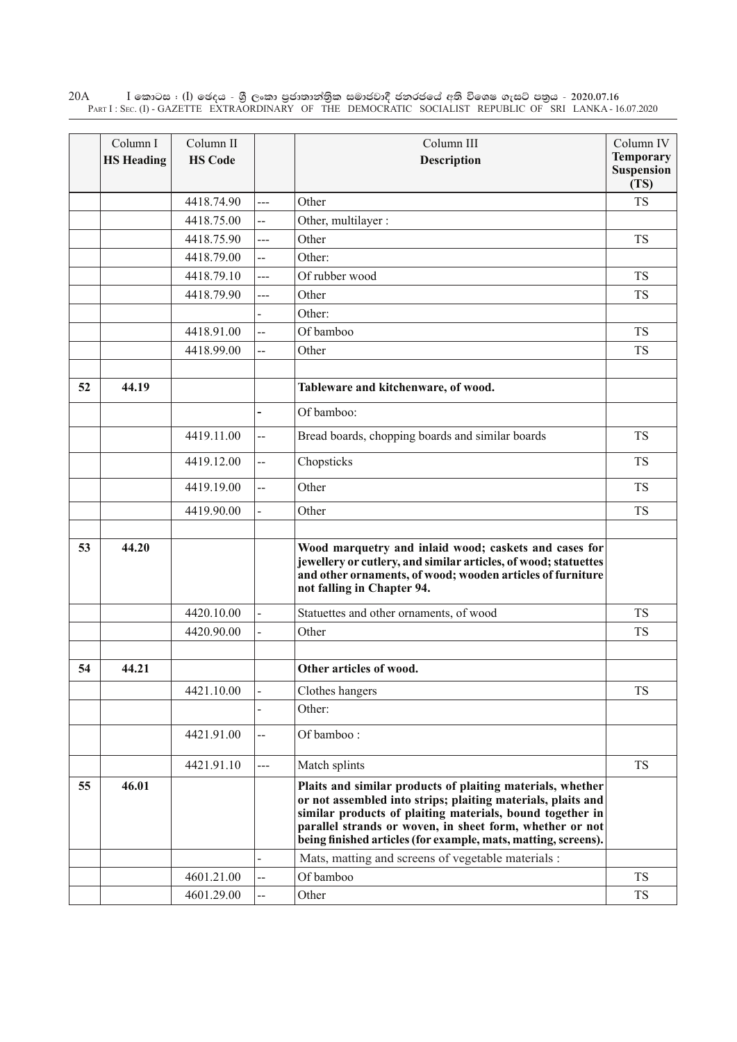Column I **HS Heading** Column II **HS Code** Column III **Description** Column IV **Temporary Suspension (TS)** 4418.74.90 --- | Other T 4418.75.00 -- Other, multilayer : 4418.75.90 --- Other T  $4418.79.00$  -- Other:  $4418.79.10$   $\longrightarrow$  Of rubber wood TS  $4418.79.90$   $---$  Other TS Other:  $4418.91.00$   $\left| \begin{array}{c} \text{-} \\ \text{C} \end{array} \right|$  TS  $4418.99.00$  -- Other TS **52 44.19 Tableware and kitchenware, of wood. -** Of bamboo:  $4419.11.00$   $\left| \begin{array}{c} \text{-} \\ \text{-} \end{array} \right|$  Bread boards, chopping boards and similar boards TS  $4419.12.00$   $\qquad$  Chopsticks TS 4419.19.00 -- Other T 4419.90.00 - Other T **53 44.20 Wood marquetry and inlaid wood; caskets and cases for jewellery or cutlery, and similar articles, of wood; statuettes and other ornaments, of wood; wooden articles of furniture not falling in Chapter 94.** 4420.10.00 - Statuettes and other ornaments, of wood TS 4420.90.00 - Other T **54 44.21 Other articles of wood.** 4421.10.00 - Clothes hangers TS Other:  $4421.91.00$   $\left| \begin{array}{c} -2 \\ -1 \end{array} \right|$  Of bamboo : 4421.91.10 --- | Match splints TS **55 46.01 Plaits and similar products of plaiting materials, whether or not assembled into strips; plaiting materials, plaits and similar products of plaiting materials, bound together in parallel strands or woven, in sheet form, whether or not being finished articles (for example, mats, matting, screens).** Mats, matting and screens of vegetable materials :  $4601.21.00$  -- Of bamboo TS 4601.29.00 -- Other TS

 $\rm I$  කොටස : ( $\rm I$ ) ඡෙදය - ශුී ලංකා පුජාතාන්තුික සමාජවාදී ජනරජයේ අති විශෙෂ ගැසට් පතුය - 2020.07.16 Part I : Sec. (I) - GAZETTE EXTRAORDINARY OF THE DEMOCRATIC SOCIALIST REPUBLIC OF SRI LANKA - 16.07.2020 20A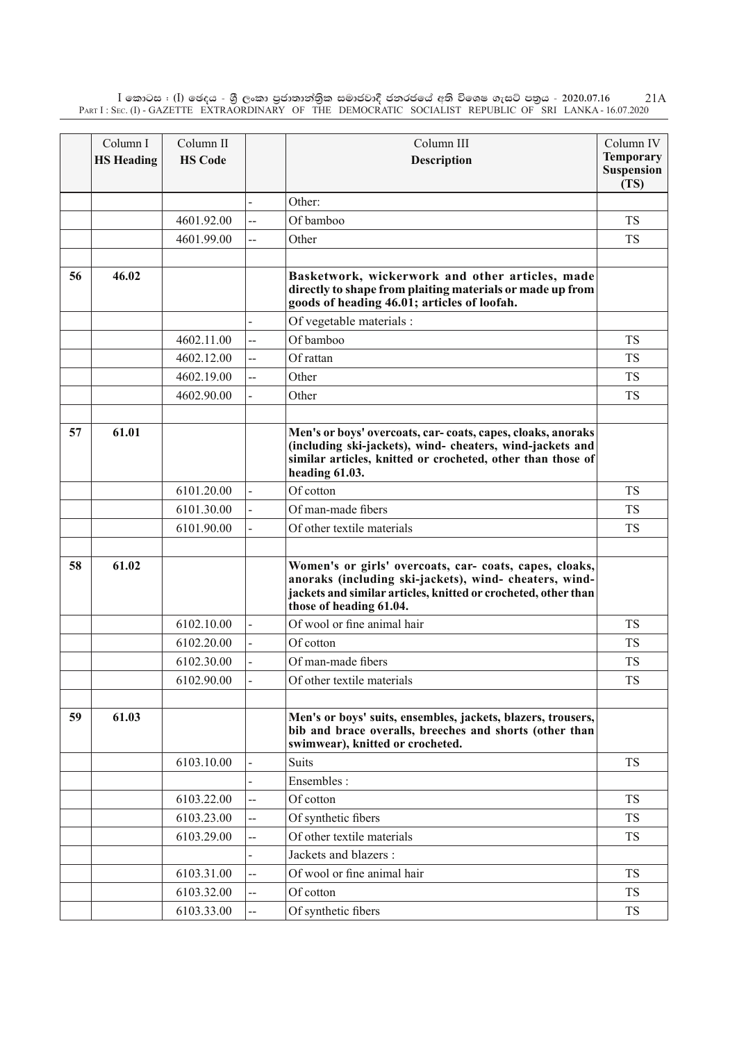$\rm I$  කොටස : ( $\rm I$ ) ඡෙදය - ශුී ලංකා පුජාතාන්තිුක සමාජවාදී ජනරජයේ අති විශෙෂ ගැසට් පතුය - 2020.07.16 Part I : Sec. (I) - GAZETTE EXTRAORDINARY OF THE DEMOCRATIC SOCIALIST REPUBLIC OF SRI LANKA - 16.07.2020 21A

|    | Column I          | Column II      |                          | Column III                                                                                                                                                                                                     | Column IV          |
|----|-------------------|----------------|--------------------------|----------------------------------------------------------------------------------------------------------------------------------------------------------------------------------------------------------------|--------------------|
|    | <b>HS Heading</b> | <b>HS Code</b> |                          | <b>Description</b>                                                                                                                                                                                             | <b>Temporary</b>   |
|    |                   |                |                          |                                                                                                                                                                                                                | Suspension<br>(TS) |
|    |                   |                |                          | Other:                                                                                                                                                                                                         |                    |
|    |                   | 4601.92.00     | $\overline{a}$           | Of bamboo                                                                                                                                                                                                      | TS                 |
|    |                   | 4601.99.00     | $\overline{a}$           | Other                                                                                                                                                                                                          | <b>TS</b>          |
|    |                   |                |                          |                                                                                                                                                                                                                |                    |
| 56 | 46.02             |                |                          | Basketwork, wickerwork and other articles, made<br>directly to shape from plaiting materials or made up from<br>goods of heading 46.01; articles of loofah.                                                    |                    |
|    |                   |                |                          | Of vegetable materials :                                                                                                                                                                                       |                    |
|    |                   | 4602.11.00     | --                       | Of bamboo                                                                                                                                                                                                      | <b>TS</b>          |
|    |                   | 4602.12.00     | $\overline{a}$           | Of rattan                                                                                                                                                                                                      | <b>TS</b>          |
|    |                   | 4602.19.00     | Ц.                       | Other                                                                                                                                                                                                          | <b>TS</b>          |
|    |                   | 4602.90.00     |                          | Other                                                                                                                                                                                                          | <b>TS</b>          |
|    |                   |                |                          |                                                                                                                                                                                                                |                    |
| 57 | 61.01             |                |                          | Men's or boys' overcoats, car-coats, capes, cloaks, anoraks<br>(including ski-jackets), wind- cheaters, wind-jackets and<br>similar articles, knitted or crocheted, other than those of<br>heading 61.03.      |                    |
|    |                   | 6101.20.00     |                          | Of cotton                                                                                                                                                                                                      | <b>TS</b>          |
|    |                   | 6101.30.00     |                          | Of man-made fibers                                                                                                                                                                                             | TS                 |
|    |                   | 6101.90.00     |                          | Of other textile materials                                                                                                                                                                                     | <b>TS</b>          |
|    |                   |                |                          |                                                                                                                                                                                                                |                    |
| 58 | 61.02             |                |                          | Women's or girls' overcoats, car- coats, capes, cloaks,<br>anoraks (including ski-jackets), wind- cheaters, wind-<br>jackets and similar articles, knitted or crocheted, other than<br>those of heading 61.04. |                    |
|    |                   | 6102.10.00     |                          | Of wool or fine animal hair                                                                                                                                                                                    | <b>TS</b>          |
|    |                   | 6102.20.00     |                          | Of cotton                                                                                                                                                                                                      | TS                 |
|    |                   | 6102.30.00     |                          | Of man-made fibers                                                                                                                                                                                             | <b>TS</b>          |
|    |                   | 6102.90.00     |                          | Of other textile materials                                                                                                                                                                                     | <b>TS</b>          |
|    |                   |                |                          |                                                                                                                                                                                                                |                    |
| 59 | 61.03             |                |                          | Men's or boys' suits, ensembles, jackets, blazers, trousers,<br>bib and brace overalls, breeches and shorts (other than<br>swimwear), knitted or crocheted.                                                    |                    |
|    |                   | 6103.10.00     | $\blacksquare$           | <b>Suits</b>                                                                                                                                                                                                   | <b>TS</b>          |
|    |                   |                |                          | Ensembles :                                                                                                                                                                                                    |                    |
|    |                   | 6103.22.00     | $\overline{a}$           | Of cotton                                                                                                                                                                                                      | <b>TS</b>          |
|    |                   | 6103.23.00     | ш,                       | Of synthetic fibers                                                                                                                                                                                            | <b>TS</b>          |
|    |                   | 6103.29.00     | $\overline{\phantom{a}}$ | Of other textile materials                                                                                                                                                                                     | <b>TS</b>          |
|    |                   |                |                          | Jackets and blazers :                                                                                                                                                                                          |                    |
|    |                   | 6103.31.00     | $\overline{a}$           | Of wool or fine animal hair                                                                                                                                                                                    | <b>TS</b>          |
|    |                   | 6103.32.00     | --                       | Of cotton                                                                                                                                                                                                      | <b>TS</b>          |
|    |                   | 6103.33.00     | $\overline{\phantom{a}}$ | Of synthetic fibers                                                                                                                                                                                            | <b>TS</b>          |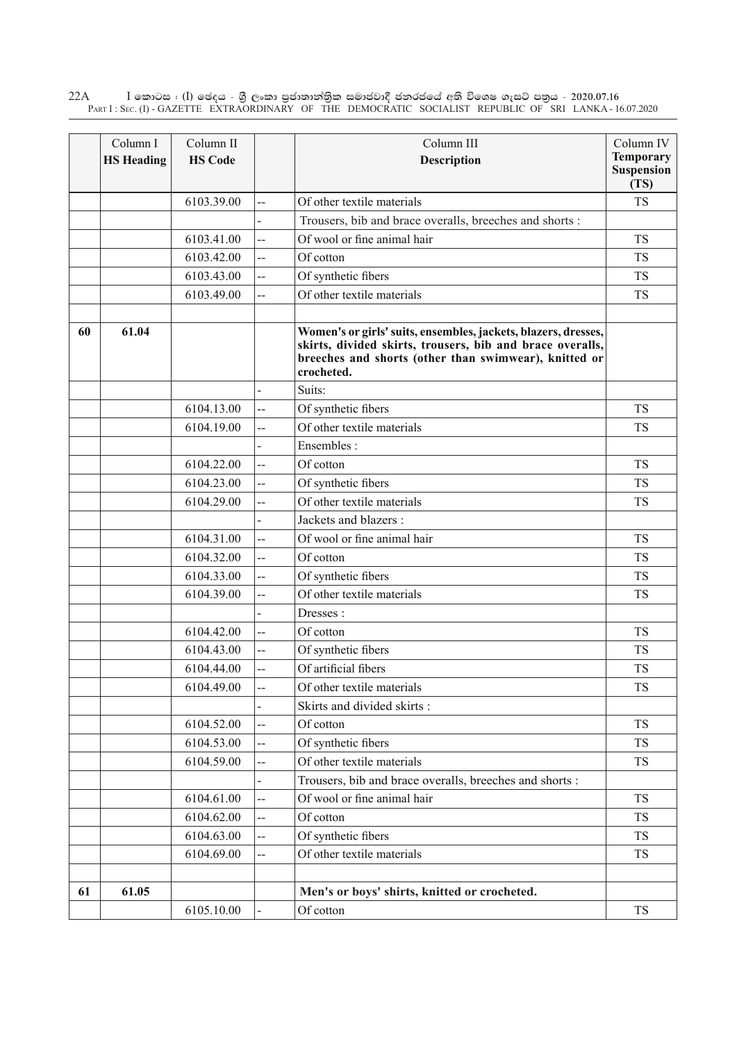$\rm I$  කොටස : ( $\rm I$ ) ඡෙදය - ශුී ලංකා පුජාතාන්තුික සමාජවාදී ජනරජයේ අති විශෙෂ ගැසට් පතුය - 2020.07.16 Part I : Sec. (I) - GAZETTE EXTRAORDINARY OF THE DEMOCRATIC SOCIALIST REPUBLIC OF SRI LANKA - 16.07.2020 22A

|    | Column I<br><b>HS Heading</b> | Column II<br><b>HS Code</b> |                | Column III<br>Description                                                                                                                                                                          | Column IV<br><b>Temporary</b><br><b>Suspension</b><br>(TS) |
|----|-------------------------------|-----------------------------|----------------|----------------------------------------------------------------------------------------------------------------------------------------------------------------------------------------------------|------------------------------------------------------------|
|    |                               | 6103.39.00                  | Ц.             | Of other textile materials                                                                                                                                                                         | <b>TS</b>                                                  |
|    |                               |                             |                | Trousers, bib and brace overalls, breeches and shorts :                                                                                                                                            |                                                            |
|    |                               | 6103.41.00                  | --             | Of wool or fine animal hair                                                                                                                                                                        | <b>TS</b>                                                  |
|    |                               | 6103.42.00                  | $\overline{a}$ | Of cotton                                                                                                                                                                                          | <b>TS</b>                                                  |
|    |                               | 6103.43.00                  | --             | Of synthetic fibers                                                                                                                                                                                | <b>TS</b>                                                  |
|    |                               | 6103.49.00                  | --             | Of other textile materials                                                                                                                                                                         | <b>TS</b>                                                  |
| 60 | 61.04                         |                             |                | Women's or girls' suits, ensembles, jackets, blazers, dresses,<br>skirts, divided skirts, trousers, bib and brace overalls,<br>breeches and shorts (other than swimwear), knitted or<br>crocheted. |                                                            |
|    |                               |                             |                | Suits:                                                                                                                                                                                             |                                                            |
|    |                               | 6104.13.00                  | --             | Of synthetic fibers                                                                                                                                                                                | <b>TS</b>                                                  |
|    |                               | 6104.19.00                  | --             | Of other textile materials                                                                                                                                                                         | <b>TS</b>                                                  |
|    |                               |                             |                | Ensembles:                                                                                                                                                                                         |                                                            |
|    |                               | 6104.22.00                  | --             | Of cotton                                                                                                                                                                                          | <b>TS</b>                                                  |
|    |                               | 6104.23.00                  | --             | Of synthetic fibers                                                                                                                                                                                | <b>TS</b>                                                  |
|    |                               | 6104.29.00                  | $\overline{a}$ | Of other textile materials                                                                                                                                                                         | <b>TS</b>                                                  |
|    |                               |                             |                | Jackets and blazers :                                                                                                                                                                              |                                                            |
|    |                               | 6104.31.00                  | $\overline{a}$ | Of wool or fine animal hair                                                                                                                                                                        | <b>TS</b>                                                  |
|    |                               | 6104.32.00                  | --             | Of cotton                                                                                                                                                                                          | <b>TS</b>                                                  |
|    |                               | 6104.33.00                  | $\overline{a}$ | Of synthetic fibers                                                                                                                                                                                | <b>TS</b>                                                  |
|    |                               | 6104.39.00                  | --             | Of other textile materials                                                                                                                                                                         | <b>TS</b>                                                  |
|    |                               |                             |                | Dresses:                                                                                                                                                                                           |                                                            |
|    |                               | 6104.42.00                  | --             | Of cotton                                                                                                                                                                                          | <b>TS</b>                                                  |
|    |                               | 6104.43.00                  | $\overline{a}$ | Of synthetic fibers                                                                                                                                                                                | <b>TS</b>                                                  |
|    |                               | 6104.44.00                  | --             | Of artificial fibers                                                                                                                                                                               | <b>TS</b>                                                  |
|    |                               | 6104.49.00                  | $\overline{a}$ | Of other textile materials                                                                                                                                                                         | TS                                                         |
|    |                               |                             |                | Skirts and divided skirts:                                                                                                                                                                         |                                                            |
|    |                               | 6104.52.00                  | --             | Of cotton                                                                                                                                                                                          | <b>TS</b>                                                  |
|    |                               | 6104.53.00                  | --             | Of synthetic fibers                                                                                                                                                                                | <b>TS</b>                                                  |
|    |                               | 6104.59.00                  | --             | Of other textile materials                                                                                                                                                                         | <b>TS</b>                                                  |
|    |                               |                             |                | Trousers, bib and brace overalls, breeches and shorts :                                                                                                                                            |                                                            |
|    |                               | 6104.61.00                  | --             | Of wool or fine animal hair                                                                                                                                                                        | <b>TS</b>                                                  |
|    |                               | 6104.62.00                  | --             | Of cotton                                                                                                                                                                                          | <b>TS</b>                                                  |
|    |                               | 6104.63.00                  | --             | Of synthetic fibers                                                                                                                                                                                | <b>TS</b>                                                  |
|    |                               | 6104.69.00                  | --             | Of other textile materials                                                                                                                                                                         | <b>TS</b>                                                  |
|    |                               |                             |                |                                                                                                                                                                                                    |                                                            |
| 61 | 61.05                         |                             |                | Men's or boys' shirts, knitted or crocheted.                                                                                                                                                       |                                                            |
|    |                               | 6105.10.00                  |                | Of cotton                                                                                                                                                                                          | TS                                                         |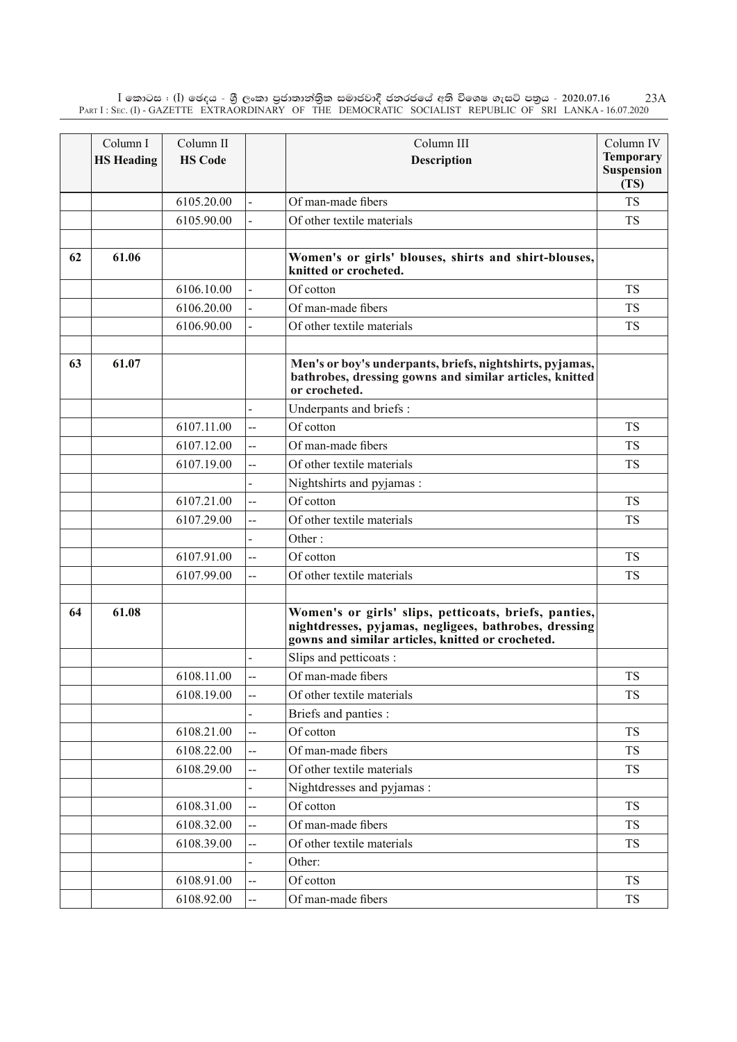$\rm I$  කොටස : ( $\rm I$ ) ඡෙදය - ශුී ලංකා පුජාතාන්තිුක සමාජවාදී ජනරජයේ අති විශෙෂ ගැසට් පතුය - 2020.07.16 Part I : Sec. (I) - GAZETTE EXTRAORDINARY OF THE DEMOCRATIC SOCIALIST REPUBLIC OF SRI LANKA - 16.07.2020 23A

|    | Column I          | Column II      |                          | Column III                                                                                                                                                          | Column IV                 |
|----|-------------------|----------------|--------------------------|---------------------------------------------------------------------------------------------------------------------------------------------------------------------|---------------------------|
|    | <b>HS Heading</b> | <b>HS Code</b> |                          | <b>Description</b>                                                                                                                                                  | <b>Temporary</b>          |
|    |                   |                |                          |                                                                                                                                                                     | <b>Suspension</b><br>(TS) |
|    |                   | 6105.20.00     |                          | Of man-made fibers                                                                                                                                                  | <b>TS</b>                 |
|    |                   | 6105.90.00     |                          | Of other textile materials                                                                                                                                          | <b>TS</b>                 |
|    |                   |                |                          |                                                                                                                                                                     |                           |
| 62 | 61.06             |                |                          | Women's or girls' blouses, shirts and shirt-blouses,<br>knitted or crocheted.                                                                                       |                           |
|    |                   | 6106.10.00     |                          | Of cotton                                                                                                                                                           | <b>TS</b>                 |
|    |                   | 6106.20.00     |                          | Of man-made fibers                                                                                                                                                  | <b>TS</b>                 |
|    |                   | 6106.90.00     |                          | Of other textile materials                                                                                                                                          | <b>TS</b>                 |
|    |                   |                |                          |                                                                                                                                                                     |                           |
| 63 | 61.07             |                |                          | Men's or boy's underpants, briefs, nightshirts, pyjamas,<br>bathrobes, dressing gowns and similar articles, knitted<br>or crocheted.                                |                           |
|    |                   |                |                          | Underpants and briefs :                                                                                                                                             |                           |
|    |                   | 6107.11.00     | --                       | Of cotton                                                                                                                                                           | <b>TS</b>                 |
|    |                   | 6107.12.00     | --                       | Of man-made fibers                                                                                                                                                  | <b>TS</b>                 |
|    |                   | 6107.19.00     | --                       | Of other textile materials                                                                                                                                          | <b>TS</b>                 |
|    |                   |                |                          | Nightshirts and pyjamas:                                                                                                                                            |                           |
|    |                   | 6107.21.00     | $\overline{a}$           | Of cotton                                                                                                                                                           | <b>TS</b>                 |
|    |                   | 6107.29.00     | --                       | Of other textile materials                                                                                                                                          | <b>TS</b>                 |
|    |                   |                |                          | Other:                                                                                                                                                              |                           |
|    |                   | 6107.91.00     | $\overline{a}$           | Of cotton                                                                                                                                                           | <b>TS</b>                 |
|    |                   | 6107.99.00     | --                       | Of other textile materials                                                                                                                                          | <b>TS</b>                 |
|    |                   |                |                          |                                                                                                                                                                     |                           |
| 64 | 61.08             |                |                          | Women's or girls' slips, petticoats, briefs, panties,<br>nightdresses, pyjamas, negligees, bathrobes, dressing<br>gowns and similar articles, knitted or crocheted. |                           |
|    |                   |                |                          | Slips and petticoats :                                                                                                                                              |                           |
|    |                   | 6108.11.00     | $\overline{a}$           | Of man-made fibers                                                                                                                                                  | <b>TS</b>                 |
|    |                   | 6108.19.00     | --                       | Of other textile materials                                                                                                                                          | <b>TS</b>                 |
|    |                   |                |                          | Briefs and panties :                                                                                                                                                |                           |
|    |                   | 6108.21.00     | $\overline{\phantom{a}}$ | Of cotton                                                                                                                                                           | <b>TS</b>                 |
|    |                   | 6108.22.00     |                          | Of man-made fibers                                                                                                                                                  | <b>TS</b>                 |
|    |                   | 6108.29.00     | --                       | Of other textile materials                                                                                                                                          | <b>TS</b>                 |
|    |                   |                |                          | Nightdresses and pyjamas :                                                                                                                                          |                           |
|    |                   | 6108.31.00     | --                       | Of cotton                                                                                                                                                           | <b>TS</b>                 |
|    |                   | 6108.32.00     |                          | Of man-made fibers                                                                                                                                                  | <b>TS</b>                 |
|    |                   | 6108.39.00     | --                       | Of other textile materials                                                                                                                                          | TS                        |
|    |                   |                |                          | Other:                                                                                                                                                              |                           |
|    |                   | 6108.91.00     | --                       | Of cotton                                                                                                                                                           | TS                        |
|    |                   | 6108.92.00     | --                       | Of man-made fibers                                                                                                                                                  | <b>TS</b>                 |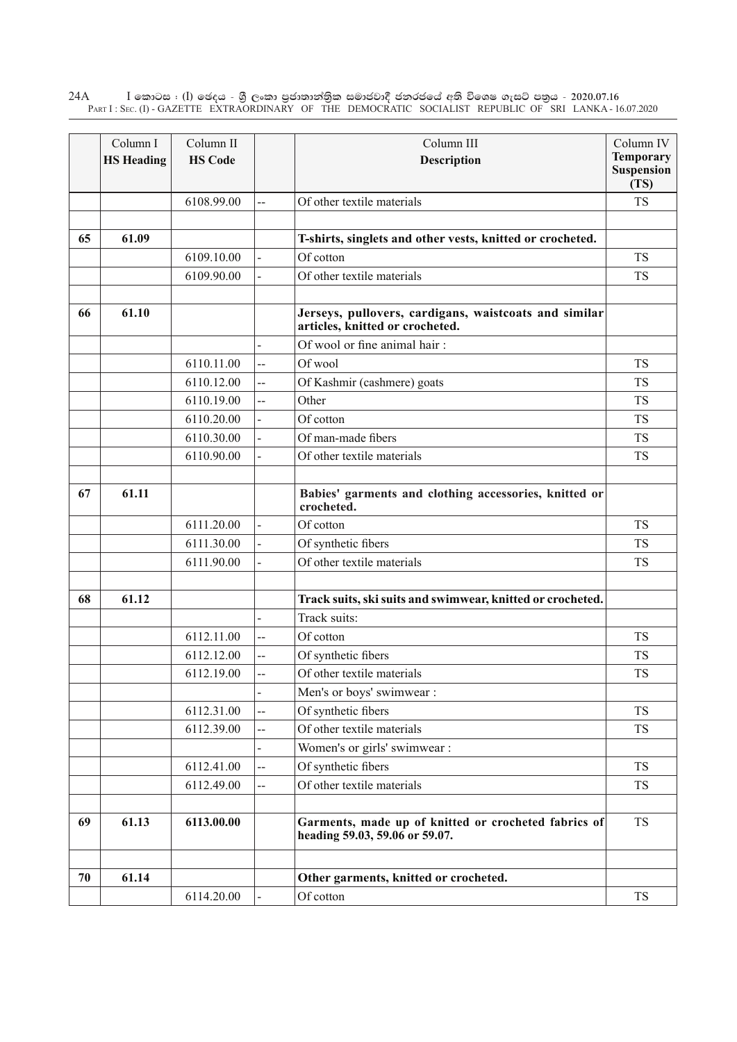$\rm I$  කොටස : ( $\rm I$ ) ඡෙදය - ශුී ලංකා පුජාතාන්තුික සමාජවාදී ජනරජයේ අති විශෙෂ ගැසට් පතුය - 2020.07.16 Part I : Sec. (I) - GAZETTE EXTRAORDINARY OF THE DEMOCRATIC SOCIALIST REPUBLIC OF SRI LANKA - 16.07.2020 24A

|    | Column I          | Column II      |                | Column III                                                                               | Column IV                                     |
|----|-------------------|----------------|----------------|------------------------------------------------------------------------------------------|-----------------------------------------------|
|    | <b>HS Heading</b> | <b>HS Code</b> |                | Description                                                                              | <b>Temporary</b><br><b>Suspension</b><br>(TS) |
|    |                   | 6108.99.00     | --             | Of other textile materials                                                               | <b>TS</b>                                     |
| 65 | 61.09             |                |                | T-shirts, singlets and other vests, knitted or crocheted.                                |                                               |
|    |                   | 6109.10.00     | $\overline{a}$ | Of cotton                                                                                | <b>TS</b>                                     |
|    |                   | 6109.90.00     |                | Of other textile materials                                                               | <b>TS</b>                                     |
| 66 | 61.10             |                |                | Jerseys, pullovers, cardigans, waistcoats and similar<br>articles, knitted or crocheted. |                                               |
|    |                   |                |                | Of wool or fine animal hair:                                                             |                                               |
|    |                   | 6110.11.00     | Ц.             | Of wool                                                                                  | <b>TS</b>                                     |
|    |                   | 6110.12.00     | $\overline{a}$ | Of Kashmir (cashmere) goats                                                              | <b>TS</b>                                     |
|    |                   | 6110.19.00     | Ц.             | Other                                                                                    | <b>TS</b>                                     |
|    |                   | 6110.20.00     | $\overline{a}$ | Of cotton                                                                                | <b>TS</b>                                     |
|    |                   | 6110.30.00     |                | Of man-made fibers                                                                       | <b>TS</b>                                     |
|    |                   | 6110.90.00     |                | Of other textile materials                                                               | <b>TS</b>                                     |
| 67 | 61.11             |                |                | Babies' garments and clothing accessories, knitted or<br>crocheted.                      |                                               |
|    |                   | 6111.20.00     |                | Of cotton                                                                                | <b>TS</b>                                     |
|    |                   | 6111.30.00     |                | Of synthetic fibers                                                                      | <b>TS</b>                                     |
|    |                   | 6111.90.00     |                | Of other textile materials                                                               | <b>TS</b>                                     |
| 68 | 61.12             |                |                | Track suits, ski suits and swimwear, knitted or crocheted.                               |                                               |
|    |                   |                |                | Track suits:                                                                             |                                               |
|    |                   | 6112.11.00     | $\overline{a}$ | Of cotton                                                                                | <b>TS</b>                                     |
|    |                   | 6112.12.00     | --             | Of synthetic fibers                                                                      | <b>TS</b>                                     |
|    |                   | 6112.19.00     | --             | Of other textile materials                                                               | <b>TS</b>                                     |
|    |                   |                |                | Men's or boys' swimwear :                                                                |                                               |
|    |                   | 6112.31.00     | --             | Of synthetic fibers                                                                      | <b>TS</b>                                     |
|    |                   | 6112.39.00     | --             | Of other textile materials                                                               | <b>TS</b>                                     |
|    |                   |                |                | Women's or girls' swimwear :                                                             |                                               |
|    |                   | 6112.41.00     | --             | Of synthetic fibers                                                                      | <b>TS</b>                                     |
|    |                   | 6112.49.00     | --             | Of other textile materials                                                               | <b>TS</b>                                     |
| 69 | 61.13             | 6113.00.00     |                | Garments, made up of knitted or crocheted fabrics of<br>heading 59.03, 59.06 or 59.07.   | <b>TS</b>                                     |
| 70 | 61.14             |                |                | Other garments, knitted or crocheted.                                                    |                                               |
|    |                   | 6114.20.00     |                | Of cotton                                                                                | <b>TS</b>                                     |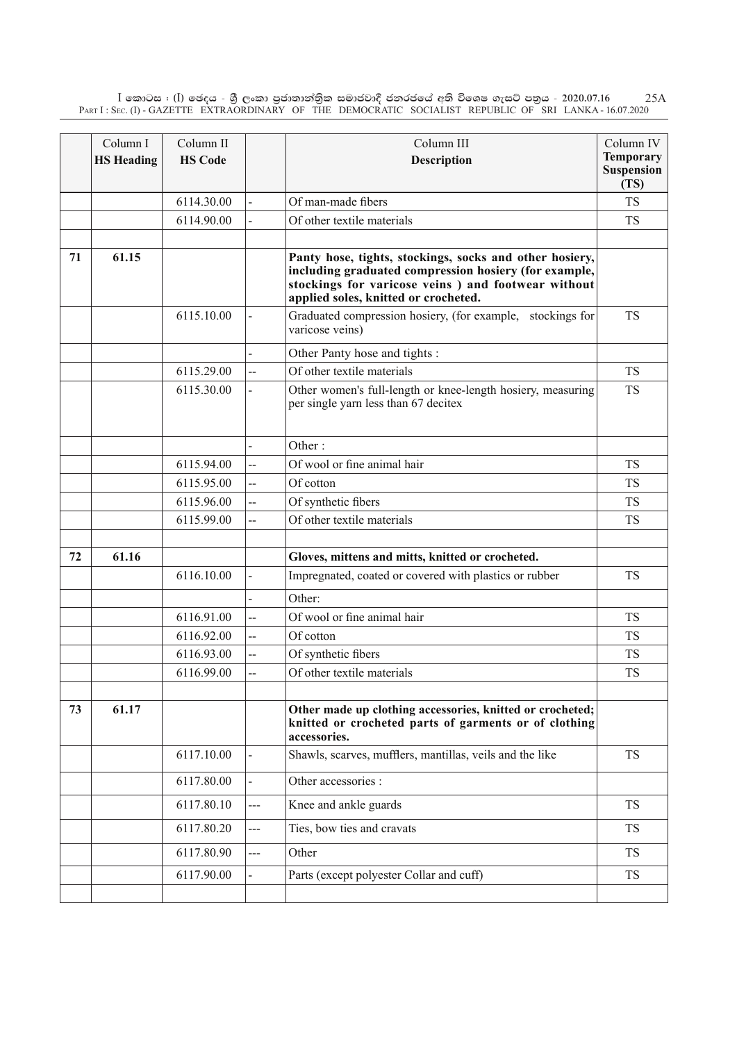$\rm I$  කොටස : ( $\rm I$ ) ඡෙදය - ශුී ලංකා පුජාතාන්තිුක සමාජවාදී ජනරජයේ අති විශෙෂ ගැසට් පතුය - 2020.07.16 Part I : Sec. (I) - GAZETTE EXTRAORDINARY OF THE DEMOCRATIC SOCIALIST REPUBLIC OF SRI LANKA - 16.07.2020 25A

|    | Column I          | Column II      |                | Column III                                                                                                                                                                                                      | Column IV                              |
|----|-------------------|----------------|----------------|-----------------------------------------------------------------------------------------------------------------------------------------------------------------------------------------------------------------|----------------------------------------|
|    | <b>HS Heading</b> | <b>HS Code</b> |                | <b>Description</b>                                                                                                                                                                                              | <b>Temporary</b><br>Suspension<br>(TS) |
|    |                   | 6114.30.00     |                | Of man-made fibers                                                                                                                                                                                              | <b>TS</b>                              |
|    |                   | 6114.90.00     |                | Of other textile materials                                                                                                                                                                                      | <b>TS</b>                              |
|    |                   |                |                |                                                                                                                                                                                                                 |                                        |
| 71 | 61.15             |                |                | Panty hose, tights, stockings, socks and other hosiery,<br>including graduated compression hosiery (for example,<br>stockings for varicose veins ) and footwear without<br>applied soles, knitted or crocheted. |                                        |
|    |                   | 6115.10.00     |                | Graduated compression hosiery, (for example, stockings for<br>varicose veins)                                                                                                                                   | <b>TS</b>                              |
|    |                   |                |                | Other Panty hose and tights :                                                                                                                                                                                   |                                        |
|    |                   | 6115.29.00     | $\overline{a}$ | Of other textile materials                                                                                                                                                                                      | <b>TS</b>                              |
|    |                   | 6115.30.00     |                | Other women's full-length or knee-length hosiery, measuring<br>per single yarn less than 67 decitex                                                                                                             | <b>TS</b>                              |
|    |                   |                |                | Other:                                                                                                                                                                                                          |                                        |
|    |                   | 6115.94.00     | <u></u>        | Of wool or fine animal hair                                                                                                                                                                                     | <b>TS</b>                              |
|    |                   | 6115.95.00     | $\overline{a}$ | Of cotton                                                                                                                                                                                                       | <b>TS</b>                              |
|    |                   | 6115.96.00     | $\overline{a}$ | Of synthetic fibers                                                                                                                                                                                             | TS                                     |
|    |                   | 6115.99.00     | $\overline{a}$ | Of other textile materials                                                                                                                                                                                      | <b>TS</b>                              |
| 72 | 61.16             |                |                | Gloves, mittens and mitts, knitted or crocheted.                                                                                                                                                                |                                        |
|    |                   | 6116.10.00     | $\blacksquare$ | Impregnated, coated or covered with plastics or rubber                                                                                                                                                          | <b>TS</b>                              |
|    |                   |                |                |                                                                                                                                                                                                                 |                                        |
|    |                   | 6116.91.00     | $\overline{a}$ | Other:<br>Of wool or fine animal hair                                                                                                                                                                           | <b>TS</b>                              |
|    |                   | 6116.92.00     | $\overline{a}$ | Of cotton                                                                                                                                                                                                       | <b>TS</b>                              |
|    |                   | 6116.93.00     | $\overline{a}$ | Of synthetic fibers                                                                                                                                                                                             | <b>TS</b>                              |
|    |                   | 6116.99.00     | --             | Of other textile materials                                                                                                                                                                                      | TS                                     |
|    |                   |                |                |                                                                                                                                                                                                                 |                                        |
| 73 | 61.17             |                |                | Other made up clothing accessories, knitted or crocheted;<br>knitted or crocheted parts of garments or of clothing<br>accessories.                                                                              |                                        |
|    |                   | 6117.10.00     |                | Shawls, scarves, mufflers, mantillas, veils and the like                                                                                                                                                        | <b>TS</b>                              |
|    |                   | 6117.80.00     |                | Other accessories :                                                                                                                                                                                             |                                        |
|    |                   | 6117.80.10     | $---$          | Knee and ankle guards                                                                                                                                                                                           | <b>TS</b>                              |
|    |                   | 6117.80.20     | $---$          | Ties, bow ties and cravats                                                                                                                                                                                      | <b>TS</b>                              |
|    |                   | 6117.80.90     | $---$          | Other                                                                                                                                                                                                           | <b>TS</b>                              |
|    |                   | 6117.90.00     |                | Parts (except polyester Collar and cuff)                                                                                                                                                                        | <b>TS</b>                              |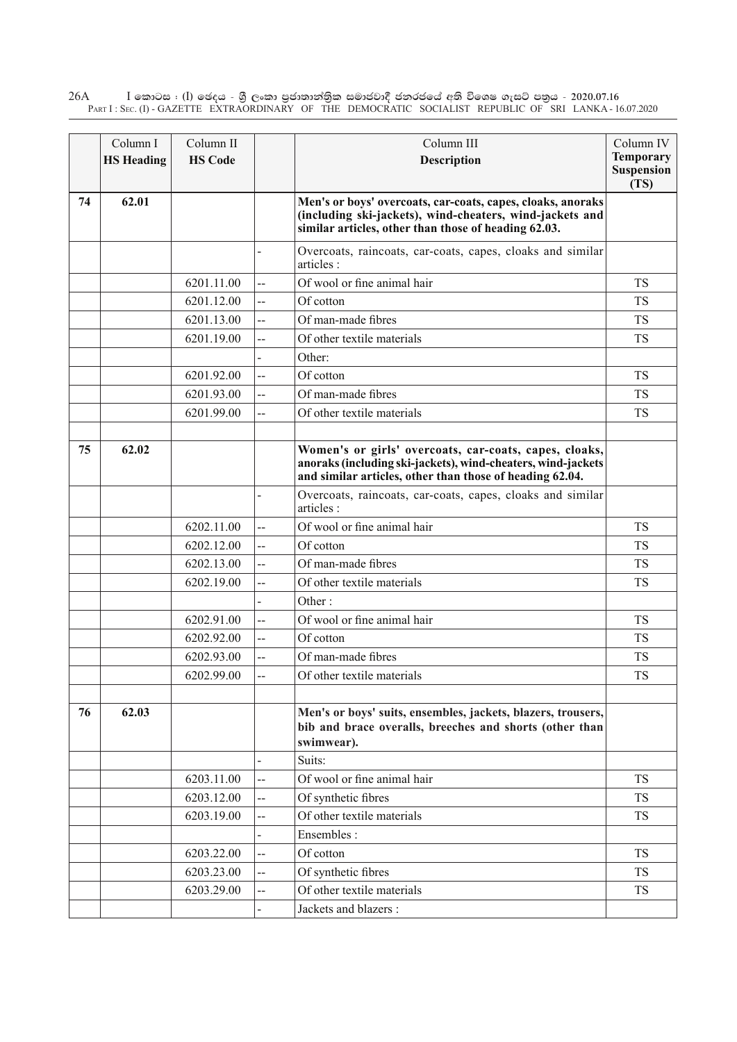$\rm I$  කොටස : ( $\rm I$ ) ඡෙදය - ශුී ලංකා පුජාතාන්තුික සමාජවාදී ජනරජයේ අති විශෙෂ ගැසට් පතුය - 2020.07.16 Part I : Sec. (I) - GAZETTE EXTRAORDINARY OF THE DEMOCRATIC SOCIALIST REPUBLIC OF SRI LANKA - 16.07.2020 26A

|    | Column I<br><b>HS</b> Heading | Column II<br><b>HS Code</b> |                | Column III<br>Description                                                                                                                                                          | Column IV<br><b>Temporary</b><br><b>Suspension</b> |
|----|-------------------------------|-----------------------------|----------------|------------------------------------------------------------------------------------------------------------------------------------------------------------------------------------|----------------------------------------------------|
| 74 | 62.01                         |                             |                | Men's or boys' overcoats, car-coats, capes, cloaks, anoraks<br>(including ski-jackets), wind-cheaters, wind-jackets and<br>similar articles, other than those of heading 62.03.    | (TS)                                               |
|    |                               |                             |                | Overcoats, raincoats, car-coats, capes, cloaks and similar<br>articles :                                                                                                           |                                                    |
|    |                               | 6201.11.00                  | --             | Of wool or fine animal hair                                                                                                                                                        | <b>TS</b>                                          |
|    |                               | 6201.12.00                  | $\overline{a}$ | Of cotton                                                                                                                                                                          | <b>TS</b>                                          |
|    |                               | 6201.13.00                  | Ξ.             | Of man-made fibres                                                                                                                                                                 | <b>TS</b>                                          |
|    |                               | 6201.19.00                  | --             | Of other textile materials                                                                                                                                                         | <b>TS</b>                                          |
|    |                               |                             |                | Other:                                                                                                                                                                             |                                                    |
|    |                               | 6201.92.00                  | --             | Of cotton                                                                                                                                                                          | <b>TS</b>                                          |
|    |                               | 6201.93.00                  | --             | Of man-made fibres                                                                                                                                                                 | <b>TS</b>                                          |
|    |                               | 6201.99.00                  | Ц.             | Of other textile materials                                                                                                                                                         | <b>TS</b>                                          |
|    |                               |                             |                |                                                                                                                                                                                    |                                                    |
| 75 | 62.02                         |                             |                | Women's or girls' overcoats, car-coats, capes, cloaks,<br>anoraks (including ski-jackets), wind-cheaters, wind-jackets<br>and similar articles, other than those of heading 62.04. |                                                    |
|    |                               |                             |                | Overcoats, raincoats, car-coats, capes, cloaks and similar<br>articles :                                                                                                           |                                                    |
|    |                               | 6202.11.00                  | --             | Of wool or fine animal hair                                                                                                                                                        | <b>TS</b>                                          |
|    |                               | 6202.12.00                  | --             | Of cotton                                                                                                                                                                          | <b>TS</b>                                          |
|    |                               | 6202.13.00                  | Ξ.             | Of man-made fibres                                                                                                                                                                 | <b>TS</b>                                          |
|    |                               | 6202.19.00                  | --             | Of other textile materials                                                                                                                                                         | <b>TS</b>                                          |
|    |                               |                             |                | Other:                                                                                                                                                                             |                                                    |
|    |                               | 6202.91.00                  | $\overline{a}$ | Of wool or fine animal hair                                                                                                                                                        | <b>TS</b>                                          |
|    |                               | 6202.92.00                  | Ξ.             | Of cotton                                                                                                                                                                          | <b>TS</b>                                          |
|    |                               | 6202.93.00                  | --             | Of man-made fibres                                                                                                                                                                 | TS                                                 |
|    |                               | 6202.99.00                  | Ξ.             | Of other textile materials                                                                                                                                                         | <b>TS</b>                                          |
| 76 | 62.03                         |                             |                | Men's or boys' suits, ensembles, jackets, blazers, trousers,<br>bib and brace overalls, breeches and shorts (other than<br>swimwear).                                              |                                                    |
|    |                               |                             |                | Suits:                                                                                                                                                                             |                                                    |
|    |                               | 6203.11.00                  | --             | Of wool or fine animal hair                                                                                                                                                        | <b>TS</b>                                          |
|    |                               | 6203.12.00                  | --             | Of synthetic fibres                                                                                                                                                                | <b>TS</b>                                          |
|    |                               | 6203.19.00                  | --             | Of other textile materials                                                                                                                                                         | <b>TS</b>                                          |
|    |                               |                             |                | Ensembles :                                                                                                                                                                        |                                                    |
|    |                               | 6203.22.00                  | --             | Of cotton                                                                                                                                                                          | <b>TS</b>                                          |
|    |                               | 6203.23.00                  | --             | Of synthetic fibres                                                                                                                                                                | <b>TS</b>                                          |
|    |                               | 6203.29.00                  | --             | Of other textile materials                                                                                                                                                         | <b>TS</b>                                          |
|    |                               |                             |                | Jackets and blazers :                                                                                                                                                              |                                                    |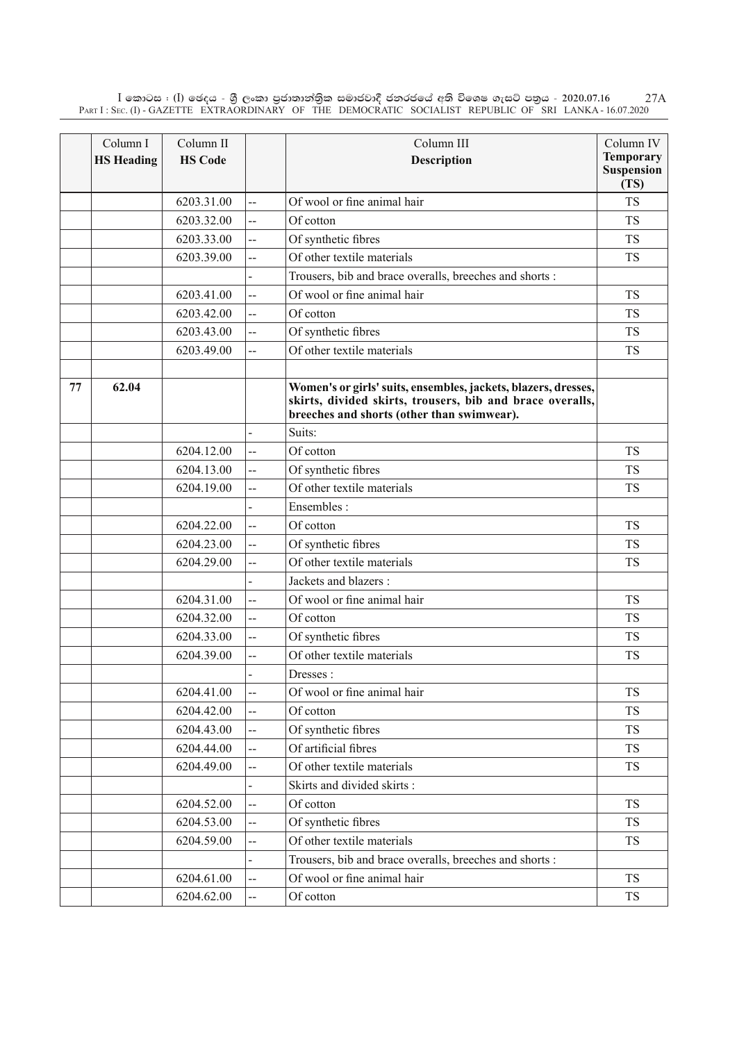$\rm I$  කොටස : ( $\rm I$ ) ඡෙදය - ශුී ලංකා පුජාතාන්තිුක සමාජවාදී ජනරජයේ අති විශෙෂ ගැසට් පතුය - 2020.07.16 Part I : Sec. (I) - GAZETTE EXTRAORDINARY OF THE DEMOCRATIC SOCIALIST REPUBLIC OF SRI LANKA - 16.07.2020 27A

|    | Column I          | Column II      |                | Column III                                                                                                                                                                | Column IV                              |
|----|-------------------|----------------|----------------|---------------------------------------------------------------------------------------------------------------------------------------------------------------------------|----------------------------------------|
|    | <b>HS Heading</b> | <b>HS Code</b> |                | Description                                                                                                                                                               | <b>Temporary</b><br>Suspension<br>(TS) |
|    |                   | 6203.31.00     | --             | Of wool or fine animal hair                                                                                                                                               | <b>TS</b>                              |
|    |                   | 6203.32.00     | --             | Of cotton                                                                                                                                                                 | <b>TS</b>                              |
|    |                   | 6203.33.00     | $\overline{a}$ | Of synthetic fibres                                                                                                                                                       | <b>TS</b>                              |
|    |                   | 6203.39.00     | --             | Of other textile materials                                                                                                                                                | <b>TS</b>                              |
|    |                   |                |                | Trousers, bib and brace overalls, breeches and shorts :                                                                                                                   |                                        |
|    |                   | 6203.41.00     | ш.             | Of wool or fine animal hair                                                                                                                                               | <b>TS</b>                              |
|    |                   | 6203.42.00     | $\overline{a}$ | Of cotton                                                                                                                                                                 | <b>TS</b>                              |
|    |                   | 6203.43.00     | ш.             | Of synthetic fibres                                                                                                                                                       | <b>TS</b>                              |
|    |                   | 6203.49.00     | --             | Of other textile materials                                                                                                                                                | <b>TS</b>                              |
|    |                   |                |                |                                                                                                                                                                           |                                        |
| 77 | 62.04             |                |                | Women's or girls' suits, ensembles, jackets, blazers, dresses,<br>skirts, divided skirts, trousers, bib and brace overalls,<br>breeches and shorts (other than swimwear). |                                        |
|    |                   |                |                | Suits:                                                                                                                                                                    |                                        |
|    |                   | 6204.12.00     | $\overline{a}$ | Of cotton                                                                                                                                                                 | <b>TS</b>                              |
|    |                   | 6204.13.00     | $\overline{a}$ | Of synthetic fibres                                                                                                                                                       | <b>TS</b>                              |
|    |                   | 6204.19.00     | $\overline{a}$ | Of other textile materials                                                                                                                                                | <b>TS</b>                              |
|    |                   |                |                | Ensembles:                                                                                                                                                                |                                        |
|    |                   | 6204.22.00     | $\overline{a}$ | Of cotton                                                                                                                                                                 | <b>TS</b>                              |
|    |                   | 6204.23.00     | --             | Of synthetic fibres                                                                                                                                                       | <b>TS</b>                              |
|    |                   | 6204.29.00     | --             | Of other textile materials                                                                                                                                                | <b>TS</b>                              |
|    |                   |                |                | Jackets and blazers :                                                                                                                                                     |                                        |
|    |                   | 6204.31.00     | --             | Of wool or fine animal hair                                                                                                                                               | <b>TS</b>                              |
|    |                   | 6204.32.00     | $\overline{a}$ | Of cotton                                                                                                                                                                 | <b>TS</b>                              |
|    |                   | 6204.33.00     | $\overline{a}$ | Of synthetic fibres                                                                                                                                                       | <b>TS</b>                              |
|    |                   | 6204.39.00     | --             | Of other textile materials                                                                                                                                                | <b>TS</b>                              |
|    |                   |                |                | Dresses:                                                                                                                                                                  |                                        |
|    |                   | 6204.41.00     | --             | Of wool or fine animal hair                                                                                                                                               | <b>TS</b>                              |
|    |                   | 6204.42.00     | $\overline{a}$ | Of cotton                                                                                                                                                                 | <b>TS</b>                              |
|    |                   | 6204.43.00     |                | Of synthetic fibres                                                                                                                                                       | TS                                     |
|    |                   | 6204.44.00     | --             | Of artificial fibres                                                                                                                                                      | <b>TS</b>                              |
|    |                   | 6204.49.00     |                | Of other textile materials                                                                                                                                                | TS                                     |
|    |                   |                |                | Skirts and divided skirts:                                                                                                                                                |                                        |
|    |                   | 6204.52.00     | --             | Of cotton                                                                                                                                                                 | <b>TS</b>                              |
|    |                   | 6204.53.00     | $\overline{a}$ | Of synthetic fibres                                                                                                                                                       | <b>TS</b>                              |
|    |                   | 6204.59.00     | --             | Of other textile materials                                                                                                                                                | <b>TS</b>                              |
|    |                   |                |                | Trousers, bib and brace overalls, breeches and shorts :                                                                                                                   |                                        |
|    |                   | 6204.61.00     | Щ,             | Of wool or fine animal hair                                                                                                                                               | <b>TS</b>                              |
|    |                   | 6204.62.00     | ш,             | Of cotton                                                                                                                                                                 | <b>TS</b>                              |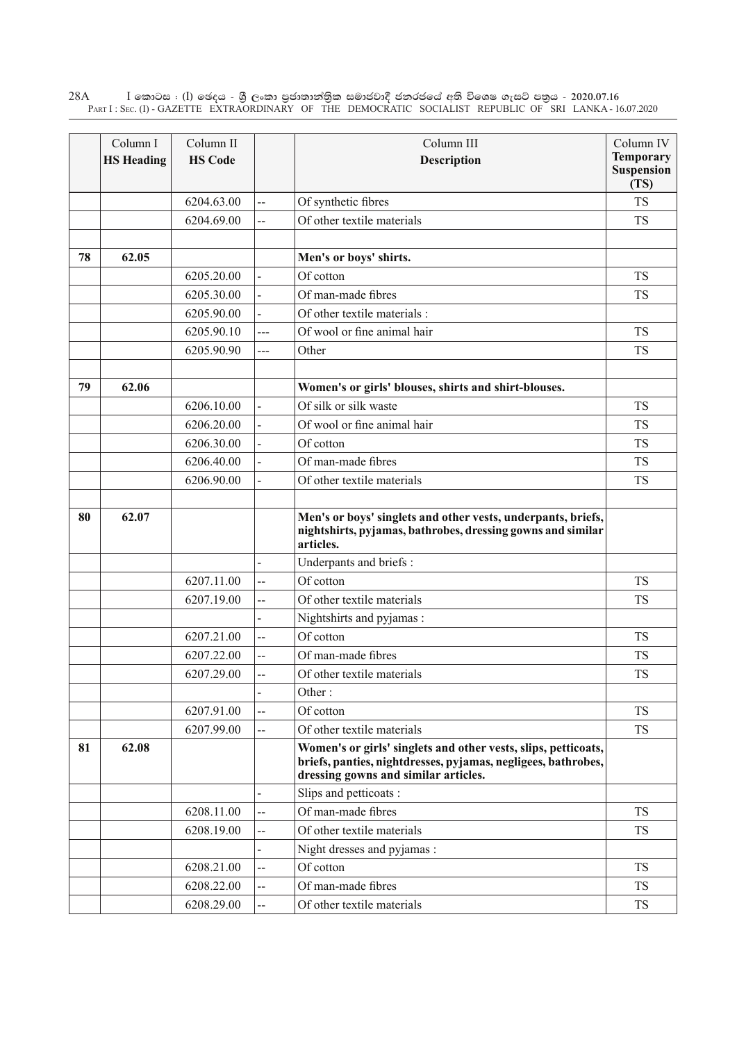$\rm I$  කොටස : ( $\rm I$ ) ඡෙදය - ශුී ලංකා පුජාතාන්තුික සමාජවාදී ජනරජයේ අති විශෙෂ ගැසට් පතුය - 2020.07.16 Part I : Sec. (I) - GAZETTE EXTRAORDINARY OF THE DEMOCRATIC SOCIALIST REPUBLIC OF SRI LANKA - 16.07.2020 28A

|    | Column I<br><b>HS Heading</b> | Column II<br><b>HS Code</b> |                | Column III<br>Description                                                                                                                                               | Column IV<br><b>Temporary</b><br><b>Suspension</b><br>(TS) |
|----|-------------------------------|-----------------------------|----------------|-------------------------------------------------------------------------------------------------------------------------------------------------------------------------|------------------------------------------------------------|
|    |                               | 6204.63.00                  | ш,             | Of synthetic fibres                                                                                                                                                     | <b>TS</b>                                                  |
|    |                               | 6204.69.00                  | $\overline{a}$ | Of other textile materials                                                                                                                                              | <b>TS</b>                                                  |
|    |                               |                             |                |                                                                                                                                                                         |                                                            |
| 78 | 62.05                         |                             |                | Men's or boys' shirts.                                                                                                                                                  |                                                            |
|    |                               | 6205.20.00                  |                | Of cotton                                                                                                                                                               | <b>TS</b>                                                  |
|    |                               | 6205.30.00                  |                | Of man-made fibres                                                                                                                                                      | <b>TS</b>                                                  |
|    |                               | 6205.90.00                  |                | Of other textile materials:                                                                                                                                             |                                                            |
|    |                               | 6205.90.10                  | ---            | Of wool or fine animal hair                                                                                                                                             | <b>TS</b>                                                  |
|    |                               | 6205.90.90                  | $---$          | Other                                                                                                                                                                   | <b>TS</b>                                                  |
|    |                               |                             |                |                                                                                                                                                                         |                                                            |
| 79 | 62.06                         |                             |                | Women's or girls' blouses, shirts and shirt-blouses.                                                                                                                    |                                                            |
|    |                               | 6206.10.00                  |                | Of silk or silk waste                                                                                                                                                   | <b>TS</b>                                                  |
|    |                               | 6206.20.00                  |                | Of wool or fine animal hair                                                                                                                                             | <b>TS</b>                                                  |
|    |                               | 6206.30.00                  |                | Of cotton                                                                                                                                                               | <b>TS</b>                                                  |
|    |                               | 6206.40.00                  |                | Of man-made fibres                                                                                                                                                      | <b>TS</b>                                                  |
|    |                               | 6206.90.00                  |                | Of other textile materials                                                                                                                                              | <b>TS</b>                                                  |
| 80 | 62.07                         |                             |                | Men's or boys' singlets and other vests, underpants, briefs,<br>nightshirts, pyjamas, bathrobes, dressing gowns and similar<br>articles.                                |                                                            |
|    |                               |                             |                | Underpants and briefs :                                                                                                                                                 |                                                            |
|    |                               | 6207.11.00                  | --             | Of cotton                                                                                                                                                               | <b>TS</b>                                                  |
|    |                               | 6207.19.00                  | $\overline{a}$ | Of other textile materials                                                                                                                                              | <b>TS</b>                                                  |
|    |                               |                             |                | Nightshirts and pyjamas:                                                                                                                                                |                                                            |
|    |                               | 6207.21.00                  | --             | Of cotton                                                                                                                                                               | <b>TS</b>                                                  |
|    |                               | 6207.22.00                  | --             | Of man-made fibres                                                                                                                                                      | <b>TS</b>                                                  |
|    |                               | 6207.29.00                  | --             | Of other textile materials                                                                                                                                              | <b>TS</b>                                                  |
|    |                               |                             |                | Other:                                                                                                                                                                  |                                                            |
|    |                               | 6207.91.00                  | --             | Of cotton                                                                                                                                                               | <b>TS</b>                                                  |
|    |                               | 6207.99.00                  | ш,             | Of other textile materials                                                                                                                                              | <b>TS</b>                                                  |
| 81 | 62.08                         |                             |                | Women's or girls' singlets and other vests, slips, petticoats,<br>briefs, panties, nightdresses, pyjamas, negligees, bathrobes,<br>dressing gowns and similar articles. |                                                            |
|    |                               |                             |                | Slips and petticoats:                                                                                                                                                   |                                                            |
|    |                               | 6208.11.00                  | --             | Of man-made fibres                                                                                                                                                      | <b>TS</b>                                                  |
|    |                               | 6208.19.00                  | --             | Of other textile materials                                                                                                                                              | <b>TS</b>                                                  |
|    |                               |                             |                | Night dresses and pyjamas :                                                                                                                                             |                                                            |
|    |                               | 6208.21.00                  | --             | Of cotton                                                                                                                                                               | <b>TS</b>                                                  |
|    |                               | 6208.22.00                  | --             | Of man-made fibres                                                                                                                                                      | <b>TS</b>                                                  |
|    |                               | 6208.29.00                  | --             | Of other textile materials                                                                                                                                              | <b>TS</b>                                                  |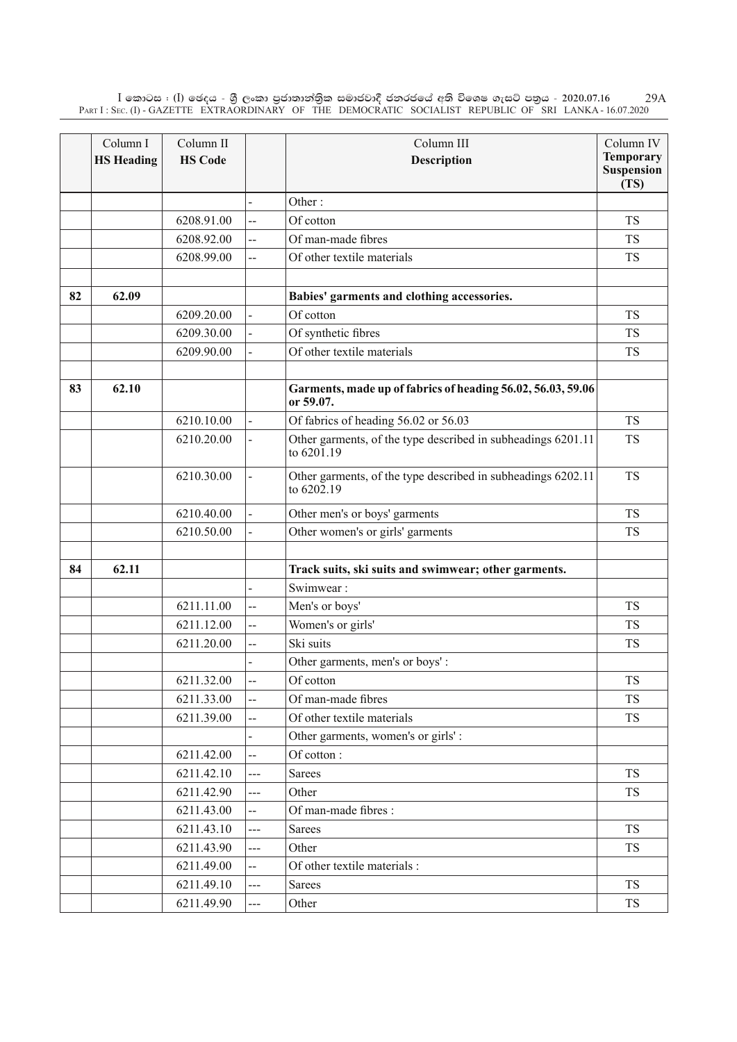$\rm I$  කොටස : ( $\rm I$ ) ඡෙදය - ශුී ලංකා පුජාතාන්තිුක සමාජවාදී ජනරජයේ අති විශෙෂ ගැසට් පතුය - 2020.07.16 Part I : Sec. (I) - GAZETTE EXTRAORDINARY OF THE DEMOCRATIC SOCIALIST REPUBLIC OF SRI LANKA - 16.07.2020 29A

|    | Column I          | Column II      |                          | Column III                                                                 | Column IV                 |
|----|-------------------|----------------|--------------------------|----------------------------------------------------------------------------|---------------------------|
|    | <b>HS Heading</b> | <b>HS Code</b> |                          | <b>Description</b>                                                         | <b>Temporary</b>          |
|    |                   |                |                          |                                                                            | <b>Suspension</b><br>(TS) |
|    |                   |                |                          | Other:                                                                     |                           |
|    |                   | 6208.91.00     | $\overline{a}$           | Of cotton                                                                  | <b>TS</b>                 |
|    |                   | 6208.92.00     | --                       | Of man-made fibres                                                         | <b>TS</b>                 |
|    |                   | 6208.99.00     | --                       | Of other textile materials                                                 | <b>TS</b>                 |
|    |                   |                |                          |                                                                            |                           |
| 82 | 62.09             |                |                          | Babies' garments and clothing accessories.                                 |                           |
|    |                   | 6209.20.00     |                          | Of cotton                                                                  | <b>TS</b>                 |
|    |                   | 6209.30.00     |                          | Of synthetic fibres                                                        | <b>TS</b>                 |
|    |                   | 6209.90.00     |                          | Of other textile materials                                                 | <b>TS</b>                 |
|    |                   |                |                          |                                                                            |                           |
| 83 | 62.10             |                |                          | Garments, made up of fabrics of heading 56.02, 56.03, 59.06<br>or 59.07.   |                           |
|    |                   | 6210.10.00     |                          | Of fabrics of heading 56.02 or 56.03                                       | <b>TS</b>                 |
|    |                   | 6210.20.00     |                          | Other garments, of the type described in subheadings 6201.11<br>to 6201.19 | <b>TS</b>                 |
|    |                   | 6210.30.00     |                          | Other garments, of the type described in subheadings 6202.11<br>to 6202.19 | <b>TS</b>                 |
|    |                   | 6210.40.00     |                          | Other men's or boys' garments                                              | <b>TS</b>                 |
|    |                   | 6210.50.00     |                          | Other women's or girls' garments                                           | <b>TS</b>                 |
|    |                   |                |                          |                                                                            |                           |
| 84 | 62.11             |                |                          | Track suits, ski suits and swimwear; other garments.                       |                           |
|    |                   |                |                          | Swimwear:                                                                  |                           |
|    |                   | 6211.11.00     | $\overline{a}$           | Men's or boys'                                                             | <b>TS</b>                 |
|    |                   | 6211.12.00     | --                       | Women's or girls'                                                          | <b>TS</b>                 |
|    |                   | 6211.20.00     | --                       | Ski suits                                                                  | <b>TS</b>                 |
|    |                   |                |                          | Other garments, men's or boys':                                            |                           |
|    |                   | 6211.32.00     | $\overline{a}$           | Of cotton                                                                  | <b>TS</b>                 |
|    |                   | 6211.33.00     | --                       | Of man-made fibres                                                         | <b>TS</b>                 |
|    |                   | 6211.39.00     | $\overline{a}$           | Of other textile materials                                                 | <b>TS</b>                 |
|    |                   |                |                          | Other garments, women's or girls':                                         |                           |
|    |                   | 6211.42.00     | ш.                       | Of cotton:                                                                 |                           |
|    |                   | 6211.42.10     | ---                      | <b>Sarees</b>                                                              | <b>TS</b>                 |
|    |                   | 6211.42.90     | ---                      | Other                                                                      | <b>TS</b>                 |
|    |                   | 6211.43.00     | --                       | Of man-made fibres :                                                       |                           |
|    |                   | 6211.43.10     | $\frac{1}{2}$            | <b>Sarees</b>                                                              | <b>TS</b>                 |
|    |                   | 6211.43.90     | ---                      | Other                                                                      | <b>TS</b>                 |
|    |                   | 6211.49.00     | Щ,                       | Of other textile materials :                                               |                           |
|    |                   | 6211.49.10     | ---                      | Sarees                                                                     | <b>TS</b>                 |
|    |                   | 6211.49.90     | $\overline{\phantom{a}}$ | Other                                                                      | <b>TS</b>                 |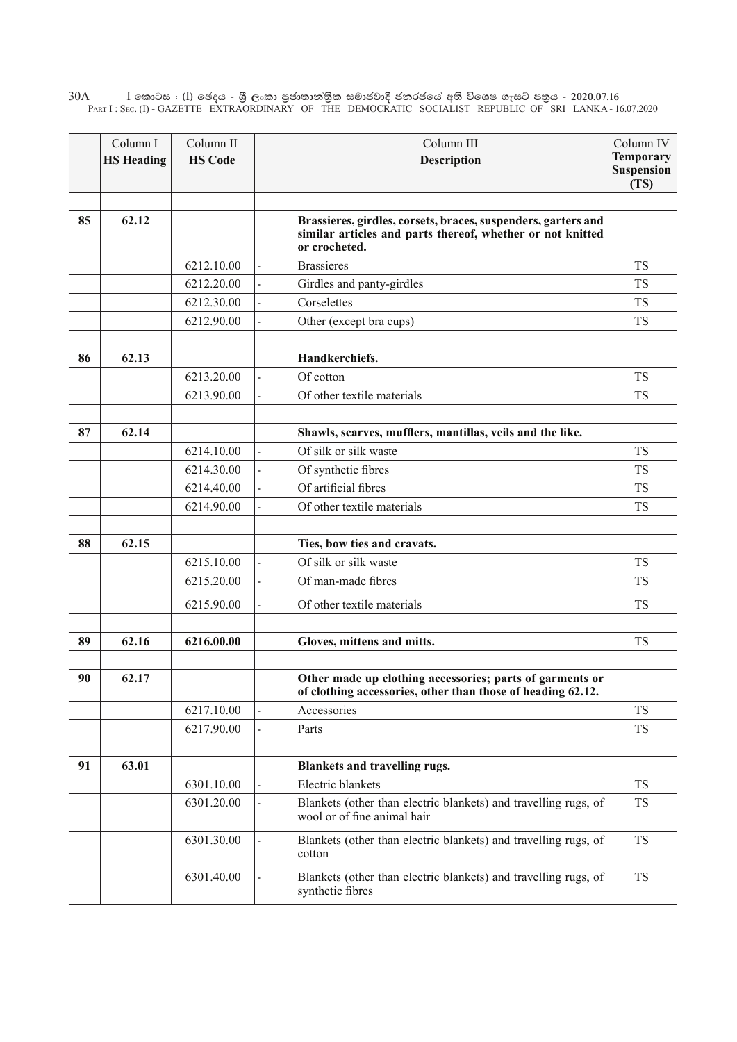$\rm I$  කොටස : ( $\rm I$ ) ඡෙදය - ශුී ලංකා පුජාතාන්තුික සමාජවාදී ජනරජයේ අති විශෙෂ ගැසට් පතුය - 2020.07.16 Part I : Sec. (I) - GAZETTE EXTRAORDINARY OF THE DEMOCRATIC SOCIALIST REPUBLIC OF SRI LANKA - 16.07.2020 30A

|    | Column I<br><b>HS Heading</b> | Column II<br><b>HS Code</b> |                | Column III<br>Description                                                                                                                    | Column IV<br><b>Temporary</b><br><b>Suspension</b><br>(TS) |
|----|-------------------------------|-----------------------------|----------------|----------------------------------------------------------------------------------------------------------------------------------------------|------------------------------------------------------------|
| 85 | 62.12                         |                             |                | Brassieres, girdles, corsets, braces, suspenders, garters and<br>similar articles and parts thereof, whether or not knitted<br>or crocheted. |                                                            |
|    |                               | 6212.10.00                  | $\overline{a}$ | <b>Brassieres</b>                                                                                                                            | <b>TS</b>                                                  |
|    |                               | 6212.20.00                  |                | Girdles and panty-girdles                                                                                                                    | <b>TS</b>                                                  |
|    |                               | 6212.30.00                  |                | Corselettes                                                                                                                                  | <b>TS</b>                                                  |
|    |                               | 6212.90.00                  |                | Other (except bra cups)                                                                                                                      | <b>TS</b>                                                  |
| 86 | 62.13                         |                             |                | Handkerchiefs.                                                                                                                               |                                                            |
|    |                               | 6213.20.00                  |                | Of cotton                                                                                                                                    | <b>TS</b>                                                  |
|    |                               | 6213.90.00                  |                | Of other textile materials                                                                                                                   | <b>TS</b>                                                  |
| 87 | 62.14                         |                             |                | Shawls, scarves, mufflers, mantillas, veils and the like.                                                                                    |                                                            |
|    |                               | 6214.10.00                  |                | Of silk or silk waste                                                                                                                        | <b>TS</b>                                                  |
|    |                               | 6214.30.00                  |                | Of synthetic fibres                                                                                                                          | <b>TS</b>                                                  |
|    |                               | 6214.40.00                  |                | Of artificial fibres                                                                                                                         | <b>TS</b>                                                  |
|    |                               | 6214.90.00                  |                | Of other textile materials                                                                                                                   | <b>TS</b>                                                  |
| 88 | 62.15                         |                             |                | Ties, bow ties and cravats.                                                                                                                  |                                                            |
|    |                               | 6215.10.00                  | $\overline{a}$ | Of silk or silk waste                                                                                                                        | <b>TS</b>                                                  |
|    |                               | 6215.20.00                  |                | Of man-made fibres                                                                                                                           | <b>TS</b>                                                  |
|    |                               | 6215.90.00                  |                | Of other textile materials                                                                                                                   | <b>TS</b>                                                  |
| 89 | 62.16                         | 6216.00.00                  |                | Gloves, mittens and mitts.                                                                                                                   | <b>TS</b>                                                  |
|    |                               |                             |                |                                                                                                                                              |                                                            |
| 90 | 62.17                         |                             |                | Other made up clothing accessories; parts of garments or<br>of clothing accessories, other than those of heading 62.12.                      |                                                            |
|    |                               | 6217.10.00                  |                | Accessories                                                                                                                                  | <b>TS</b>                                                  |
|    |                               | 6217.90.00                  |                | Parts                                                                                                                                        | TS                                                         |
| 91 | 63.01                         |                             |                | Blankets and travelling rugs.                                                                                                                |                                                            |
|    |                               | 6301.10.00                  |                | Electric blankets                                                                                                                            | <b>TS</b>                                                  |
|    |                               | 6301.20.00                  |                | Blankets (other than electric blankets) and travelling rugs, of<br>wool or of fine animal hair                                               | TS                                                         |
|    |                               | 6301.30.00                  |                | Blankets (other than electric blankets) and travelling rugs, of<br>cotton                                                                    | <b>TS</b>                                                  |
|    |                               | 6301.40.00                  |                | Blankets (other than electric blankets) and travelling rugs, of<br>synthetic fibres                                                          | <b>TS</b>                                                  |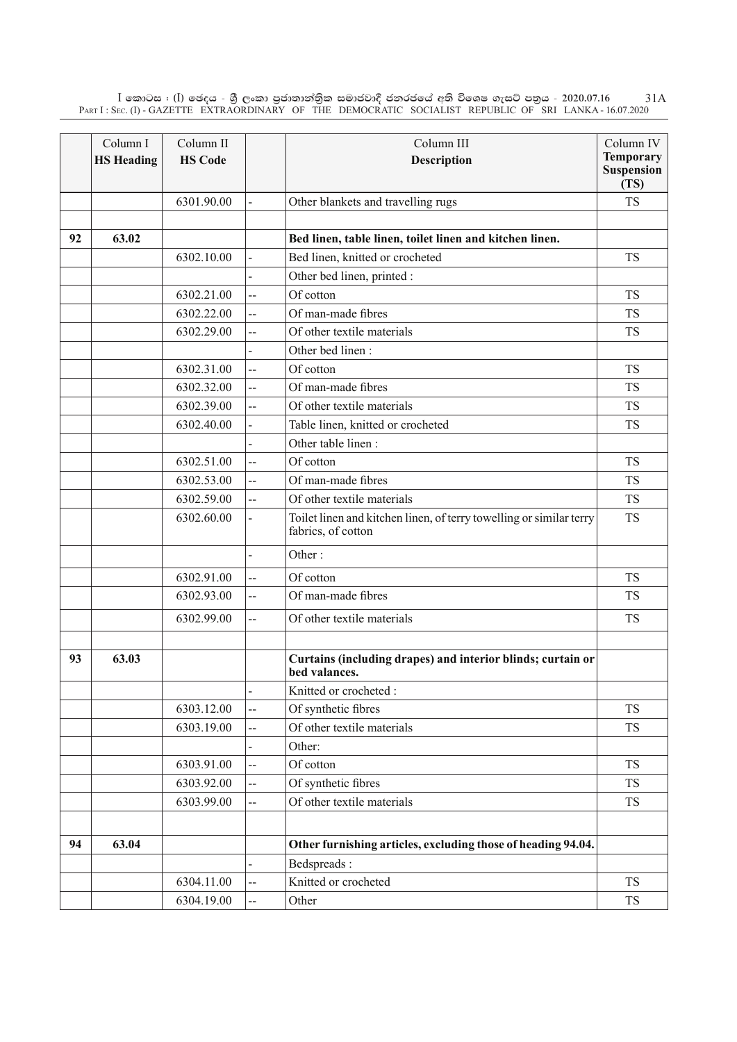$\rm I$  කොටස : ( $\rm I$ ) ඡෙදය - ශුී ලංකා පුජාතාන්තිුක සමාජවාදී ජනරජයේ අති විශෙෂ ගැසට් පතුය - 2020.07.16 Part I : Sec. (I) - GAZETTE EXTRAORDINARY OF THE DEMOCRATIC SOCIALIST REPUBLIC OF SRI LANKA - 16.07.2020 31A

|    | Column I          | Column II      |                | Column III                                                                                | Column IV<br><b>Temporary</b> |
|----|-------------------|----------------|----------------|-------------------------------------------------------------------------------------------|-------------------------------|
|    | <b>HS Heading</b> | <b>HS Code</b> |                | <b>Description</b>                                                                        | <b>Suspension</b><br>(TS)     |
|    |                   | 6301.90.00     |                | Other blankets and travelling rugs                                                        | <b>TS</b>                     |
|    |                   |                |                |                                                                                           |                               |
| 92 | 63.02             |                |                | Bed linen, table linen, toilet linen and kitchen linen.                                   |                               |
|    |                   | 6302.10.00     |                | Bed linen, knitted or crocheted                                                           | <b>TS</b>                     |
|    |                   |                |                | Other bed linen, printed :                                                                |                               |
|    |                   | 6302.21.00     | $\overline{a}$ | Of cotton                                                                                 | <b>TS</b>                     |
|    |                   | 6302.22.00     | $\overline{a}$ | Of man-made fibres                                                                        | <b>TS</b>                     |
|    |                   | 6302.29.00     | --             | Of other textile materials                                                                | <b>TS</b>                     |
|    |                   |                |                | Other bed linen:                                                                          |                               |
|    |                   | 6302.31.00     | --             | Of cotton                                                                                 | <b>TS</b>                     |
|    |                   | 6302.32.00     | --             | Of man-made fibres                                                                        | <b>TS</b>                     |
|    |                   | 6302.39.00     | --             | Of other textile materials                                                                | <b>TS</b>                     |
|    |                   | 6302.40.00     |                | Table linen, knitted or crocheted                                                         | <b>TS</b>                     |
|    |                   |                |                | Other table linen:                                                                        |                               |
|    |                   | 6302.51.00     | $\overline{a}$ | Of cotton                                                                                 | <b>TS</b>                     |
|    |                   | 6302.53.00     | --             | Of man-made fibres                                                                        | <b>TS</b>                     |
|    |                   | 6302.59.00     | $\overline{a}$ | Of other textile materials                                                                | <b>TS</b>                     |
|    |                   | 6302.60.00     |                | Toilet linen and kitchen linen, of terry towelling or similar terry<br>fabrics, of cotton | <b>TS</b>                     |
|    |                   |                |                | Other:                                                                                    |                               |
|    |                   | 6302.91.00     | --             | Of cotton                                                                                 | <b>TS</b>                     |
|    |                   | 6302.93.00     | --             | Of man-made fibres                                                                        | <b>TS</b>                     |
|    |                   | 6302.99.00     | Ц.             | Of other textile materials                                                                | <b>TS</b>                     |
| 93 | 63.03             |                |                | Curtains (including drapes) and interior blinds; curtain or<br>bed valances.              |                               |
|    |                   |                | $\overline{a}$ | Knitted or crocheted:                                                                     |                               |
|    |                   | 6303.12.00     | Ц,             | Of synthetic fibres                                                                       | <b>TS</b>                     |
|    |                   | 6303.19.00     | $\overline{a}$ | Of other textile materials                                                                | <b>TS</b>                     |
|    |                   |                |                | Other:                                                                                    |                               |
|    |                   | 6303.91.00     | $\overline{a}$ | Of cotton                                                                                 | <b>TS</b>                     |
|    |                   | 6303.92.00     |                | Of synthetic fibres                                                                       | <b>TS</b>                     |
|    |                   | 6303.99.00     | $\overline{a}$ | Of other textile materials                                                                | <b>TS</b>                     |
|    |                   |                |                |                                                                                           |                               |
| 94 | 63.04             |                |                | Other furnishing articles, excluding those of heading 94.04.                              |                               |
|    |                   |                |                | Bedspreads:                                                                               |                               |
|    |                   | 6304.11.00     | --             | Knitted or crocheted                                                                      | <b>TS</b>                     |
|    |                   | 6304.19.00     | щ.             | Other                                                                                     | <b>TS</b>                     |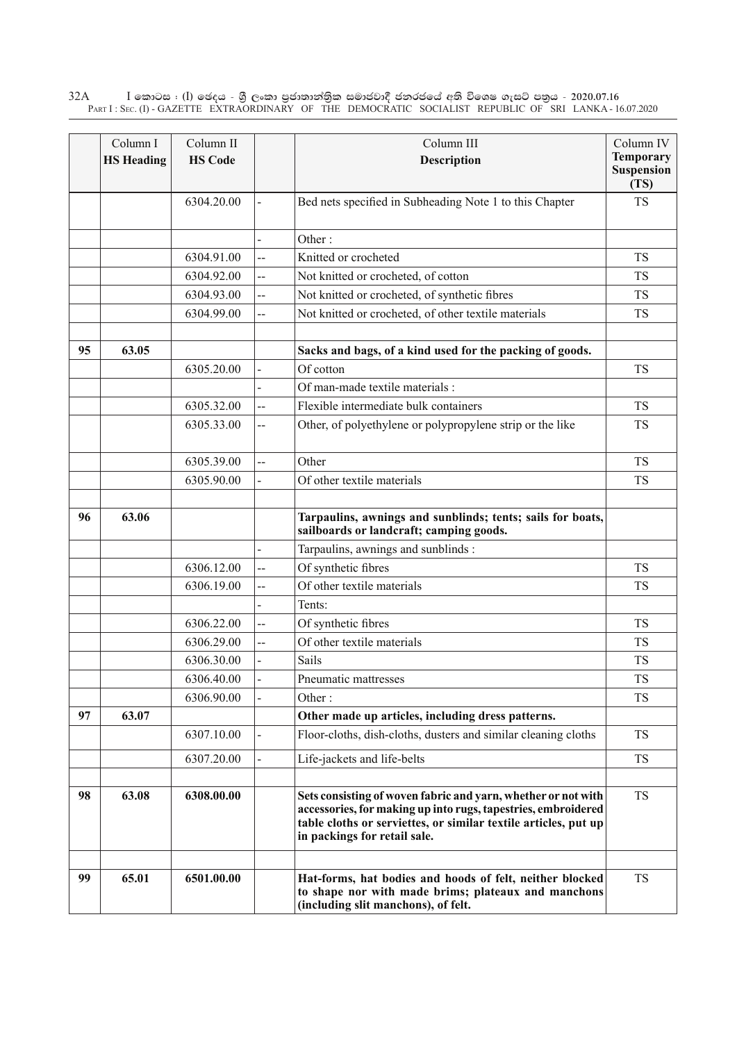$\rm I$  කොටස : ( $\rm I$ ) ඡෙදය - ශුී ලංකා පුජාතාන්තුික සමාජවාදී ජනරජයේ අති විශෙෂ ගැසට් පතුය - 2020.07.16 Part I : Sec. (I) - GAZETTE EXTRAORDINARY OF THE DEMOCRATIC SOCIALIST REPUBLIC OF SRI LANKA - 16.07.2020 32A

|    | Column I<br><b>HS Heading</b> | Column II<br><b>HS Code</b> |                | Column III<br>Description                                                                                                                                                                                                         | Column IV<br><b>Temporary</b><br><b>Suspension</b><br>(TS) |
|----|-------------------------------|-----------------------------|----------------|-----------------------------------------------------------------------------------------------------------------------------------------------------------------------------------------------------------------------------------|------------------------------------------------------------|
|    |                               | 6304.20.00                  |                | Bed nets specified in Subheading Note 1 to this Chapter                                                                                                                                                                           | <b>TS</b>                                                  |
|    |                               |                             |                | Other:                                                                                                                                                                                                                            |                                                            |
|    |                               | 6304.91.00                  | $\overline{a}$ | Knitted or crocheted                                                                                                                                                                                                              | <b>TS</b>                                                  |
|    |                               | 6304.92.00                  | --             | Not knitted or crocheted, of cotton                                                                                                                                                                                               | TS                                                         |
|    |                               | 6304.93.00                  | --             | Not knitted or crocheted, of synthetic fibres                                                                                                                                                                                     | <b>TS</b>                                                  |
|    |                               | 6304.99.00                  | --             | Not knitted or crocheted, of other textile materials                                                                                                                                                                              | <b>TS</b>                                                  |
| 95 | 63.05                         |                             |                | Sacks and bags, of a kind used for the packing of goods.                                                                                                                                                                          |                                                            |
|    |                               | 6305.20.00                  | $\overline{a}$ | Of cotton                                                                                                                                                                                                                         | <b>TS</b>                                                  |
|    |                               |                             |                | Of man-made textile materials :                                                                                                                                                                                                   |                                                            |
|    |                               | 6305.32.00                  | $\overline{a}$ | Flexible intermediate bulk containers                                                                                                                                                                                             | <b>TS</b>                                                  |
|    |                               | 6305.33.00                  | --             | Other, of polyethylene or polypropylene strip or the like                                                                                                                                                                         | <b>TS</b>                                                  |
|    |                               | 6305.39.00                  | --             | Other                                                                                                                                                                                                                             | <b>TS</b>                                                  |
|    |                               | 6305.90.00                  |                | Of other textile materials                                                                                                                                                                                                        | <b>TS</b>                                                  |
| 96 | 63.06                         |                             |                | Tarpaulins, awnings and sunblinds; tents; sails for boats,<br>sailboards or landcraft; camping goods.                                                                                                                             |                                                            |
|    |                               |                             |                | Tarpaulins, awnings and sunblinds :                                                                                                                                                                                               |                                                            |
|    |                               | 6306.12.00                  | --             | Of synthetic fibres                                                                                                                                                                                                               | <b>TS</b>                                                  |
|    |                               | 6306.19.00                  | ш,             | Of other textile materials                                                                                                                                                                                                        | <b>TS</b>                                                  |
|    |                               |                             |                | Tents:                                                                                                                                                                                                                            |                                                            |
|    |                               | 6306.22.00                  | --             | Of synthetic fibres                                                                                                                                                                                                               | <b>TS</b>                                                  |
|    |                               | 6306.29.00                  | --             | Of other textile materials                                                                                                                                                                                                        | TS                                                         |
|    |                               | 6306.30.00                  |                | Sails                                                                                                                                                                                                                             | <b>TS</b>                                                  |
|    |                               | 6306.40.00                  |                | Pneumatic mattresses                                                                                                                                                                                                              | <b>TS</b>                                                  |
|    |                               | 6306.90.00                  |                | Other:                                                                                                                                                                                                                            | <b>TS</b>                                                  |
| 97 | 63.07                         |                             |                | Other made up articles, including dress patterns.                                                                                                                                                                                 |                                                            |
|    |                               | 6307.10.00                  |                | Floor-cloths, dish-cloths, dusters and similar cleaning cloths                                                                                                                                                                    | <b>TS</b>                                                  |
|    |                               | 6307.20.00                  |                | Life-jackets and life-belts                                                                                                                                                                                                       | TS                                                         |
| 98 | 63.08                         | 6308.00.00                  |                | Sets consisting of woven fabric and yarn, whether or not with<br>accessories, for making up into rugs, tapestries, embroidered<br>table cloths or serviettes, or similar textile articles, put up<br>in packings for retail sale. | <b>TS</b>                                                  |
|    |                               |                             |                |                                                                                                                                                                                                                                   |                                                            |
| 99 | 65.01                         | 6501.00.00                  |                | Hat-forms, hat bodies and hoods of felt, neither blocked<br>to shape nor with made brims; plateaux and manchons<br>(including slit manchons), of felt.                                                                            | <b>TS</b>                                                  |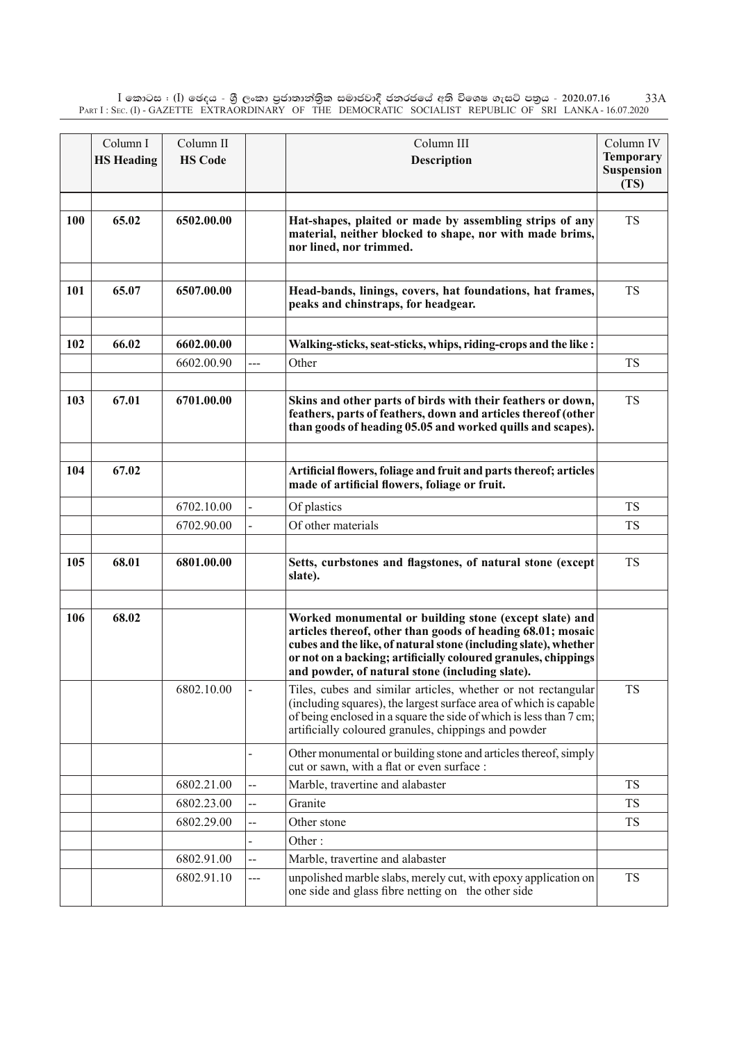$\rm I$  කොටස : ( $\rm I$ ) ඡෙදය - ශුී ලංකා පුජාතාන්තිුක සමාජවාදී ජනරජයේ අති විශෙෂ ගැසට් පතුය - 2020.07.16 Part I : Sec. (I) - GAZETTE EXTRAORDINARY OF THE DEMOCRATIC SOCIALIST REPUBLIC OF SRI LANKA - 16.07.2020 33A

|            | Column I          | Column II      |     | Column III                                                                                                                                                                                                                                                                                                    | Column IV                             |
|------------|-------------------|----------------|-----|---------------------------------------------------------------------------------------------------------------------------------------------------------------------------------------------------------------------------------------------------------------------------------------------------------------|---------------------------------------|
|            | <b>HS Heading</b> | <b>HS Code</b> |     | <b>Description</b>                                                                                                                                                                                                                                                                                            | <b>Temporary</b><br><b>Suspension</b> |
|            |                   |                |     |                                                                                                                                                                                                                                                                                                               | (TS)                                  |
|            |                   |                |     |                                                                                                                                                                                                                                                                                                               |                                       |
| <b>100</b> | 65.02             | 6502.00.00     |     | Hat-shapes, plaited or made by assembling strips of any<br>material, neither blocked to shape, nor with made brims,<br>nor lined, nor trimmed.                                                                                                                                                                | <b>TS</b>                             |
|            |                   |                |     |                                                                                                                                                                                                                                                                                                               |                                       |
| 101        | 65.07             | 6507.00.00     |     | Head-bands, linings, covers, hat foundations, hat frames,<br>peaks and chinstraps, for headgear.                                                                                                                                                                                                              | <b>TS</b>                             |
| 102        | 66.02             | 6602.00.00     |     | Walking-sticks, seat-sticks, whips, riding-crops and the like :                                                                                                                                                                                                                                               |                                       |
|            |                   | 6602.00.90     | --- | Other                                                                                                                                                                                                                                                                                                         | <b>TS</b>                             |
|            |                   |                |     |                                                                                                                                                                                                                                                                                                               |                                       |
| 103        | 67.01             | 6701.00.00     |     | Skins and other parts of birds with their feathers or down,<br>feathers, parts of feathers, down and articles thereof (other<br>than goods of heading 05.05 and worked quills and scapes).                                                                                                                    | <b>TS</b>                             |
|            |                   |                |     |                                                                                                                                                                                                                                                                                                               |                                       |
| 104        | 67.02             |                |     | Artificial flowers, foliage and fruit and parts thereof; articles<br>made of artificial flowers, foliage or fruit.                                                                                                                                                                                            |                                       |
|            |                   | 6702.10.00     |     | Of plastics                                                                                                                                                                                                                                                                                                   | <b>TS</b>                             |
|            |                   | 6702.90.00     |     | Of other materials                                                                                                                                                                                                                                                                                            | <b>TS</b>                             |
|            |                   |                |     |                                                                                                                                                                                                                                                                                                               |                                       |
| 105        | 68.01             | 6801.00.00     |     | Setts, curbstones and flagstones, of natural stone (except<br>slate).                                                                                                                                                                                                                                         | <b>TS</b>                             |
|            |                   |                |     |                                                                                                                                                                                                                                                                                                               |                                       |
| 106        | 68.02             |                |     | Worked monumental or building stone (except slate) and<br>articles thereof, other than goods of heading 68.01; mosaic<br>cubes and the like, of natural stone (including slate), whether<br>or not on a backing; artificially coloured granules, chippings<br>and powder, of natural stone (including slate). |                                       |
|            |                   | 6802.10.00     |     | Tiles, cubes and similar articles, whether or not rectangular<br>(including squares), the largest surface area of which is capable<br>of being enclosed in a square the side of which is less than 7 cm;<br>artificially coloured granules, chippings and powder                                              | <b>TS</b>                             |
|            |                   |                |     | Other monumental or building stone and articles thereof, simply<br>cut or sawn, with a flat or even surface :                                                                                                                                                                                                 |                                       |
|            |                   | 6802.21.00     | --  | Marble, travertine and alabaster                                                                                                                                                                                                                                                                              | <b>TS</b>                             |
|            |                   | 6802.23.00     | --  | Granite                                                                                                                                                                                                                                                                                                       | <b>TS</b>                             |
|            |                   | 6802.29.00     | --  | Other stone                                                                                                                                                                                                                                                                                                   | <b>TS</b>                             |
|            |                   |                |     | Other:                                                                                                                                                                                                                                                                                                        |                                       |
|            |                   | 6802.91.00     | --  | Marble, travertine and alabaster                                                                                                                                                                                                                                                                              |                                       |
|            |                   | 6802.91.10     | --- | unpolished marble slabs, merely cut, with epoxy application on<br>one side and glass fibre netting on the other side                                                                                                                                                                                          | <b>TS</b>                             |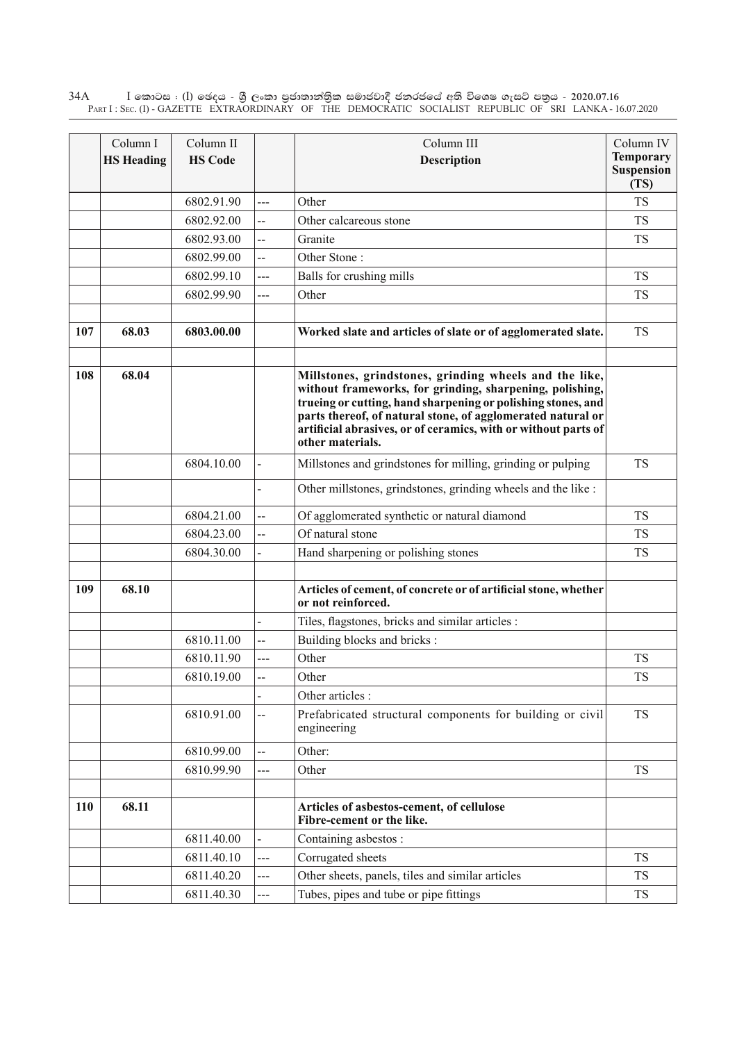$\rm I$  කොටස : ( $\rm I$ ) ඡෙදය - ශුී ලංකා පුජාතාන්තුික සමාජවාදී ජනරජයේ අති විශෙෂ ගැසට් පතුය - 2020.07.16 Part I : Sec. (I) - GAZETTE EXTRAORDINARY OF THE DEMOCRATIC SOCIALIST REPUBLIC OF SRI LANKA - 16.07.2020 34A

|     | Column I          | Column II      |                | Column III                                                                                                                                                                                                                                                                                                                              | Column IV                              |
|-----|-------------------|----------------|----------------|-----------------------------------------------------------------------------------------------------------------------------------------------------------------------------------------------------------------------------------------------------------------------------------------------------------------------------------------|----------------------------------------|
|     | <b>HS Heading</b> | <b>HS Code</b> |                | Description                                                                                                                                                                                                                                                                                                                             | <b>Temporary</b><br>Suspension<br>(TS) |
|     |                   | 6802.91.90     | ---            | Other                                                                                                                                                                                                                                                                                                                                   | <b>TS</b>                              |
|     |                   | 6802.92.00     | --             | Other calcareous stone                                                                                                                                                                                                                                                                                                                  | <b>TS</b>                              |
|     |                   | 6802.93.00     | Ц.             | Granite                                                                                                                                                                                                                                                                                                                                 | <b>TS</b>                              |
|     |                   | 6802.99.00     | --             | Other Stone:                                                                                                                                                                                                                                                                                                                            |                                        |
|     |                   | 6802.99.10     | ---            | Balls for crushing mills                                                                                                                                                                                                                                                                                                                | <b>TS</b>                              |
|     |                   | 6802.99.90     | ---            | Other                                                                                                                                                                                                                                                                                                                                   | <b>TS</b>                              |
| 107 | 68.03             | 6803.00.00     |                | Worked slate and articles of slate or of agglomerated slate.                                                                                                                                                                                                                                                                            | <b>TS</b>                              |
| 108 | 68.04             |                |                | Millstones, grindstones, grinding wheels and the like,<br>without frameworks, for grinding, sharpening, polishing,<br>trueing or cutting, hand sharpening or polishing stones, and<br>parts thereof, of natural stone, of agglomerated natural or<br>artificial abrasives, or of ceramics, with or without parts of<br>other materials. |                                        |
|     |                   | 6804.10.00     |                | Millstones and grindstones for milling, grinding or pulping                                                                                                                                                                                                                                                                             | <b>TS</b>                              |
|     |                   |                |                | Other millstones, grindstones, grinding wheels and the like :                                                                                                                                                                                                                                                                           |                                        |
|     |                   | 6804.21.00     | --             | Of agglomerated synthetic or natural diamond                                                                                                                                                                                                                                                                                            | <b>TS</b>                              |
|     |                   | 6804.23.00     | Ц.             | Of natural stone                                                                                                                                                                                                                                                                                                                        | <b>TS</b>                              |
|     |                   | 6804.30.00     |                | Hand sharpening or polishing stones                                                                                                                                                                                                                                                                                                     | <b>TS</b>                              |
| 109 | 68.10             |                |                | Articles of cement, of concrete or of artificial stone, whether<br>or not reinforced.                                                                                                                                                                                                                                                   |                                        |
|     |                   |                |                | Tiles, flagstones, bricks and similar articles :                                                                                                                                                                                                                                                                                        |                                        |
|     |                   | 6810.11.00     | --             | Building blocks and bricks:                                                                                                                                                                                                                                                                                                             |                                        |
|     |                   | 6810.11.90     | $\overline{a}$ | Other                                                                                                                                                                                                                                                                                                                                   | <b>TS</b>                              |
|     |                   | 6810.19.00     | --             | Other                                                                                                                                                                                                                                                                                                                                   | <b>TS</b>                              |
|     |                   |                |                | Other articles :                                                                                                                                                                                                                                                                                                                        |                                        |
|     |                   | 6810.91.00     | --             | Prefabricated structural components for building or civil<br>engineering                                                                                                                                                                                                                                                                | <b>TS</b>                              |
|     |                   | 6810.99.00     | --             | Other:                                                                                                                                                                                                                                                                                                                                  |                                        |
|     |                   | 6810.99.90     | ---            | Other                                                                                                                                                                                                                                                                                                                                   | <b>TS</b>                              |
| 110 | 68.11             |                |                | Articles of asbestos-cement, of cellulose                                                                                                                                                                                                                                                                                               |                                        |
|     |                   |                |                | Fibre-cement or the like.                                                                                                                                                                                                                                                                                                               |                                        |
|     |                   | 6811.40.00     |                | Containing asbestos:                                                                                                                                                                                                                                                                                                                    |                                        |
|     |                   | 6811.40.10     | $---$          | Corrugated sheets                                                                                                                                                                                                                                                                                                                       | <b>TS</b>                              |
|     |                   | 6811.40.20     | ---            | Other sheets, panels, tiles and similar articles                                                                                                                                                                                                                                                                                        | <b>TS</b>                              |
|     |                   | 6811.40.30     | ---            | Tubes, pipes and tube or pipe fittings                                                                                                                                                                                                                                                                                                  | <b>TS</b>                              |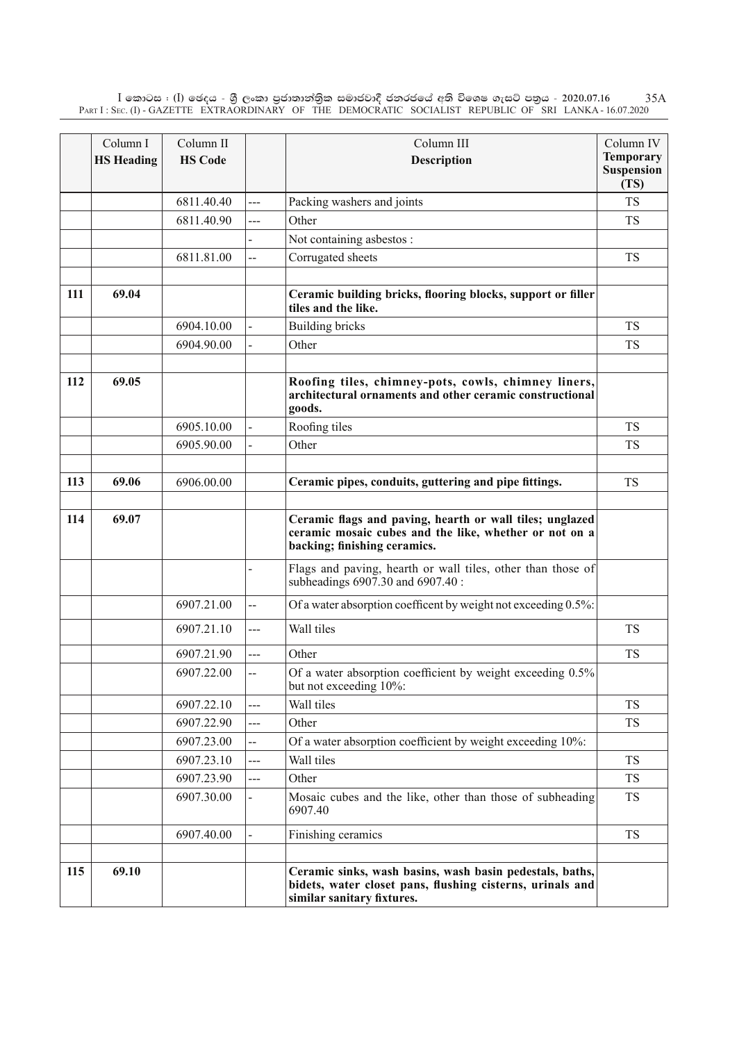$\rm I$  කොටස : ( $\rm I$ ) ඡෙදය - ශුී ලංකා පුජාතාන්තිුක සමාජවාදී ජනරජයේ අති විශෙෂ ගැසට් පතුය - 2020.07.16 Part I : Sec. (I) - GAZETTE EXTRAORDINARY OF THE DEMOCRATIC SOCIALIST REPUBLIC OF SRI LANKA - 16.07.2020 35A

|     | Column I<br><b>HS Heading</b> | Column II<br><b>HS Code</b> |                          | Column III<br>Description                                                                                                                           | Column IV<br><b>Temporary</b><br><b>Suspension</b><br>(TS) |
|-----|-------------------------------|-----------------------------|--------------------------|-----------------------------------------------------------------------------------------------------------------------------------------------------|------------------------------------------------------------|
|     |                               | 6811.40.40                  | ---                      | Packing washers and joints                                                                                                                          | <b>TS</b>                                                  |
|     |                               | 6811.40.90                  | ---                      | Other                                                                                                                                               | <b>TS</b>                                                  |
|     |                               |                             |                          | Not containing asbestos :                                                                                                                           |                                                            |
|     |                               | 6811.81.00                  | --                       | Corrugated sheets                                                                                                                                   | TS                                                         |
|     |                               |                             |                          |                                                                                                                                                     |                                                            |
| 111 | 69.04                         |                             |                          | Ceramic building bricks, flooring blocks, support or filler<br>tiles and the like.                                                                  |                                                            |
|     |                               | 6904.10.00                  |                          | <b>Building bricks</b>                                                                                                                              | <b>TS</b>                                                  |
|     |                               | 6904.90.00                  |                          | Other                                                                                                                                               | <b>TS</b>                                                  |
|     |                               |                             |                          |                                                                                                                                                     |                                                            |
| 112 | 69.05                         |                             |                          | Roofing tiles, chimney-pots, cowls, chimney liners,<br>architectural ornaments and other ceramic constructional<br>goods.                           |                                                            |
|     |                               | 6905.10.00                  |                          | Roofing tiles                                                                                                                                       | <b>TS</b>                                                  |
|     |                               | 6905.90.00                  |                          | Other                                                                                                                                               | <b>TS</b>                                                  |
|     |                               |                             |                          |                                                                                                                                                     |                                                            |
| 113 | 69.06                         | 6906.00.00                  |                          | Ceramic pipes, conduits, guttering and pipe fittings.                                                                                               | <b>TS</b>                                                  |
|     |                               |                             |                          |                                                                                                                                                     |                                                            |
| 114 | 69.07                         |                             |                          | Ceramic flags and paving, hearth or wall tiles; unglazed<br>ceramic mosaic cubes and the like, whether or not on a<br>backing; finishing ceramics.  |                                                            |
|     |                               |                             |                          | Flags and paving, hearth or wall tiles, other than those of<br>subheadings 6907.30 and 6907.40 :                                                    |                                                            |
|     |                               | 6907.21.00                  | ∽–                       | Of a water absorption coefficent by weight not exceeding 0.5%:                                                                                      |                                                            |
|     |                               | 6907.21.10                  | $---$                    | Wall tiles                                                                                                                                          | <b>TS</b>                                                  |
|     |                               | 6907.21.90                  | $\overline{a}$           | Other                                                                                                                                               | <b>TS</b>                                                  |
|     |                               | 6907.22.00                  | Ц.                       | Of a water absorption coefficient by weight exceeding 0.5%<br>but not exceeding 10%:                                                                |                                                            |
|     |                               | 6907.22.10                  | $---$                    | Wall tiles                                                                                                                                          | <b>TS</b>                                                  |
|     |                               | 6907.22.90                  | ---                      | Other                                                                                                                                               | <b>TS</b>                                                  |
|     |                               | 6907.23.00                  | $\overline{\phantom{a}}$ | Of a water absorption coefficient by weight exceeding 10%:                                                                                          |                                                            |
|     |                               | 6907.23.10                  | $---$                    | Wall tiles                                                                                                                                          | <b>TS</b>                                                  |
|     |                               | 6907.23.90                  | ---                      | Other                                                                                                                                               | <b>TS</b>                                                  |
|     |                               | 6907.30.00                  |                          | Mosaic cubes and the like, other than those of subheading<br>6907.40                                                                                | TS                                                         |
|     |                               | 6907.40.00                  |                          | Finishing ceramics                                                                                                                                  | TS                                                         |
|     |                               |                             |                          |                                                                                                                                                     |                                                            |
| 115 | 69.10                         |                             |                          | Ceramic sinks, wash basins, wash basin pedestals, baths,<br>bidets, water closet pans, flushing cisterns, urinals and<br>similar sanitary fixtures. |                                                            |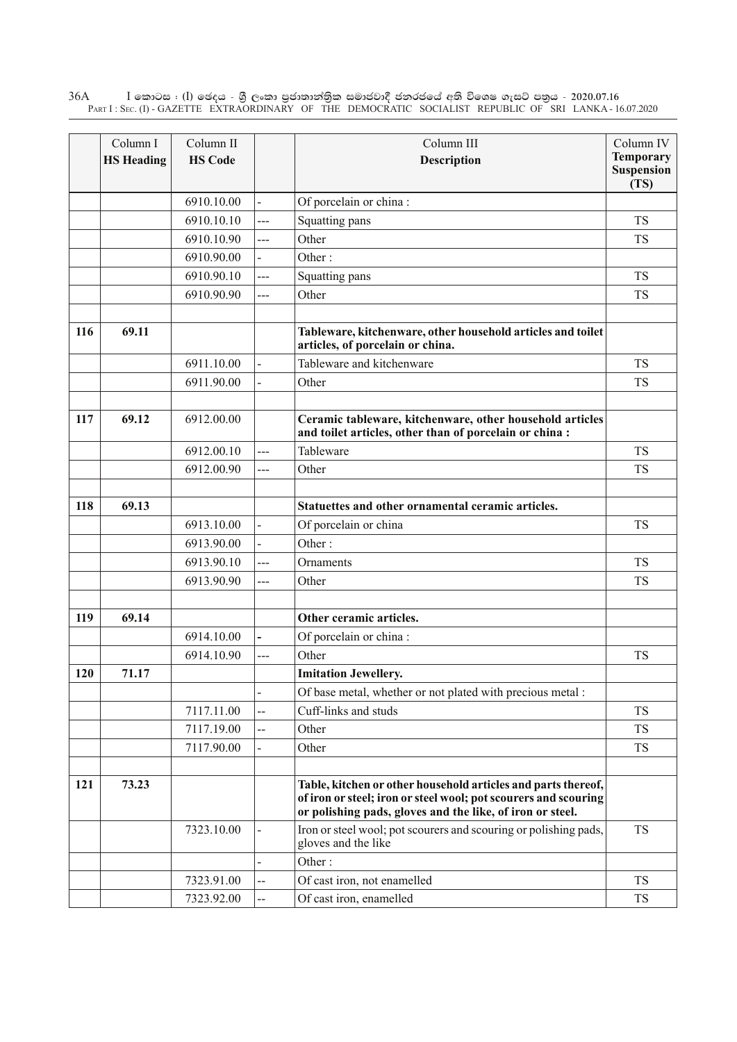$\rm I$  කොටස : ( $\rm I$ ) ඡෙදය - ශුී ලංකා පුජාතාන්තුික සමාජවාදී ජනරජයේ අති විශෙෂ ගැසට් පතුය - 2020.07.16 Part I : Sec. (I) - GAZETTE EXTRAORDINARY OF THE DEMOCRATIC SOCIALIST REPUBLIC OF SRI LANKA - 16.07.2020 36A

|     | Column I          | Column II      |                | Column III                                                                                                                                                                                    | Column IV                              |
|-----|-------------------|----------------|----------------|-----------------------------------------------------------------------------------------------------------------------------------------------------------------------------------------------|----------------------------------------|
|     | <b>HS Heading</b> | <b>HS Code</b> |                | Description                                                                                                                                                                                   | <b>Temporary</b><br>Suspension<br>(TS) |
|     |                   | 6910.10.00     |                | Of porcelain or china:                                                                                                                                                                        |                                        |
|     |                   | 6910.10.10     | ---            | Squatting pans                                                                                                                                                                                | <b>TS</b>                              |
|     |                   | 6910.10.90     | ---            | Other                                                                                                                                                                                         | <b>TS</b>                              |
|     |                   | 6910.90.00     |                | Other:                                                                                                                                                                                        |                                        |
|     |                   | 6910.90.10     | ---            | Squatting pans                                                                                                                                                                                | <b>TS</b>                              |
|     |                   | 6910.90.90     | ---            | Other                                                                                                                                                                                         | <b>TS</b>                              |
| 116 | 69.11             |                |                | Tableware, kitchenware, other household articles and toilet<br>articles, of porcelain or china.                                                                                               |                                        |
|     |                   | 6911.10.00     |                | Tableware and kitchenware                                                                                                                                                                     | <b>TS</b>                              |
|     |                   | 6911.90.00     |                | Other                                                                                                                                                                                         | <b>TS</b>                              |
|     |                   |                |                |                                                                                                                                                                                               |                                        |
| 117 | 69.12             | 6912.00.00     |                | Ceramic tableware, kitchenware, other household articles<br>and toilet articles, other than of porcelain or china :                                                                           |                                        |
|     |                   | 6912.00.10     | $\overline{a}$ | Tableware                                                                                                                                                                                     | <b>TS</b>                              |
|     |                   | 6912.00.90     | ---            | Other                                                                                                                                                                                         | <b>TS</b>                              |
|     |                   |                |                |                                                                                                                                                                                               |                                        |
| 118 | 69.13             |                |                | Statuettes and other ornamental ceramic articles.                                                                                                                                             |                                        |
|     |                   | 6913.10.00     |                | Of porcelain or china                                                                                                                                                                         | <b>TS</b>                              |
|     |                   | 6913.90.00     |                | Other:                                                                                                                                                                                        |                                        |
|     |                   | 6913.90.10     | $\overline{a}$ | Ornaments                                                                                                                                                                                     | <b>TS</b>                              |
|     |                   | 6913.90.90     | ---            | Other                                                                                                                                                                                         | <b>TS</b>                              |
|     |                   |                |                |                                                                                                                                                                                               |                                        |
| 119 | 69.14             |                |                | Other ceramic articles.                                                                                                                                                                       |                                        |
|     |                   | 6914.10.00     |                | Of porcelain or china:                                                                                                                                                                        |                                        |
|     |                   | 6914.10.90     | ---            | Other                                                                                                                                                                                         | <b>TS</b>                              |
| 120 | 71.17             |                |                | <b>Imitation Jewellery.</b>                                                                                                                                                                   |                                        |
|     |                   |                |                | Of base metal, whether or not plated with precious metal :                                                                                                                                    |                                        |
|     |                   | 7117.11.00     | --             | Cuff-links and studs                                                                                                                                                                          | <b>TS</b>                              |
|     |                   | 7117.19.00     | --             | Other                                                                                                                                                                                         | <b>TS</b>                              |
|     |                   | 7117.90.00     |                | Other                                                                                                                                                                                         | <b>TS</b>                              |
| 121 | 73.23             |                |                | Table, kitchen or other household articles and parts thereof,<br>of iron or steel; iron or steel wool; pot scourers and scouring<br>or polishing pads, gloves and the like, of iron or steel. |                                        |
|     |                   | 7323.10.00     |                | Iron or steel wool; pot scourers and scouring or polishing pads,<br>gloves and the like                                                                                                       | <b>TS</b>                              |
|     |                   |                |                | Other:                                                                                                                                                                                        |                                        |
|     |                   | 7323.91.00     | --             | Of cast iron, not enamelled                                                                                                                                                                   | <b>TS</b>                              |
|     |                   | 7323.92.00     | --             | Of cast iron, enamelled                                                                                                                                                                       | <b>TS</b>                              |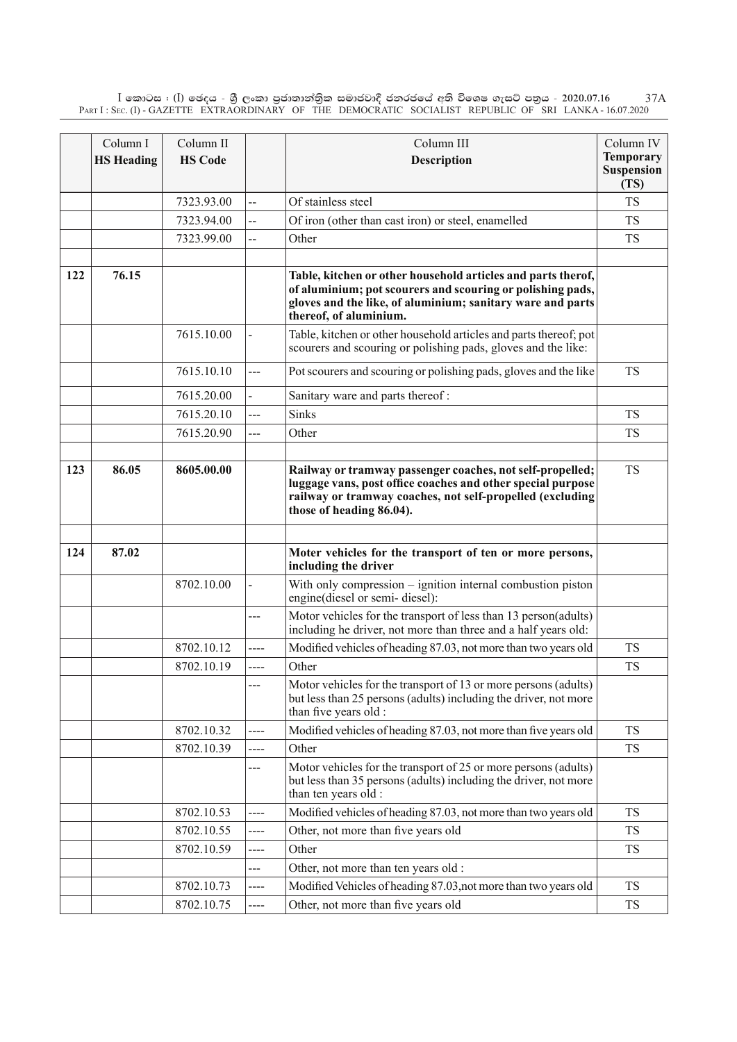$\rm I$  කොටස : ( $\rm I$ ) ඡෙදය - ශුී ලංකා පුජාතාන්තිුක සමාජවාදී ජනරජයේ අති විශෙෂ ගැසට් පතුය - 2020.07.16 Part I : Sec. (I) - GAZETTE EXTRAORDINARY OF THE DEMOCRATIC SOCIALIST REPUBLIC OF SRI LANKA - 16.07.2020 37A

|     | Column I          | Column II      |                | Column III                                                                                                                                                                                                         | Column IV                                     |
|-----|-------------------|----------------|----------------|--------------------------------------------------------------------------------------------------------------------------------------------------------------------------------------------------------------------|-----------------------------------------------|
|     | <b>HS Heading</b> | <b>HS Code</b> |                | <b>Description</b>                                                                                                                                                                                                 | <b>Temporary</b><br><b>Suspension</b><br>(TS) |
|     |                   | 7323.93.00     | --             | Of stainless steel                                                                                                                                                                                                 | <b>TS</b>                                     |
|     |                   | 7323.94.00     | --             | Of iron (other than cast iron) or steel, enamelled                                                                                                                                                                 | <b>TS</b>                                     |
|     |                   | 7323.99.00     | --             | Other                                                                                                                                                                                                              | <b>TS</b>                                     |
| 122 | 76.15             |                |                | Table, kitchen or other household articles and parts therof,<br>of aluminium; pot scourers and scouring or polishing pads,<br>gloves and the like, of aluminium; sanitary ware and parts<br>thereof, of aluminium. |                                               |
|     |                   | 7615.10.00     |                | Table, kitchen or other household articles and parts thereof; pot<br>scourers and scouring or polishing pads, gloves and the like:                                                                                 |                                               |
|     |                   | 7615.10.10     | ---            | Pot scourers and scouring or polishing pads, gloves and the like                                                                                                                                                   | <b>TS</b>                                     |
|     |                   | 7615.20.00     |                | Sanitary ware and parts thereof:                                                                                                                                                                                   |                                               |
|     |                   | 7615.20.10     | ---            | <b>Sinks</b>                                                                                                                                                                                                       | <b>TS</b>                                     |
|     |                   | 7615.20.90     | ---            | Other                                                                                                                                                                                                              | <b>TS</b>                                     |
|     |                   |                |                |                                                                                                                                                                                                                    |                                               |
| 123 | 86.05             | 8605.00.00     |                | Railway or tramway passenger coaches, not self-propelled;<br>luggage vans, post office coaches and other special purpose<br>railway or tramway coaches, not self-propelled (excluding<br>those of heading 86.04).  | <b>TS</b>                                     |
|     |                   |                |                |                                                                                                                                                                                                                    |                                               |
| 124 | 87.02             |                |                | Moter vehicles for the transport of ten or more persons,<br>including the driver                                                                                                                                   |                                               |
|     |                   | 8702.10.00     | $\overline{a}$ | With only compression – ignition internal combustion piston<br>engine(diesel or semi-diesel):                                                                                                                      |                                               |
|     |                   |                | ---            | Motor vehicles for the transport of less than 13 person(adults)<br>including he driver, not more than three and a half years old:                                                                                  |                                               |
|     |                   | 8702.10.12     | ----           | Modified vehicles of heading 87.03, not more than two years old                                                                                                                                                    | <b>TS</b>                                     |
|     |                   | 8702.10.19     | ----           | Other                                                                                                                                                                                                              | <b>TS</b>                                     |
|     |                   |                | ---            | Motor vehicles for the transport of 13 or more persons (adults)<br>but less than 25 persons (adults) including the driver, not more<br>than five years old :                                                       |                                               |
|     |                   | 8702.10.32     | ----           | Modified vehicles of heading 87.03, not more than five years old                                                                                                                                                   | <b>TS</b>                                     |
|     |                   | 8702.10.39     | ----           | Other                                                                                                                                                                                                              | <b>TS</b>                                     |
|     |                   |                | ---            | Motor vehicles for the transport of 25 or more persons (adults)<br>but less than 35 persons (adults) including the driver, not more<br>than ten years old :                                                        |                                               |
|     |                   | 8702.10.53     | ----           | Modified vehicles of heading 87.03, not more than two years old                                                                                                                                                    | <b>TS</b>                                     |
|     |                   | 8702.10.55     | ----           | Other, not more than five years old                                                                                                                                                                                | <b>TS</b>                                     |
|     |                   | 8702.10.59     | ----           | Other                                                                                                                                                                                                              | <b>TS</b>                                     |
|     |                   |                | ---            | Other, not more than ten years old :                                                                                                                                                                               |                                               |
|     |                   | 8702.10.73     | ----           | Modified Vehicles of heading 87.03, not more than two years old                                                                                                                                                    | <b>TS</b>                                     |
|     |                   | 8702.10.75     | ----           | Other, not more than five years old                                                                                                                                                                                | TS                                            |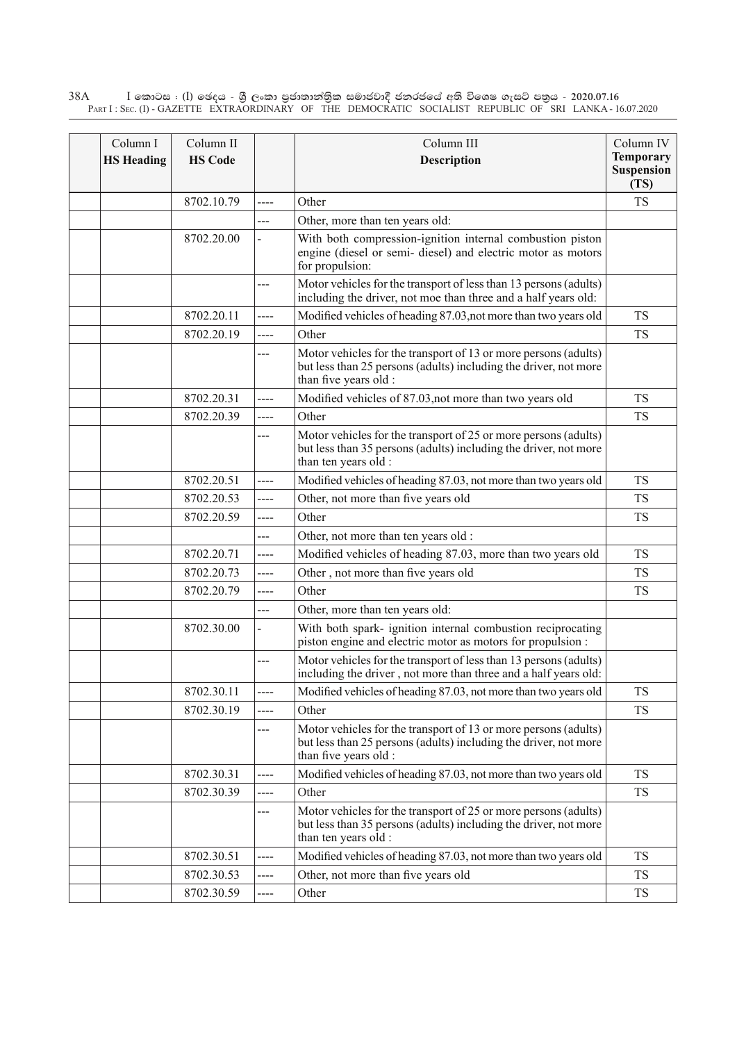$\rm I$  කොටස : ( $\rm I$ ) ඡෙදය - ශුී ලංකා පුජාතාන්තුික සමාජවාදී ජනරජයේ අති විශෙෂ ගැසට් පතුය - 2020.07.16 Part I : Sec. (I) - GAZETTE EXTRAORDINARY OF THE DEMOCRATIC SOCIALIST REPUBLIC OF SRI LANKA - 16.07.2020 38A

| Column I<br><b>HS Heading</b> | Column II<br><b>HS Code</b> |       | Column III<br>Description                                                                                                                                    | Column IV<br><b>Temporary</b><br><b>Suspension</b><br>(TS) |
|-------------------------------|-----------------------------|-------|--------------------------------------------------------------------------------------------------------------------------------------------------------------|------------------------------------------------------------|
|                               | 8702.10.79                  | ----  | Other                                                                                                                                                        | <b>TS</b>                                                  |
|                               |                             |       | Other, more than ten years old:                                                                                                                              |                                                            |
|                               | 8702.20.00                  |       | With both compression-ignition internal combustion piston<br>engine (diesel or semi- diesel) and electric motor as motors<br>for propulsion:                 |                                                            |
|                               |                             | ---   | Motor vehicles for the transport of less than 13 persons (adults)<br>including the driver, not moe than three and a half years old:                          |                                                            |
|                               | 8702.20.11                  | $---$ | Modified vehicles of heading 87.03, not more than two years old                                                                                              | <b>TS</b>                                                  |
|                               | 8702.20.19                  | ----  | Other                                                                                                                                                        | <b>TS</b>                                                  |
|                               |                             | ---   | Motor vehicles for the transport of 13 or more persons (adults)<br>but less than 25 persons (adults) including the driver, not more<br>than five years old : |                                                            |
|                               | 8702.20.31                  | ----  | Modified vehicles of 87.03, not more than two years old                                                                                                      | <b>TS</b>                                                  |
|                               | 8702.20.39                  | ----  | Other                                                                                                                                                        | <b>TS</b>                                                  |
|                               |                             | ---   | Motor vehicles for the transport of 25 or more persons (adults)<br>but less than 35 persons (adults) including the driver, not more<br>than ten years old :  |                                                            |
|                               | 8702.20.51                  | ----  | Modified vehicles of heading 87.03, not more than two years old                                                                                              | <b>TS</b>                                                  |
|                               | 8702.20.53                  | ----  | Other, not more than five years old                                                                                                                          | TS                                                         |
|                               | 8702.20.59                  | ----  | Other                                                                                                                                                        | <b>TS</b>                                                  |
|                               |                             | ---   | Other, not more than ten years old :                                                                                                                         |                                                            |
|                               | 8702.20.71                  | ----  | Modified vehicles of heading 87.03, more than two years old                                                                                                  | <b>TS</b>                                                  |
|                               | 8702.20.73                  | ----  | Other, not more than five years old                                                                                                                          | <b>TS</b>                                                  |
|                               | 8702.20.79                  | ----  | Other                                                                                                                                                        | <b>TS</b>                                                  |
|                               |                             | ---   | Other, more than ten years old:                                                                                                                              |                                                            |
|                               | 8702.30.00                  |       | With both spark- ignition internal combustion reciprocating<br>piston engine and electric motor as motors for propulsion :                                   |                                                            |
|                               |                             | ---   | Motor vehicles for the transport of less than 13 persons (adults)<br>including the driver, not more than three and a half years old:                         |                                                            |
|                               | 8702.30.11                  | ----  | Modified vehicles of heading 87.03, not more than two years old                                                                                              | TS                                                         |
|                               | 8702.30.19                  | ----  | Other                                                                                                                                                        | <b>TS</b>                                                  |
|                               |                             | ---   | Motor vehicles for the transport of 13 or more persons (adults)<br>but less than 25 persons (adults) including the driver, not more<br>than five years old : |                                                            |
|                               | 8702.30.31                  | ----  | Modified vehicles of heading 87.03, not more than two years old                                                                                              | <b>TS</b>                                                  |
|                               | 8702.30.39                  | ----  | Other                                                                                                                                                        | <b>TS</b>                                                  |
|                               |                             | ---   | Motor vehicles for the transport of 25 or more persons (adults)<br>but less than 35 persons (adults) including the driver, not more<br>than ten years old :  |                                                            |
|                               | 8702.30.51                  | ----  | Modified vehicles of heading 87.03, not more than two years old                                                                                              | <b>TS</b>                                                  |
|                               | 8702.30.53                  | ----  | Other, not more than five years old                                                                                                                          | <b>TS</b>                                                  |
|                               | 8702.30.59                  | ----  | Other                                                                                                                                                        | TS                                                         |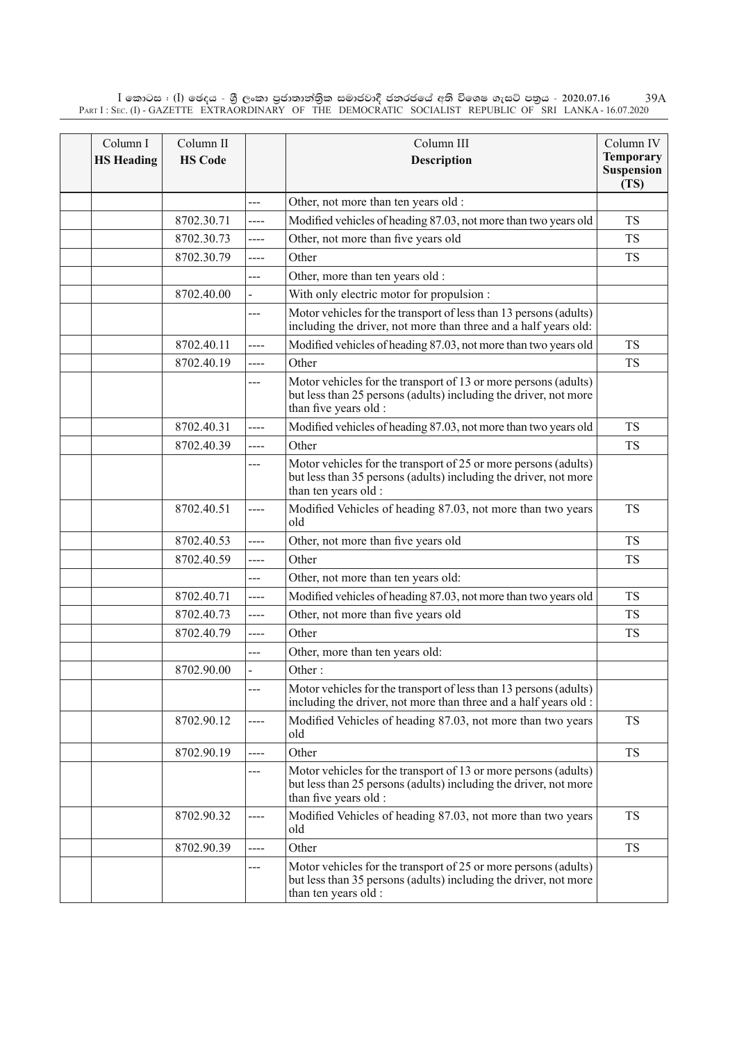$\rm I$  කොටස : ( $\rm I$ ) ඡෙදය - ශුී ලංකා පුජාතාන්තිුක සමාජවාදී ජනරජයේ අති විශෙෂ ගැසට් පතුය - 2020.07.16 Part I : Sec. (I) - GAZETTE EXTRAORDINARY OF THE DEMOCRATIC SOCIALIST REPUBLIC OF SRI LANKA - 16.07.2020 39A

| Column I<br><b>HS Heading</b> | Column II<br><b>HS Code</b> |       | Column III<br>Description                                                                                                                                    | Column IV<br><b>Temporary</b><br><b>Suspension</b><br>(TS) |
|-------------------------------|-----------------------------|-------|--------------------------------------------------------------------------------------------------------------------------------------------------------------|------------------------------------------------------------|
|                               |                             | ---   | Other, not more than ten years old :                                                                                                                         |                                                            |
|                               | 8702.30.71                  | ----  | Modified vehicles of heading 87.03, not more than two years old                                                                                              | <b>TS</b>                                                  |
|                               | 8702.30.73                  | ----  | Other, not more than five years old                                                                                                                          | <b>TS</b>                                                  |
|                               | 8702.30.79                  | ----  | Other                                                                                                                                                        | <b>TS</b>                                                  |
|                               |                             | ---   | Other, more than ten years old :                                                                                                                             |                                                            |
|                               | 8702.40.00                  |       | With only electric motor for propulsion :                                                                                                                    |                                                            |
|                               |                             | ---   | Motor vehicles for the transport of less than 13 persons (adults)<br>including the driver, not more than three and a half years old:                         |                                                            |
|                               | 8702.40.11                  | ----  | Modified vehicles of heading 87.03, not more than two years old                                                                                              | <b>TS</b>                                                  |
|                               | 8702.40.19                  | ----  | Other                                                                                                                                                        | <b>TS</b>                                                  |
|                               |                             | ---   | Motor vehicles for the transport of 13 or more persons (adults)<br>but less than 25 persons (adults) including the driver, not more<br>than five years old : |                                                            |
|                               | 8702.40.31                  | ----  | Modified vehicles of heading 87.03, not more than two years old                                                                                              | <b>TS</b>                                                  |
|                               | 8702.40.39                  | ----  | Other                                                                                                                                                        | <b>TS</b>                                                  |
|                               |                             | ---   | Motor vehicles for the transport of 25 or more persons (adults)<br>but less than 35 persons (adults) including the driver, not more<br>than ten years old :  |                                                            |
|                               | 8702.40.51                  | ----  | Modified Vehicles of heading 87.03, not more than two years<br>old                                                                                           | <b>TS</b>                                                  |
|                               | 8702.40.53                  | ----  | Other, not more than five years old                                                                                                                          | <b>TS</b>                                                  |
|                               | 8702.40.59                  | ----  | Other                                                                                                                                                        | <b>TS</b>                                                  |
|                               |                             | ---   | Other, not more than ten years old:                                                                                                                          |                                                            |
|                               | 8702.40.71                  | ----  | Modified vehicles of heading 87.03, not more than two years old                                                                                              | <b>TS</b>                                                  |
|                               | 8702.40.73                  | $---$ | Other, not more than five years old                                                                                                                          | <b>TS</b>                                                  |
|                               | 8702.40.79                  | ----  | Other                                                                                                                                                        | <b>TS</b>                                                  |
|                               |                             | ---   | Other, more than ten years old:                                                                                                                              |                                                            |
|                               | 8702.90.00                  |       | Other:                                                                                                                                                       |                                                            |
|                               |                             | ---   | Motor vehicles for the transport of less than 13 persons (adults)<br>including the driver, not more than three and a half years old :                        |                                                            |
|                               | 8702.90.12                  | ----  | Modified Vehicles of heading 87.03, not more than two years<br>old                                                                                           | <b>TS</b>                                                  |
|                               | 8702.90.19                  | ----  | Other                                                                                                                                                        | <b>TS</b>                                                  |
|                               |                             | ---   | Motor vehicles for the transport of 13 or more persons (adults)<br>but less than 25 persons (adults) including the driver, not more<br>than five years old : |                                                            |
|                               | 8702.90.32                  | ----  | Modified Vehicles of heading 87.03, not more than two years<br>old                                                                                           | <b>TS</b>                                                  |
|                               | 8702.90.39                  | ----  | Other                                                                                                                                                        | <b>TS</b>                                                  |
|                               |                             | ---   | Motor vehicles for the transport of 25 or more persons (adults)<br>but less than 35 persons (adults) including the driver, not more<br>than ten years old :  |                                                            |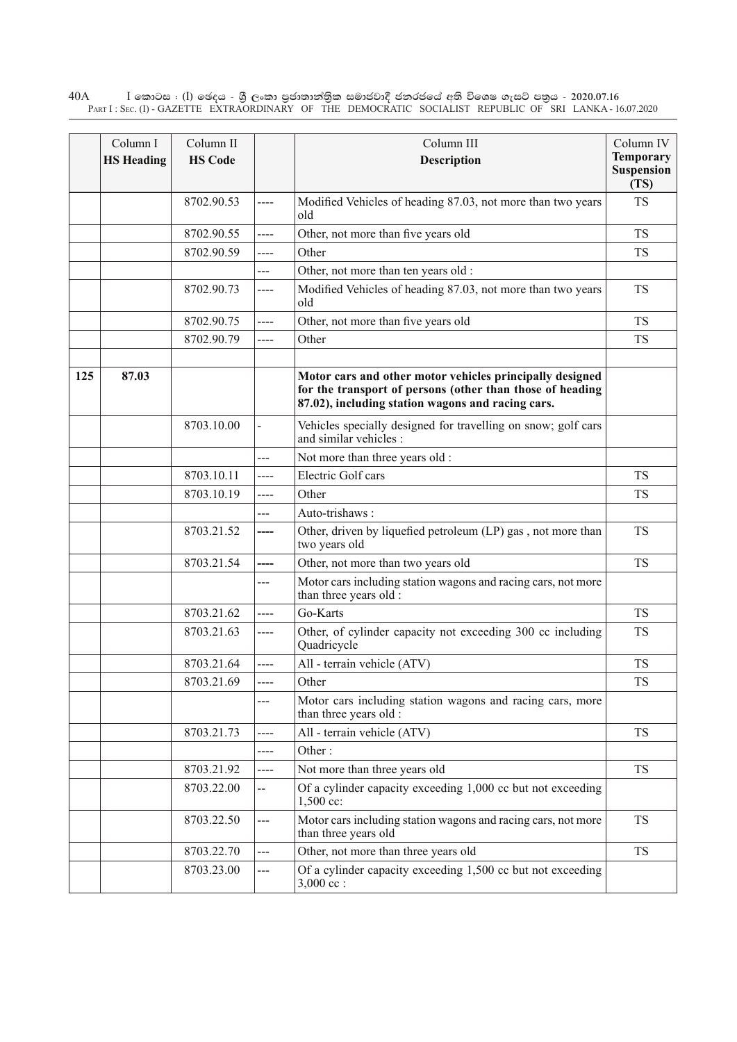$\rm I$  කොටස : ( $\rm I$ ) ඡෙදය - ශුී ලංකා පුජාතාන්තුික සමාජවාදී ජනරජයේ අති විශෙෂ ගැසට් පතුය - 2020.07.16 Part I : Sec. (I) - GAZETTE EXTRAORDINARY OF THE DEMOCRATIC SOCIALIST REPUBLIC OF SRI LANKA - 16.07.2020 40A

|     | Column I<br><b>HS Heading</b> | Column II<br><b>HS Code</b> |                | Column III<br>Description                                                                                                                                                  | Column IV<br><b>Temporary</b><br><b>Suspension</b> |
|-----|-------------------------------|-----------------------------|----------------|----------------------------------------------------------------------------------------------------------------------------------------------------------------------------|----------------------------------------------------|
|     |                               |                             |                |                                                                                                                                                                            | (TS)                                               |
|     |                               | 8702.90.53                  | ----           | Modified Vehicles of heading 87.03, not more than two years<br>old                                                                                                         | <b>TS</b>                                          |
|     |                               | 8702.90.55                  | ----           | Other, not more than five years old                                                                                                                                        | <b>TS</b>                                          |
|     |                               | 8702.90.59                  | ----           | Other                                                                                                                                                                      | <b>TS</b>                                          |
|     |                               |                             | ---            | Other, not more than ten years old :                                                                                                                                       |                                                    |
|     |                               | 8702.90.73                  | ----           | Modified Vehicles of heading 87.03, not more than two years<br>old                                                                                                         | <b>TS</b>                                          |
|     |                               | 8702.90.75                  | ----           | Other, not more than five years old                                                                                                                                        | <b>TS</b>                                          |
|     |                               | 8702.90.79                  | ----           | Other                                                                                                                                                                      | <b>TS</b>                                          |
| 125 | 87.03                         |                             |                | Motor cars and other motor vehicles principally designed<br>for the transport of persons (other than those of heading<br>87.02), including station wagons and racing cars. |                                                    |
|     |                               | 8703.10.00                  |                | Vehicles specially designed for travelling on snow; golf cars<br>and similar vehicles:                                                                                     |                                                    |
|     |                               |                             | ---            | Not more than three years old :                                                                                                                                            |                                                    |
|     |                               | 8703.10.11                  | ----           | <b>Electric Golf cars</b>                                                                                                                                                  | <b>TS</b>                                          |
|     |                               | 8703.10.19                  | ----           | Other                                                                                                                                                                      | <b>TS</b>                                          |
|     |                               |                             | ---            | Auto-trishaws:                                                                                                                                                             |                                                    |
|     |                               | 8703.21.52                  | ----           | Other, driven by liquefied petroleum (LP) gas, not more than<br>two years old                                                                                              | <b>TS</b>                                          |
|     |                               | 8703.21.54                  | ----           | Other, not more than two years old                                                                                                                                         | <b>TS</b>                                          |
|     |                               |                             | ---            | Motor cars including station wagons and racing cars, not more<br>than three years old :                                                                                    |                                                    |
|     |                               | 8703.21.62                  | ----           | Go-Karts                                                                                                                                                                   | <b>TS</b>                                          |
|     |                               | 8703.21.63                  | ----           | Other, of cylinder capacity not exceeding 300 cc including<br>Quadricycle                                                                                                  | TS                                                 |
|     |                               | 8703.21.64                  | ----           | All - terrain vehicle (ATV)                                                                                                                                                | <b>TS</b>                                          |
|     |                               | 8703.21.69                  |                | Other                                                                                                                                                                      | <b>TS</b>                                          |
|     |                               |                             | ---            | Motor cars including station wagons and racing cars, more<br>than three years old :                                                                                        |                                                    |
|     |                               | 8703.21.73                  | ----           | All - terrain vehicle (ATV)                                                                                                                                                | <b>TS</b>                                          |
|     |                               |                             | ----           | Other:                                                                                                                                                                     |                                                    |
|     |                               | 8703.21.92                  | ----           | Not more than three years old                                                                                                                                              | <b>TS</b>                                          |
|     |                               | 8703.22.00                  |                | Of a cylinder capacity exceeding 1,000 cc but not exceeding<br>1,500 cc:                                                                                                   |                                                    |
|     |                               | 8703.22.50                  | ---            | Motor cars including station wagons and racing cars, not more<br>than three years old                                                                                      | <b>TS</b>                                          |
|     |                               | 8703.22.70                  | $\overline{a}$ | Other, not more than three years old                                                                                                                                       | <b>TS</b>                                          |
|     |                               | 8703.23.00                  | ---            | Of a cylinder capacity exceeding 1,500 cc but not exceeding<br>$3,000$ cc :                                                                                                |                                                    |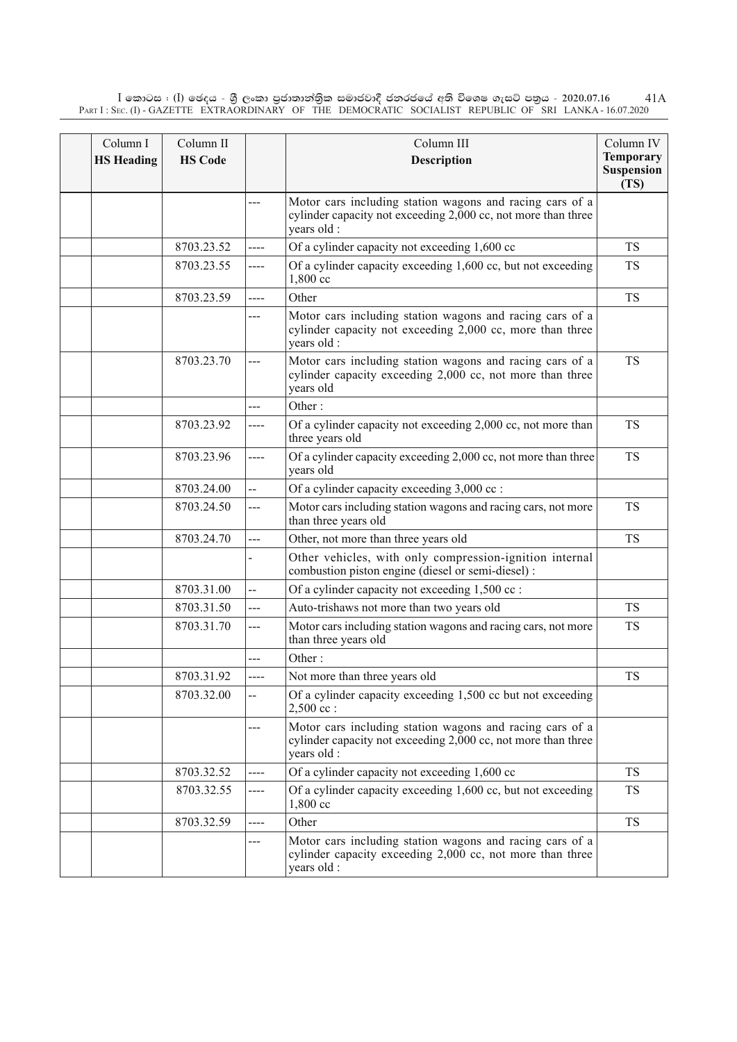$\rm I$  කොටස : ( $\rm I$ ) ඡෙදය - ශුී ලංකා පුජාතාන්තිුක සමාජවාදී ජනරජයේ අති විශෙෂ ගැසට් පතුය - 2020.07.16 Part I : Sec. (I) - GAZETTE EXTRAORDINARY OF THE DEMOCRATIC SOCIALIST REPUBLIC OF SRI LANKA - 16.07.2020 41A

| Column I<br><b>HS</b> Heading | Column II<br><b>HS Code</b> |                          | Column III<br><b>Description</b>                                                                                                         | Column IV<br><b>Temporary</b><br><b>Suspension</b><br>(TS) |
|-------------------------------|-----------------------------|--------------------------|------------------------------------------------------------------------------------------------------------------------------------------|------------------------------------------------------------|
|                               |                             | ---                      | Motor cars including station wagons and racing cars of a<br>cylinder capacity not exceeding 2,000 cc, not more than three<br>years old : |                                                            |
|                               | 8703.23.52                  | ----                     | Of a cylinder capacity not exceeding 1,600 cc                                                                                            | <b>TS</b>                                                  |
|                               | 8703.23.55                  | $---$                    | Of a cylinder capacity exceeding 1,600 cc, but not exceeding<br>$1,800$ cc                                                               | <b>TS</b>                                                  |
|                               | 8703.23.59                  | ----                     | Other                                                                                                                                    | <b>TS</b>                                                  |
|                               |                             | ---                      | Motor cars including station wagons and racing cars of a<br>cylinder capacity not exceeding 2,000 cc, more than three<br>years old :     |                                                            |
|                               | 8703.23.70                  | ---                      | Motor cars including station wagons and racing cars of a<br>cylinder capacity exceeding 2,000 cc, not more than three<br>years old       | <b>TS</b>                                                  |
|                               |                             | ---                      | Other:                                                                                                                                   |                                                            |
|                               | 8703.23.92                  | ----                     | Of a cylinder capacity not exceeding 2,000 cc, not more than<br>three years old                                                          | <b>TS</b>                                                  |
|                               | 8703.23.96                  | ----                     | Of a cylinder capacity exceeding 2,000 cc, not more than three<br>years old                                                              | <b>TS</b>                                                  |
|                               | 8703.24.00                  | $\overline{\phantom{a}}$ | Of a cylinder capacity exceeding 3,000 cc :                                                                                              |                                                            |
|                               | 8703.24.50                  | ---                      | Motor cars including station wagons and racing cars, not more<br>than three years old                                                    | <b>TS</b>                                                  |
|                               | 8703.24.70                  | ---                      | Other, not more than three years old                                                                                                     | <b>TS</b>                                                  |
|                               |                             |                          | Other vehicles, with only compression-ignition internal<br>combustion piston engine (diesel or semi-diesel) :                            |                                                            |
|                               | 8703.31.00                  | --                       | Of a cylinder capacity not exceeding 1,500 cc :                                                                                          |                                                            |
|                               | 8703.31.50                  | ---                      | Auto-trishaws not more than two years old                                                                                                | <b>TS</b>                                                  |
|                               | 8703.31.70                  | ---                      | Motor cars including station wagons and racing cars, not more<br>than three years old                                                    | <b>TS</b>                                                  |
|                               |                             | ---                      | Other:                                                                                                                                   |                                                            |
|                               | 8703.31.92                  | ----                     | Not more than three years old                                                                                                            | <b>TS</b>                                                  |
|                               | 8703.32.00                  | --                       | Of a cylinder capacity exceeding 1,500 cc but not exceeding<br>$2,500$ cc:                                                               |                                                            |
|                               |                             | ---                      | Motor cars including station wagons and racing cars of a<br>cylinder capacity not exceeding 2,000 cc, not more than three<br>years old : |                                                            |
|                               | 8703.32.52                  | ----                     | Of a cylinder capacity not exceeding 1,600 cc                                                                                            | <b>TS</b>                                                  |
|                               | 8703.32.55                  | ----                     | Of a cylinder capacity exceeding 1,600 cc, but not exceeding<br>1,800 cc                                                                 | <b>TS</b>                                                  |
|                               | 8703.32.59                  | $- - - -$                | Other                                                                                                                                    | <b>TS</b>                                                  |
|                               |                             | ---                      | Motor cars including station wagons and racing cars of a<br>cylinder capacity exceeding 2,000 cc, not more than three<br>years old :     |                                                            |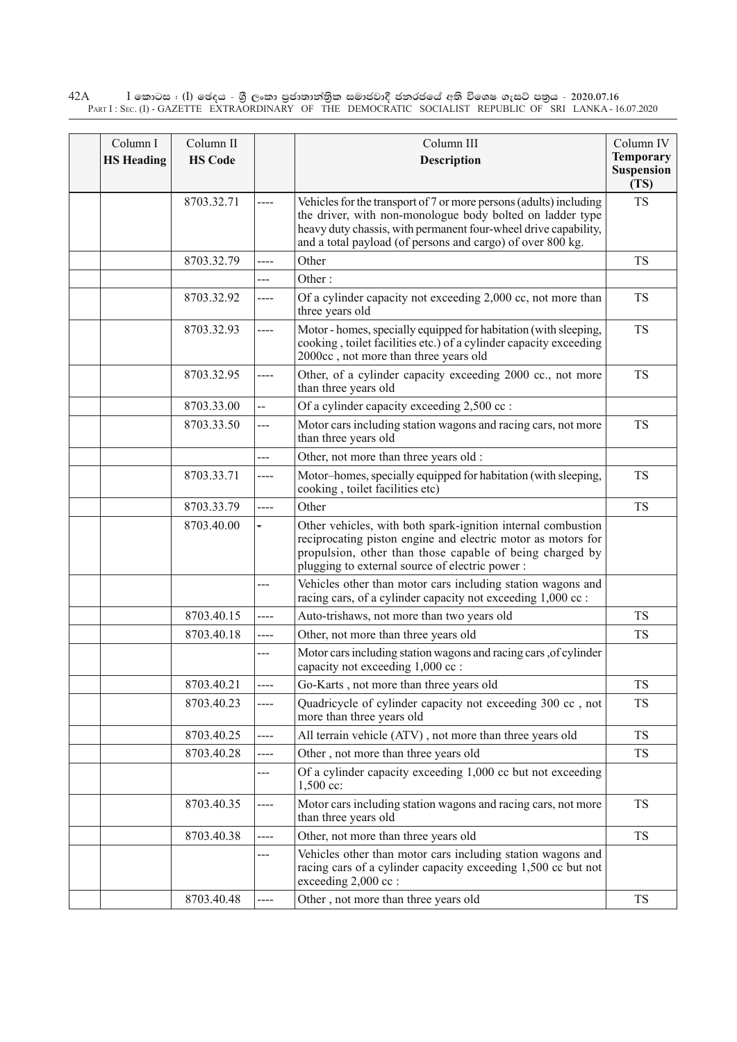$\rm I$  කොටස : ( $\rm I$ ) ඡෙදය - ශුී ලංකා පුජාතාන්තුික සමාජවාදී ජනරජයේ අති විශෙෂ ගැසට් පතුය - 2020.07.16 Part I : Sec. (I) - GAZETTE EXTRAORDINARY OF THE DEMOCRATIC SOCIALIST REPUBLIC OF SRI LANKA - 16.07.2020 42A

| Column I<br><b>HS Heading</b> | Column II<br><b>HS Code</b> |          | Column III<br>Description                                                                                                                                                                                                                                        | Column IV<br><b>Temporary</b><br><b>Suspension</b><br>(TS) |
|-------------------------------|-----------------------------|----------|------------------------------------------------------------------------------------------------------------------------------------------------------------------------------------------------------------------------------------------------------------------|------------------------------------------------------------|
|                               | 8703.32.71                  |          | Vehicles for the transport of 7 or more persons (adults) including<br>the driver, with non-monologue body bolted on ladder type<br>heavy duty chassis, with permanent four-wheel drive capability,<br>and a total payload (of persons and cargo) of over 800 kg. | <b>TS</b>                                                  |
|                               | 8703.32.79                  | ----     | Other                                                                                                                                                                                                                                                            | <b>TS</b>                                                  |
|                               |                             | ---      | Other:                                                                                                                                                                                                                                                           |                                                            |
|                               | 8703.32.92                  | ----     | Of a cylinder capacity not exceeding 2,000 cc, not more than<br>three years old                                                                                                                                                                                  | <b>TS</b>                                                  |
|                               | 8703.32.93                  | ----     | Motor - homes, specially equipped for habitation (with sleeping,<br>cooking, toilet facilities etc.) of a cylinder capacity exceeding<br>2000cc, not more than three years old                                                                                   | <b>TS</b>                                                  |
|                               | 8703.32.95                  | ----     | Other, of a cylinder capacity exceeding 2000 cc., not more<br>than three years old                                                                                                                                                                               | <b>TS</b>                                                  |
|                               | 8703.33.00                  | --       | Of a cylinder capacity exceeding 2,500 cc:                                                                                                                                                                                                                       |                                                            |
|                               | 8703.33.50                  | ---      | Motor cars including station wagons and racing cars, not more<br>than three years old                                                                                                                                                                            | <b>TS</b>                                                  |
|                               |                             | ---      | Other, not more than three years old :                                                                                                                                                                                                                           |                                                            |
|                               | 8703.33.71                  | ----     | Motor-homes, specially equipped for habitation (with sleeping,<br>cooking, toilet facilities etc)                                                                                                                                                                | <b>TS</b>                                                  |
|                               | 8703.33.79                  | ----     | Other                                                                                                                                                                                                                                                            | <b>TS</b>                                                  |
|                               | 8703.40.00                  | $\equiv$ | Other vehicles, with both spark-ignition internal combustion<br>reciprocating piston engine and electric motor as motors for<br>propulsion, other than those capable of being charged by<br>plugging to external source of electric power:                       |                                                            |
|                               |                             | ---      | Vehicles other than motor cars including station wagons and<br>racing cars, of a cylinder capacity not exceeding 1,000 cc :                                                                                                                                      |                                                            |
|                               | 8703.40.15                  | ----     | Auto-trishaws, not more than two years old                                                                                                                                                                                                                       | <b>TS</b>                                                  |
|                               | 8703.40.18                  | ----     | Other, not more than three years old                                                                                                                                                                                                                             | <b>TS</b>                                                  |
|                               |                             |          | Motor cars including station wagons and racing cars , of cylinder<br>capacity not exceeding 1,000 cc :                                                                                                                                                           |                                                            |
|                               | 8703.40.21                  | ----     | Go-Karts, not more than three years old                                                                                                                                                                                                                          | <b>TS</b>                                                  |
|                               | 8703.40.23                  | ----     | Quadricycle of cylinder capacity not exceeding 300 cc, not<br>more than three years old                                                                                                                                                                          | <b>TS</b>                                                  |
|                               | 8703.40.25                  | ----     | All terrain vehicle (ATV), not more than three years old                                                                                                                                                                                                         | <b>TS</b>                                                  |
|                               | 8703.40.28                  | ----     | Other, not more than three years old                                                                                                                                                                                                                             | <b>TS</b>                                                  |
|                               |                             | ---      | Of a cylinder capacity exceeding 1,000 cc but not exceeding<br>$1,500$ cc:                                                                                                                                                                                       |                                                            |
|                               | 8703.40.35                  | ----     | Motor cars including station wagons and racing cars, not more<br>than three years old                                                                                                                                                                            | <b>TS</b>                                                  |
|                               | 8703.40.38                  | ----     | Other, not more than three years old                                                                                                                                                                                                                             | <b>TS</b>                                                  |
|                               |                             | ---      | Vehicles other than motor cars including station wagons and<br>racing cars of a cylinder capacity exceeding 1,500 cc but not<br>exceeding 2,000 cc :                                                                                                             |                                                            |
|                               | 8703.40.48                  | ---      | Other, not more than three years old                                                                                                                                                                                                                             | TS                                                         |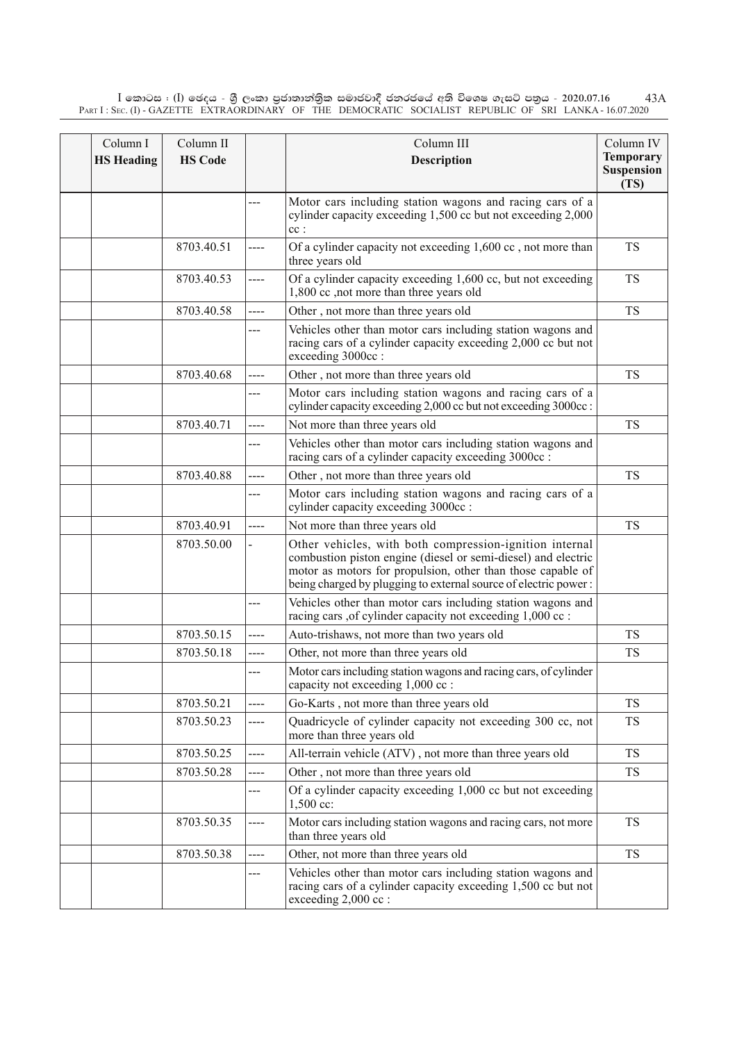$\rm I$  කොටස : ( $\rm I$ ) ඡෙදය - ශුී ලංකා පුජාතාන්තිුක සමාජවාදී ජනරජයේ අති විශෙෂ ගැසට් පතුය - 2020.07.16 Part I : Sec. (I) - GAZETTE EXTRAORDINARY OF THE DEMOCRATIC SOCIALIST REPUBLIC OF SRI LANKA - 16.07.2020 43A

| Column I<br><b>HS</b> Heading | Column II<br><b>HS Code</b> |      | Column III<br><b>Description</b>                                                                                                                                                                                                                           | Column IV<br><b>Temporary</b><br><b>Suspension</b><br>(TS) |
|-------------------------------|-----------------------------|------|------------------------------------------------------------------------------------------------------------------------------------------------------------------------------------------------------------------------------------------------------------|------------------------------------------------------------|
|                               |                             | ---  | Motor cars including station wagons and racing cars of a<br>cylinder capacity exceeding 1,500 cc but not exceeding 2,000<br>$cc$ :                                                                                                                         |                                                            |
|                               | 8703.40.51                  | ---- | Of a cylinder capacity not exceeding 1,600 cc, not more than<br>three years old                                                                                                                                                                            | <b>TS</b>                                                  |
|                               | 8703.40.53                  | ---- | Of a cylinder capacity exceeding 1,600 cc, but not exceeding<br>1,800 cc ,not more than three years old                                                                                                                                                    | <b>TS</b>                                                  |
|                               | 8703.40.58                  | ---- | Other, not more than three years old                                                                                                                                                                                                                       | <b>TS</b>                                                  |
|                               |                             | ---  | Vehicles other than motor cars including station wagons and<br>racing cars of a cylinder capacity exceeding 2,000 cc but not<br>exceeding 3000cc :                                                                                                         |                                                            |
|                               | 8703.40.68                  | ---- | Other, not more than three years old                                                                                                                                                                                                                       | <b>TS</b>                                                  |
|                               |                             | ---  | Motor cars including station wagons and racing cars of a<br>cylinder capacity exceeding 2,000 cc but not exceeding 3000cc :                                                                                                                                |                                                            |
|                               | 8703.40.71                  | ---- | Not more than three years old                                                                                                                                                                                                                              | <b>TS</b>                                                  |
|                               |                             | ---  | Vehicles other than motor cars including station wagons and<br>racing cars of a cylinder capacity exceeding 3000cc :                                                                                                                                       |                                                            |
|                               | 8703.40.88                  | ---- | Other, not more than three years old                                                                                                                                                                                                                       | <b>TS</b>                                                  |
|                               |                             | ---  | Motor cars including station wagons and racing cars of a<br>cylinder capacity exceeding 3000cc :                                                                                                                                                           |                                                            |
|                               | 8703.40.91                  | ---- | Not more than three years old                                                                                                                                                                                                                              | <b>TS</b>                                                  |
|                               | 8703.50.00                  |      | Other vehicles, with both compression-ignition internal<br>combustion piston engine (diesel or semi-diesel) and electric<br>motor as motors for propulsion, other than those capable of<br>being charged by plugging to external source of electric power: |                                                            |
|                               |                             | ---  | Vehicles other than motor cars including station wagons and<br>racing cars ,of cylinder capacity not exceeding 1,000 cc :                                                                                                                                  |                                                            |
|                               | 8703.50.15                  | ---- | Auto-trishaws, not more than two years old                                                                                                                                                                                                                 | <b>TS</b>                                                  |
|                               | 8703.50.18                  | ---- | Other, not more than three years old                                                                                                                                                                                                                       | <b>TS</b>                                                  |
|                               |                             | ---  | Motor cars including station wagons and racing cars, of cylinder<br>capacity not exceeding 1,000 cc :                                                                                                                                                      |                                                            |
|                               | 8703.50.21                  | ---- | Go-Karts, not more than three years old                                                                                                                                                                                                                    | <b>TS</b>                                                  |
|                               | 8703.50.23                  | ---- | Quadricycle of cylinder capacity not exceeding 300 cc, not<br>more than three years old                                                                                                                                                                    | TS                                                         |
|                               | 8703.50.25                  | ---- | All-terrain vehicle (ATV), not more than three years old                                                                                                                                                                                                   | <b>TS</b>                                                  |
|                               | 8703.50.28                  | ---- | Other, not more than three years old                                                                                                                                                                                                                       | <b>TS</b>                                                  |
|                               |                             | ---  | Of a cylinder capacity exceeding 1,000 cc but not exceeding<br>1,500 cc:                                                                                                                                                                                   |                                                            |
|                               | 8703.50.35                  | ---- | Motor cars including station wagons and racing cars, not more<br>than three years old                                                                                                                                                                      | <b>TS</b>                                                  |
|                               | 8703.50.38                  | ---- | Other, not more than three years old                                                                                                                                                                                                                       | <b>TS</b>                                                  |
|                               |                             | ---  | Vehicles other than motor cars including station wagons and<br>racing cars of a cylinder capacity exceeding 1,500 cc but not<br>exceeding $2,000$ cc :                                                                                                     |                                                            |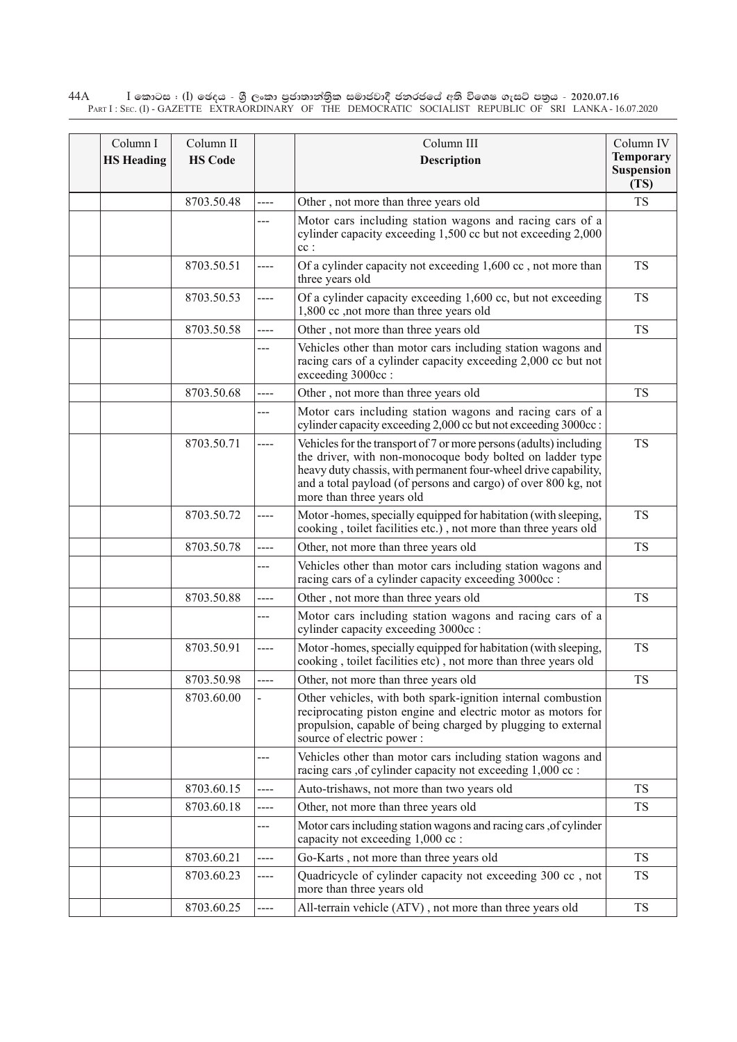$\rm I$  කොටස : ( $\rm I$ ) ඡෙදය - ශුී ලංකා පුජාතාන්තුික සමාජවාදී ජනරජයේ අති විශෙෂ ගැසට් පතුය - 2020.07.16 Part I : Sec. (I) - GAZETTE EXTRAORDINARY OF THE DEMOCRATIC SOCIALIST REPUBLIC OF SRI LANKA - 16.07.2020 44A

| Column I<br><b>HS Heading</b> | Column II<br><b>HS Code</b> |      | Column III<br><b>Description</b>                                                                                                                                                                                                                                                                  | Column IV<br><b>Temporary</b><br>Suspension<br>(TS) |
|-------------------------------|-----------------------------|------|---------------------------------------------------------------------------------------------------------------------------------------------------------------------------------------------------------------------------------------------------------------------------------------------------|-----------------------------------------------------|
|                               | 8703.50.48                  | ---- | Other, not more than three years old                                                                                                                                                                                                                                                              | <b>TS</b>                                           |
|                               |                             | ---  | Motor cars including station wagons and racing cars of a<br>cylinder capacity exceeding 1,500 cc but not exceeding 2,000<br>$cc$ :                                                                                                                                                                |                                                     |
|                               | 8703.50.51                  | ---- | Of a cylinder capacity not exceeding 1,600 cc, not more than<br>three years old                                                                                                                                                                                                                   | <b>TS</b>                                           |
|                               | 8703.50.53                  | ---- | Of a cylinder capacity exceeding 1,600 cc, but not exceeding<br>1,800 cc ,not more than three years old                                                                                                                                                                                           | <b>TS</b>                                           |
|                               | 8703.50.58                  | ---- | Other, not more than three years old                                                                                                                                                                                                                                                              | <b>TS</b>                                           |
|                               |                             | ---  | Vehicles other than motor cars including station wagons and<br>racing cars of a cylinder capacity exceeding 2,000 cc but not<br>exceeding 3000cc:                                                                                                                                                 |                                                     |
|                               | 8703.50.68                  | ---- | Other, not more than three years old                                                                                                                                                                                                                                                              | <b>TS</b>                                           |
|                               |                             | ---  | Motor cars including station wagons and racing cars of a<br>cylinder capacity exceeding 2,000 cc but not exceeding 3000cc :                                                                                                                                                                       |                                                     |
|                               | 8703.50.71                  | ---- | Vehicles for the transport of 7 or more persons (adults) including<br>the driver, with non-monocoque body bolted on ladder type<br>heavy duty chassis, with permanent four-wheel drive capability,<br>and a total payload (of persons and cargo) of over 800 kg, not<br>more than three years old | <b>TS</b>                                           |
|                               | 8703.50.72                  | ---- | Motor-homes, specially equipped for habitation (with sleeping,<br>cooking, toilet facilities etc.), not more than three years old                                                                                                                                                                 | <b>TS</b>                                           |
|                               | 8703.50.78                  | ---- | Other, not more than three years old                                                                                                                                                                                                                                                              | <b>TS</b>                                           |
|                               |                             | ---  | Vehicles other than motor cars including station wagons and<br>racing cars of a cylinder capacity exceeding 3000cc :                                                                                                                                                                              |                                                     |
|                               | 8703.50.88                  | ---- | Other, not more than three years old                                                                                                                                                                                                                                                              | <b>TS</b>                                           |
|                               |                             | ---  | Motor cars including station wagons and racing cars of a<br>cylinder capacity exceeding 3000cc :                                                                                                                                                                                                  |                                                     |
|                               | 8703.50.91                  | ---- | Motor-homes, specially equipped for habitation (with sleeping,<br>cooking, toilet facilities etc), not more than three years old                                                                                                                                                                  | <b>TS</b>                                           |
|                               | 8703.50.98                  |      | Other, not more than three years old                                                                                                                                                                                                                                                              | <b>TS</b>                                           |
|                               | 8703.60.00                  |      | Other vehicles, with both spark-ignition internal combustion<br>reciprocating piston engine and electric motor as motors for<br>propulsion, capable of being charged by plugging to external<br>source of electric power:                                                                         |                                                     |
|                               |                             | ---  | Vehicles other than motor cars including station wagons and<br>racing cars , of cylinder capacity not exceeding 1,000 cc :                                                                                                                                                                        |                                                     |
|                               | 8703.60.15                  | ---- | Auto-trishaws, not more than two years old                                                                                                                                                                                                                                                        | <b>TS</b>                                           |
|                               | 8703.60.18                  | ---- | Other, not more than three years old                                                                                                                                                                                                                                                              | <b>TS</b>                                           |
|                               |                             | ---  | Motor cars including station wagons and racing cars , of cylinder<br>capacity not exceeding 1,000 cc :                                                                                                                                                                                            |                                                     |
|                               | 8703.60.21                  | ---- | Go-Karts, not more than three years old                                                                                                                                                                                                                                                           | <b>TS</b>                                           |
|                               | 8703.60.23                  | ---- | Quadricycle of cylinder capacity not exceeding 300 cc, not<br>more than three years old                                                                                                                                                                                                           | <b>TS</b>                                           |
|                               | 8703.60.25                  | ---- | All-terrain vehicle (ATV), not more than three years old                                                                                                                                                                                                                                          | TS                                                  |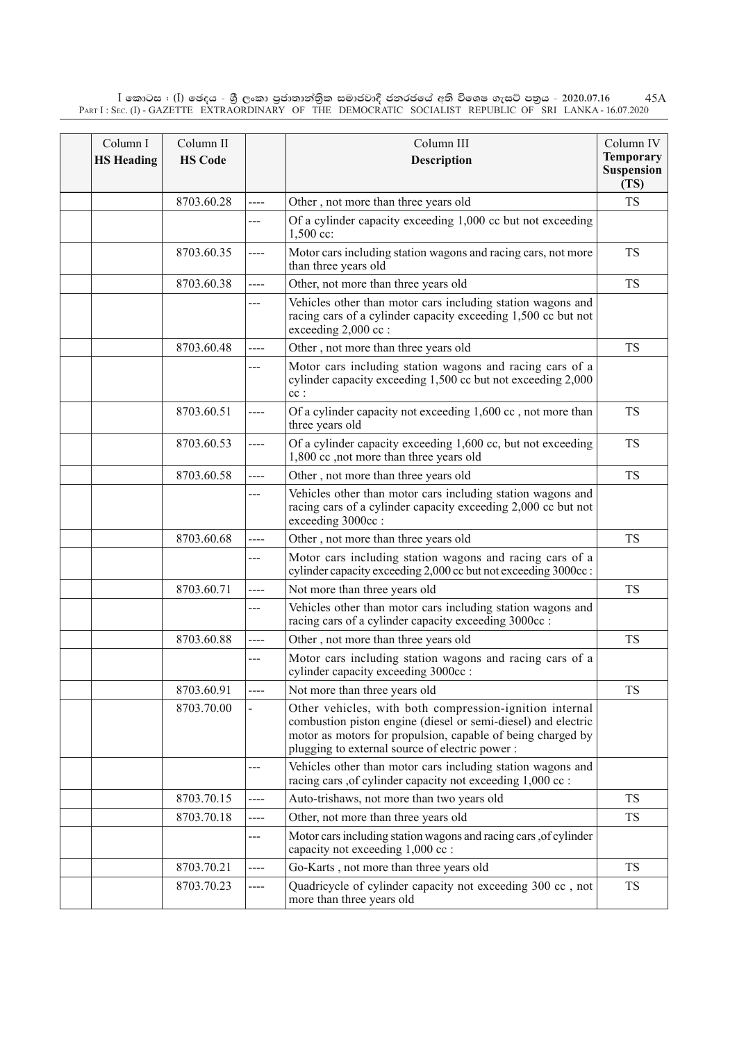$\rm I$  කොටස : ( $\rm I$ ) ඡෙදය - ශුී ලංකා පුජාතාන්තිුක සමාජවාදී ජනරජයේ අති විශෙෂ ගැසට් පතුය - 2020.07.16 Part I : Sec. (I) - GAZETTE EXTRAORDINARY OF THE DEMOCRATIC SOCIALIST REPUBLIC OF SRI LANKA - 16.07.2020 45A

| Column I<br><b>HS Heading</b> | Column II<br><b>HS Code</b> |      | Column III<br><b>Description</b>                                                                                                                                                                                                          | Column IV<br><b>Temporary</b><br><b>Suspension</b><br>(TS) |
|-------------------------------|-----------------------------|------|-------------------------------------------------------------------------------------------------------------------------------------------------------------------------------------------------------------------------------------------|------------------------------------------------------------|
|                               | 8703.60.28                  | ---- | Other, not more than three years old                                                                                                                                                                                                      | <b>TS</b>                                                  |
|                               |                             | ---  | Of a cylinder capacity exceeding 1,000 cc but not exceeding<br>$1,500$ cc:                                                                                                                                                                |                                                            |
|                               | 8703.60.35                  | ---- | Motor cars including station wagons and racing cars, not more<br>than three years old                                                                                                                                                     | <b>TS</b>                                                  |
|                               | 8703.60.38                  | ---- | Other, not more than three years old                                                                                                                                                                                                      | <b>TS</b>                                                  |
|                               |                             | ---  | Vehicles other than motor cars including station wagons and<br>racing cars of a cylinder capacity exceeding 1,500 cc but not<br>exceeding 2,000 cc :                                                                                      |                                                            |
|                               | 8703.60.48                  | ---- | Other, not more than three years old                                                                                                                                                                                                      | <b>TS</b>                                                  |
|                               |                             | ---  | Motor cars including station wagons and racing cars of a<br>cylinder capacity exceeding 1,500 cc but not exceeding 2,000<br>$cc$ :                                                                                                        |                                                            |
|                               | 8703.60.51                  | ---- | Of a cylinder capacity not exceeding 1,600 cc, not more than<br>three years old                                                                                                                                                           | <b>TS</b>                                                  |
|                               | 8703.60.53                  | ---- | Of a cylinder capacity exceeding 1,600 cc, but not exceeding<br>1,800 cc , not more than three years old                                                                                                                                  | <b>TS</b>                                                  |
|                               | 8703.60.58                  | ---- | Other, not more than three years old                                                                                                                                                                                                      | <b>TS</b>                                                  |
|                               |                             | ---  | Vehicles other than motor cars including station wagons and<br>racing cars of a cylinder capacity exceeding 2,000 cc but not<br>exceeding 3000cc:                                                                                         |                                                            |
|                               | 8703.60.68                  | ---- | Other, not more than three years old                                                                                                                                                                                                      | <b>TS</b>                                                  |
|                               |                             | ---  | Motor cars including station wagons and racing cars of a<br>cylinder capacity exceeding 2,000 cc but not exceeding 3000cc :                                                                                                               |                                                            |
|                               | 8703.60.71                  | ---- | Not more than three years old                                                                                                                                                                                                             | <b>TS</b>                                                  |
|                               |                             | ---  | Vehicles other than motor cars including station wagons and<br>racing cars of a cylinder capacity exceeding 3000cc :                                                                                                                      |                                                            |
|                               | 8703.60.88                  | ---- | Other, not more than three years old                                                                                                                                                                                                      | <b>TS</b>                                                  |
|                               |                             | ---  | Motor cars including station wagons and racing cars of a<br>cylinder capacity exceeding 3000cc :                                                                                                                                          |                                                            |
|                               | 8703.60.91                  | ---- | Not more than three years old                                                                                                                                                                                                             | <b>TS</b>                                                  |
|                               | 8703.70.00                  |      | Other vehicles, with both compression-ignition internal<br>combustion piston engine (diesel or semi-diesel) and electric<br>motor as motors for propulsion, capable of being charged by<br>plugging to external source of electric power: |                                                            |
|                               |                             | ---  | Vehicles other than motor cars including station wagons and<br>racing cars , of cylinder capacity not exceeding 1,000 cc :                                                                                                                |                                                            |
|                               | 8703.70.15                  | ---- | Auto-trishaws, not more than two years old                                                                                                                                                                                                | <b>TS</b>                                                  |
|                               | 8703.70.18                  | ---- | Other, not more than three years old                                                                                                                                                                                                      | <b>TS</b>                                                  |
|                               |                             | ---  | Motor cars including station wagons and racing cars , of cylinder<br>capacity not exceeding 1,000 cc :                                                                                                                                    |                                                            |
|                               | 8703.70.21                  | ---- | Go-Karts, not more than three years old                                                                                                                                                                                                   | <b>TS</b>                                                  |
|                               | 8703.70.23                  | ---- | Quadricycle of cylinder capacity not exceeding 300 cc, not<br>more than three years old                                                                                                                                                   | TS                                                         |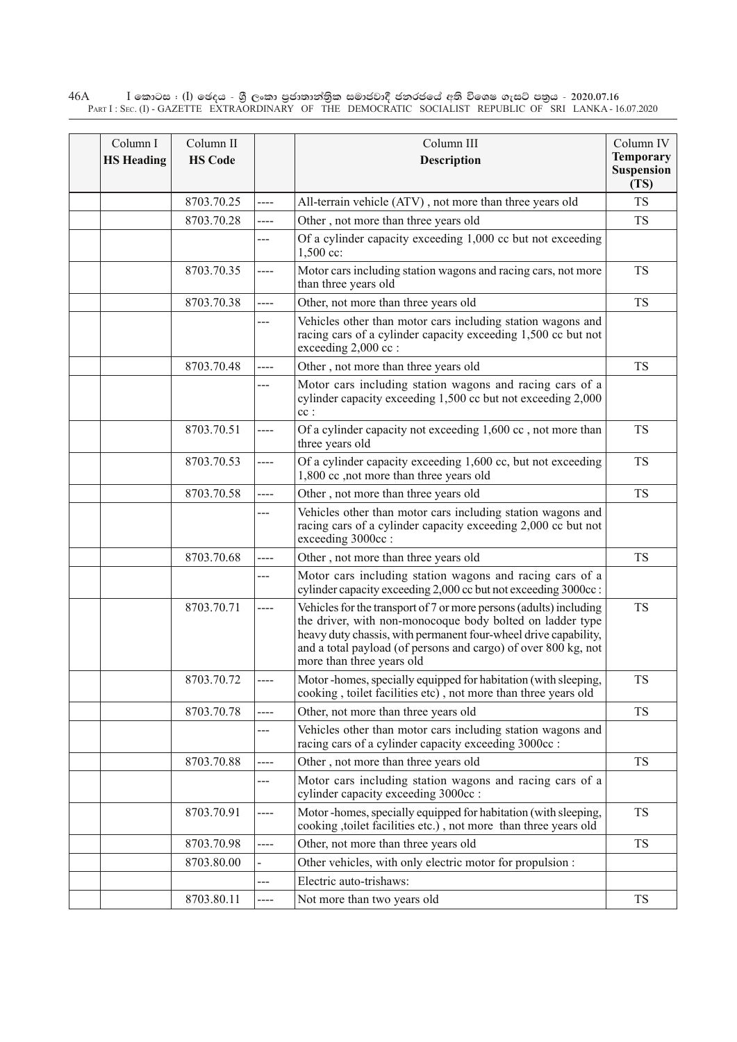$\rm I$  කොටස : ( $\rm I$ ) ඡෙදය - ශුී ලංකා පුජාතාන්තුික සමාජවාදී ජනරජයේ අති විශෙෂ ගැසට් පතුය - 2020.07.16 Part I : Sec. (I) - GAZETTE EXTRAORDINARY OF THE DEMOCRATIC SOCIALIST REPUBLIC OF SRI LANKA - 16.07.2020 46A

| Column I<br><b>HS Heading</b> | Column II<br><b>HS Code</b> |      | Column III<br>Description                                                                                                                                                                                                                                                                         | Column IV<br><b>Temporary</b><br><b>Suspension</b><br>(TS) |
|-------------------------------|-----------------------------|------|---------------------------------------------------------------------------------------------------------------------------------------------------------------------------------------------------------------------------------------------------------------------------------------------------|------------------------------------------------------------|
|                               | 8703.70.25                  | ---- | All-terrain vehicle (ATV), not more than three years old                                                                                                                                                                                                                                          | <b>TS</b>                                                  |
|                               | 8703.70.28                  | ---- | Other, not more than three years old                                                                                                                                                                                                                                                              | <b>TS</b>                                                  |
|                               |                             | ---  | Of a cylinder capacity exceeding 1,000 cc but not exceeding<br>1,500 cc:                                                                                                                                                                                                                          |                                                            |
|                               | 8703.70.35                  | ---- | Motor cars including station wagons and racing cars, not more<br>than three years old                                                                                                                                                                                                             | <b>TS</b>                                                  |
|                               | 8703.70.38                  | ---- | Other, not more than three years old                                                                                                                                                                                                                                                              | <b>TS</b>                                                  |
|                               |                             | ---  | Vehicles other than motor cars including station wagons and<br>racing cars of a cylinder capacity exceeding 1,500 cc but not<br>exceeding 2,000 cc :                                                                                                                                              |                                                            |
|                               | 8703.70.48                  | ---- | Other, not more than three years old                                                                                                                                                                                                                                                              | <b>TS</b>                                                  |
|                               |                             |      | Motor cars including station wagons and racing cars of a<br>cylinder capacity exceeding 1,500 cc but not exceeding 2,000<br>$cc$ :                                                                                                                                                                |                                                            |
|                               | 8703.70.51                  | ---- | Of a cylinder capacity not exceeding 1,600 cc, not more than<br>three years old                                                                                                                                                                                                                   | <b>TS</b>                                                  |
|                               | 8703.70.53                  | ---- | Of a cylinder capacity exceeding 1,600 cc, but not exceeding<br>1,800 cc , not more than three years old                                                                                                                                                                                          | <b>TS</b>                                                  |
|                               | 8703.70.58                  | ---- | Other, not more than three years old                                                                                                                                                                                                                                                              | <b>TS</b>                                                  |
|                               |                             | ---  | Vehicles other than motor cars including station wagons and<br>racing cars of a cylinder capacity exceeding 2,000 cc but not<br>exceeding 3000cc :                                                                                                                                                |                                                            |
|                               | 8703.70.68                  | ---- | Other, not more than three years old                                                                                                                                                                                                                                                              | <b>TS</b>                                                  |
|                               |                             | ---  | Motor cars including station wagons and racing cars of a<br>cylinder capacity exceeding 2,000 cc but not exceeding 3000cc :                                                                                                                                                                       |                                                            |
|                               | 8703.70.71                  | ---- | Vehicles for the transport of 7 or more persons (adults) including<br>the driver, with non-monocoque body bolted on ladder type<br>heavy duty chassis, with permanent four-wheel drive capability,<br>and a total payload (of persons and cargo) of over 800 kg, not<br>more than three years old | <b>TS</b>                                                  |
|                               | 8703.70.72                  |      | Motor-homes, specially equipped for habitation (with sleeping,<br>cooking, toilet facilities etc), not more than three years old                                                                                                                                                                  | <b>TS</b>                                                  |
|                               | 8703.70.78                  | ---- | Other, not more than three years old                                                                                                                                                                                                                                                              | <b>TS</b>                                                  |
|                               |                             | ---  | Vehicles other than motor cars including station wagons and<br>racing cars of a cylinder capacity exceeding 3000cc :                                                                                                                                                                              |                                                            |
|                               | 8703.70.88                  | ---- | Other, not more than three years old                                                                                                                                                                                                                                                              | <b>TS</b>                                                  |
|                               |                             | ---  | Motor cars including station wagons and racing cars of a<br>cylinder capacity exceeding 3000cc :                                                                                                                                                                                                  |                                                            |
|                               | 8703.70.91                  | ---- | Motor-homes, specially equipped for habitation (with sleeping,<br>cooking ,toilet facilities etc.), not more than three years old                                                                                                                                                                 | <b>TS</b>                                                  |
|                               | 8703.70.98                  | ---- | Other, not more than three years old                                                                                                                                                                                                                                                              | <b>TS</b>                                                  |
|                               | 8703.80.00                  |      | Other vehicles, with only electric motor for propulsion :                                                                                                                                                                                                                                         |                                                            |
|                               |                             | ---  | Electric auto-trishaws:                                                                                                                                                                                                                                                                           |                                                            |
|                               | 8703.80.11                  | ---- | Not more than two years old                                                                                                                                                                                                                                                                       | TS                                                         |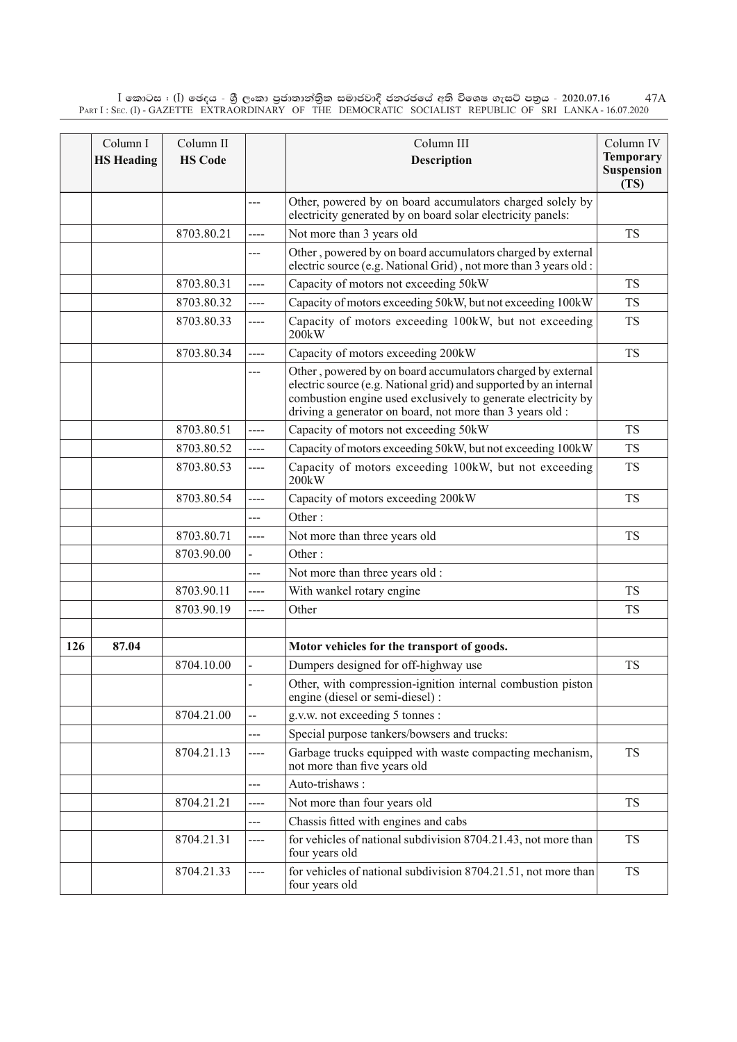$\rm I$  කොටස : ( $\rm I$ ) ඡෙදය - ශුී ලංකා පුජාතාන්තිුක සමාජවාදී ජනරජයේ අති විශෙෂ ගැසට් පතුය - 2020.07.16 Part I : Sec. (I) - GAZETTE EXTRAORDINARY OF THE DEMOCRATIC SOCIALIST REPUBLIC OF SRI LANKA - 16.07.2020 47A

|     | Column I<br><b>HS Heading</b> | Column II<br><b>HS Code</b> |      | Column III<br><b>Description</b>                                                                                                                                                                                                                               | Column IV<br><b>Temporary</b><br><b>Suspension</b><br>(TS) |
|-----|-------------------------------|-----------------------------|------|----------------------------------------------------------------------------------------------------------------------------------------------------------------------------------------------------------------------------------------------------------------|------------------------------------------------------------|
|     |                               |                             | ---  | Other, powered by on board accumulators charged solely by<br>electricity generated by on board solar electricity panels:                                                                                                                                       |                                                            |
|     |                               | 8703.80.21                  | ---- | Not more than 3 years old                                                                                                                                                                                                                                      | <b>TS</b>                                                  |
|     |                               |                             | ---  | Other, powered by on board accumulators charged by external<br>electric source (e.g. National Grid), not more than 3 years old :                                                                                                                               |                                                            |
|     |                               | 8703.80.31                  | ---- | Capacity of motors not exceeding 50kW                                                                                                                                                                                                                          | <b>TS</b>                                                  |
|     |                               | 8703.80.32                  | ---- | Capacity of motors exceeding 50kW, but not exceeding 100kW                                                                                                                                                                                                     | <b>TS</b>                                                  |
|     |                               | 8703.80.33                  | ---- | Capacity of motors exceeding 100kW, but not exceeding<br>200kW                                                                                                                                                                                                 | <b>TS</b>                                                  |
|     |                               | 8703.80.34                  | ---- | Capacity of motors exceeding 200kW                                                                                                                                                                                                                             | <b>TS</b>                                                  |
|     |                               |                             | ---  | Other, powered by on board accumulators charged by external<br>electric source (e.g. National grid) and supported by an internal<br>combustion engine used exclusively to generate electricity by<br>driving a generator on board, not more than 3 years old : |                                                            |
|     |                               | 8703.80.51                  | ---- | Capacity of motors not exceeding 50kW                                                                                                                                                                                                                          | <b>TS</b>                                                  |
|     |                               | 8703.80.52                  | ---- | Capacity of motors exceeding 50kW, but not exceeding 100kW                                                                                                                                                                                                     | <b>TS</b>                                                  |
|     |                               | 8703.80.53                  | ---- | Capacity of motors exceeding 100kW, but not exceeding<br>200kW                                                                                                                                                                                                 | <b>TS</b>                                                  |
|     |                               | 8703.80.54                  | ---- | Capacity of motors exceeding 200kW                                                                                                                                                                                                                             | <b>TS</b>                                                  |
|     |                               |                             | ---  | Other:                                                                                                                                                                                                                                                         |                                                            |
|     |                               | 8703.80.71                  | ---- | Not more than three years old                                                                                                                                                                                                                                  | <b>TS</b>                                                  |
|     |                               | 8703.90.00                  |      | Other:                                                                                                                                                                                                                                                         |                                                            |
|     |                               |                             | ---  | Not more than three years old :                                                                                                                                                                                                                                |                                                            |
|     |                               | 8703.90.11                  | ---- | With wankel rotary engine                                                                                                                                                                                                                                      | <b>TS</b>                                                  |
|     |                               | 8703.90.19                  | ---- | Other                                                                                                                                                                                                                                                          | <b>TS</b>                                                  |
|     |                               |                             |      |                                                                                                                                                                                                                                                                |                                                            |
| 126 | 87.04                         |                             |      | Motor vehicles for the transport of goods.                                                                                                                                                                                                                     |                                                            |
|     |                               | 8704.10.00                  |      | Dumpers designed for off-highway use                                                                                                                                                                                                                           | <b>TS</b>                                                  |
|     |                               |                             |      | Other, with compression-ignition internal combustion piston<br>engine (diesel or semi-diesel) :                                                                                                                                                                |                                                            |
|     |                               | 8704.21.00                  | --   | g.v.w. not exceeding 5 tonnes :                                                                                                                                                                                                                                |                                                            |
|     |                               |                             | ---  | Special purpose tankers/bowsers and trucks:                                                                                                                                                                                                                    |                                                            |
|     |                               | 8704.21.13                  | ---- | Garbage trucks equipped with waste compacting mechanism,<br>not more than five years old                                                                                                                                                                       | <b>TS</b>                                                  |
|     |                               |                             | ---  | Auto-trishaws:                                                                                                                                                                                                                                                 |                                                            |
|     |                               | 8704.21.21                  | ---- | Not more than four years old                                                                                                                                                                                                                                   | <b>TS</b>                                                  |
|     |                               |                             | ---  | Chassis fitted with engines and cabs                                                                                                                                                                                                                           |                                                            |
|     |                               | 8704.21.31                  | ---- | for vehicles of national subdivision 8704.21.43, not more than<br>four years old                                                                                                                                                                               | <b>TS</b>                                                  |
|     |                               | 8704.21.33                  | ---- | for vehicles of national subdivision 8704.21.51, not more than<br>four years old                                                                                                                                                                               | <b>TS</b>                                                  |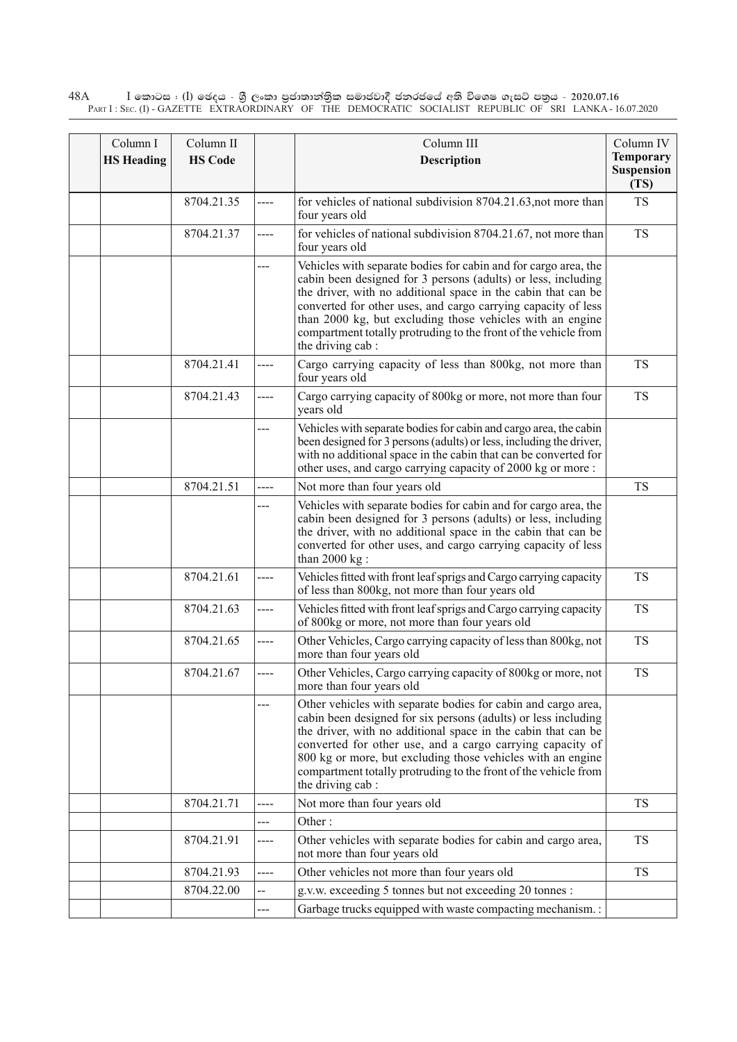$\rm I$  කොටස : ( $\rm I$ ) ඡෙදය - ශුී ලංකා පුජාතාන්තුික සමාජවාදී ජනරජයේ අති විශෙෂ ගැසට් පතුය - 2020.07.16 Part I : Sec. (I) - GAZETTE EXTRAORDINARY OF THE DEMOCRATIC SOCIALIST REPUBLIC OF SRI LANKA - 16.07.2020 48A

| Column I          | Column II      |       | Column III                                                                                                                                                                                                                                                                                                                                                                                                              | Column IV                                     |
|-------------------|----------------|-------|-------------------------------------------------------------------------------------------------------------------------------------------------------------------------------------------------------------------------------------------------------------------------------------------------------------------------------------------------------------------------------------------------------------------------|-----------------------------------------------|
| <b>HS Heading</b> | <b>HS Code</b> |       | Description                                                                                                                                                                                                                                                                                                                                                                                                             | <b>Temporary</b><br><b>Suspension</b><br>(TS) |
|                   | 8704.21.35     | ----  | for vehicles of national subdivision 8704.21.63, not more than<br>four years old                                                                                                                                                                                                                                                                                                                                        | <b>TS</b>                                     |
|                   | 8704.21.37     | $---$ | for vehicles of national subdivision 8704.21.67, not more than<br>four years old                                                                                                                                                                                                                                                                                                                                        | <b>TS</b>                                     |
|                   |                |       | Vehicles with separate bodies for cabin and for cargo area, the<br>cabin been designed for 3 persons (adults) or less, including<br>the driver, with no additional space in the cabin that can be<br>converted for other uses, and cargo carrying capacity of less<br>than 2000 kg, but excluding those vehicles with an engine<br>compartment totally protruding to the front of the vehicle from<br>the driving cab : |                                               |
|                   | 8704.21.41     |       | Cargo carrying capacity of less than 800kg, not more than<br>four years old                                                                                                                                                                                                                                                                                                                                             | <b>TS</b>                                     |
|                   | 8704.21.43     | ----  | Cargo carrying capacity of 800kg or more, not more than four<br>years old                                                                                                                                                                                                                                                                                                                                               | <b>TS</b>                                     |
|                   |                | ---   | Vehicles with separate bodies for cabin and cargo area, the cabin<br>been designed for 3 persons (adults) or less, including the driver,<br>with no additional space in the cabin that can be converted for<br>other uses, and cargo carrying capacity of 2000 kg or more:                                                                                                                                              |                                               |
|                   | 8704.21.51     | ----  | Not more than four years old                                                                                                                                                                                                                                                                                                                                                                                            | <b>TS</b>                                     |
|                   |                |       | Vehicles with separate bodies for cabin and for cargo area, the<br>cabin been designed for 3 persons (adults) or less, including<br>the driver, with no additional space in the cabin that can be<br>converted for other uses, and cargo carrying capacity of less<br>than $2000$ kg :                                                                                                                                  |                                               |
|                   | 8704.21.61     | ----  | Vehicles fitted with front leaf sprigs and Cargo carrying capacity<br>of less than 800kg, not more than four years old                                                                                                                                                                                                                                                                                                  | <b>TS</b>                                     |
|                   | 8704.21.63     | ----  | Vehicles fitted with front leaf sprigs and Cargo carrying capacity<br>of 800kg or more, not more than four years old                                                                                                                                                                                                                                                                                                    | <b>TS</b>                                     |
|                   | 8704.21.65     | ----  | Other Vehicles, Cargo carrying capacity of less than 800kg, not<br>more than four years old                                                                                                                                                                                                                                                                                                                             | <b>TS</b>                                     |
|                   | 8704.21.67     | ----  | Other Vehicles, Cargo carrying capacity of 800kg or more, not<br>more than four years old                                                                                                                                                                                                                                                                                                                               | <b>TS</b>                                     |
|                   |                | ---   | Other vehicles with separate bodies for cabin and cargo area,<br>cabin been designed for six persons (adults) or less including<br>the driver, with no additional space in the cabin that can be<br>converted for other use, and a cargo carrying capacity of<br>800 kg or more, but excluding those vehicles with an engine<br>compartment totally protruding to the front of the vehicle from<br>the driving cab:     |                                               |
|                   | 8704.21.71     | ----  | Not more than four years old                                                                                                                                                                                                                                                                                                                                                                                            | <b>TS</b>                                     |
|                   |                | ---   | Other:                                                                                                                                                                                                                                                                                                                                                                                                                  |                                               |
|                   | 8704.21.91     | ----  | Other vehicles with separate bodies for cabin and cargo area,<br>not more than four years old                                                                                                                                                                                                                                                                                                                           | <b>TS</b>                                     |
|                   | 8704.21.93     | ----  | Other vehicles not more than four years old                                                                                                                                                                                                                                                                                                                                                                             | <b>TS</b>                                     |
|                   | 8704.22.00     | --    | g.v.w. exceeding 5 tonnes but not exceeding 20 tonnes :                                                                                                                                                                                                                                                                                                                                                                 |                                               |
|                   |                | ---   | Garbage trucks equipped with waste compacting mechanism.:                                                                                                                                                                                                                                                                                                                                                               |                                               |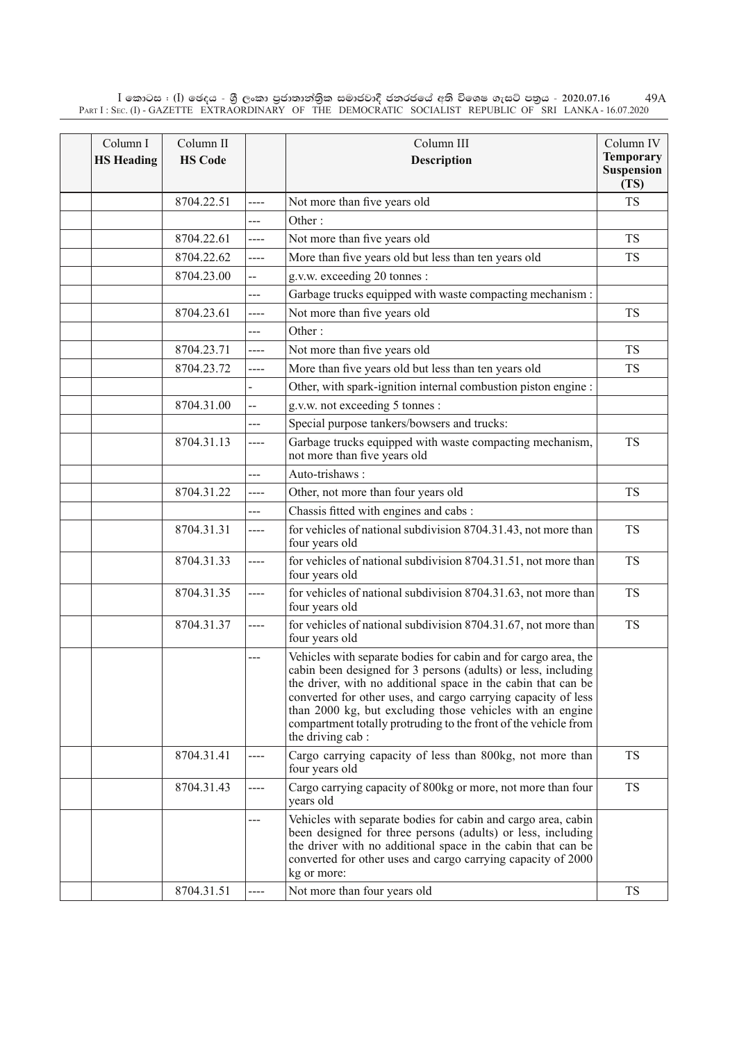$\rm I$  කොටස : ( $\rm I$ ) ඡෙදය - ශුී ලංකා පුජාතාන්තිුක සමාජවාදී ජනරජයේ අති විශෙෂ ගැසට් පතුය - 2020.07.16 Part I : Sec. (I) - GAZETTE EXTRAORDINARY OF THE DEMOCRATIC SOCIALIST REPUBLIC OF SRI LANKA - 16.07.2020 49A

| Column I<br><b>HS Heading</b> | Column II<br><b>HS Code</b> |                | Column III<br><b>Description</b>                                                                                                                                                                                                                                                                                                                                                                                       | Column IV<br><b>Temporary</b><br><b>Suspension</b><br>(TS) |
|-------------------------------|-----------------------------|----------------|------------------------------------------------------------------------------------------------------------------------------------------------------------------------------------------------------------------------------------------------------------------------------------------------------------------------------------------------------------------------------------------------------------------------|------------------------------------------------------------|
|                               | 8704.22.51                  | ----           | Not more than five years old                                                                                                                                                                                                                                                                                                                                                                                           | <b>TS</b>                                                  |
|                               |                             | ---            | Other:                                                                                                                                                                                                                                                                                                                                                                                                                 |                                                            |
|                               | 8704.22.61                  | ----           | Not more than five years old                                                                                                                                                                                                                                                                                                                                                                                           | <b>TS</b>                                                  |
|                               | 8704.22.62                  | ----           | More than five years old but less than ten years old                                                                                                                                                                                                                                                                                                                                                                   | <b>TS</b>                                                  |
|                               | 8704.23.00                  | ÷              | g.v.w. exceeding 20 tonnes :                                                                                                                                                                                                                                                                                                                                                                                           |                                                            |
|                               |                             | ---            | Garbage trucks equipped with waste compacting mechanism :                                                                                                                                                                                                                                                                                                                                                              |                                                            |
|                               | 8704.23.61                  | ----           | Not more than five years old                                                                                                                                                                                                                                                                                                                                                                                           | <b>TS</b>                                                  |
|                               |                             | ---            | Other:                                                                                                                                                                                                                                                                                                                                                                                                                 |                                                            |
|                               | 8704.23.71                  | ----           | Not more than five years old                                                                                                                                                                                                                                                                                                                                                                                           | <b>TS</b>                                                  |
|                               | 8704.23.72                  | ----           | More than five years old but less than ten years old                                                                                                                                                                                                                                                                                                                                                                   | <b>TS</b>                                                  |
|                               |                             |                | Other, with spark-ignition internal combustion piston engine :                                                                                                                                                                                                                                                                                                                                                         |                                                            |
|                               | 8704.31.00                  | --             | g.v.w. not exceeding 5 tonnes :                                                                                                                                                                                                                                                                                                                                                                                        |                                                            |
|                               |                             | ---            | Special purpose tankers/bowsers and trucks:                                                                                                                                                                                                                                                                                                                                                                            |                                                            |
|                               | 8704.31.13                  | ----           | Garbage trucks equipped with waste compacting mechanism,<br>not more than five years old                                                                                                                                                                                                                                                                                                                               | <b>TS</b>                                                  |
|                               |                             | $\overline{a}$ | Auto-trishaws:                                                                                                                                                                                                                                                                                                                                                                                                         |                                                            |
|                               | 8704.31.22                  | ----           | Other, not more than four years old                                                                                                                                                                                                                                                                                                                                                                                    | <b>TS</b>                                                  |
|                               |                             | ---            | Chassis fitted with engines and cabs:                                                                                                                                                                                                                                                                                                                                                                                  |                                                            |
|                               | 8704.31.31                  | ----           | for vehicles of national subdivision 8704.31.43, not more than<br>four years old                                                                                                                                                                                                                                                                                                                                       | <b>TS</b>                                                  |
|                               | 8704.31.33                  | $---$          | for vehicles of national subdivision 8704.31.51, not more than<br>four years old                                                                                                                                                                                                                                                                                                                                       | <b>TS</b>                                                  |
|                               | 8704.31.35                  | $---$          | for vehicles of national subdivision 8704.31.63, not more than<br>four years old                                                                                                                                                                                                                                                                                                                                       | <b>TS</b>                                                  |
|                               | 8704.31.37                  | ----           | for vehicles of national subdivision 8704.31.67, not more than<br>four years old                                                                                                                                                                                                                                                                                                                                       | <b>TS</b>                                                  |
|                               |                             | ---            | Vehicles with separate bodies for cabin and for cargo area, the<br>cabin been designed for 3 persons (adults) or less, including<br>the driver, with no additional space in the cabin that can be<br>converted for other uses, and cargo carrying capacity of less<br>than 2000 kg, but excluding those vehicles with an engine<br>compartment totally protruding to the front of the vehicle from<br>the driving cab: |                                                            |
|                               | 8704.31.41                  | ----           | Cargo carrying capacity of less than 800kg, not more than<br>four years old                                                                                                                                                                                                                                                                                                                                            | <b>TS</b>                                                  |
|                               | 8704.31.43                  | ----           | Cargo carrying capacity of 800kg or more, not more than four<br>years old                                                                                                                                                                                                                                                                                                                                              | <b>TS</b>                                                  |
|                               |                             | $--$           | Vehicles with separate bodies for cabin and cargo area, cabin<br>been designed for three persons (adults) or less, including<br>the driver with no additional space in the cabin that can be<br>converted for other uses and cargo carrying capacity of 2000<br>kg or more:                                                                                                                                            |                                                            |
|                               | 8704.31.51                  | ---            | Not more than four years old                                                                                                                                                                                                                                                                                                                                                                                           | <b>TS</b>                                                  |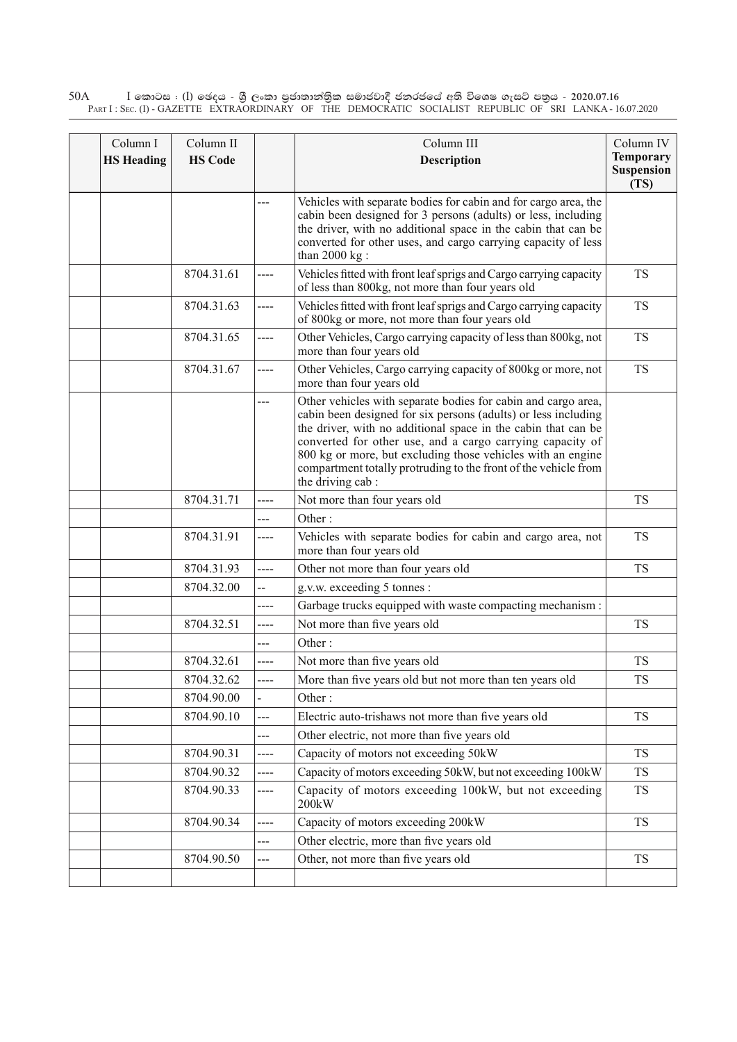$\rm I$  කොටස : ( $\rm I$ ) ඡෙදය - ශුී ලංකා පුජාතාන්තුික සමාජවාදී ජනරජයේ අති විශෙෂ ගැසට් පතුය - 2020.07.16 Part I : Sec. (I) - GAZETTE EXTRAORDINARY OF THE DEMOCRATIC SOCIALIST REPUBLIC OF SRI LANKA - 16.07.2020 50A

| Column I          | Column II      |       | Column III                                                                                                                                                                                                                                                                                                                                                                                                          | Column IV<br><b>Temporary</b> |
|-------------------|----------------|-------|---------------------------------------------------------------------------------------------------------------------------------------------------------------------------------------------------------------------------------------------------------------------------------------------------------------------------------------------------------------------------------------------------------------------|-------------------------------|
| <b>HS Heading</b> | <b>HS Code</b> |       | Description                                                                                                                                                                                                                                                                                                                                                                                                         | <b>Suspension</b><br>(TS)     |
|                   |                | ---   | Vehicles with separate bodies for cabin and for cargo area, the<br>cabin been designed for 3 persons (adults) or less, including<br>the driver, with no additional space in the cabin that can be<br>converted for other uses, and cargo carrying capacity of less<br>than $2000$ kg :                                                                                                                              |                               |
|                   | 8704.31.61     | ----  | Vehicles fitted with front leaf sprigs and Cargo carrying capacity<br>of less than 800kg, not more than four years old                                                                                                                                                                                                                                                                                              | <b>TS</b>                     |
|                   | 8704.31.63     | ----  | Vehicles fitted with front leaf sprigs and Cargo carrying capacity<br>of 800kg or more, not more than four years old                                                                                                                                                                                                                                                                                                | <b>TS</b>                     |
|                   | 8704.31.65     | $---$ | Other Vehicles, Cargo carrying capacity of less than 800kg, not<br>more than four years old                                                                                                                                                                                                                                                                                                                         | <b>TS</b>                     |
|                   | 8704.31.67     | ----  | Other Vehicles, Cargo carrying capacity of 800kg or more, not<br>more than four years old                                                                                                                                                                                                                                                                                                                           | <b>TS</b>                     |
|                   |                | ---   | Other vehicles with separate bodies for cabin and cargo area,<br>cabin been designed for six persons (adults) or less including<br>the driver, with no additional space in the cabin that can be<br>converted for other use, and a cargo carrying capacity of<br>800 kg or more, but excluding those vehicles with an engine<br>compartment totally protruding to the front of the vehicle from<br>the driving cab: |                               |
|                   | 8704.31.71     | ----  | Not more than four years old                                                                                                                                                                                                                                                                                                                                                                                        | <b>TS</b>                     |
|                   |                |       | Other:                                                                                                                                                                                                                                                                                                                                                                                                              |                               |
|                   | 8704.31.91     | ----  | Vehicles with separate bodies for cabin and cargo area, not<br>more than four years old                                                                                                                                                                                                                                                                                                                             | <b>TS</b>                     |
|                   | 8704.31.93     | ----  | Other not more than four years old                                                                                                                                                                                                                                                                                                                                                                                  | <b>TS</b>                     |
|                   | 8704.32.00     | --    | g.v.w. exceeding 5 tonnes :                                                                                                                                                                                                                                                                                                                                                                                         |                               |
|                   |                | ----  | Garbage trucks equipped with waste compacting mechanism :                                                                                                                                                                                                                                                                                                                                                           |                               |
|                   | 8704.32.51     | ----  | Not more than five years old                                                                                                                                                                                                                                                                                                                                                                                        | <b>TS</b>                     |
|                   |                | ---   | Other:                                                                                                                                                                                                                                                                                                                                                                                                              |                               |
|                   | 8704.32.61     | ----  | Not more than five years old                                                                                                                                                                                                                                                                                                                                                                                        | TS                            |
|                   | 8704.32.62     |       | More than five years old but not more than ten years old                                                                                                                                                                                                                                                                                                                                                            | <b>TS</b>                     |
|                   | 8704.90.00     |       | Other:                                                                                                                                                                                                                                                                                                                                                                                                              |                               |
|                   | 8704.90.10     | ---   | Electric auto-trishaws not more than five years old                                                                                                                                                                                                                                                                                                                                                                 | <b>TS</b>                     |
|                   |                | ---   | Other electric, not more than five years old                                                                                                                                                                                                                                                                                                                                                                        |                               |
|                   | 8704.90.31     | ----  | Capacity of motors not exceeding 50kW                                                                                                                                                                                                                                                                                                                                                                               | <b>TS</b>                     |
|                   | 8704.90.32     | ----  | Capacity of motors exceeding 50kW, but not exceeding 100kW                                                                                                                                                                                                                                                                                                                                                          | TS                            |
|                   | 8704.90.33     | ----  | Capacity of motors exceeding 100kW, but not exceeding<br>200kW                                                                                                                                                                                                                                                                                                                                                      | TS                            |
|                   | 8704.90.34     | ----  | Capacity of motors exceeding 200kW                                                                                                                                                                                                                                                                                                                                                                                  | <b>TS</b>                     |
|                   |                | ---   | Other electric, more than five years old                                                                                                                                                                                                                                                                                                                                                                            |                               |
|                   | 8704.90.50     | ---   | Other, not more than five years old                                                                                                                                                                                                                                                                                                                                                                                 | TS                            |
|                   |                |       |                                                                                                                                                                                                                                                                                                                                                                                                                     |                               |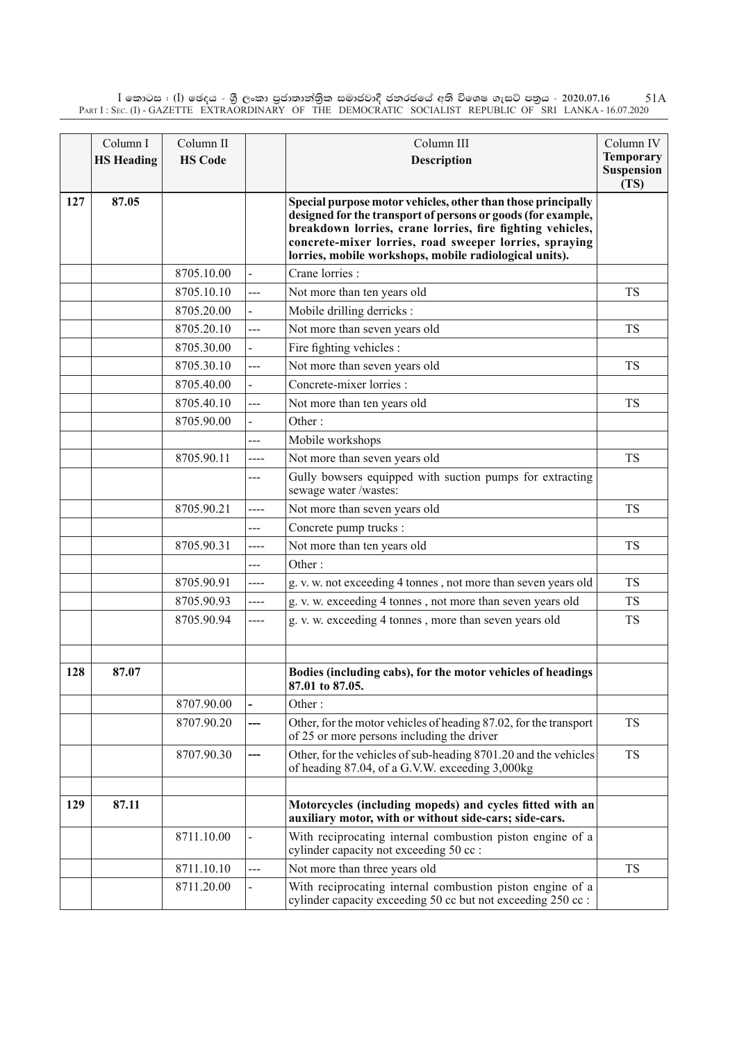$\rm I$  කොටස : ( $\rm I$ ) ඡෙදය - ශුී ලංකා පුජාතාන්තිුක සමාජවාදී ජනරජයේ අති විශෙෂ ගැසට් පතුය - 2020.07.16 Part I : Sec. (I) - GAZETTE EXTRAORDINARY OF THE DEMOCRATIC SOCIALIST REPUBLIC OF SRI LANKA - 16.07.2020 51A

|     | Column I<br><b>HS Heading</b> | Column II<br><b>HS Code</b> |                          | Column III<br><b>Description</b>                                                                                                                                                                                                                                                                              | Column IV<br><b>Temporary</b><br>Suspension<br>(TS) |
|-----|-------------------------------|-----------------------------|--------------------------|---------------------------------------------------------------------------------------------------------------------------------------------------------------------------------------------------------------------------------------------------------------------------------------------------------------|-----------------------------------------------------|
| 127 | 87.05                         |                             |                          | Special purpose motor vehicles, other than those principally<br>designed for the transport of persons or goods (for example,<br>breakdown lorries, crane lorries, fire fighting vehicles,<br>concrete-mixer lorries, road sweeper lorries, spraying<br>lorries, mobile workshops, mobile radiological units). |                                                     |
|     |                               | 8705.10.00                  |                          | Crane lorries :                                                                                                                                                                                                                                                                                               |                                                     |
|     |                               | 8705.10.10                  | ---                      | Not more than ten years old                                                                                                                                                                                                                                                                                   | <b>TS</b>                                           |
|     |                               | 8705.20.00                  | $\overline{\phantom{a}}$ | Mobile drilling derricks :                                                                                                                                                                                                                                                                                    |                                                     |
|     |                               | 8705.20.10                  | ---                      | Not more than seven years old                                                                                                                                                                                                                                                                                 | <b>TS</b>                                           |
|     |                               | 8705.30.00                  | $\overline{\phantom{a}}$ | Fire fighting vehicles :                                                                                                                                                                                                                                                                                      |                                                     |
|     |                               | 8705.30.10                  | ---                      | Not more than seven years old                                                                                                                                                                                                                                                                                 | <b>TS</b>                                           |
|     |                               | 8705.40.00                  | $\overline{\phantom{0}}$ | Concrete-mixer lorries :                                                                                                                                                                                                                                                                                      |                                                     |
|     |                               | 8705.40.10                  | ---                      | Not more than ten years old                                                                                                                                                                                                                                                                                   | <b>TS</b>                                           |
|     |                               | 8705.90.00                  |                          | Other:                                                                                                                                                                                                                                                                                                        |                                                     |
|     |                               |                             | ---                      | Mobile workshops                                                                                                                                                                                                                                                                                              |                                                     |
|     |                               | 8705.90.11                  | ----                     | Not more than seven years old                                                                                                                                                                                                                                                                                 | <b>TS</b>                                           |
|     |                               |                             | ---                      | Gully bowsers equipped with suction pumps for extracting<br>sewage water/wastes:                                                                                                                                                                                                                              |                                                     |
|     |                               | 8705.90.21                  | ----                     | Not more than seven years old                                                                                                                                                                                                                                                                                 | <b>TS</b>                                           |
|     |                               |                             | ---                      | Concrete pump trucks:                                                                                                                                                                                                                                                                                         |                                                     |
|     |                               | 8705.90.31                  | ----                     | Not more than ten years old                                                                                                                                                                                                                                                                                   | <b>TS</b>                                           |
|     |                               |                             | ---                      | Other:                                                                                                                                                                                                                                                                                                        |                                                     |
|     |                               | 8705.90.91                  | ----                     | g. v. w. not exceeding 4 tonnes, not more than seven years old                                                                                                                                                                                                                                                | <b>TS</b>                                           |
|     |                               | 8705.90.93                  | ----                     | g. v. w. exceeding 4 tonnes, not more than seven years old                                                                                                                                                                                                                                                    | <b>TS</b>                                           |
|     |                               | 8705.90.94                  | ----                     | g. v. w. exceeding 4 tonnes, more than seven years old                                                                                                                                                                                                                                                        | <b>TS</b>                                           |
| 128 | 87.07                         |                             |                          | Bodies (including cabs), for the motor vehicles of headings<br>87.01 to 87.05.                                                                                                                                                                                                                                |                                                     |
|     |                               | 8707.90.00                  | $\overline{a}$           | Other:                                                                                                                                                                                                                                                                                                        |                                                     |
|     |                               | 8707.90.20                  | ---                      | Other, for the motor vehicles of heading 87.02, for the transport<br>of 25 or more persons including the driver                                                                                                                                                                                               | <b>TS</b>                                           |
|     |                               | 8707.90.30                  | ---                      | Other, for the vehicles of sub-heading 8701.20 and the vehicles<br>of heading 87.04, of a G.V.W. exceeding 3,000kg                                                                                                                                                                                            | <b>TS</b>                                           |
| 129 | 87.11                         |                             |                          | Motorcycles (including mopeds) and cycles fitted with an<br>auxiliary motor, with or without side-cars; side-cars.                                                                                                                                                                                            |                                                     |
|     |                               | 8711.10.00                  | -                        | With reciprocating internal combustion piston engine of a<br>cylinder capacity not exceeding 50 cc :                                                                                                                                                                                                          |                                                     |
|     |                               | 8711.10.10                  | ---                      | Not more than three years old                                                                                                                                                                                                                                                                                 | <b>TS</b>                                           |
|     |                               | 8711.20.00                  |                          | With reciprocating internal combustion piston engine of a<br>cylinder capacity exceeding 50 cc but not exceeding 250 cc :                                                                                                                                                                                     |                                                     |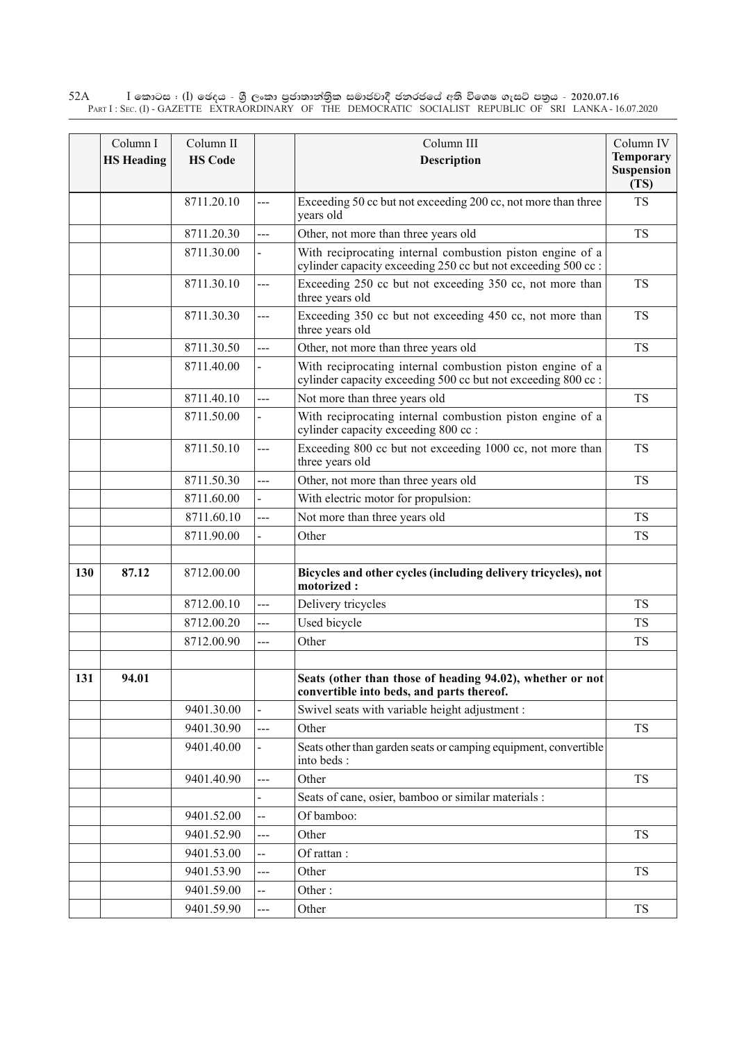$\rm I$  කොටස : ( $\rm I$ ) ඡෙදය - ශුී ලංකා පුජාතාන්තුික සමාජවාදී ජනරජයේ අති විශෙෂ ගැසට් පතුය - 2020.07.16 Part I : Sec. (I) - GAZETTE EXTRAORDINARY OF THE DEMOCRATIC SOCIALIST REPUBLIC OF SRI LANKA - 16.07.2020 52A

|     | Column I          | Column II      |                | Column III                                                                                                                 | Column IV                                     |
|-----|-------------------|----------------|----------------|----------------------------------------------------------------------------------------------------------------------------|-----------------------------------------------|
|     | <b>HS Heading</b> | <b>HS Code</b> |                | Description                                                                                                                | <b>Temporary</b><br><b>Suspension</b><br>(TS) |
|     |                   | 8711.20.10     | ---            | Exceeding 50 cc but not exceeding 200 cc, not more than three<br>years old                                                 | <b>TS</b>                                     |
|     |                   | 8711.20.30     | $---$          | Other, not more than three years old                                                                                       | <b>TS</b>                                     |
|     |                   | 8711.30.00     |                | With reciprocating internal combustion piston engine of a<br>cylinder capacity exceeding 250 cc but not exceeding 500 cc:  |                                               |
|     |                   | 8711.30.10     | ---            | Exceeding 250 cc but not exceeding 350 cc, not more than<br>three years old                                                | <b>TS</b>                                     |
|     |                   | 8711.30.30     | $---$          | Exceeding 350 cc but not exceeding 450 cc, not more than<br>three years old                                                | <b>TS</b>                                     |
|     |                   | 8711.30.50     | $\overline{a}$ | Other, not more than three years old                                                                                       | <b>TS</b>                                     |
|     |                   | 8711.40.00     |                | With reciprocating internal combustion piston engine of a<br>cylinder capacity exceeding 500 cc but not exceeding 800 cc : |                                               |
|     |                   | 8711.40.10     | $---$          | Not more than three years old                                                                                              | <b>TS</b>                                     |
|     |                   | 8711.50.00     |                | With reciprocating internal combustion piston engine of a<br>cylinder capacity exceeding 800 cc :                          |                                               |
|     |                   | 8711.50.10     | $---$          | Exceeding 800 cc but not exceeding 1000 cc, not more than<br>three years old                                               | <b>TS</b>                                     |
|     |                   | 8711.50.30     | $---$          | Other, not more than three years old                                                                                       | <b>TS</b>                                     |
|     |                   | 8711.60.00     |                | With electric motor for propulsion:                                                                                        |                                               |
|     |                   | 8711.60.10     | ---            | Not more than three years old                                                                                              | <b>TS</b>                                     |
|     |                   | 8711.90.00     |                | Other                                                                                                                      | TS                                            |
| 130 | 87.12             | 8712.00.00     |                | Bicycles and other cycles (including delivery tricycles), not<br>motorized:                                                |                                               |
|     |                   | 8712.00.10     | ---            | Delivery tricycles                                                                                                         | <b>TS</b>                                     |
|     |                   | 8712.00.20     | $\overline{a}$ | Used bicycle                                                                                                               | <b>TS</b>                                     |
|     |                   | 8712.00.90     | ---            | Other                                                                                                                      | <b>TS</b>                                     |
| 131 | 94.01             |                |                | Seats (other than those of heading 94.02), whether or not<br>convertible into beds, and parts thereof.                     |                                               |
|     |                   | 9401.30.00     |                | Swivel seats with variable height adjustment :                                                                             |                                               |
|     |                   | 9401.30.90     | ---            | Other                                                                                                                      | <b>TS</b>                                     |
|     |                   | 9401.40.00     | $\blacksquare$ | Seats other than garden seats or camping equipment, convertible<br>into beds:                                              |                                               |
|     |                   | 9401.40.90     | ---            | Other                                                                                                                      | <b>TS</b>                                     |
|     |                   |                |                | Seats of cane, osier, bamboo or similar materials :                                                                        |                                               |
|     |                   | 9401.52.00     | --             | Of bamboo:                                                                                                                 |                                               |
|     |                   | 9401.52.90     | ---            | Other                                                                                                                      | <b>TS</b>                                     |
|     |                   | 9401.53.00     |                | Of rattan:                                                                                                                 |                                               |
|     |                   | 9401.53.90     | ---            | Other                                                                                                                      | TS                                            |
|     |                   | 9401.59.00     |                | Other:                                                                                                                     |                                               |
|     |                   | 9401.59.90     | ---            | Other                                                                                                                      | <b>TS</b>                                     |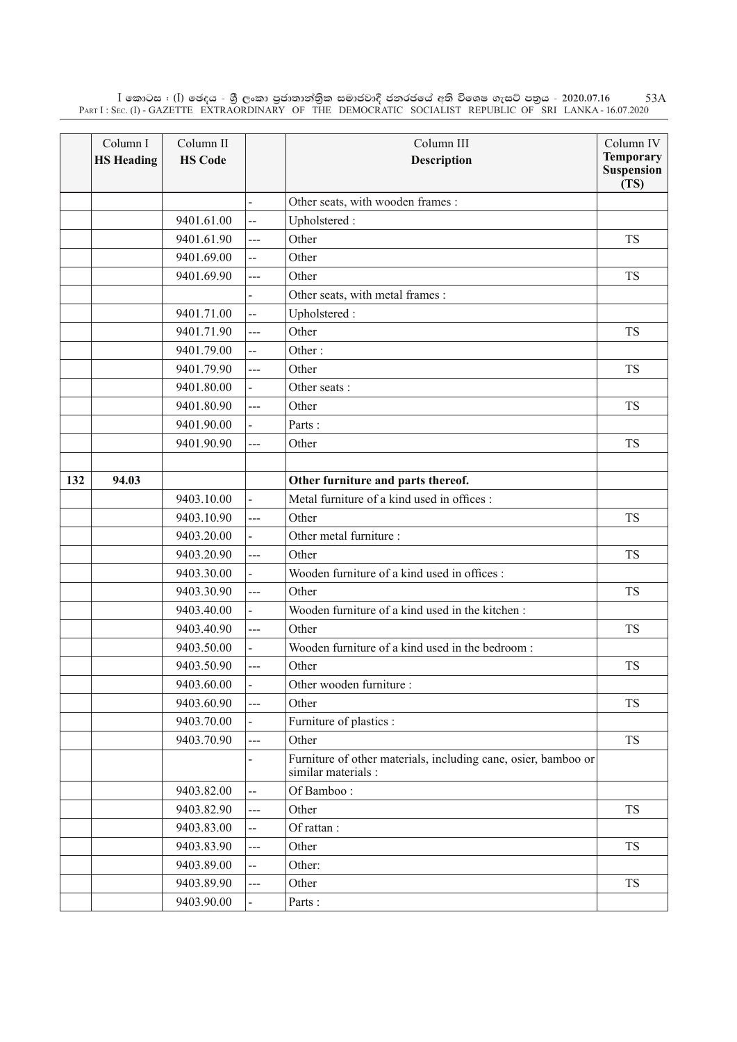$\rm I$  කොටස : ( $\rm I$ ) ඡෙදය - ශුී ලංකා පුජාතාන්තිුක සමාජවාදී ජනරජයේ අති විශෙෂ ගැසට් පතුය - 2020.07.16 Part I : Sec. (I) - GAZETTE EXTRAORDINARY OF THE DEMOCRATIC SOCIALIST REPUBLIC OF SRI LANKA - 16.07.2020 53A

|     | Column I<br><b>HS Heading</b> | Column II<br><b>HS Code</b> |                | Column III<br><b>Description</b>                                                      | Column IV<br><b>Temporary</b><br><b>Suspension</b><br>(TS) |
|-----|-------------------------------|-----------------------------|----------------|---------------------------------------------------------------------------------------|------------------------------------------------------------|
|     |                               |                             |                | Other seats, with wooden frames :                                                     |                                                            |
|     |                               | 9401.61.00                  | $\overline{a}$ | Upholstered:                                                                          |                                                            |
|     |                               | 9401.61.90                  | ---            | Other                                                                                 | <b>TS</b>                                                  |
|     |                               | 9401.69.00                  | ш.             | Other                                                                                 |                                                            |
|     |                               | 9401.69.90                  | ---            | Other                                                                                 | <b>TS</b>                                                  |
|     |                               |                             |                | Other seats, with metal frames :                                                      |                                                            |
|     |                               | 9401.71.00                  | Щ.             | Upholstered:                                                                          |                                                            |
|     |                               | 9401.71.90                  | ---            | Other                                                                                 | <b>TS</b>                                                  |
|     |                               | 9401.79.00                  | --             | Other:                                                                                |                                                            |
|     |                               | 9401.79.90                  | ---            | Other                                                                                 | <b>TS</b>                                                  |
|     |                               | 9401.80.00                  |                | Other seats:                                                                          |                                                            |
|     |                               | 9401.80.90                  | ---            | Other                                                                                 | <b>TS</b>                                                  |
|     |                               | 9401.90.00                  |                | Parts:                                                                                |                                                            |
|     |                               | 9401.90.90                  | ---            | Other                                                                                 | <b>TS</b>                                                  |
|     |                               |                             |                |                                                                                       |                                                            |
| 132 | 94.03                         |                             |                | Other furniture and parts thereof.                                                    |                                                            |
|     |                               | 9403.10.00                  |                | Metal furniture of a kind used in offices :                                           |                                                            |
|     |                               | 9403.10.90                  | ---            | Other                                                                                 | <b>TS</b>                                                  |
|     |                               | 9403.20.00                  |                | Other metal furniture :                                                               |                                                            |
|     |                               | 9403.20.90                  | $\overline{a}$ | Other                                                                                 | <b>TS</b>                                                  |
|     |                               | 9403.30.00                  |                | Wooden furniture of a kind used in offices :                                          |                                                            |
|     |                               | 9403.30.90                  | ---            | Other                                                                                 | <b>TS</b>                                                  |
|     |                               | 9403.40.00                  |                | Wooden furniture of a kind used in the kitchen:                                       |                                                            |
|     |                               | 9403.40.90                  | $\overline{a}$ | Other                                                                                 | <b>TS</b>                                                  |
|     |                               | 9403.50.00                  |                | Wooden furniture of a kind used in the bedroom:                                       |                                                            |
|     |                               | 9403.50.90                  | $\overline{a}$ | Other                                                                                 | <b>TS</b>                                                  |
|     |                               | 9403.60.00                  |                | Other wooden furniture :                                                              |                                                            |
|     |                               | 9403.60.90                  | ---            | Other                                                                                 | <b>TS</b>                                                  |
|     |                               | 9403.70.00                  |                | Furniture of plastics :                                                               |                                                            |
|     |                               | 9403.70.90                  | $\overline{a}$ | Other                                                                                 | <b>TS</b>                                                  |
|     |                               |                             |                | Furniture of other materials, including cane, osier, bamboo or<br>similar materials : |                                                            |
|     |                               | 9403.82.00                  | $\overline{a}$ | Of Bamboo:                                                                            |                                                            |
|     |                               | 9403.82.90                  | ---            | Other                                                                                 | <b>TS</b>                                                  |
|     |                               | 9403.83.00                  | --             | Of rattan:                                                                            |                                                            |
|     |                               | 9403.83.90                  | ---            | Other                                                                                 | <b>TS</b>                                                  |
|     |                               | 9403.89.00                  | --             | Other:                                                                                |                                                            |
|     |                               | 9403.89.90                  | $\overline{a}$ | Other                                                                                 | <b>TS</b>                                                  |
|     |                               | 9403.90.00                  |                | Parts:                                                                                |                                                            |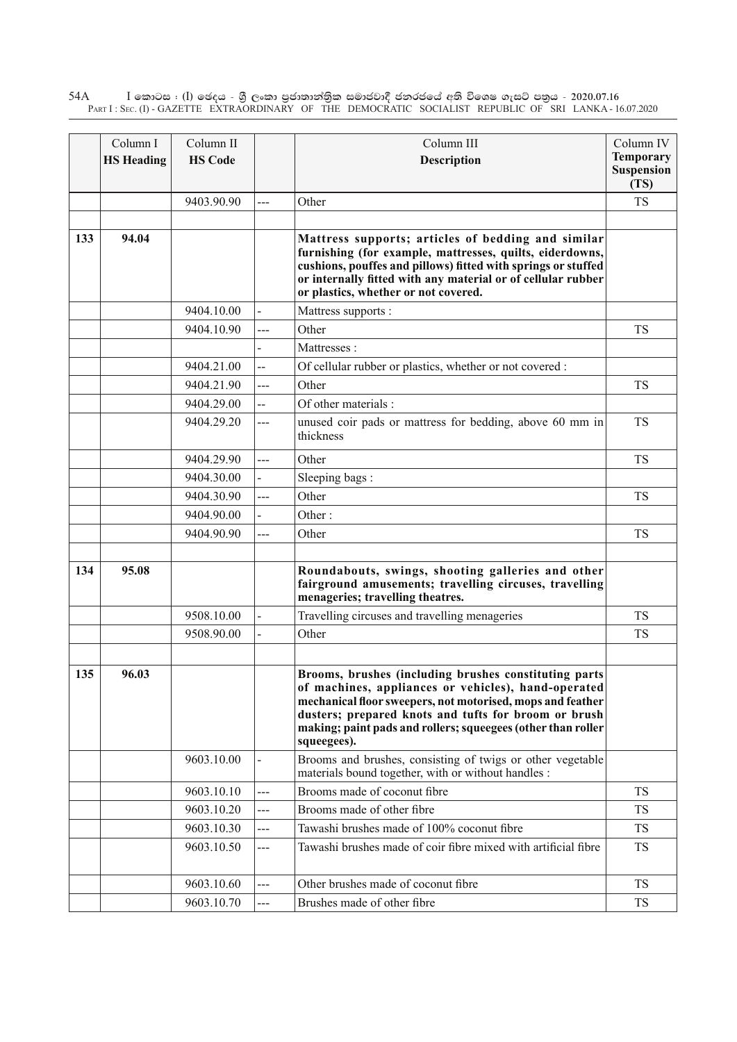$\rm I$  කොටස : ( $\rm I$ ) ඡෙදය - ශුී ලංකා පුජාතාන්තුික සමාජවාදී ජනරජයේ අති විශෙෂ ගැසට් පතුය - 2020.07.16 Part I : Sec. (I) - GAZETTE EXTRAORDINARY OF THE DEMOCRATIC SOCIALIST REPUBLIC OF SRI LANKA - 16.07.2020 54A

|     | Column I          | Column II      |                | Column III                                                                                                                                                                                                                                                                                                        | Column IV                                     |
|-----|-------------------|----------------|----------------|-------------------------------------------------------------------------------------------------------------------------------------------------------------------------------------------------------------------------------------------------------------------------------------------------------------------|-----------------------------------------------|
|     | <b>HS Heading</b> | <b>HS Code</b> |                | Description                                                                                                                                                                                                                                                                                                       | <b>Temporary</b><br><b>Suspension</b><br>(TS) |
|     |                   | 9403.90.90     | ---            | Other                                                                                                                                                                                                                                                                                                             | <b>TS</b>                                     |
|     |                   |                |                |                                                                                                                                                                                                                                                                                                                   |                                               |
| 133 | 94.04             |                |                | Mattress supports; articles of bedding and similar<br>furnishing (for example, mattresses, quilts, eiderdowns,<br>cushions, pouffes and pillows) fitted with springs or stuffed<br>or internally fitted with any material or of cellular rubber<br>or plastics, whether or not covered.                           |                                               |
|     |                   | 9404.10.00     |                | Mattress supports :                                                                                                                                                                                                                                                                                               |                                               |
|     |                   | 9404.10.90     | ---            | Other                                                                                                                                                                                                                                                                                                             | <b>TS</b>                                     |
|     |                   |                |                | Mattresses:                                                                                                                                                                                                                                                                                                       |                                               |
|     |                   | 9404.21.00     | $\overline{a}$ | Of cellular rubber or plastics, whether or not covered :                                                                                                                                                                                                                                                          |                                               |
|     |                   | 9404.21.90     | ---            | Other                                                                                                                                                                                                                                                                                                             | <b>TS</b>                                     |
|     |                   | 9404.29.00     | --             | Of other materials:                                                                                                                                                                                                                                                                                               |                                               |
|     |                   | 9404.29.20     | ---            | unused coir pads or mattress for bedding, above 60 mm in<br>thickness                                                                                                                                                                                                                                             | <b>TS</b>                                     |
|     |                   | 9404.29.90     | ---            | Other                                                                                                                                                                                                                                                                                                             | <b>TS</b>                                     |
|     |                   | 9404.30.00     |                | Sleeping bags:                                                                                                                                                                                                                                                                                                    |                                               |
|     |                   | 9404.30.90     | ---            | Other                                                                                                                                                                                                                                                                                                             | <b>TS</b>                                     |
|     |                   | 9404.90.00     |                | Other:                                                                                                                                                                                                                                                                                                            |                                               |
|     |                   | 9404.90.90     | ---            | Other                                                                                                                                                                                                                                                                                                             | <b>TS</b>                                     |
| 134 | 95.08             |                |                | Roundabouts, swings, shooting galleries and other<br>fairground amusements; travelling circuses, travelling<br>menageries; travelling theatres.                                                                                                                                                                   |                                               |
|     |                   | 9508.10.00     |                | Travelling circuses and travelling menageries                                                                                                                                                                                                                                                                     | <b>TS</b>                                     |
|     |                   | 9508.90.00     | $\overline{a}$ | Other                                                                                                                                                                                                                                                                                                             | <b>TS</b>                                     |
| 135 | 96.03             |                |                | Brooms, brushes (including brushes constituting parts<br>of machines, appliances or vehicles), hand-operated<br>mechanical floor sweepers, not motorised, mops and feather<br>dusters; prepared knots and tufts for broom or brush<br>making; paint pads and rollers; squeegees (other than roller<br>squeegees). |                                               |
|     |                   | 9603.10.00     |                | Brooms and brushes, consisting of twigs or other vegetable<br>materials bound together, with or without handles :                                                                                                                                                                                                 |                                               |
|     |                   | 9603.10.10     | ---            | Brooms made of coconut fibre                                                                                                                                                                                                                                                                                      | <b>TS</b>                                     |
|     |                   | 9603.10.20     | ---            | Brooms made of other fibre                                                                                                                                                                                                                                                                                        | <b>TS</b>                                     |
|     |                   | 9603.10.30     | ---            | Tawashi brushes made of 100% coconut fibre                                                                                                                                                                                                                                                                        | <b>TS</b>                                     |
|     |                   | 9603.10.50     | ---            | Tawashi brushes made of coir fibre mixed with artificial fibre                                                                                                                                                                                                                                                    | <b>TS</b>                                     |
|     |                   | 9603.10.60     | ---            | Other brushes made of coconut fibre                                                                                                                                                                                                                                                                               | <b>TS</b>                                     |
|     |                   | 9603.10.70     | ---            | Brushes made of other fibre                                                                                                                                                                                                                                                                                       | <b>TS</b>                                     |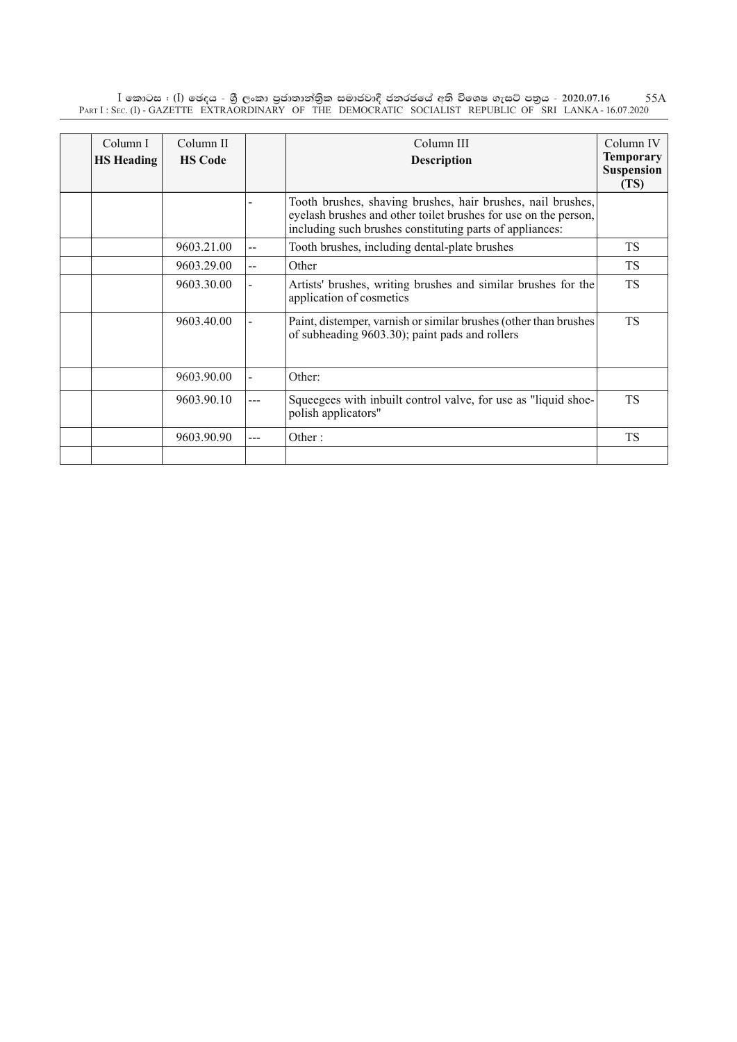$\rm I$  කොටස : ( $\rm I$ ) ඡෙදය - ශුී ලංකා පුජාතාන්තිුක සමාජවාදී ජනරජයේ අති විශෙෂ ගැසට් පතුය - 2020.07.16 Part I : Sec. (I) - GAZETTE EXTRAORDINARY OF THE DEMOCRATIC SOCIALIST REPUBLIC OF SRI LANKA - 16.07.2020 55A

| Column I<br><b>HS</b> Heading | Column II<br><b>HS Code</b> |                | Column III<br><b>Description</b>                                                                                                                                                           | Column IV<br><b>Temporary</b><br><b>Suspension</b><br>(TS) |
|-------------------------------|-----------------------------|----------------|--------------------------------------------------------------------------------------------------------------------------------------------------------------------------------------------|------------------------------------------------------------|
|                               |                             |                | Tooth brushes, shaving brushes, hair brushes, nail brushes,<br>eyelash brushes and other toilet brushes for use on the person,<br>including such brushes constituting parts of appliances: |                                                            |
|                               | 9603.21.00                  | $-$            | Tooth brushes, including dental-plate brushes                                                                                                                                              | <b>TS</b>                                                  |
|                               | 9603.29.00                  | $\overline{a}$ | Other                                                                                                                                                                                      | <b>TS</b>                                                  |
|                               | 9603.30.00                  |                | Artists' brushes, writing brushes and similar brushes for the<br>application of cosmetics                                                                                                  | <b>TS</b>                                                  |
|                               | 9603.40.00                  |                | Paint, distemper, varnish or similar brushes (other than brushes<br>of subheading 9603.30); paint pads and rollers                                                                         | <b>TS</b>                                                  |
|                               | 9603.90.00                  |                | Other:                                                                                                                                                                                     |                                                            |
|                               | 9603.90.10                  | ---            | Squeegees with inbuilt control valve, for use as "liquid shoe-<br>polish applicators"                                                                                                      | <b>TS</b>                                                  |
|                               | 9603.90.90                  |                | Other:                                                                                                                                                                                     | <b>TS</b>                                                  |
|                               |                             |                |                                                                                                                                                                                            |                                                            |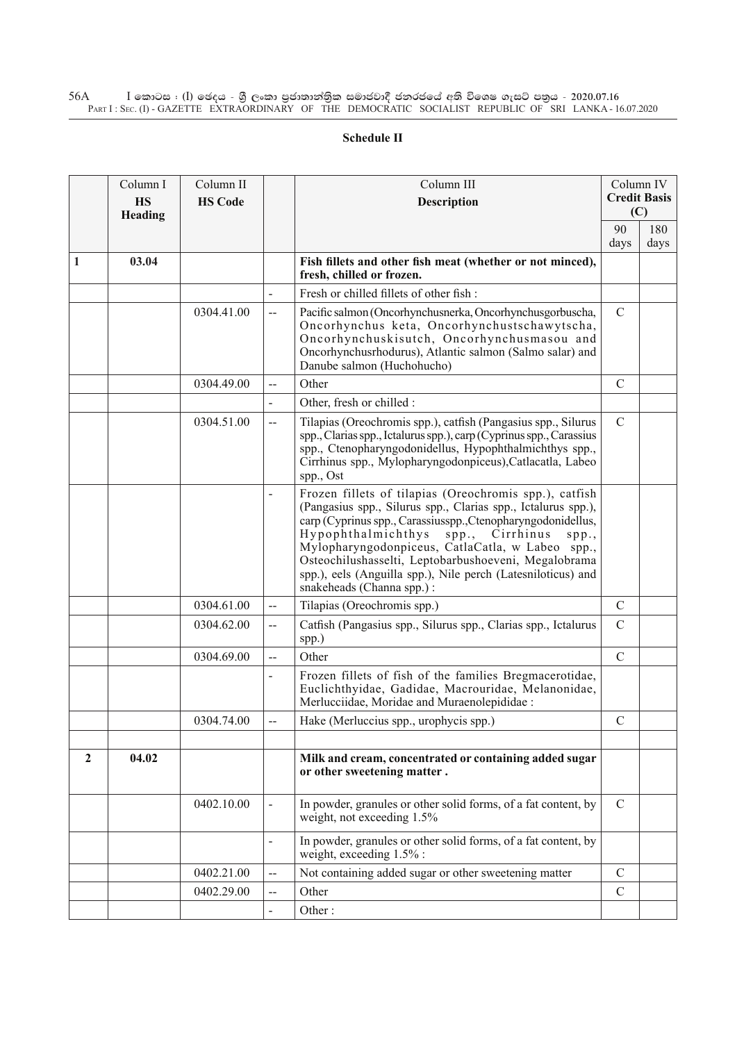## $\rm I$  කොටස : ( $\rm I$ ) ඡෙදය - ශුී ලංකා පුජාතාන්තුික සමාජවාදී ජනරජයේ අති විශෙෂ ගැසට් පතුය - 2020.07.16 Part I : Sec. (I) - GAZETTE EXTRAORDINARY OF THE DEMOCRATIC SOCIALIST REPUBLIC OF SRI LANKA - 16.07.2020 56A

## **Schedule II**

|                | Column I<br><b>HS</b><br>Heading | Column II<br><b>HS Code</b> |                          | Column III<br><b>Description</b>                                                                                                                                                                                                                                                                                                                                                                                                                     |               | Column IV<br><b>Credit Basis</b><br>(C) |
|----------------|----------------------------------|-----------------------------|--------------------------|------------------------------------------------------------------------------------------------------------------------------------------------------------------------------------------------------------------------------------------------------------------------------------------------------------------------------------------------------------------------------------------------------------------------------------------------------|---------------|-----------------------------------------|
|                |                                  |                             |                          |                                                                                                                                                                                                                                                                                                                                                                                                                                                      | 90<br>days    | 180<br>days                             |
| 1              | 03.04                            |                             |                          | Fish fillets and other fish meat (whether or not minced),<br>fresh, chilled or frozen.                                                                                                                                                                                                                                                                                                                                                               |               |                                         |
|                |                                  |                             | $\overline{\phantom{a}}$ | Fresh or chilled fillets of other fish:                                                                                                                                                                                                                                                                                                                                                                                                              |               |                                         |
|                |                                  | 0304.41.00                  | $\overline{a}$           | Pacific salmon (Oncorhynchusnerka, Oncorhynchusgorbuscha,<br>Oncorhynchus keta, Oncorhynchustschawytscha,<br>Oncorhynchuskisutch, Oncorhynchusmasou and<br>Oncorhynchusrhodurus), Atlantic salmon (Salmo salar) and<br>Danube salmon (Huchohucho)                                                                                                                                                                                                    | $\mathcal{C}$ |                                         |
|                |                                  | 0304.49.00                  | $-$                      | Other                                                                                                                                                                                                                                                                                                                                                                                                                                                | $\mathcal{C}$ |                                         |
|                |                                  |                             | $\blacksquare$           | Other, fresh or chilled :                                                                                                                                                                                                                                                                                                                                                                                                                            |               |                                         |
|                |                                  | 0304.51.00                  | $\overline{\phantom{a}}$ | Tilapias (Oreochromis spp.), catfish (Pangasius spp., Silurus<br>spp., Clarias spp., Ictalurus spp.), carp (Cyprinus spp., Carassius<br>spp., Ctenopharyngodonidellus, Hypophthalmichthys spp.,<br>Cirrhinus spp., Mylopharyngodonpiceus), Catlacatla, Labeo<br>spp., Ost                                                                                                                                                                            | $\mathcal{C}$ |                                         |
|                |                                  |                             | $\overline{a}$           | Frozen fillets of tilapias (Oreochromis spp.), catfish<br>(Pangasius spp., Silurus spp., Clarias spp., Ictalurus spp.),<br>carp (Cyprinus spp., Carassiusspp., Ctenopharyngodonidellus,<br>Hypophthalmichthys<br>Cirrhinus<br>spp.<br>spp.<br>Mylopharyngodonpiceus, CatlaCatla, w Labeo spp.,<br>Osteochilushasselti, Leptobarbushoeveni, Megalobrama<br>spp.), eels (Anguilla spp.), Nile perch (Latesniloticus) and<br>snakeheads (Channa spp.) : |               |                                         |
|                |                                  | 0304.61.00                  | $\overline{\phantom{a}}$ | Tilapias (Oreochromis spp.)                                                                                                                                                                                                                                                                                                                                                                                                                          | $\mathsf{C}$  |                                         |
|                |                                  | 0304.62.00                  | $\overline{\phantom{a}}$ | Catfish (Pangasius spp., Silurus spp., Clarias spp., Ictalurus<br>spp.)                                                                                                                                                                                                                                                                                                                                                                              | $\mathcal{C}$ |                                         |
|                |                                  | 0304.69.00                  | $\overline{\phantom{a}}$ | Other                                                                                                                                                                                                                                                                                                                                                                                                                                                | $\mathcal{C}$ |                                         |
|                |                                  |                             | $\overline{a}$           | Frozen fillets of fish of the families Bregmacerotidae,<br>Euclichthyidae, Gadidae, Macrouridae, Melanonidae,<br>Merlucciidae, Moridae and Muraenolepididae :                                                                                                                                                                                                                                                                                        |               |                                         |
|                |                                  | 0304.74.00                  | $\overline{\phantom{a}}$ | Hake (Merluccius spp., urophycis spp.)                                                                                                                                                                                                                                                                                                                                                                                                               | $\mathcal{C}$ |                                         |
|                |                                  |                             |                          |                                                                                                                                                                                                                                                                                                                                                                                                                                                      |               |                                         |
| $\overline{2}$ | 04.02                            |                             |                          | Milk and cream, concentrated or containing added sugar<br>or other sweetening matter.                                                                                                                                                                                                                                                                                                                                                                |               |                                         |
|                |                                  | 0402.10.00                  | $\blacksquare$           | In powder, granules or other solid forms, of a fat content, by<br>weight, not exceeding 1.5%                                                                                                                                                                                                                                                                                                                                                         | $\mathcal{C}$ |                                         |
|                |                                  |                             | $\overline{\phantom{a}}$ | In powder, granules or other solid forms, of a fat content, by<br>weight, exceeding 1.5% :                                                                                                                                                                                                                                                                                                                                                           |               |                                         |
|                |                                  | 0402.21.00                  | --                       | Not containing added sugar or other sweetening matter                                                                                                                                                                                                                                                                                                                                                                                                | $\mathcal{C}$ |                                         |
|                |                                  | 0402.29.00                  | --                       | Other                                                                                                                                                                                                                                                                                                                                                                                                                                                | $\mathcal{C}$ |                                         |
|                |                                  |                             | $\blacksquare$           | Other:                                                                                                                                                                                                                                                                                                                                                                                                                                               |               |                                         |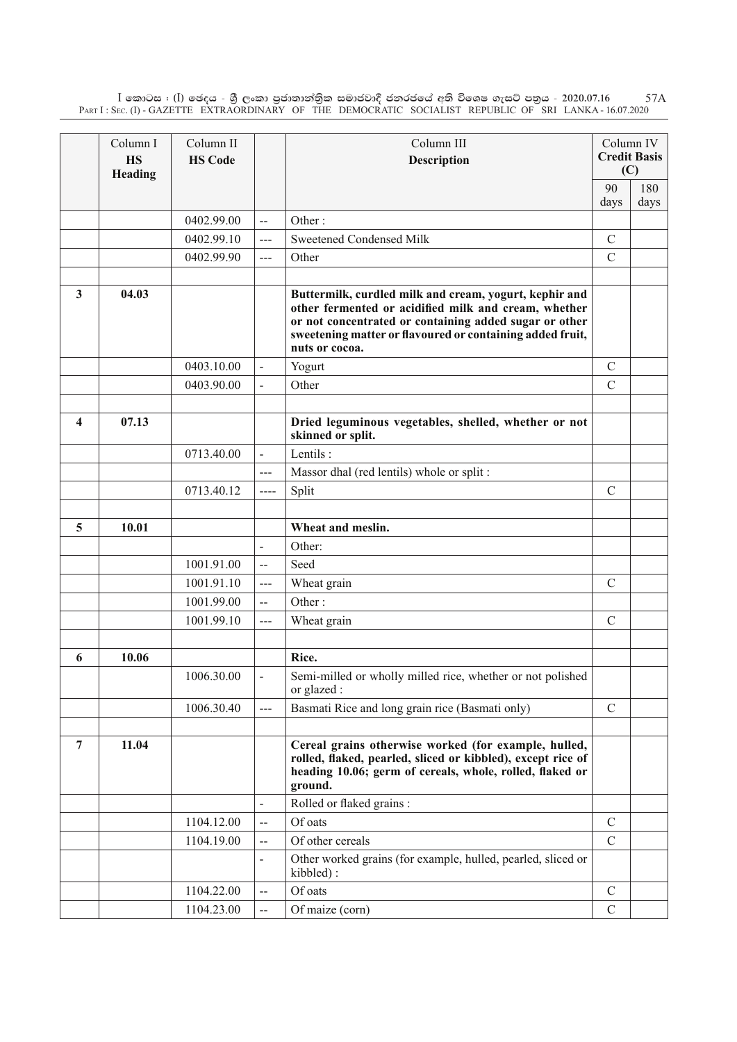$\rm I$  කොටස : ( $\rm I$ ) ඡෙදය - ශුී ලංකා පුජාතාන්තිුක සමාජවාදී ජනරජයේ අති විශෙෂ ගැසට් පතුය - 2020.07.16 Part I : Sec. (I) - GAZETTE EXTRAORDINARY OF THE DEMOCRATIC SOCIALIST REPUBLIC OF SRI LANKA - 16.07.2020 57A

|                         | Column I<br><b>HS</b><br>Heading | Column II<br><b>HS Code</b> |                          | Column III<br><b>Description</b>                                                                                                                                                                                                                        | (C)           | Column IV<br><b>Credit Basis</b> |
|-------------------------|----------------------------------|-----------------------------|--------------------------|---------------------------------------------------------------------------------------------------------------------------------------------------------------------------------------------------------------------------------------------------------|---------------|----------------------------------|
|                         |                                  |                             |                          |                                                                                                                                                                                                                                                         | 90            | 180                              |
|                         |                                  |                             |                          |                                                                                                                                                                                                                                                         | days          | days                             |
|                         |                                  | 0402.99.00                  | $-$                      | Other:                                                                                                                                                                                                                                                  |               |                                  |
|                         |                                  | 0402.99.10                  | ---                      | <b>Sweetened Condensed Milk</b>                                                                                                                                                                                                                         | $\mathcal{C}$ |                                  |
|                         |                                  | 0402.99.90                  | ---                      | Other                                                                                                                                                                                                                                                   | $\mathcal{C}$ |                                  |
| 3                       | 04.03                            |                             |                          | Buttermilk, curdled milk and cream, yogurt, kephir and<br>other fermented or acidified milk and cream, whether<br>or not concentrated or containing added sugar or other<br>sweetening matter or flavoured or containing added fruit,<br>nuts or cocoa. |               |                                  |
|                         |                                  | 0403.10.00                  |                          | Yogurt                                                                                                                                                                                                                                                  | $\mathcal{C}$ |                                  |
|                         |                                  | 0403.90.00                  |                          | Other                                                                                                                                                                                                                                                   | $\mathcal{C}$ |                                  |
|                         |                                  |                             |                          |                                                                                                                                                                                                                                                         |               |                                  |
| $\overline{\mathbf{4}}$ | 07.13                            |                             |                          | Dried leguminous vegetables, shelled, whether or not<br>skinned or split.                                                                                                                                                                               |               |                                  |
|                         |                                  | 0713.40.00                  | $\overline{a}$           | Lentils:                                                                                                                                                                                                                                                |               |                                  |
|                         |                                  |                             | $---$                    | Massor dhal (red lentils) whole or split:                                                                                                                                                                                                               |               |                                  |
|                         |                                  | 0713.40.12                  | $---$                    | Split                                                                                                                                                                                                                                                   | $\mathcal{C}$ |                                  |
|                         |                                  |                             |                          |                                                                                                                                                                                                                                                         |               |                                  |
| 5                       | 10.01                            |                             |                          | Wheat and meslin.                                                                                                                                                                                                                                       |               |                                  |
|                         |                                  |                             | $\blacksquare$           | Other:                                                                                                                                                                                                                                                  |               |                                  |
|                         |                                  | 1001.91.00                  | $\overline{a}$           | Seed                                                                                                                                                                                                                                                    |               |                                  |
|                         |                                  | 1001.91.10                  | $---$                    | Wheat grain                                                                                                                                                                                                                                             | $\mathcal{C}$ |                                  |
|                         |                                  | 1001.99.00                  | $-$                      | Other:                                                                                                                                                                                                                                                  |               |                                  |
|                         |                                  | 1001.99.10                  | $---$                    | Wheat grain                                                                                                                                                                                                                                             | $\mathcal{C}$ |                                  |
|                         |                                  |                             |                          |                                                                                                                                                                                                                                                         |               |                                  |
| 6                       | 10.06                            |                             |                          | Rice.                                                                                                                                                                                                                                                   |               |                                  |
|                         |                                  | 1006.30.00                  | $\blacksquare$           | Semi-milled or wholly milled rice, whether or not polished<br>or glazed :                                                                                                                                                                               |               |                                  |
|                         |                                  | 1006.30.40                  | ---                      | Basmati Rice and long grain rice (Basmati only)                                                                                                                                                                                                         | $\mathcal{C}$ |                                  |
|                         |                                  |                             |                          |                                                                                                                                                                                                                                                         |               |                                  |
| 7                       | 11.04                            |                             |                          | Cereal grains otherwise worked (for example, hulled,<br>rolled, flaked, pearled, sliced or kibbled), except rice of<br>heading 10.06; germ of cereals, whole, rolled, flaked or<br>ground.                                                              |               |                                  |
|                         |                                  |                             |                          | Rolled or flaked grains :                                                                                                                                                                                                                               |               |                                  |
|                         |                                  | 1104.12.00                  | $\overline{a}$           | Of oats                                                                                                                                                                                                                                                 | $\mathcal{C}$ |                                  |
|                         |                                  | 1104.19.00                  | --                       | Of other cereals                                                                                                                                                                                                                                        | $\mathcal{C}$ |                                  |
|                         |                                  |                             | $\overline{\phantom{a}}$ | Other worked grains (for example, hulled, pearled, sliced or<br>kibbled):                                                                                                                                                                               |               |                                  |
|                         |                                  | 1104.22.00                  | $\overline{\phantom{a}}$ | Of oats                                                                                                                                                                                                                                                 | $\mathcal{C}$ |                                  |
|                         |                                  | 1104.23.00                  | $-$                      | Of maize (corn)                                                                                                                                                                                                                                         | $\mathcal{C}$ |                                  |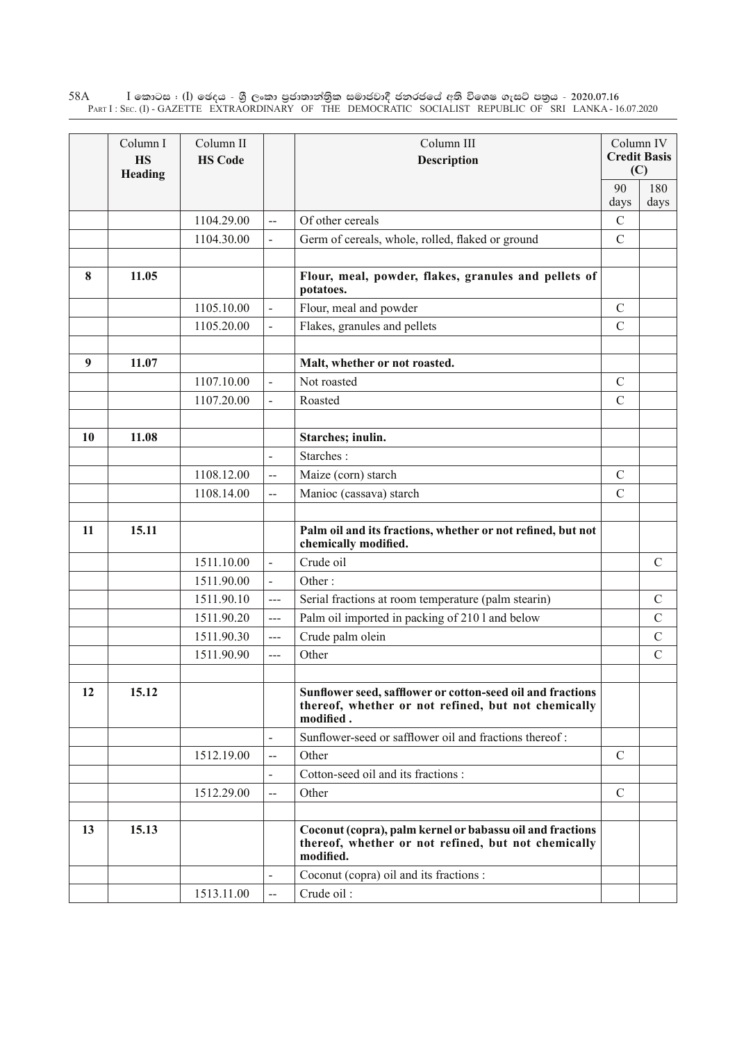$\rm I$  කොටස : ( $\rm I$ ) ඡෙදය - ශුී ලංකා පුජාතාන්තුික සමාජවාදී ජනරජයේ අති විශෙෂ ගැසට් පතුය - 2020.07.16 Part I : Sec. (I) - GAZETTE EXTRAORDINARY OF THE DEMOCRATIC SOCIALIST REPUBLIC OF SRI LANKA - 16.07.2020 58A

|    | Column I<br><b>HS</b><br>Heading | Column II<br><b>HS Code</b> |                          | Column III<br><b>Description</b>                                                                                               |                | Column IV<br><b>Credit Basis</b><br>(C) |
|----|----------------------------------|-----------------------------|--------------------------|--------------------------------------------------------------------------------------------------------------------------------|----------------|-----------------------------------------|
|    |                                  |                             |                          |                                                                                                                                | 90<br>days     | 180<br>days                             |
|    |                                  | 1104.29.00                  | L.                       | Of other cereals                                                                                                               | $\mathcal{C}$  |                                         |
|    |                                  | 1104.30.00                  | $\overline{a}$           | Germ of cereals, whole, rolled, flaked or ground                                                                               | $\mathcal{C}$  |                                         |
| 8  | 11.05                            |                             |                          | Flour, meal, powder, flakes, granules and pellets of<br>potatoes.                                                              |                |                                         |
|    |                                  | 1105.10.00                  | $\overline{a}$           | Flour, meal and powder                                                                                                         | $\mathcal{C}$  |                                         |
|    |                                  | 1105.20.00                  |                          | Flakes, granules and pellets                                                                                                   | $\overline{C}$ |                                         |
| 9  | 11.07                            |                             |                          | Malt, whether or not roasted.                                                                                                  |                |                                         |
|    |                                  | 1107.10.00                  | $\overline{a}$           | Not roasted                                                                                                                    | $\mathcal{C}$  |                                         |
|    |                                  | 1107.20.00                  | $\overline{a}$           | Roasted                                                                                                                        | $\overline{C}$ |                                         |
| 10 | 11.08                            |                             |                          | Starches; inulin.                                                                                                              |                |                                         |
|    |                                  |                             | $\overline{a}$           | Starches:                                                                                                                      |                |                                         |
|    |                                  | 1108.12.00                  | $\overline{\phantom{a}}$ | Maize (corn) starch                                                                                                            | $\mathcal{C}$  |                                         |
|    |                                  | 1108.14.00                  | $\overline{\phantom{a}}$ | Manioc (cassava) starch                                                                                                        | $\mathcal{C}$  |                                         |
|    |                                  |                             |                          |                                                                                                                                |                |                                         |
| 11 | 15.11                            |                             |                          | Palm oil and its fractions, whether or not refined, but not<br>chemically modified.                                            |                |                                         |
|    |                                  | 1511.10.00                  | $\overline{a}$           | Crude oil                                                                                                                      |                | $\mathcal{C}$                           |
|    |                                  | 1511.90.00                  | $\overline{\phantom{0}}$ | Other:                                                                                                                         |                |                                         |
|    |                                  | 1511.90.10                  | $\overline{a}$           | Serial fractions at room temperature (palm stearin)                                                                            |                | $\mathcal{C}$                           |
|    |                                  | 1511.90.20                  | $\overline{a}$           | Palm oil imported in packing of 210 l and below                                                                                |                | $\mathcal{C}$                           |
|    |                                  | 1511.90.30                  | $\overline{a}$           | Crude palm olein                                                                                                               |                | $\mathcal{C}$                           |
|    |                                  | 1511.90.90                  | $---$                    | Other                                                                                                                          |                | $\mathcal{C}$                           |
| 12 | 15.12                            |                             |                          | Sunflower seed, safflower or cotton-seed oil and fractions<br>thereof, whether or not refined, but not chemically<br>modified. |                |                                         |
|    |                                  |                             |                          | Sunflower-seed or safflower oil and fractions thereof:                                                                         |                |                                         |
|    |                                  | 1512.19.00                  | --                       | Other                                                                                                                          | $\mathcal{C}$  |                                         |
|    |                                  |                             |                          | Cotton-seed oil and its fractions :                                                                                            |                |                                         |
|    |                                  | 1512.29.00                  | --                       | Other                                                                                                                          | $\mathcal{C}$  |                                         |
| 13 | 15.13                            |                             |                          | Coconut (copra), palm kernel or babassu oil and fractions<br>thereof, whether or not refined, but not chemically<br>modified.  |                |                                         |
|    |                                  |                             |                          | Coconut (copra) oil and its fractions :                                                                                        |                |                                         |
|    |                                  | 1513.11.00                  | $-$                      | Crude oil:                                                                                                                     |                |                                         |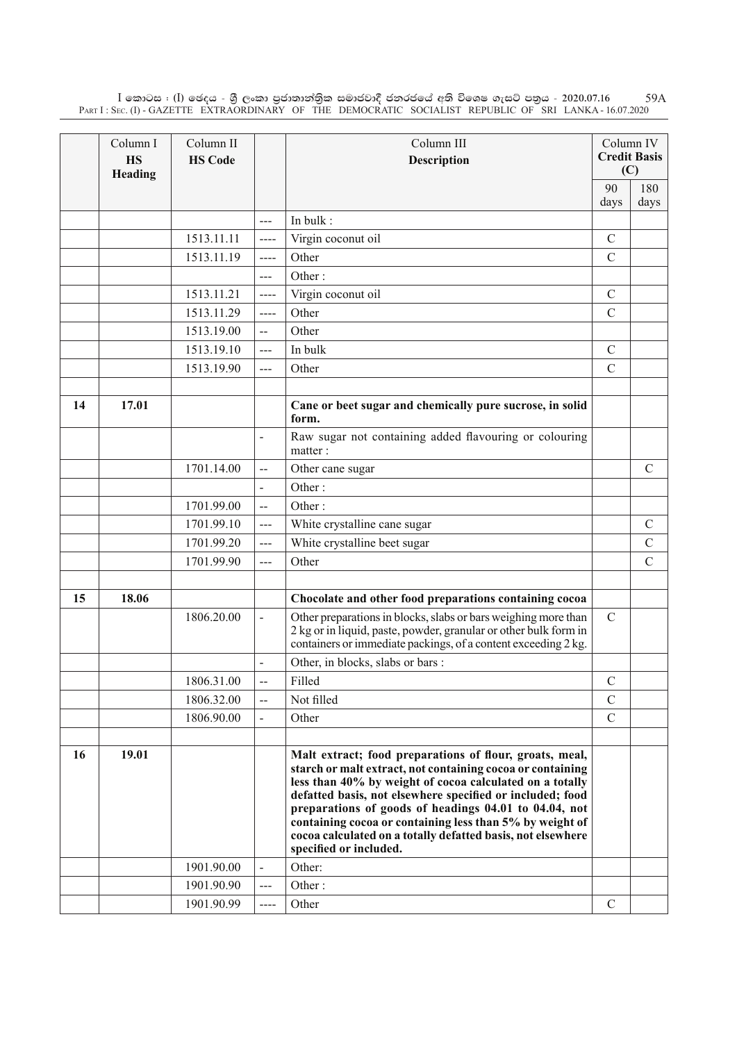$\rm I$  කොටස : ( $\rm I$ ) ඡෙදය - ශුී ලංකා පුජාතාන්තිුක සමාජවාදී ජනරජයේ අති විශෙෂ ගැසට් පතුය - 2020.07.16 Part I : Sec. (I) - GAZETTE EXTRAORDINARY OF THE DEMOCRATIC SOCIALIST REPUBLIC OF SRI LANKA - 16.07.2020 59A

|    | Column I<br><b>HS</b><br>Heading | Column II<br><b>HS Code</b> |                          | Column III<br>Description                                                                                                                                                                                                                                                                                                                                                                                                                                    |               | Column IV<br><b>Credit Basis</b><br>(C) |
|----|----------------------------------|-----------------------------|--------------------------|--------------------------------------------------------------------------------------------------------------------------------------------------------------------------------------------------------------------------------------------------------------------------------------------------------------------------------------------------------------------------------------------------------------------------------------------------------------|---------------|-----------------------------------------|
|    |                                  |                             |                          |                                                                                                                                                                                                                                                                                                                                                                                                                                                              | 90            | 180                                     |
|    |                                  |                             |                          |                                                                                                                                                                                                                                                                                                                                                                                                                                                              | days          | days                                    |
|    |                                  |                             | $---$                    | In bulk:                                                                                                                                                                                                                                                                                                                                                                                                                                                     |               |                                         |
|    |                                  | 1513.11.11                  | $\cdots$                 | Virgin coconut oil                                                                                                                                                                                                                                                                                                                                                                                                                                           | $\mathcal{C}$ |                                         |
|    |                                  | 1513.11.19                  | $---$                    | Other                                                                                                                                                                                                                                                                                                                                                                                                                                                        | $\mathcal{C}$ |                                         |
|    |                                  |                             | ---                      | Other:                                                                                                                                                                                                                                                                                                                                                                                                                                                       |               |                                         |
|    |                                  | 1513.11.21                  | $\qquad \qquad - - -$    | Virgin coconut oil                                                                                                                                                                                                                                                                                                                                                                                                                                           | $\mathcal{C}$ |                                         |
|    |                                  | 1513.11.29                  | $---$                    | Other                                                                                                                                                                                                                                                                                                                                                                                                                                                        | $\mathcal{C}$ |                                         |
|    |                                  | 1513.19.00                  | $\overline{\phantom{a}}$ | Other                                                                                                                                                                                                                                                                                                                                                                                                                                                        |               |                                         |
|    |                                  | 1513.19.10                  | ---                      | In bulk                                                                                                                                                                                                                                                                                                                                                                                                                                                      | $\mathcal{C}$ |                                         |
|    |                                  | 1513.19.90                  | $--$                     | Other                                                                                                                                                                                                                                                                                                                                                                                                                                                        | $\mathcal{C}$ |                                         |
|    |                                  |                             |                          |                                                                                                                                                                                                                                                                                                                                                                                                                                                              |               |                                         |
| 14 | 17.01                            |                             |                          | Cane or beet sugar and chemically pure sucrose, in solid<br>form.                                                                                                                                                                                                                                                                                                                                                                                            |               |                                         |
|    |                                  |                             |                          | Raw sugar not containing added flavouring or colouring<br>matter:                                                                                                                                                                                                                                                                                                                                                                                            |               |                                         |
|    |                                  | 1701.14.00                  | $\overline{a}$           | Other cane sugar                                                                                                                                                                                                                                                                                                                                                                                                                                             |               | $\mathcal{C}$                           |
|    |                                  |                             | $\overline{\phantom{a}}$ | Other:                                                                                                                                                                                                                                                                                                                                                                                                                                                       |               |                                         |
|    |                                  | 1701.99.00                  | $\overline{a}$           | Other:                                                                                                                                                                                                                                                                                                                                                                                                                                                       |               |                                         |
|    |                                  | 1701.99.10                  | ---                      | White crystalline cane sugar                                                                                                                                                                                                                                                                                                                                                                                                                                 |               | $\mathcal{C}$                           |
|    |                                  | 1701.99.20                  | ---                      | White crystalline beet sugar                                                                                                                                                                                                                                                                                                                                                                                                                                 |               | $\mathcal{C}$                           |
|    |                                  | 1701.99.90                  | ---                      | Other                                                                                                                                                                                                                                                                                                                                                                                                                                                        |               | $\mathcal{C}$                           |
|    |                                  |                             |                          |                                                                                                                                                                                                                                                                                                                                                                                                                                                              |               |                                         |
| 15 | 18.06                            |                             |                          | Chocolate and other food preparations containing cocoa                                                                                                                                                                                                                                                                                                                                                                                                       |               |                                         |
|    |                                  | 1806.20.00                  | $\frac{1}{2}$            | Other preparations in blocks, slabs or bars weighing more than<br>2 kg or in liquid, paste, powder, granular or other bulk form in<br>containers or immediate packings, of a content exceeding 2 kg.                                                                                                                                                                                                                                                         | $\mathcal{C}$ |                                         |
|    |                                  |                             |                          | Other, in blocks, slabs or bars:                                                                                                                                                                                                                                                                                                                                                                                                                             |               |                                         |
|    |                                  | 1806.31.00                  |                          | Filled                                                                                                                                                                                                                                                                                                                                                                                                                                                       | $\mathcal{C}$ |                                         |
|    |                                  | 1806.32.00                  | --                       | Not filled                                                                                                                                                                                                                                                                                                                                                                                                                                                   | $\mathcal{C}$ |                                         |
|    |                                  | 1806.90.00                  |                          | Other                                                                                                                                                                                                                                                                                                                                                                                                                                                        | $\mathcal{C}$ |                                         |
|    |                                  |                             |                          |                                                                                                                                                                                                                                                                                                                                                                                                                                                              |               |                                         |
| 16 | 19.01                            |                             |                          | Malt extract; food preparations of flour, groats, meal,<br>starch or malt extract, not containing cocoa or containing<br>less than 40% by weight of cocoa calculated on a totally<br>defatted basis, not elsewhere specified or included; food<br>preparations of goods of headings 04.01 to 04.04, not<br>containing cocoa or containing less than 5% by weight of<br>cocoa calculated on a totally defatted basis, not elsewhere<br>specified or included. |               |                                         |
|    |                                  | 1901.90.00                  |                          | Other:                                                                                                                                                                                                                                                                                                                                                                                                                                                       |               |                                         |
|    |                                  | 1901.90.90                  | ---                      | Other:                                                                                                                                                                                                                                                                                                                                                                                                                                                       |               |                                         |
|    |                                  | 1901.90.99                  |                          | Other                                                                                                                                                                                                                                                                                                                                                                                                                                                        | $\mathcal{C}$ |                                         |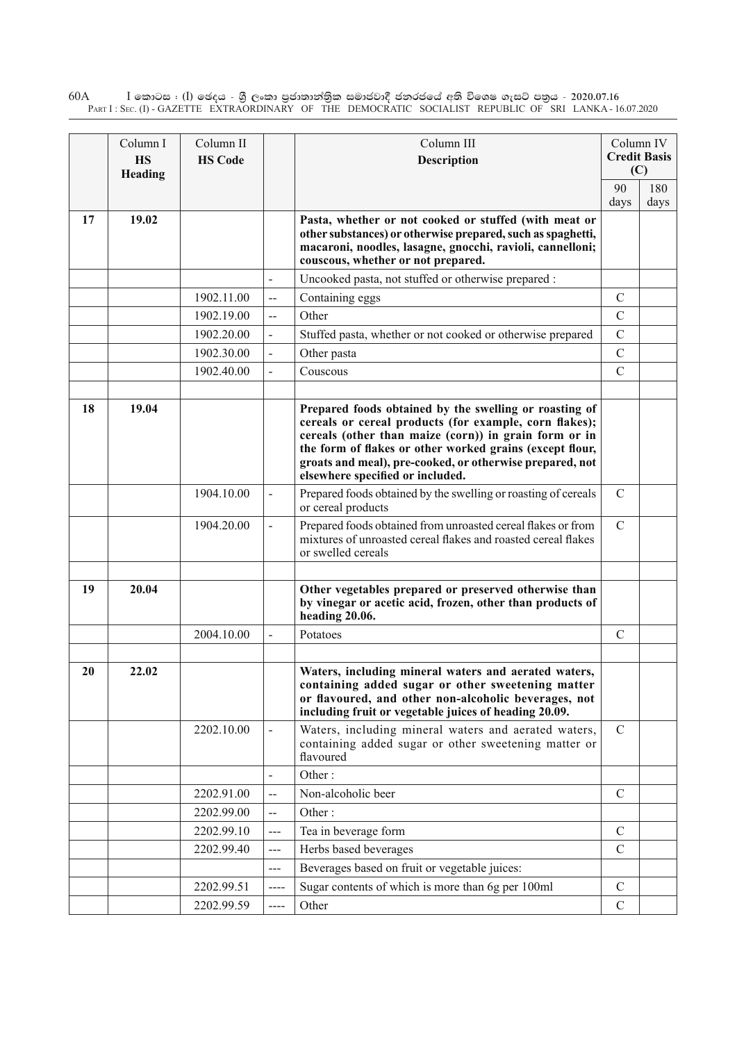$\rm I$  කොටස : ( $\rm I$ ) ඡෙදය - ශුී ලංකා පුජාතාන්තුික සමාජවාදී ජනරජයේ අති විශෙෂ ගැසට් පතුය - 2020.07.16 Part I : Sec. (I) - GAZETTE EXTRAORDINARY OF THE DEMOCRATIC SOCIALIST REPUBLIC OF SRI LANKA - 16.07.2020 60A

|    | Column I<br><b>HS</b><br>Heading | Column II<br><b>HS Code</b> |                          | Column III<br><b>Description</b>                                                                                                                                                                                                                                                                                                      |               | Column IV<br><b>Credit Basis</b><br>(C) |
|----|----------------------------------|-----------------------------|--------------------------|---------------------------------------------------------------------------------------------------------------------------------------------------------------------------------------------------------------------------------------------------------------------------------------------------------------------------------------|---------------|-----------------------------------------|
|    |                                  |                             |                          |                                                                                                                                                                                                                                                                                                                                       | 90<br>days    | 180<br>days                             |
| 17 | 19.02                            |                             |                          | Pasta, whether or not cooked or stuffed (with meat or<br>other substances) or otherwise prepared, such as spaghetti,<br>macaroni, noodles, lasagne, gnocchi, ravioli, cannelloni;<br>couscous, whether or not prepared.                                                                                                               |               |                                         |
|    |                                  |                             | $\overline{a}$           | Uncooked pasta, not stuffed or otherwise prepared :                                                                                                                                                                                                                                                                                   |               |                                         |
|    |                                  | 1902.11.00                  | $\overline{\phantom{a}}$ | Containing eggs                                                                                                                                                                                                                                                                                                                       | $\mathcal{C}$ |                                         |
|    |                                  | 1902.19.00                  | $\overline{\phantom{a}}$ | Other                                                                                                                                                                                                                                                                                                                                 | $\mathcal{C}$ |                                         |
|    |                                  | 1902.20.00                  |                          | Stuffed pasta, whether or not cooked or otherwise prepared                                                                                                                                                                                                                                                                            | $\mathcal{C}$ |                                         |
|    |                                  | 1902.30.00                  |                          | Other pasta                                                                                                                                                                                                                                                                                                                           | $\mathcal{C}$ |                                         |
|    |                                  | 1902.40.00                  |                          | Couscous                                                                                                                                                                                                                                                                                                                              | $\mathcal{C}$ |                                         |
|    |                                  |                             |                          |                                                                                                                                                                                                                                                                                                                                       |               |                                         |
| 18 | 19.04                            |                             |                          | Prepared foods obtained by the swelling or roasting of<br>cereals or cereal products (for example, corn flakes);<br>cereals (other than maize (corn)) in grain form or in<br>the form of flakes or other worked grains (except flour,<br>groats and meal), pre-cooked, or otherwise prepared, not<br>elsewhere specified or included. |               |                                         |
|    |                                  | 1904.10.00                  | $\overline{\phantom{a}}$ | Prepared foods obtained by the swelling or roasting of cereals<br>or cereal products                                                                                                                                                                                                                                                  | $\mathcal{C}$ |                                         |
|    |                                  | 1904.20.00                  |                          | Prepared foods obtained from unroasted cereal flakes or from<br>mixtures of unroasted cereal flakes and roasted cereal flakes<br>or swelled cereals                                                                                                                                                                                   | $\mathcal{C}$ |                                         |
| 19 | 20.04                            |                             |                          | Other vegetables prepared or preserved otherwise than<br>by vinegar or acetic acid, frozen, other than products of<br>heading 20.06.                                                                                                                                                                                                  |               |                                         |
|    |                                  | 2004.10.00                  |                          | Potatoes                                                                                                                                                                                                                                                                                                                              | $\mathcal{C}$ |                                         |
|    |                                  |                             |                          |                                                                                                                                                                                                                                                                                                                                       |               |                                         |
| 20 | 22.02                            |                             |                          | Waters, including mineral waters and aerated waters,<br>containing added sugar or other sweetening matter<br>or flavoured, and other non-alcoholic beverages, not<br>including fruit or vegetable juices of heading 20.09.                                                                                                            |               |                                         |
|    |                                  | 2202.10.00                  |                          | Waters, including mineral waters and aerated waters,<br>containing added sugar or other sweetening matter or<br>flavoured                                                                                                                                                                                                             | $\mathcal{C}$ |                                         |
|    |                                  |                             | $\blacksquare$           | Other:                                                                                                                                                                                                                                                                                                                                |               |                                         |
|    |                                  | 2202.91.00                  | $-$                      | Non-alcoholic beer                                                                                                                                                                                                                                                                                                                    | $\mathcal{C}$ |                                         |
|    |                                  | 2202.99.00                  | $\overline{\phantom{a}}$ | Other:                                                                                                                                                                                                                                                                                                                                |               |                                         |
|    |                                  | 2202.99.10                  | $--$                     | Tea in beverage form                                                                                                                                                                                                                                                                                                                  | $\mathcal{C}$ |                                         |
|    |                                  | 2202.99.40                  | $---$                    | Herbs based beverages                                                                                                                                                                                                                                                                                                                 | $\mathcal{C}$ |                                         |
|    |                                  |                             | $\qquad \qquad - -$      | Beverages based on fruit or vegetable juices:                                                                                                                                                                                                                                                                                         |               |                                         |
|    |                                  | 2202.99.51                  | ----                     | Sugar contents of which is more than 6g per 100ml                                                                                                                                                                                                                                                                                     | $\mathcal{C}$ |                                         |
|    |                                  | 2202.99.59                  | ----                     | Other                                                                                                                                                                                                                                                                                                                                 | $\mathcal{C}$ |                                         |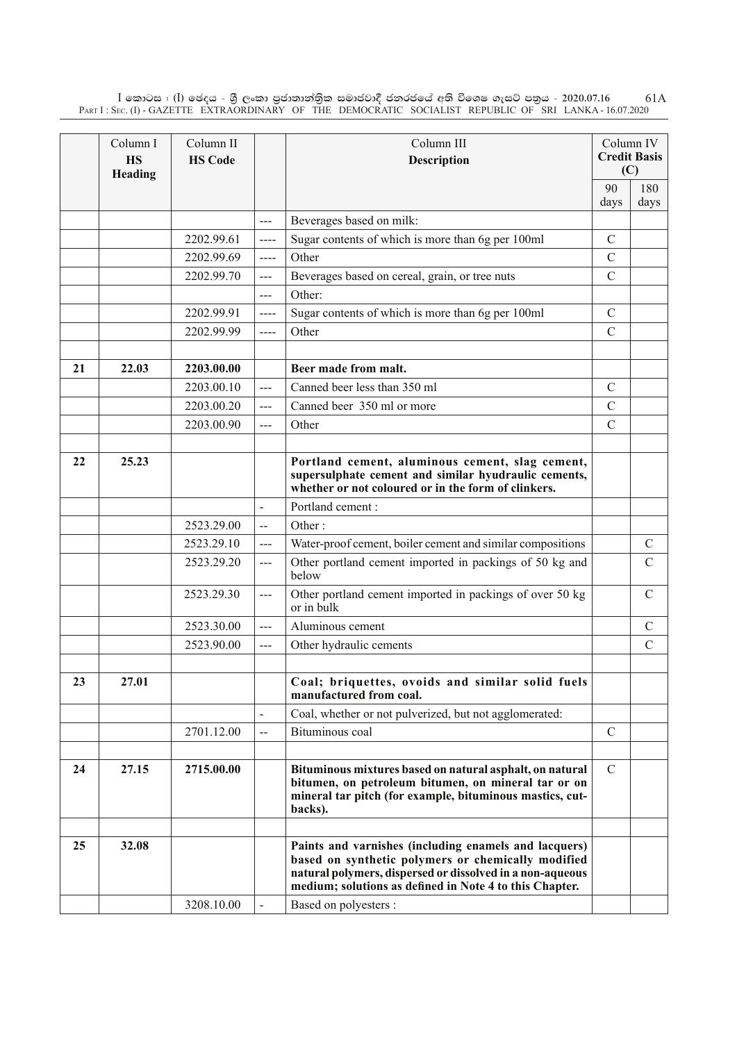$\rm I$  කොටස : ( $\rm I$ ) ඡෙදය - ශුී ලංකා පුජාතාන්තිුක සමාජවාදී ජනරජයේ අති විශෙෂ ගැසට් පතුය - 2020.07.16 Part I : Sec. (I) - GAZETTE EXTRAORDINARY OF THE DEMOCRATIC SOCIALIST REPUBLIC OF SRI LANKA - 16.07.2020 61A

|    | Column I<br><b>HS</b><br>Heading | Column II<br><b>HS Code</b> |                | Column III<br><b>Description</b>                                                                                                                                                                                                    |               | Column IV<br><b>Credit Basis</b><br>(C) |
|----|----------------------------------|-----------------------------|----------------|-------------------------------------------------------------------------------------------------------------------------------------------------------------------------------------------------------------------------------------|---------------|-----------------------------------------|
|    |                                  |                             |                |                                                                                                                                                                                                                                     | 90            | 180                                     |
|    |                                  |                             |                |                                                                                                                                                                                                                                     | days          | days                                    |
|    |                                  |                             | $---$          | Beverages based on milk:                                                                                                                                                                                                            |               |                                         |
|    |                                  | 2202.99.61                  | $\cdots$       | Sugar contents of which is more than 6g per 100ml                                                                                                                                                                                   | $\mathcal{C}$ |                                         |
|    |                                  | 2202.99.69                  | $---$          | Other                                                                                                                                                                                                                               | $\mathcal{C}$ |                                         |
|    |                                  | 2202.99.70                  | $--$           | Beverages based on cereal, grain, or tree nuts                                                                                                                                                                                      | $\mathcal{C}$ |                                         |
|    |                                  |                             | $---$          | Other:                                                                                                                                                                                                                              |               |                                         |
|    |                                  | 2202.99.91                  | ----           | Sugar contents of which is more than 6g per 100ml                                                                                                                                                                                   | $\mathcal{C}$ |                                         |
|    |                                  | 2202.99.99                  | $---$          | Other                                                                                                                                                                                                                               | $\mathcal{C}$ |                                         |
|    |                                  |                             |                |                                                                                                                                                                                                                                     |               |                                         |
| 21 | 22.03                            | 2203.00.00                  |                | Beer made from malt.                                                                                                                                                                                                                |               |                                         |
|    |                                  | 2203.00.10                  | ---            | Canned beer less than 350 ml                                                                                                                                                                                                        | $\mathcal{C}$ |                                         |
|    |                                  | 2203.00.20                  | $---$          | Canned beer 350 ml or more                                                                                                                                                                                                          | $\mathcal{C}$ |                                         |
|    |                                  | 2203.00.90                  | ---            | Other                                                                                                                                                                                                                               | $\mathcal{C}$ |                                         |
|    |                                  |                             |                |                                                                                                                                                                                                                                     |               |                                         |
| 22 | 25.23                            |                             |                | Portland cement, aluminous cement, slag cement,<br>supersulphate cement and similar hyudraulic cements,<br>whether or not coloured or in the form of clinkers.                                                                      |               |                                         |
|    |                                  |                             |                | Portland cement:                                                                                                                                                                                                                    |               |                                         |
|    |                                  | 2523.29.00                  | $\overline{a}$ | Other:                                                                                                                                                                                                                              |               |                                         |
|    |                                  | 2523.29.10                  | ---            | Water-proof cement, boiler cement and similar compositions                                                                                                                                                                          |               | $\mathbf C$                             |
|    |                                  | 2523.29.20                  | $\overline{a}$ | Other portland cement imported in packings of 50 kg and<br>below                                                                                                                                                                    |               | $\mathsf{C}$                            |
|    |                                  | 2523.29.30                  | ---            | Other portland cement imported in packings of over 50 kg<br>or in bulk                                                                                                                                                              |               | $\mathcal{C}$                           |
|    |                                  | 2523.30.00                  | ---            | Aluminous cement                                                                                                                                                                                                                    |               | $\mathcal{C}$                           |
|    |                                  | 2523.90.00                  | ---            | Other hydraulic cements                                                                                                                                                                                                             |               | $\mathcal{C}$                           |
| 23 | 27.01                            |                             |                | Coal; briquettes, ovoids and similar solid fuels<br>manufactured from coal.                                                                                                                                                         |               |                                         |
|    |                                  |                             |                | Coal, whether or not pulverized, but not agglomerated:                                                                                                                                                                              |               |                                         |
|    |                                  | 2701.12.00                  | $\overline{a}$ | Bituminous coal                                                                                                                                                                                                                     | $\mathcal{C}$ |                                         |
|    |                                  |                             |                |                                                                                                                                                                                                                                     |               |                                         |
| 24 | 27.15                            | 2715.00.00                  |                | Bituminous mixtures based on natural asphalt, on natural<br>bitumen, on petroleum bitumen, on mineral tar or on<br>mineral tar pitch (for example, bituminous mastics, cut-<br>backs).                                              | C             |                                         |
|    |                                  |                             |                |                                                                                                                                                                                                                                     |               |                                         |
| 25 | 32.08                            |                             |                | Paints and varnishes (including enamels and lacquers)<br>based on synthetic polymers or chemically modified<br>natural polymers, dispersed or dissolved in a non-aqueous<br>medium; solutions as defined in Note 4 to this Chapter. |               |                                         |
|    |                                  | 3208.10.00                  |                | Based on polyesters :                                                                                                                                                                                                               |               |                                         |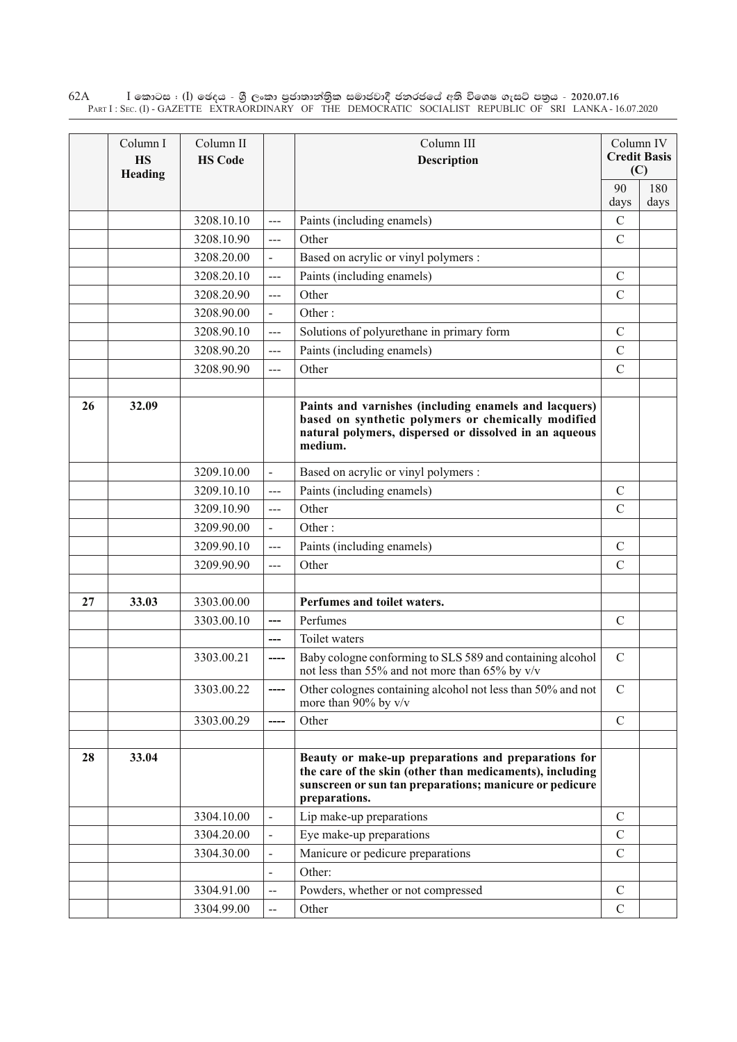$\rm I$  කොටස : ( $\rm I$ ) ඡෙදය - ශුී ලංකා පුජාතාන්තුික සමාජවාදී ජනරජයේ අති විශෙෂ ගැසට් පතුය - 2020.07.16 Part I : Sec. (I) - GAZETTE EXTRAORDINARY OF THE DEMOCRATIC SOCIALIST REPUBLIC OF SRI LANKA - 16.07.2020 62A

|    | Column I<br><b>HS</b><br>Heading | Column II<br><b>HS Code</b> |                          | Column III<br><b>Description</b>                                                                                                                                                            |                | Column IV<br><b>Credit Basis</b><br>(C) |
|----|----------------------------------|-----------------------------|--------------------------|---------------------------------------------------------------------------------------------------------------------------------------------------------------------------------------------|----------------|-----------------------------------------|
|    |                                  |                             |                          |                                                                                                                                                                                             | 90             | 180                                     |
|    |                                  |                             |                          |                                                                                                                                                                                             | days           | days                                    |
|    |                                  | 3208.10.10                  | $---$                    | Paints (including enamels)                                                                                                                                                                  | $\mathcal{C}$  |                                         |
|    |                                  | 3208.10.90                  | ---                      | Other                                                                                                                                                                                       | $\overline{C}$ |                                         |
|    |                                  | 3208.20.00                  | $\overline{a}$           | Based on acrylic or vinyl polymers :                                                                                                                                                        |                |                                         |
|    |                                  | 3208.20.10                  | $\overline{a}$           | Paints (including enamels)                                                                                                                                                                  | $\mathcal{C}$  |                                         |
|    |                                  | 3208.20.90                  | $\frac{1}{2}$            | Other                                                                                                                                                                                       | $\mathcal{C}$  |                                         |
|    |                                  | 3208.90.00                  | $\blacksquare$           | Other:                                                                                                                                                                                      |                |                                         |
|    |                                  | 3208.90.10                  | $---$                    | Solutions of polyurethane in primary form                                                                                                                                                   | $\mathcal{C}$  |                                         |
|    |                                  | 3208.90.20                  | ---                      | Paints (including enamels)                                                                                                                                                                  | $\mathcal{C}$  |                                         |
|    |                                  | 3208.90.90                  | $\frac{1}{2}$            | Other                                                                                                                                                                                       | $\mathcal{C}$  |                                         |
|    |                                  |                             |                          |                                                                                                                                                                                             |                |                                         |
| 26 | 32.09                            |                             |                          | Paints and varnishes (including enamels and lacquers)<br>based on synthetic polymers or chemically modified<br>natural polymers, dispersed or dissolved in an aqueous<br>medium.            |                |                                         |
|    |                                  | 3209.10.00                  | $\overline{\phantom{a}}$ | Based on acrylic or vinyl polymers :                                                                                                                                                        |                |                                         |
|    |                                  | 3209.10.10                  | $---$                    | Paints (including enamels)                                                                                                                                                                  | $\overline{C}$ |                                         |
|    |                                  | 3209.10.90                  | $--$                     | Other                                                                                                                                                                                       | $\mathcal{C}$  |                                         |
|    |                                  | 3209.90.00                  | $\overline{a}$           | Other:                                                                                                                                                                                      |                |                                         |
|    |                                  | 3209.90.10                  | $--$                     | Paints (including enamels)                                                                                                                                                                  | $\mathcal{C}$  |                                         |
|    |                                  | 3209.90.90                  | ---                      | Other                                                                                                                                                                                       | $\mathcal{C}$  |                                         |
|    |                                  |                             |                          |                                                                                                                                                                                             |                |                                         |
| 27 | 33.03                            | 3303.00.00                  |                          | Perfumes and toilet waters.                                                                                                                                                                 |                |                                         |
|    |                                  | 3303.00.10                  | ---                      | Perfumes                                                                                                                                                                                    | $\mathcal{C}$  |                                         |
|    |                                  |                             | ---                      | Toilet waters                                                                                                                                                                               |                |                                         |
|    |                                  | 3303.00.21                  | ----                     | Baby cologne conforming to SLS 589 and containing alcohol<br>not less than 55% and not more than 65% by $v/v$                                                                               | $\mathcal{C}$  |                                         |
|    |                                  | 3303.00.22                  | ----                     | Other colognes containing alcohol not less than 50% and not<br>more than $90\%$ by v/v                                                                                                      | $\mathcal{C}$  |                                         |
|    |                                  | 3303.00.29                  | ----                     | Other                                                                                                                                                                                       | $\mathbf C$    |                                         |
|    |                                  |                             |                          |                                                                                                                                                                                             |                |                                         |
| 28 | 33.04                            |                             |                          | Beauty or make-up preparations and preparations for<br>the care of the skin (other than medicaments), including<br>sunscreen or sun tan preparations; manicure or pedicure<br>preparations. |                |                                         |
|    |                                  | 3304.10.00                  |                          | Lip make-up preparations                                                                                                                                                                    | $\mathcal{C}$  |                                         |
|    |                                  | 3304.20.00                  |                          | Eye make-up preparations                                                                                                                                                                    | $\mathbf C$    |                                         |
|    |                                  | 3304.30.00                  |                          | Manicure or pedicure preparations                                                                                                                                                           | $\mathbf C$    |                                         |
|    |                                  |                             | $\overline{\phantom{0}}$ | Other:                                                                                                                                                                                      |                |                                         |
|    |                                  | 3304.91.00                  |                          | Powders, whether or not compressed                                                                                                                                                          | $\mathcal{C}$  |                                         |
|    |                                  | 3304.99.00                  | --                       | Other                                                                                                                                                                                       | $\mathcal{C}$  |                                         |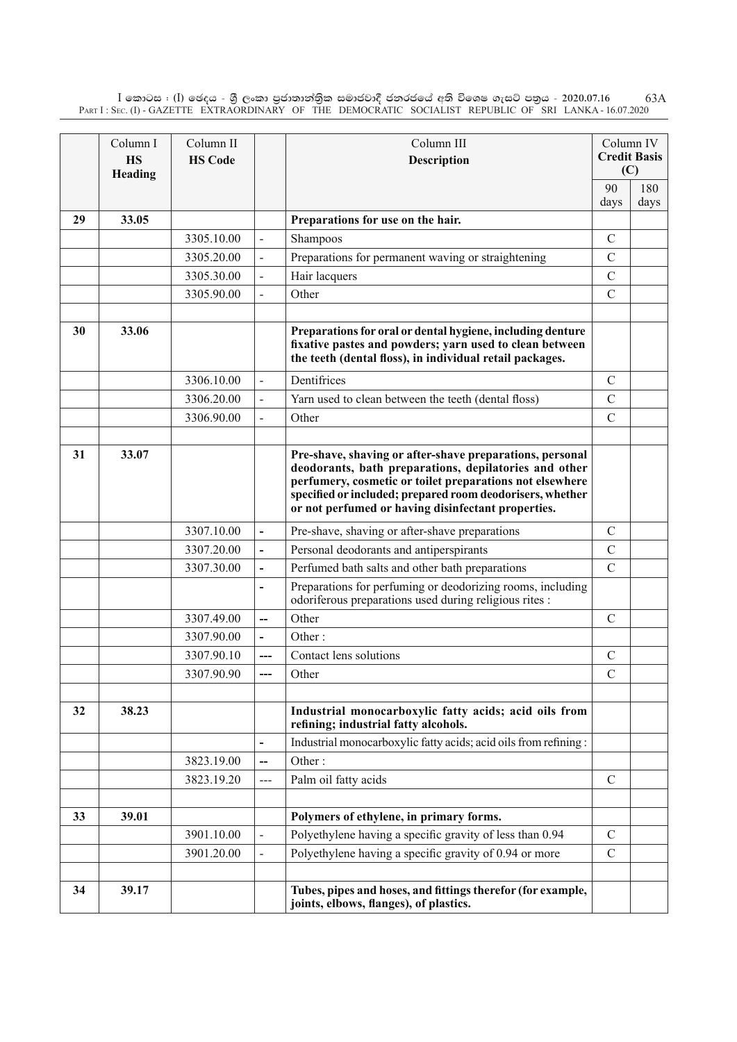$\rm I$  කොටස : ( $\rm I$ ) ඡෙදය - ශුී ලංකා පුජාතාන්තිුක සමාජවාදී ජනරජයේ අති විශෙෂ ගැසට් පතුය - 2020.07.16 Part I : Sec. (I) - GAZETTE EXTRAORDINARY OF THE DEMOCRATIC SOCIALIST REPUBLIC OF SRI LANKA - 16.07.2020 63A

|    | Column I<br><b>HS</b><br>Heading | Column II<br><b>HS Code</b> |                              | Column III<br><b>Description</b>                                                                                                                                                                                                                                                                 |               | Column IV<br><b>Credit Basis</b><br>(C) |
|----|----------------------------------|-----------------------------|------------------------------|--------------------------------------------------------------------------------------------------------------------------------------------------------------------------------------------------------------------------------------------------------------------------------------------------|---------------|-----------------------------------------|
|    |                                  |                             |                              |                                                                                                                                                                                                                                                                                                  | 90            | 180                                     |
|    |                                  |                             |                              |                                                                                                                                                                                                                                                                                                  | days          | days                                    |
| 29 | 33.05                            |                             |                              | Preparations for use on the hair.                                                                                                                                                                                                                                                                |               |                                         |
|    |                                  | 3305.10.00                  |                              | Shampoos                                                                                                                                                                                                                                                                                         | $\mathcal{C}$ |                                         |
|    |                                  | 3305.20.00                  |                              | Preparations for permanent waving or straightening                                                                                                                                                                                                                                               | $\mathcal{C}$ |                                         |
|    |                                  | 3305.30.00                  |                              | Hair lacquers                                                                                                                                                                                                                                                                                    | $\mathcal{C}$ |                                         |
|    |                                  | 3305.90.00                  |                              | Other                                                                                                                                                                                                                                                                                            | $\mathcal{C}$ |                                         |
| 30 | 33.06                            |                             |                              | Preparations for oral or dental hygiene, including denture<br>fixative pastes and powders; yarn used to clean between<br>the teeth (dental floss), in individual retail packages.                                                                                                                |               |                                         |
|    |                                  | 3306.10.00                  | $\overline{a}$               | Dentifrices                                                                                                                                                                                                                                                                                      | $\mathcal{C}$ |                                         |
|    |                                  | 3306.20.00                  | $\blacksquare$               | Yarn used to clean between the teeth (dental floss)                                                                                                                                                                                                                                              | $\mathcal{C}$ |                                         |
|    |                                  | 3306.90.00                  |                              | Other                                                                                                                                                                                                                                                                                            | $\mathcal{C}$ |                                         |
|    |                                  |                             |                              |                                                                                                                                                                                                                                                                                                  |               |                                         |
| 31 | 33.07                            |                             |                              | Pre-shave, shaving or after-shave preparations, personal<br>deodorants, bath preparations, depilatories and other<br>perfumery, cosmetic or toilet preparations not elsewhere<br>specified or included; prepared room deodorisers, whether<br>or not perfumed or having disinfectant properties. |               |                                         |
|    |                                  | 3307.10.00                  | $\overline{\phantom{0}}$     | Pre-shave, shaving or after-shave preparations                                                                                                                                                                                                                                                   | $\mathcal{C}$ |                                         |
|    |                                  | 3307.20.00                  | $\overline{\phantom{0}}$     | Personal deodorants and antiperspirants                                                                                                                                                                                                                                                          | $\mathcal{C}$ |                                         |
|    |                                  | 3307.30.00                  | $\qquad \qquad \blacksquare$ | Perfumed bath salts and other bath preparations                                                                                                                                                                                                                                                  | $\mathcal{C}$ |                                         |
|    |                                  |                             |                              | Preparations for perfuming or deodorizing rooms, including<br>odoriferous preparations used during religious rites :                                                                                                                                                                             |               |                                         |
|    |                                  | 3307.49.00                  | $\overline{\phantom{a}}$     | Other                                                                                                                                                                                                                                                                                            | $\mathcal{C}$ |                                         |
|    |                                  | 3307.90.00                  | $\overline{\phantom{a}}$     | Other $\cdot$                                                                                                                                                                                                                                                                                    |               |                                         |
|    |                                  | 3307.90.10                  | ---                          | Contact lens solutions                                                                                                                                                                                                                                                                           | $\mathcal{C}$ |                                         |
|    |                                  | 3307.90.90                  | ---                          | Other                                                                                                                                                                                                                                                                                            | $\mathcal{C}$ |                                         |
|    |                                  |                             |                              |                                                                                                                                                                                                                                                                                                  |               |                                         |
| 32 | 38.23                            |                             |                              | Industrial monocarboxylic fatty acids; acid oils from<br>refining; industrial fatty alcohols.                                                                                                                                                                                                    |               |                                         |
|    |                                  |                             | $\overline{\phantom{0}}$     | Industrial monocarboxylic fatty acids; acid oils from refining:                                                                                                                                                                                                                                  |               |                                         |
|    |                                  | 3823.19.00                  | $-$                          | Other:                                                                                                                                                                                                                                                                                           |               |                                         |
|    |                                  | 3823.19.20                  | ---                          | Palm oil fatty acids                                                                                                                                                                                                                                                                             | $\mathcal{C}$ |                                         |
|    |                                  |                             |                              |                                                                                                                                                                                                                                                                                                  |               |                                         |
| 33 | 39.01                            |                             |                              | Polymers of ethylene, in primary forms.                                                                                                                                                                                                                                                          |               |                                         |
|    |                                  | 3901.10.00                  |                              | Polyethylene having a specific gravity of less than 0.94                                                                                                                                                                                                                                         | $\mathcal{C}$ |                                         |
|    |                                  | 3901.20.00                  |                              | Polyethylene having a specific gravity of 0.94 or more                                                                                                                                                                                                                                           | $\mathcal{C}$ |                                         |
| 34 | 39.17                            |                             |                              | Tubes, pipes and hoses, and fittings therefor (for example,<br>joints, elbows, flanges), of plastics.                                                                                                                                                                                            |               |                                         |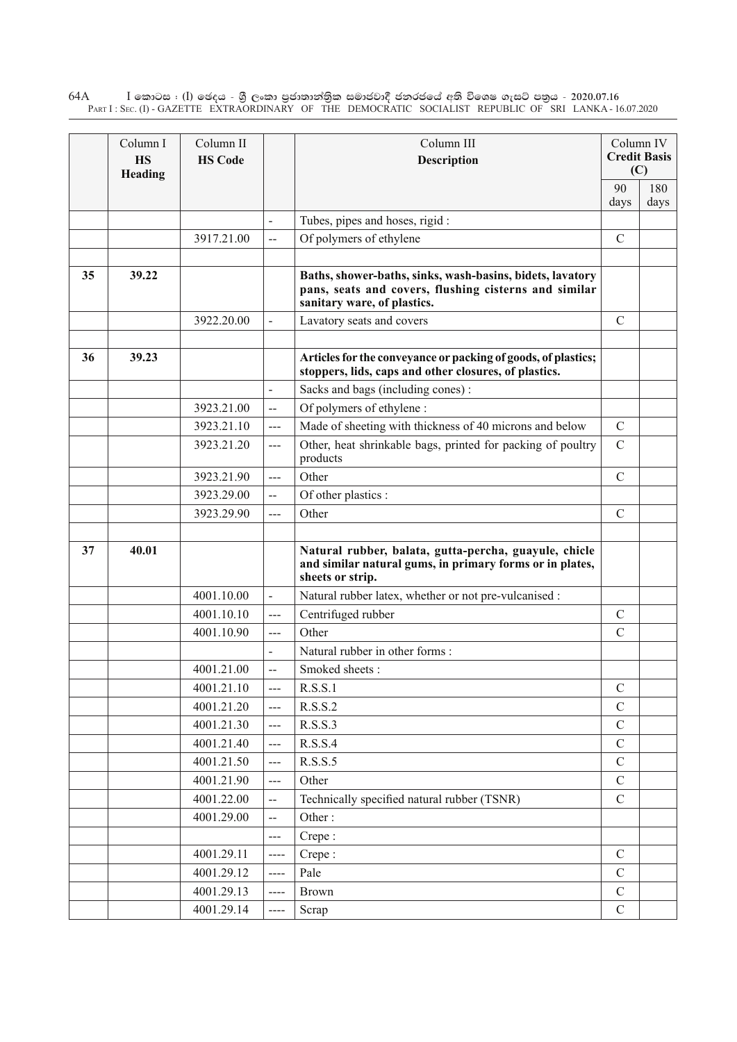$\rm I$  කොටස : ( $\rm I$ ) ඡෙදය - ශුී ලංකා පුජාතාන්තුික සමාජවාදී ජනරජයේ අති විශෙෂ ගැසට් පතුය - 2020.07.16 Part I : Sec. (I) - GAZETTE EXTRAORDINARY OF THE DEMOCRATIC SOCIALIST REPUBLIC OF SRI LANKA - 16.07.2020 64A

|    | Column I<br><b>HS</b><br>Heading | Column II<br><b>HS Code</b> |                          | Column III<br><b>Description</b>                                                                                                                  |               | Column IV<br><b>Credit Basis</b><br>(C) |
|----|----------------------------------|-----------------------------|--------------------------|---------------------------------------------------------------------------------------------------------------------------------------------------|---------------|-----------------------------------------|
|    |                                  |                             |                          |                                                                                                                                                   | 90<br>days    | 180<br>days                             |
|    |                                  |                             | $\overline{a}$           | Tubes, pipes and hoses, rigid:                                                                                                                    |               |                                         |
|    |                                  | 3917.21.00                  | $\overline{\phantom{a}}$ | Of polymers of ethylene                                                                                                                           | $\mathcal{C}$ |                                         |
|    |                                  |                             |                          |                                                                                                                                                   |               |                                         |
| 35 | 39.22                            |                             |                          | Baths, shower-baths, sinks, wash-basins, bidets, lavatory<br>pans, seats and covers, flushing cisterns and similar<br>sanitary ware, of plastics. |               |                                         |
|    |                                  | 3922.20.00                  |                          | Lavatory seats and covers                                                                                                                         | $\mathcal{C}$ |                                         |
|    |                                  |                             |                          |                                                                                                                                                   |               |                                         |
| 36 | 39.23                            |                             |                          | Articles for the conveyance or packing of goods, of plastics;<br>stoppers, lids, caps and other closures, of plastics.                            |               |                                         |
|    |                                  |                             | $\overline{\phantom{0}}$ | Sacks and bags (including cones):                                                                                                                 |               |                                         |
|    |                                  | 3923.21.00                  | $\overline{\phantom{a}}$ | Of polymers of ethylene :                                                                                                                         |               |                                         |
|    |                                  | 3923.21.10                  | ---                      | Made of sheeting with thickness of 40 microns and below                                                                                           | $\mathcal{C}$ |                                         |
|    |                                  | 3923.21.20                  | ---                      | Other, heat shrinkable bags, printed for packing of poultry<br>products                                                                           | $\mathcal{C}$ |                                         |
|    |                                  | 3923.21.90                  | ---                      | Other                                                                                                                                             | $\mathcal{C}$ |                                         |
|    |                                  | 3923.29.00                  | $\overline{a}$           | Of other plastics :                                                                                                                               |               |                                         |
|    |                                  | 3923.29.90                  | $---$                    | Other                                                                                                                                             | $\mathcal{C}$ |                                         |
| 37 | 40.01                            |                             |                          | Natural rubber, balata, gutta-percha, guayule, chicle<br>and similar natural gums, in primary forms or in plates,<br>sheets or strip.             |               |                                         |
|    |                                  | 4001.10.00                  | $\overline{\phantom{0}}$ | Natural rubber latex, whether or not pre-vulcanised :                                                                                             |               |                                         |
|    |                                  | 4001.10.10                  | $\frac{1}{2}$            | Centrifuged rubber                                                                                                                                | $\mathcal{C}$ |                                         |
|    |                                  | 4001.10.90                  | ---                      | Other                                                                                                                                             | $\mathcal{C}$ |                                         |
|    |                                  |                             |                          | Natural rubber in other forms:                                                                                                                    |               |                                         |
|    |                                  | 4001.21.00                  | $\overline{\phantom{a}}$ | Smoked sheets:                                                                                                                                    |               |                                         |
|    |                                  | 4001.21.10                  | $--$                     | R.S.S.1                                                                                                                                           | $\mathbf C$   |                                         |
|    |                                  | 4001.21.20                  | ---                      | R.S.S.2                                                                                                                                           | $\mathcal{C}$ |                                         |
|    |                                  | 4001.21.30                  | $---$                    | R.S.S.3                                                                                                                                           | $\mathcal{C}$ |                                         |
|    |                                  | 4001.21.40                  | $--$                     | R.S.S.4                                                                                                                                           | $\mathbf C$   |                                         |
|    |                                  | 4001.21.50                  | $---$                    | R.S.S.5                                                                                                                                           | $\mathcal{C}$ |                                         |
|    |                                  | 4001.21.90                  | ---                      | Other                                                                                                                                             | $\mathbf C$   |                                         |
|    |                                  | 4001.22.00                  | $\overline{a}$           | Technically specified natural rubber (TSNR)                                                                                                       | $\mathcal{C}$ |                                         |
|    |                                  | 4001.29.00                  | $\overline{a}$           | Other:                                                                                                                                            |               |                                         |
|    |                                  |                             | ---                      | Crepe:                                                                                                                                            |               |                                         |
|    |                                  | 4001.29.11                  | ----                     | Crepe:                                                                                                                                            | $\mathbf C$   |                                         |
|    |                                  | 4001.29.12                  | $\cdots$                 | Pale                                                                                                                                              | $\mathcal{C}$ |                                         |
|    |                                  | 4001.29.13                  | ----                     | <b>Brown</b>                                                                                                                                      | $\mathcal{C}$ |                                         |
|    |                                  | 4001.29.14                  | $\cdots$                 | Scrap                                                                                                                                             | $\mathcal{C}$ |                                         |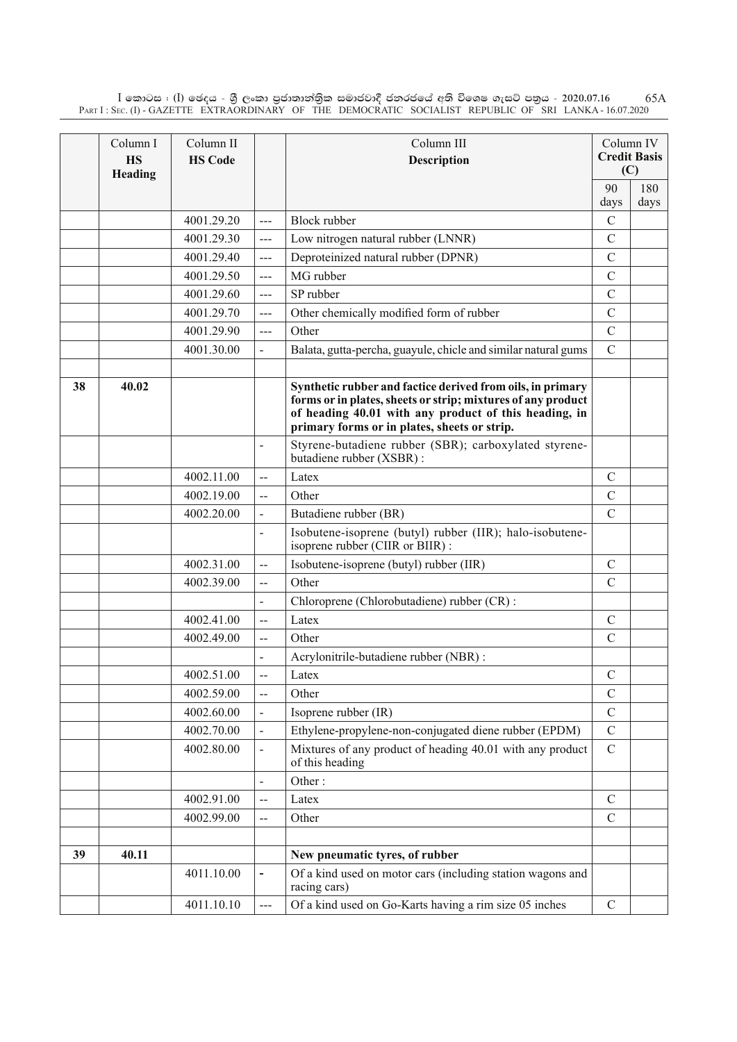$\rm I$  කොටස : ( $\rm I$ ) ඡෙදය - ශුී ලංකා පුජාතාන්තිුක සමාජවාදී ජනරජයේ අති විශෙෂ ගැසට් පතුය - 2020.07.16 Part I : Sec. (I) - GAZETTE EXTRAORDINARY OF THE DEMOCRATIC SOCIALIST REPUBLIC OF SRI LANKA - 16.07.2020 65A

|    | Column I<br><b>HS</b><br>Heading | Column II<br><b>HS Code</b> |                              | Column III<br>Description                                                                                                                                                                                                           |               | Column IV<br><b>Credit Basis</b><br>(C) |
|----|----------------------------------|-----------------------------|------------------------------|-------------------------------------------------------------------------------------------------------------------------------------------------------------------------------------------------------------------------------------|---------------|-----------------------------------------|
|    |                                  |                             |                              |                                                                                                                                                                                                                                     | 90            | 180                                     |
|    |                                  |                             |                              |                                                                                                                                                                                                                                     | days          | days                                    |
|    |                                  | 4001.29.20                  | $\overline{a}$               | <b>Block rubber</b>                                                                                                                                                                                                                 | $\mathcal{C}$ |                                         |
|    |                                  | 4001.29.30                  | ---                          | Low nitrogen natural rubber (LNNR)                                                                                                                                                                                                  | $\mathcal{C}$ |                                         |
|    |                                  | 4001.29.40                  | $---$                        | Deproteinized natural rubber (DPNR)                                                                                                                                                                                                 | $\mathbf C$   |                                         |
|    |                                  | 4001.29.50                  | $---$                        | MG rubber                                                                                                                                                                                                                           | $\mathcal{C}$ |                                         |
|    |                                  | 4001.29.60                  | $\overline{a}$               | SP rubber                                                                                                                                                                                                                           | $\mathcal{C}$ |                                         |
|    |                                  | 4001.29.70                  | ---                          | Other chemically modified form of rubber                                                                                                                                                                                            | $\mathcal{C}$ |                                         |
|    |                                  | 4001.29.90                  | $\overline{a}$               | Other                                                                                                                                                                                                                               | $\mathcal{C}$ |                                         |
|    |                                  | 4001.30.00                  |                              | Balata, gutta-percha, guayule, chicle and similar natural gums                                                                                                                                                                      | $\mathcal{C}$ |                                         |
|    |                                  |                             |                              |                                                                                                                                                                                                                                     |               |                                         |
| 38 | 40.02                            |                             |                              | Synthetic rubber and factice derived from oils, in primary<br>forms or in plates, sheets or strip; mixtures of any product<br>of heading 40.01 with any product of this heading, in<br>primary forms or in plates, sheets or strip. |               |                                         |
|    |                                  |                             |                              | Styrene-butadiene rubber (SBR); carboxylated styrene-<br>butadiene rubber (XSBR):                                                                                                                                                   |               |                                         |
|    |                                  | 4002.11.00                  | $\overline{\phantom{a}}$     | Latex                                                                                                                                                                                                                               | $\mathcal{C}$ |                                         |
|    |                                  | 4002.19.00                  | $-$                          | Other                                                                                                                                                                                                                               | $\mathcal{C}$ |                                         |
|    |                                  | 4002.20.00                  |                              | Butadiene rubber (BR)                                                                                                                                                                                                               | $\mathcal{C}$ |                                         |
|    |                                  |                             | $\blacksquare$               | Isobutene-isoprene (butyl) rubber (IIR); halo-isobutene-<br>isoprene rubber (CIIR or BIIR):                                                                                                                                         |               |                                         |
|    |                                  | 4002.31.00                  | $\overline{a}$               | Isobutene-isoprene (butyl) rubber (IIR)                                                                                                                                                                                             | $\mathcal{C}$ |                                         |
|    |                                  | 4002.39.00                  | $\overline{a}$               | Other                                                                                                                                                                                                                               | $\mathcal{C}$ |                                         |
|    |                                  |                             | $\overline{\phantom{0}}$     | Chloroprene (Chlorobutadiene) rubber (CR):                                                                                                                                                                                          |               |                                         |
|    |                                  | 4002.41.00                  | --                           | Latex                                                                                                                                                                                                                               | $\mathcal{C}$ |                                         |
|    |                                  | 4002.49.00                  | $\overline{\phantom{a}}$     | Other                                                                                                                                                                                                                               | $\mathcal{C}$ |                                         |
|    |                                  |                             |                              | Acrylonitrile-butadiene rubber (NBR):                                                                                                                                                                                               |               |                                         |
|    |                                  | 4002.51.00                  | $\overline{a}$               | Latex                                                                                                                                                                                                                               | $\mathcal{C}$ |                                         |
|    |                                  | 4002.59.00                  | --                           | Other                                                                                                                                                                                                                               | $\mathbf C$   |                                         |
|    |                                  | 4002.60.00                  |                              | Isoprene rubber (IR)                                                                                                                                                                                                                | $\mathbf C$   |                                         |
|    |                                  | 4002.70.00                  |                              | Ethylene-propylene-non-conjugated diene rubber (EPDM)                                                                                                                                                                               | $\mathcal{C}$ |                                         |
|    |                                  | 4002.80.00                  |                              | Mixtures of any product of heading 40.01 with any product<br>of this heading                                                                                                                                                        | $\mathcal{C}$ |                                         |
|    |                                  |                             | $\qquad \qquad \blacksquare$ | Other:                                                                                                                                                                                                                              |               |                                         |
|    |                                  | 4002.91.00                  | $-$                          | Latex                                                                                                                                                                                                                               | $\mathcal{C}$ |                                         |
|    |                                  | 4002.99.00                  | $-$                          | Other                                                                                                                                                                                                                               | $\mathcal{C}$ |                                         |
|    |                                  |                             |                              |                                                                                                                                                                                                                                     |               |                                         |
| 39 | 40.11                            |                             |                              | New pneumatic tyres, of rubber                                                                                                                                                                                                      |               |                                         |
|    |                                  | 4011.10.00                  | $\qquad \qquad \blacksquare$ | Of a kind used on motor cars (including station wagons and<br>racing cars)                                                                                                                                                          |               |                                         |
|    |                                  | 4011.10.10                  | $\overline{a}$               | Of a kind used on Go-Karts having a rim size 05 inches                                                                                                                                                                              | $\mathcal{C}$ |                                         |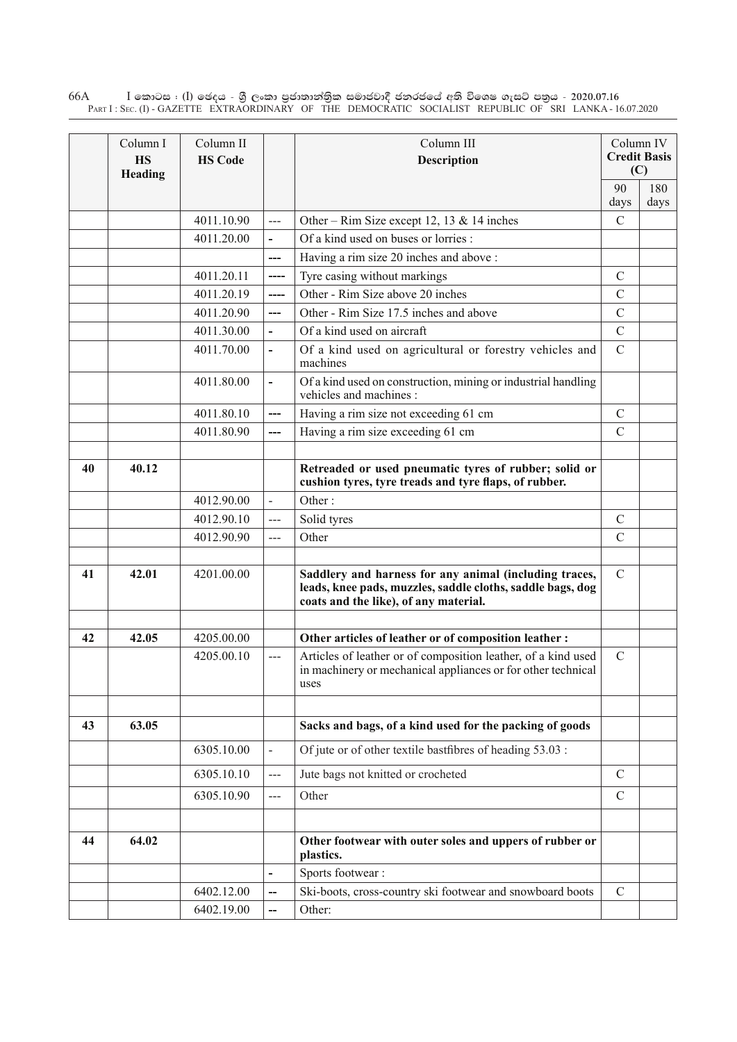$\rm I$  කොටස : ( $\rm I$ ) ඡෙදය - ශුී ලංකා පුජාතාන්තුික සමාජවාදී ජනරජයේ අති විශෙෂ ගැසට් පතුය - 2020.07.16 Part I : Sec. (I) - GAZETTE EXTRAORDINARY OF THE DEMOCRATIC SOCIALIST REPUBLIC OF SRI LANKA - 16.07.2020 66A

|    | Column I<br><b>HS</b><br>Heading | Column II<br><b>HS Code</b> |                          | Column III<br><b>Description</b>                                                                                                                              |               | Column IV<br><b>Credit Basis</b><br>(C) |
|----|----------------------------------|-----------------------------|--------------------------|---------------------------------------------------------------------------------------------------------------------------------------------------------------|---------------|-----------------------------------------|
|    |                                  |                             |                          |                                                                                                                                                               | 90<br>days    | 180<br>days                             |
|    |                                  | 4011.10.90                  | $\overline{a}$           | Other – Rim Size except 12, 13 & 14 inches                                                                                                                    | $\mathcal{C}$ |                                         |
|    |                                  | 4011.20.00                  | $\overline{\phantom{0}}$ | Of a kind used on buses or lorries :                                                                                                                          |               |                                         |
|    |                                  |                             | ---                      | Having a rim size 20 inches and above :                                                                                                                       |               |                                         |
|    |                                  | 4011.20.11                  | ----                     | Tyre casing without markings                                                                                                                                  | $\mathcal{C}$ |                                         |
|    |                                  | 4011.20.19                  | $---$                    | Other - Rim Size above 20 inches                                                                                                                              | $\mathcal{C}$ |                                         |
|    |                                  | 4011.20.90                  | $---$                    | Other - Rim Size 17.5 inches and above                                                                                                                        | $\mathcal{C}$ |                                         |
|    |                                  | 4011.30.00                  | $\overline{\phantom{0}}$ | Of a kind used on aircraft                                                                                                                                    | $\mathcal{C}$ |                                         |
|    |                                  | 4011.70.00                  |                          | Of a kind used on agricultural or forestry vehicles and<br>machines                                                                                           | $\mathcal{C}$ |                                         |
|    |                                  | 4011.80.00                  | $\overline{\phantom{0}}$ | Of a kind used on construction, mining or industrial handling<br>vehicles and machines :                                                                      |               |                                         |
|    |                                  | 4011.80.10                  | $---$                    | Having a rim size not exceeding 61 cm                                                                                                                         | $\mathcal{C}$ |                                         |
|    |                                  | 4011.80.90                  | $---$                    | Having a rim size exceeding 61 cm                                                                                                                             | $\mathcal{C}$ |                                         |
|    |                                  |                             |                          |                                                                                                                                                               |               |                                         |
| 40 | 40.12                            |                             |                          | Retreaded or used pneumatic tyres of rubber; solid or<br>cushion tyres, tyre treads and tyre flaps, of rubber.                                                |               |                                         |
|    |                                  | 4012.90.00                  | $\blacksquare$           | Other:                                                                                                                                                        |               |                                         |
|    |                                  | 4012.90.10                  | $\overline{a}$           | Solid tyres                                                                                                                                                   | $\mathcal{C}$ |                                         |
|    |                                  | 4012.90.90                  | $\overline{a}$           | Other                                                                                                                                                         | $\mathcal{C}$ |                                         |
|    |                                  |                             |                          |                                                                                                                                                               |               |                                         |
| 41 | 42.01                            | 4201.00.00                  |                          | Saddlery and harness for any animal (including traces,<br>leads, knee pads, muzzles, saddle cloths, saddle bags, dog<br>coats and the like), of any material. | $\mathcal{C}$ |                                         |
|    |                                  |                             |                          |                                                                                                                                                               |               |                                         |
| 42 | 42.05                            | 4205.00.00                  |                          | Other articles of leather or of composition leather :                                                                                                         |               |                                         |
|    |                                  | 4205.00.10                  | $---$                    | Articles of leather or of composition leather, of a kind used<br>in machinery or mechanical appliances or for other technical<br>uses                         | $\mathcal{C}$ |                                         |
|    |                                  |                             |                          |                                                                                                                                                               |               |                                         |
| 43 | 63.05                            |                             |                          | Sacks and bags, of a kind used for the packing of goods                                                                                                       |               |                                         |
|    |                                  | 6305.10.00                  |                          | Of jute or of other textile bastfibres of heading 53.03 :                                                                                                     |               |                                         |
|    |                                  | 6305.10.10                  | $---$                    | Jute bags not knitted or crocheted                                                                                                                            | $\mathcal{C}$ |                                         |
|    |                                  | 6305.10.90                  | $---$                    | Other                                                                                                                                                         | $\mathcal{C}$ |                                         |
|    |                                  |                             |                          |                                                                                                                                                               |               |                                         |
| 44 | 64.02                            |                             |                          | Other footwear with outer soles and uppers of rubber or<br>plastics.                                                                                          |               |                                         |
|    |                                  |                             | $\overline{a}$           | Sports footwear:                                                                                                                                              |               |                                         |
|    |                                  | 6402.12.00                  | --                       | Ski-boots, cross-country ski footwear and snowboard boots                                                                                                     | $\mathcal{C}$ |                                         |
|    |                                  | 6402.19.00                  | --                       | Other:                                                                                                                                                        |               |                                         |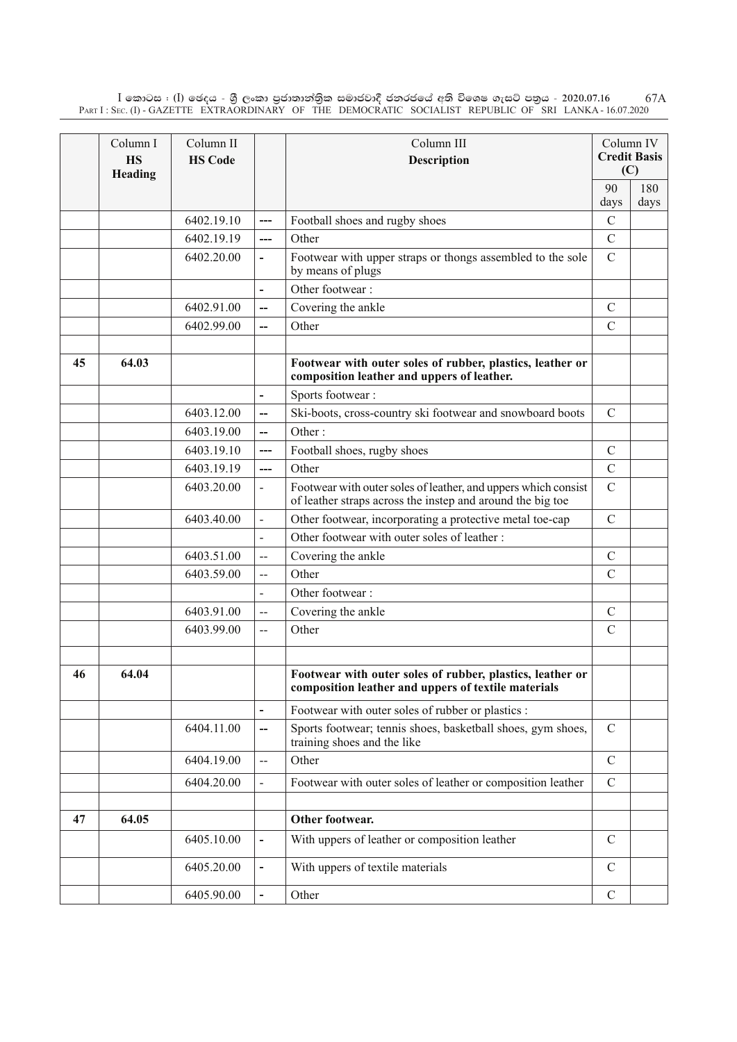$\rm I$  කොටස : ( $\rm I$ ) ඡෙදය - ශුී ලංකා පුජාතාන්තිුක සමාජවාදී ජනරජයේ අති විශෙෂ ගැසට් පතුය - 2020.07.16 Part I : Sec. (I) - GAZETTE EXTRAORDINARY OF THE DEMOCRATIC SOCIALIST REPUBLIC OF SRI LANKA - 16.07.2020 67A

|    | Column I<br><b>HS</b><br>Heading | Column II<br><b>HS Code</b> |                          | Column III<br>Description                                                                                                    | Column IV<br><b>Credit Basis</b><br>(C) |      |
|----|----------------------------------|-----------------------------|--------------------------|------------------------------------------------------------------------------------------------------------------------------|-----------------------------------------|------|
|    |                                  |                             |                          |                                                                                                                              | 90                                      | 180  |
|    |                                  |                             |                          |                                                                                                                              | days                                    | days |
|    |                                  | 6402.19.10                  | ---                      | Football shoes and rugby shoes                                                                                               | $\mathcal{C}$                           |      |
|    |                                  | 6402.19.19                  | ---                      | Other                                                                                                                        | $\mathcal{C}$                           |      |
|    |                                  | 6402.20.00                  | $\overline{\phantom{0}}$ | Footwear with upper straps or thongs assembled to the sole<br>by means of plugs                                              | $\mathcal{C}$                           |      |
|    |                                  |                             | $\overline{\phantom{0}}$ | Other footwear:                                                                                                              |                                         |      |
|    |                                  | 6402.91.00                  | --                       | Covering the ankle                                                                                                           | $\mathcal{C}$                           |      |
|    |                                  | 6402.99.00                  | $\overline{\phantom{a}}$ | Other                                                                                                                        | $\mathcal{C}$                           |      |
|    |                                  |                             |                          |                                                                                                                              |                                         |      |
| 45 | 64.03                            |                             |                          | Footwear with outer soles of rubber, plastics, leather or<br>composition leather and uppers of leather.                      |                                         |      |
|    |                                  |                             |                          | Sports footwear:                                                                                                             |                                         |      |
|    |                                  | 6403.12.00                  | --                       | Ski-boots, cross-country ski footwear and snowboard boots                                                                    | $\mathcal{C}$                           |      |
|    |                                  | 6403.19.00                  | --                       | Other:                                                                                                                       |                                         |      |
|    |                                  | 6403.19.10                  | ---                      | Football shoes, rugby shoes                                                                                                  | $\mathcal{C}$                           |      |
|    |                                  | 6403.19.19                  | $---$                    | Other                                                                                                                        | $\mathcal{C}$                           |      |
|    |                                  | 6403.20.00                  | $\overline{\phantom{0}}$ | Footwear with outer soles of leather, and uppers which consist<br>of leather straps across the instep and around the big toe | $\mathcal{C}$                           |      |
|    |                                  | 6403.40.00                  | $\overline{\phantom{a}}$ | Other footwear, incorporating a protective metal toe-cap                                                                     | $\mathcal{C}$                           |      |
|    |                                  |                             | $\overline{\phantom{a}}$ | Other footwear with outer soles of leather :                                                                                 |                                         |      |
|    |                                  | 6403.51.00                  | $\overline{a}$           | Covering the ankle                                                                                                           | $\mathcal{C}$                           |      |
|    |                                  | 6403.59.00                  | $-$                      | Other                                                                                                                        | $\mathcal{C}$                           |      |
|    |                                  |                             | $\blacksquare$           | Other footwear:                                                                                                              |                                         |      |
|    |                                  | 6403.91.00                  | --                       | Covering the ankle                                                                                                           | $\mathcal{C}$                           |      |
|    |                                  | 6403.99.00                  | $\overline{a}$           | Other                                                                                                                        | $\mathcal{C}$                           |      |
|    |                                  |                             |                          |                                                                                                                              |                                         |      |
| 46 | 64.04                            |                             |                          | Footwear with outer soles of rubber, plastics, leather or<br>composition leather and uppers of textile materials             |                                         |      |
|    |                                  |                             |                          | Footwear with outer soles of rubber or plastics :                                                                            |                                         |      |
|    |                                  | 6404.11.00                  | $\hspace{0.05cm}$        | Sports footwear; tennis shoes, basketball shoes, gym shoes,<br>training shoes and the like                                   | $\mathbf C$                             |      |
|    |                                  | 6404.19.00                  | $\overline{a}$           | Other                                                                                                                        | $\mathcal{C}$                           |      |
|    |                                  | 6404.20.00                  |                          | Footwear with outer soles of leather or composition leather                                                                  | $\mathcal{C}$                           |      |
|    |                                  |                             |                          |                                                                                                                              |                                         |      |
| 47 | 64.05                            |                             |                          | Other footwear.                                                                                                              |                                         |      |
|    |                                  | 6405.10.00                  |                          | With uppers of leather or composition leather                                                                                | $\mathcal{C}$                           |      |
|    |                                  | 6405.20.00                  |                          | With uppers of textile materials                                                                                             | $\mathcal{C}$                           |      |
|    |                                  | 6405.90.00                  |                          | Other                                                                                                                        | $\mathcal{C}$                           |      |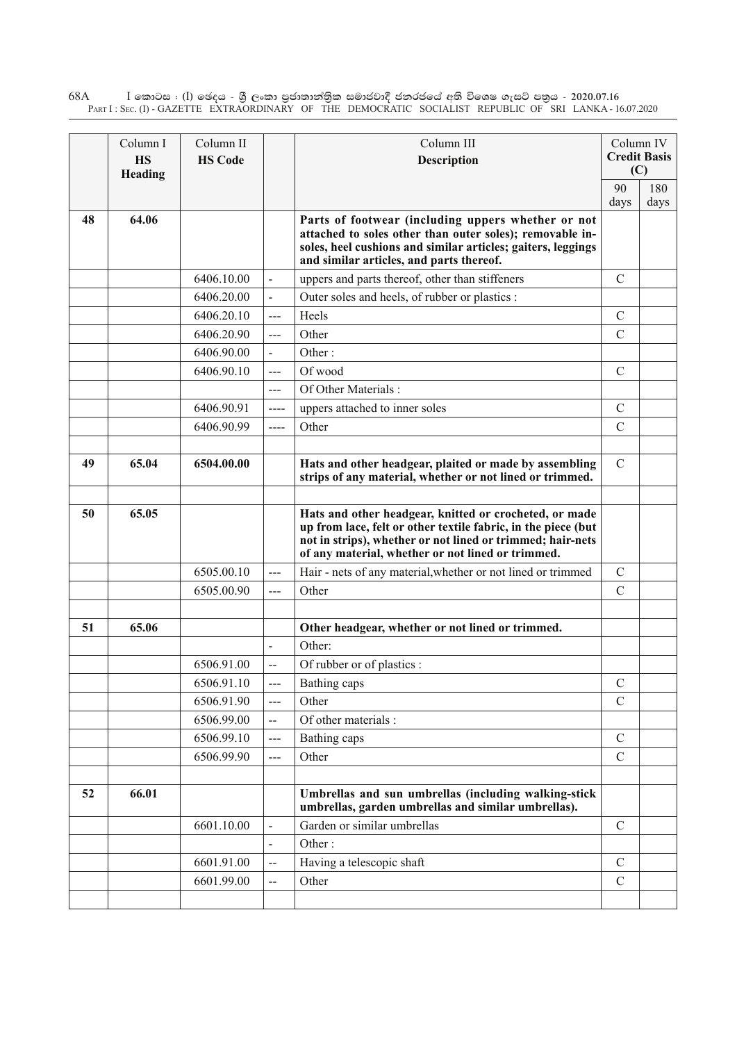$\rm I$  කොටස : ( $\rm I$ ) ඡෙදය - ශුී ලංකා පුජාතාන්තුික සමාජවාදී ජනරජයේ අති විශෙෂ ගැසට් පතුය - 2020.07.16 Part I : Sec. (I) - GAZETTE EXTRAORDINARY OF THE DEMOCRATIC SOCIALIST REPUBLIC OF SRI LANKA - 16.07.2020 68A

|    | Column I  | Column II      |                          | Column III                                                                                                                                                                                                                                 |               | Column IV           |
|----|-----------|----------------|--------------------------|--------------------------------------------------------------------------------------------------------------------------------------------------------------------------------------------------------------------------------------------|---------------|---------------------|
|    | <b>HS</b> | <b>HS Code</b> |                          | <b>Description</b>                                                                                                                                                                                                                         |               | <b>Credit Basis</b> |
|    | Heading   |                |                          |                                                                                                                                                                                                                                            | (C)           |                     |
|    |           |                |                          |                                                                                                                                                                                                                                            | 90            | 180                 |
| 48 | 64.06     |                |                          |                                                                                                                                                                                                                                            | days          | days                |
|    |           |                |                          | Parts of footwear (including uppers whether or not<br>attached to soles other than outer soles); removable in-<br>soles, heel cushions and similar articles; gaiters, leggings<br>and similar articles, and parts thereof.                 |               |                     |
|    |           | 6406.10.00     | $\ddot{\phantom{1}}$     | uppers and parts thereof, other than stiffeners                                                                                                                                                                                            | $\mathcal{C}$ |                     |
|    |           | 6406.20.00     | $\blacksquare$           | Outer soles and heels, of rubber or plastics :                                                                                                                                                                                             |               |                     |
|    |           | 6406.20.10     | $\overline{a}$           | Heels                                                                                                                                                                                                                                      | $\mathcal{C}$ |                     |
|    |           | 6406.20.90     | $\overline{a}$           | Other                                                                                                                                                                                                                                      | $\mathcal{C}$ |                     |
|    |           | 6406.90.00     | $\blacksquare$           | Other:                                                                                                                                                                                                                                     |               |                     |
|    |           | 6406.90.10     | $\overline{a}$           | Of wood                                                                                                                                                                                                                                    | $\mathcal{C}$ |                     |
|    |           |                | $---$                    | Of Other Materials:                                                                                                                                                                                                                        |               |                     |
|    |           | 6406.90.91     | ----                     | uppers attached to inner soles                                                                                                                                                                                                             | $\mathcal{C}$ |                     |
|    |           | 6406.90.99     | $---$                    | Other                                                                                                                                                                                                                                      | $\mathcal{C}$ |                     |
|    |           |                |                          |                                                                                                                                                                                                                                            |               |                     |
| 49 | 65.04     | 6504.00.00     |                          | Hats and other headgear, plaited or made by assembling<br>strips of any material, whether or not lined or trimmed.                                                                                                                         | $\mathcal{C}$ |                     |
|    |           |                |                          |                                                                                                                                                                                                                                            |               |                     |
| 50 | 65.05     |                |                          | Hats and other headgear, knitted or crocheted, or made<br>up from lace, felt or other textile fabric, in the piece (but<br>not in strips), whether or not lined or trimmed; hair-nets<br>of any material, whether or not lined or trimmed. |               |                     |
|    |           | 6505.00.10     | ---                      | Hair - nets of any material, whether or not lined or trimmed                                                                                                                                                                               | $\mathsf{C}$  |                     |
|    |           | 6505.00.90     | $\overline{a}$           | Other                                                                                                                                                                                                                                      | $\mathcal{C}$ |                     |
|    |           |                |                          |                                                                                                                                                                                                                                            |               |                     |
| 51 | 65.06     |                |                          | Other headgear, whether or not lined or trimmed.                                                                                                                                                                                           |               |                     |
|    |           |                | $\overline{\phantom{a}}$ | Other:                                                                                                                                                                                                                                     |               |                     |
|    |           | 6506.91.00     | $\overline{a}$           | Of rubber or of plastics :                                                                                                                                                                                                                 |               |                     |
|    |           | 6506.91.10     | ---                      | Bathing caps                                                                                                                                                                                                                               | $\mathbf C$   |                     |
|    |           | 6506.91.90     | ---                      | Other                                                                                                                                                                                                                                      | $\mathcal{C}$ |                     |
|    |           | 6506.99.00     | $\overline{\phantom{a}}$ | Of other materials:                                                                                                                                                                                                                        |               |                     |
|    |           | 6506.99.10     | ---                      | Bathing caps                                                                                                                                                                                                                               | $\mathcal{C}$ |                     |
|    |           | 6506.99.90     | ---                      | Other                                                                                                                                                                                                                                      | $\mathcal{C}$ |                     |
|    |           |                |                          |                                                                                                                                                                                                                                            |               |                     |
| 52 | 66.01     |                |                          | Umbrellas and sun umbrellas (including walking-stick<br>umbrellas, garden umbrellas and similar umbrellas).                                                                                                                                |               |                     |
|    |           | 6601.10.00     | $\overline{\phantom{a}}$ | Garden or similar umbrellas                                                                                                                                                                                                                | $\mathcal{C}$ |                     |
|    |           |                | $\overline{\phantom{a}}$ | Other:                                                                                                                                                                                                                                     |               |                     |
|    |           | 6601.91.00     | --                       | Having a telescopic shaft                                                                                                                                                                                                                  | $\mathcal{C}$ |                     |
|    |           | 6601.99.00     | --                       | Other                                                                                                                                                                                                                                      | $\mathcal{C}$ |                     |
|    |           |                |                          |                                                                                                                                                                                                                                            |               |                     |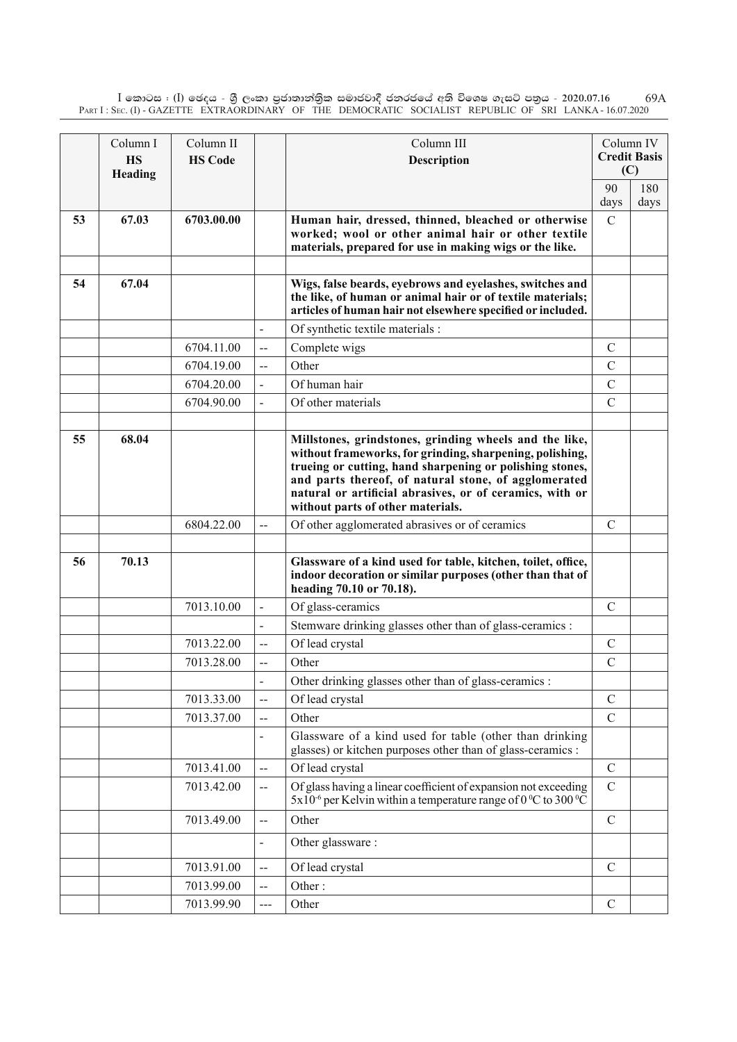$\rm I$  කොටස : ( $\rm I$ ) ඡෙදය - ශුී ලංකා පුජාතාන්තිුක සමාජවාදී ජනරජයේ අති විශෙෂ ගැසට් පතුය - 2020.07.16 Part I : Sec. (I) - GAZETTE EXTRAORDINARY OF THE DEMOCRATIC SOCIALIST REPUBLIC OF SRI LANKA - 16.07.2020 69A

|    | Column I  | Column II      |                | Column III                                                                                                                                                                                                                                                                                                                              |               | Column IV           |
|----|-----------|----------------|----------------|-----------------------------------------------------------------------------------------------------------------------------------------------------------------------------------------------------------------------------------------------------------------------------------------------------------------------------------------|---------------|---------------------|
|    | <b>HS</b> | <b>HS Code</b> |                | Description                                                                                                                                                                                                                                                                                                                             | (C)           | <b>Credit Basis</b> |
|    | Heading   |                |                |                                                                                                                                                                                                                                                                                                                                         | 90            | 180                 |
|    |           |                |                |                                                                                                                                                                                                                                                                                                                                         | days          | days                |
| 53 | 67.03     | 6703.00.00     |                | Human hair, dressed, thinned, bleached or otherwise<br>worked; wool or other animal hair or other textile<br>materials, prepared for use in making wigs or the like.                                                                                                                                                                    | $\mathcal{C}$ |                     |
|    |           |                |                |                                                                                                                                                                                                                                                                                                                                         |               |                     |
| 54 | 67.04     |                |                | Wigs, false beards, eyebrows and eyelashes, switches and<br>the like, of human or animal hair or of textile materials;<br>articles of human hair not elsewhere specified or included.                                                                                                                                                   |               |                     |
|    |           |                |                | Of synthetic textile materials :                                                                                                                                                                                                                                                                                                        |               |                     |
|    |           | 6704.11.00     | $-$            | Complete wigs                                                                                                                                                                                                                                                                                                                           | $\mathcal{C}$ |                     |
|    |           | 6704.19.00     | $-$            | Other                                                                                                                                                                                                                                                                                                                                   | $\mathcal{C}$ |                     |
|    |           | 6704.20.00     | $\blacksquare$ | Of human hair                                                                                                                                                                                                                                                                                                                           | $\mathcal{C}$ |                     |
|    |           | 6704.90.00     |                | Of other materials                                                                                                                                                                                                                                                                                                                      | $\mathcal{C}$ |                     |
|    |           |                |                |                                                                                                                                                                                                                                                                                                                                         |               |                     |
| 55 | 68.04     |                |                | Millstones, grindstones, grinding wheels and the like,<br>without frameworks, for grinding, sharpening, polishing,<br>trueing or cutting, hand sharpening or polishing stones,<br>and parts thereof, of natural stone, of agglomerated<br>natural or artificial abrasives, or of ceramics, with or<br>without parts of other materials. |               |                     |
|    |           | 6804.22.00     | --             | Of other agglomerated abrasives or of ceramics                                                                                                                                                                                                                                                                                          | $\mathcal{C}$ |                     |
| 56 | 70.13     |                |                | Glassware of a kind used for table, kitchen, toilet, office,<br>indoor decoration or similar purposes (other than that of<br>heading 70.10 or 70.18).                                                                                                                                                                                   |               |                     |
|    |           | 7013.10.00     | $\frac{1}{2}$  | Of glass-ceramics                                                                                                                                                                                                                                                                                                                       | C             |                     |
|    |           |                |                | Stemware drinking glasses other than of glass-ceramics :                                                                                                                                                                                                                                                                                |               |                     |
|    |           | 7013.22.00     | $-$            | Of lead crystal                                                                                                                                                                                                                                                                                                                         | $\mathcal{C}$ |                     |
|    |           | 7013.28.00     | $\overline{a}$ | Other                                                                                                                                                                                                                                                                                                                                   | $\mathcal{C}$ |                     |
|    |           |                |                | Other drinking glasses other than of glass-ceramics :                                                                                                                                                                                                                                                                                   |               |                     |
|    |           | 7013.33.00     | $-$            | Of lead crystal                                                                                                                                                                                                                                                                                                                         | $\mathcal{C}$ |                     |
|    |           | 7013.37.00     | $\overline{a}$ | Other                                                                                                                                                                                                                                                                                                                                   | $\mathcal{C}$ |                     |
|    |           |                |                | Glassware of a kind used for table (other than drinking<br>glasses) or kitchen purposes other than of glass-ceramics :                                                                                                                                                                                                                  |               |                     |
|    |           | 7013.41.00     | $-$            | Of lead crystal                                                                                                                                                                                                                                                                                                                         | $\mathcal{C}$ |                     |
|    |           | 7013.42.00     | $-$            | Of glass having a linear coefficient of expansion not exceeding<br>$5x10^{-6}$ per Kelvin within a temperature range of $0\,^{\circ}\text{C}$ to 300 $^{\circ}\text{C}$                                                                                                                                                                 | $\mathcal{C}$ |                     |
|    |           | 7013.49.00     | --             | Other                                                                                                                                                                                                                                                                                                                                   | $\mathcal{C}$ |                     |
|    |           |                |                | Other glassware:                                                                                                                                                                                                                                                                                                                        |               |                     |
|    |           | 7013.91.00     | $-$            | Of lead crystal                                                                                                                                                                                                                                                                                                                         | $\mathcal{C}$ |                     |
|    |           | 7013.99.00     | --             | Other:                                                                                                                                                                                                                                                                                                                                  |               |                     |
|    |           | 7013.99.90     |                | Other                                                                                                                                                                                                                                                                                                                                   | $\mathcal{C}$ |                     |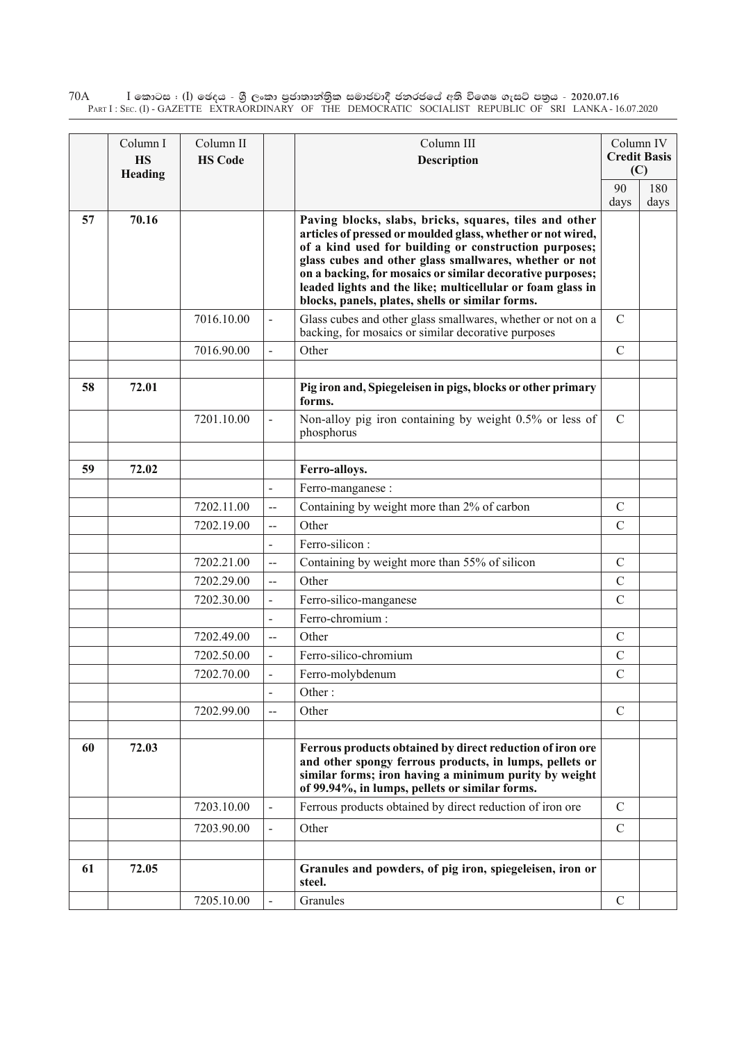$\rm I$  කොටස : ( $\rm I$ ) ඡෙදය - ශුී ලංකා පුජාතාන්තුික සමාජවාදී ජනරජයේ අති විශෙෂ ගැසට් පතුය - 2020.07.16 Part I : Sec. (I) - GAZETTE EXTRAORDINARY OF THE DEMOCRATIC SOCIALIST REPUBLIC OF SRI LANKA - 16.07.2020 70A

|    | Column I  | Column II      |                          | Column III                                                                                                                                                                                                                                                                                                                                                                                                              |               | Column IV           |
|----|-----------|----------------|--------------------------|-------------------------------------------------------------------------------------------------------------------------------------------------------------------------------------------------------------------------------------------------------------------------------------------------------------------------------------------------------------------------------------------------------------------------|---------------|---------------------|
|    | <b>HS</b> | <b>HS Code</b> |                          | <b>Description</b>                                                                                                                                                                                                                                                                                                                                                                                                      |               | <b>Credit Basis</b> |
|    | Heading   |                |                          |                                                                                                                                                                                                                                                                                                                                                                                                                         | 90            | (C)<br>180          |
|    |           |                |                          |                                                                                                                                                                                                                                                                                                                                                                                                                         | days          | days                |
| 57 | 70.16     |                |                          | Paving blocks, slabs, bricks, squares, tiles and other<br>articles of pressed or moulded glass, whether or not wired,<br>of a kind used for building or construction purposes;<br>glass cubes and other glass smallwares, whether or not<br>on a backing, for mosaics or similar decorative purposes;<br>leaded lights and the like; multicellular or foam glass in<br>blocks, panels, plates, shells or similar forms. |               |                     |
|    |           | 7016.10.00     | $\overline{\phantom{a}}$ | Glass cubes and other glass smallwares, whether or not on a<br>backing, for mosaics or similar decorative purposes                                                                                                                                                                                                                                                                                                      | $\mathbf C$   |                     |
|    |           | 7016.90.00     |                          | Other                                                                                                                                                                                                                                                                                                                                                                                                                   | $\mathcal{C}$ |                     |
|    |           |                |                          |                                                                                                                                                                                                                                                                                                                                                                                                                         |               |                     |
| 58 | 72.01     |                |                          | Pig iron and, Spiegeleisen in pigs, blocks or other primary<br>forms.                                                                                                                                                                                                                                                                                                                                                   |               |                     |
|    |           | 7201.10.00     |                          | Non-alloy pig iron containing by weight 0.5% or less of<br>phosphorus                                                                                                                                                                                                                                                                                                                                                   | $\mathcal{C}$ |                     |
|    |           |                |                          |                                                                                                                                                                                                                                                                                                                                                                                                                         |               |                     |
| 59 | 72.02     |                |                          | Ferro-alloys.                                                                                                                                                                                                                                                                                                                                                                                                           |               |                     |
|    |           |                |                          | Ferro-manganese:                                                                                                                                                                                                                                                                                                                                                                                                        |               |                     |
|    |           | 7202.11.00     | $-$                      | Containing by weight more than 2% of carbon                                                                                                                                                                                                                                                                                                                                                                             | $\mathcal{C}$ |                     |
|    |           | 7202.19.00     | $-$                      | Other                                                                                                                                                                                                                                                                                                                                                                                                                   | $\mathcal{C}$ |                     |
|    |           |                | $\blacksquare$           | Ferro-silicon:                                                                                                                                                                                                                                                                                                                                                                                                          |               |                     |
|    |           | 7202.21.00     | $-$                      | Containing by weight more than 55% of silicon                                                                                                                                                                                                                                                                                                                                                                           | $\mathcal{C}$ |                     |
|    |           | 7202.29.00     | $\overline{\phantom{a}}$ | Other                                                                                                                                                                                                                                                                                                                                                                                                                   | $\mathcal{C}$ |                     |
|    |           | 7202.30.00     | $\overline{\phantom{a}}$ | Ferro-silico-manganese                                                                                                                                                                                                                                                                                                                                                                                                  | $\mathcal{C}$ |                     |
|    |           |                | $\blacksquare$           | Ferro-chromium:                                                                                                                                                                                                                                                                                                                                                                                                         |               |                     |
|    |           | 7202.49.00     | --                       | Other                                                                                                                                                                                                                                                                                                                                                                                                                   | $\mathcal{C}$ |                     |
|    |           | 7202.50.00     |                          | Ferro-silico-chromium                                                                                                                                                                                                                                                                                                                                                                                                   | $\mathcal{C}$ |                     |
|    |           | 7202.70.00     |                          | Ferro-molybdenum                                                                                                                                                                                                                                                                                                                                                                                                        | $\mathcal{C}$ |                     |
|    |           |                |                          | Other:                                                                                                                                                                                                                                                                                                                                                                                                                  |               |                     |
|    |           | 7202.99.00     | $-$                      | Other                                                                                                                                                                                                                                                                                                                                                                                                                   | $\mathbf C$   |                     |
|    |           |                |                          |                                                                                                                                                                                                                                                                                                                                                                                                                         |               |                     |
| 60 | 72.03     |                |                          | Ferrous products obtained by direct reduction of iron ore<br>and other spongy ferrous products, in lumps, pellets or<br>similar forms; iron having a minimum purity by weight<br>of 99.94%, in lumps, pellets or similar forms.                                                                                                                                                                                         |               |                     |
|    |           | 7203.10.00     |                          | Ferrous products obtained by direct reduction of iron ore                                                                                                                                                                                                                                                                                                                                                               | $\mathcal{C}$ |                     |
|    |           | 7203.90.00     |                          | Other                                                                                                                                                                                                                                                                                                                                                                                                                   | $\mathcal{C}$ |                     |
| 61 | 72.05     |                |                          | Granules and powders, of pig iron, spiegeleisen, iron or                                                                                                                                                                                                                                                                                                                                                                |               |                     |
|    |           |                |                          | steel.                                                                                                                                                                                                                                                                                                                                                                                                                  |               |                     |
|    |           | 7205.10.00     |                          | Granules                                                                                                                                                                                                                                                                                                                                                                                                                | $\mathcal{C}$ |                     |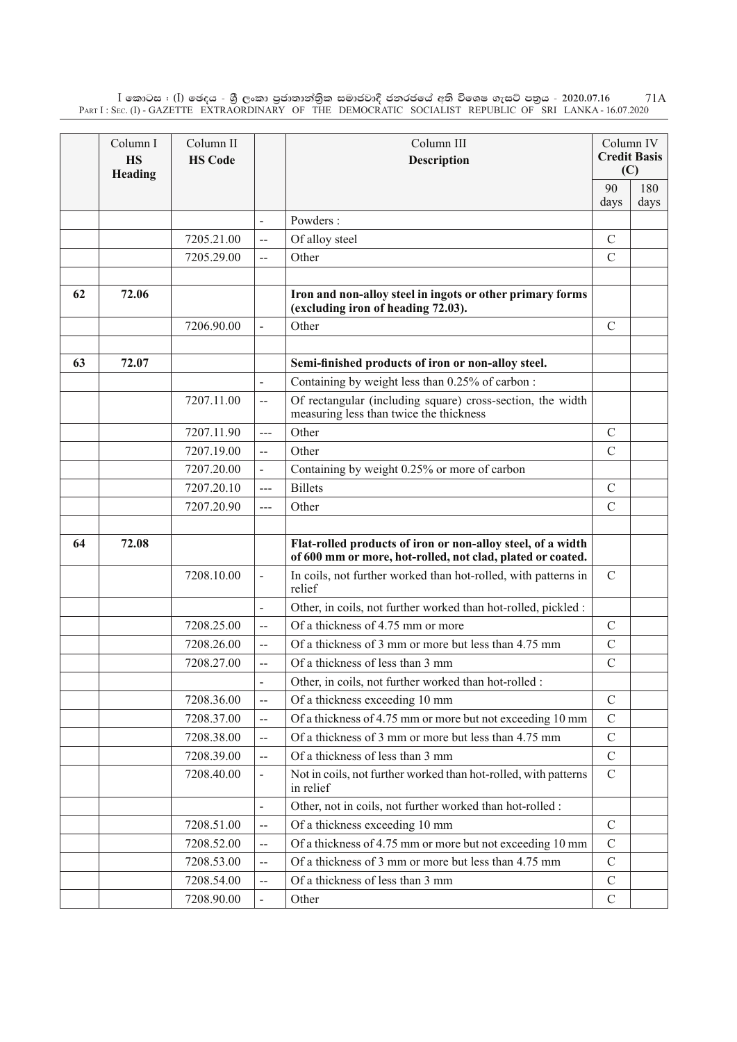$\rm I$  කොටස : ( $\rm I$ ) ඡෙදය - ශුී ලංකා පුජාතාන්තිුක සමාජවාදී ජනරජයේ අති විශෙෂ ගැසට් පතුය - 2020.07.16 Part I : Sec. (I) - GAZETTE EXTRAORDINARY OF THE DEMOCRATIC SOCIALIST REPUBLIC OF SRI LANKA - 16.07.2020 71A

|    | Column I<br><b>HS</b><br>Heading | Column II<br><b>HS Code</b> |                          | Column III<br>Description                                                                                                 |               | Column IV<br><b>Credit Basis</b><br>(C) |
|----|----------------------------------|-----------------------------|--------------------------|---------------------------------------------------------------------------------------------------------------------------|---------------|-----------------------------------------|
|    |                                  |                             |                          |                                                                                                                           | 90            | 180                                     |
|    |                                  |                             |                          |                                                                                                                           | days          | days                                    |
|    |                                  |                             | $\overline{a}$           | Powders:                                                                                                                  |               |                                         |
|    |                                  | 7205.21.00                  | --                       | Of alloy steel                                                                                                            | $\mathcal{C}$ |                                         |
|    |                                  | 7205.29.00                  | $\overline{a}$           | Other                                                                                                                     | $\mathcal{C}$ |                                         |
| 62 | 72.06                            |                             |                          | Iron and non-alloy steel in ingots or other primary forms<br>(excluding iron of heading 72.03).                           |               |                                         |
|    |                                  | 7206.90.00                  |                          | Other                                                                                                                     | $\mathcal{C}$ |                                         |
|    |                                  |                             |                          |                                                                                                                           |               |                                         |
| 63 | 72.07                            |                             |                          | Semi-finished products of iron or non-alloy steel.                                                                        |               |                                         |
|    |                                  |                             | $\overline{\phantom{a}}$ | Containing by weight less than 0.25% of carbon:                                                                           |               |                                         |
|    |                                  | 7207.11.00                  | $\overline{a}$           | Of rectangular (including square) cross-section, the width<br>measuring less than twice the thickness                     |               |                                         |
|    |                                  | 7207.11.90                  | $---$                    | Other                                                                                                                     | $\mathcal{C}$ |                                         |
|    |                                  | 7207.19.00                  | $\overline{a}$           | Other                                                                                                                     | $\mathcal{C}$ |                                         |
|    |                                  | 7207.20.00                  |                          | Containing by weight 0.25% or more of carbon                                                                              |               |                                         |
|    |                                  | 7207.20.10                  | ---                      | <b>Billets</b>                                                                                                            | $\mathcal{C}$ |                                         |
|    |                                  | 7207.20.90                  | ---                      | Other                                                                                                                     | $\mathcal{C}$ |                                         |
|    |                                  |                             |                          |                                                                                                                           |               |                                         |
| 64 | 72.08                            |                             |                          | Flat-rolled products of iron or non-alloy steel, of a width<br>of 600 mm or more, hot-rolled, not clad, plated or coated. |               |                                         |
|    |                                  | 7208.10.00                  | $\overline{\phantom{0}}$ | In coils, not further worked than hot-rolled, with patterns in<br>relief                                                  | $\mathcal{C}$ |                                         |
|    |                                  |                             | $\overline{a}$           | Other, in coils, not further worked than hot-rolled, pickled:                                                             |               |                                         |
|    |                                  | 7208.25.00                  | $\overline{\phantom{a}}$ | Of a thickness of 4.75 mm or more                                                                                         | $\mathcal{C}$ |                                         |
|    |                                  | 7208.26.00                  | $-$                      | Of a thickness of 3 mm or more but less than 4.75 mm                                                                      | $\mathcal{C}$ |                                         |
|    |                                  | 7208.27.00                  | $\overline{\phantom{a}}$ | Of a thickness of less than 3 mm                                                                                          | $\mathcal{C}$ |                                         |
|    |                                  |                             |                          | Other, in coils, not further worked than hot-rolled :                                                                     |               |                                         |
|    |                                  | 7208.36.00                  | --                       | Of a thickness exceeding 10 mm                                                                                            | $\mathcal{C}$ |                                         |
|    |                                  | 7208.37.00                  | $-$                      | Of a thickness of 4.75 mm or more but not exceeding 10 mm                                                                 | $\mathcal{C}$ |                                         |
|    |                                  | 7208.38.00                  | $\overline{a}$           | Of a thickness of 3 mm or more but less than 4.75 mm                                                                      | $\mathcal{C}$ |                                         |
|    |                                  | 7208.39.00                  |                          | Of a thickness of less than 3 mm                                                                                          | $\mathcal{C}$ |                                         |
|    |                                  | 7208.40.00                  |                          | Not in coils, not further worked than hot-rolled, with patterns<br>in relief                                              | $\mathcal{C}$ |                                         |
|    |                                  |                             | $\overline{\phantom{0}}$ | Other, not in coils, not further worked than hot-rolled :                                                                 |               |                                         |
|    |                                  | 7208.51.00                  | $\mathbf{u}$             | Of a thickness exceeding 10 mm                                                                                            | $\mathcal{C}$ |                                         |
|    |                                  | 7208.52.00                  | $-$                      | Of a thickness of 4.75 mm or more but not exceeding 10 mm                                                                 | $\mathcal{C}$ |                                         |
|    |                                  | 7208.53.00                  | --                       | Of a thickness of 3 mm or more but less than 4.75 mm                                                                      | $\mathbf C$   |                                         |
|    |                                  | 7208.54.00                  | $\overline{\phantom{a}}$ | Of a thickness of less than 3 mm                                                                                          | $\mathcal{C}$ |                                         |
|    |                                  | 7208.90.00                  |                          | Other                                                                                                                     | $\mathcal{C}$ |                                         |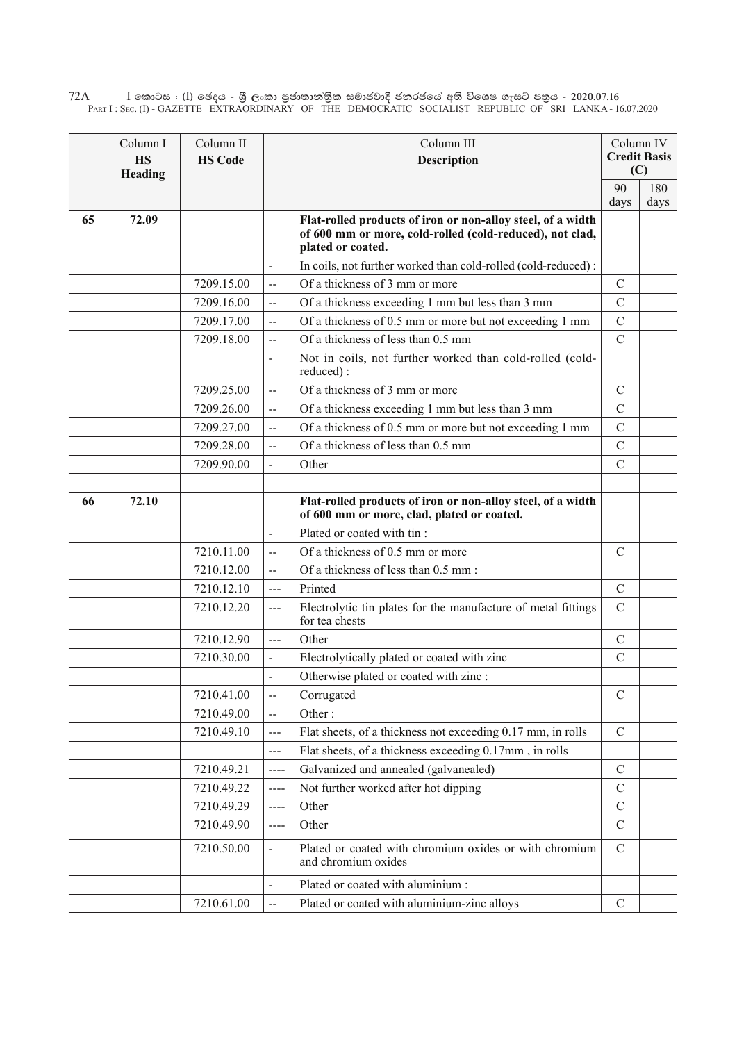$\rm I$  කොටස : ( $\rm I$ ) ඡෙදය - ශුී ලංකා පුජාතාන්තුික සමාජවාදී ජනරජයේ අති විශෙෂ ගැසට් පතුය - 2020.07.16 Part I : Sec. (I) - GAZETTE EXTRAORDINARY OF THE DEMOCRATIC SOCIALIST REPUBLIC OF SRI LANKA - 16.07.2020 72A

|    | Column I<br><b>HS</b><br>Heading | Column II<br><b>HS Code</b> |                          | Column III<br><b>Description</b>                                                                                                             |               | Column IV<br><b>Credit Basis</b><br>(C) |
|----|----------------------------------|-----------------------------|--------------------------|----------------------------------------------------------------------------------------------------------------------------------------------|---------------|-----------------------------------------|
|    |                                  |                             |                          |                                                                                                                                              | 90<br>days    | 180<br>days                             |
| 65 | 72.09                            |                             |                          | Flat-rolled products of iron or non-alloy steel, of a width<br>of 600 mm or more, cold-rolled (cold-reduced), not clad,<br>plated or coated. |               |                                         |
|    |                                  |                             | $\overline{a}$           | In coils, not further worked than cold-rolled (cold-reduced):                                                                                |               |                                         |
|    |                                  | 7209.15.00                  | --                       | Of a thickness of 3 mm or more                                                                                                               | $\mathcal{C}$ |                                         |
|    |                                  | 7209.16.00                  | $\overline{\phantom{a}}$ | Of a thickness exceeding 1 mm but less than 3 mm                                                                                             | $\mathcal{C}$ |                                         |
|    |                                  | 7209.17.00                  | $\overline{a}$           | Of a thickness of 0.5 mm or more but not exceeding 1 mm                                                                                      | $\mathcal{C}$ |                                         |
|    |                                  | 7209.18.00                  | $\overline{\phantom{a}}$ | Of a thickness of less than 0.5 mm                                                                                                           | $\mathcal{C}$ |                                         |
|    |                                  |                             | $\overline{a}$           | Not in coils, not further worked than cold-rolled (cold-<br>reduced):                                                                        |               |                                         |
|    |                                  | 7209.25.00                  | $\overline{a}$           | Of a thickness of 3 mm or more                                                                                                               | $\mathcal{C}$ |                                         |
|    |                                  | 7209.26.00                  | $\overline{a}$           | Of a thickness exceeding 1 mm but less than 3 mm                                                                                             | $\mathcal{C}$ |                                         |
|    |                                  | 7209.27.00                  | $\overline{a}$           | Of a thickness of 0.5 mm or more but not exceeding 1 mm                                                                                      | $\mathcal{C}$ |                                         |
|    |                                  | 7209.28.00                  | $-$                      | Of a thickness of less than 0.5 mm                                                                                                           | $\mathcal{C}$ |                                         |
|    |                                  | 7209.90.00                  |                          | Other                                                                                                                                        | $\mathcal{C}$ |                                         |
|    |                                  |                             |                          |                                                                                                                                              |               |                                         |
| 66 | 72.10                            |                             |                          | Flat-rolled products of iron or non-alloy steel, of a width<br>of 600 mm or more, clad, plated or coated.                                    |               |                                         |
|    |                                  |                             | $\overline{a}$           | Plated or coated with tin:                                                                                                                   |               |                                         |
|    |                                  | 7210.11.00                  | $\overline{\phantom{a}}$ | Of a thickness of 0.5 mm or more                                                                                                             | $\mathcal{C}$ |                                         |
|    |                                  | 7210.12.00                  | $\overline{\phantom{a}}$ | Of a thickness of less than 0.5 mm:                                                                                                          |               |                                         |
|    |                                  | 7210.12.10                  | $\overline{a}$           | Printed                                                                                                                                      | $\mathcal{C}$ |                                         |
|    |                                  | 7210.12.20                  | $---$                    | Electrolytic tin plates for the manufacture of metal fittings<br>for tea chests                                                              | $\mathcal{C}$ |                                         |
|    |                                  | 7210.12.90                  | $\frac{1}{2}$            | Other                                                                                                                                        | $\mathcal{C}$ |                                         |
|    |                                  | 7210.30.00                  |                          | Electrolytically plated or coated with zinc                                                                                                  | $\mathcal{C}$ |                                         |
|    |                                  |                             |                          | Otherwise plated or coated with zinc :                                                                                                       |               |                                         |
|    |                                  | 7210.41.00                  | --                       | Corrugated                                                                                                                                   | $\mathcal{C}$ |                                         |
|    |                                  | 7210.49.00                  | --                       | Other:                                                                                                                                       |               |                                         |
|    |                                  | 7210.49.10                  | ---                      | Flat sheets, of a thickness not exceeding 0.17 mm, in rolls                                                                                  | $\mathbf C$   |                                         |
|    |                                  |                             | $---$                    | Flat sheets, of a thickness exceeding 0.17mm, in rolls                                                                                       |               |                                         |
|    |                                  | 7210.49.21                  | ----                     | Galvanized and annealed (galvanealed)                                                                                                        | $\mathcal{C}$ |                                         |
|    |                                  | 7210.49.22                  | ----                     | Not further worked after hot dipping                                                                                                         | $\mathcal{C}$ |                                         |
|    |                                  | 7210.49.29                  | $---$                    | Other                                                                                                                                        | $\mathcal{C}$ |                                         |
|    |                                  | 7210.49.90                  | ----                     | Other                                                                                                                                        | $\mathcal{C}$ |                                         |
|    |                                  | 7210.50.00                  |                          | Plated or coated with chromium oxides or with chromium<br>and chromium oxides                                                                | $\mathcal{C}$ |                                         |
|    |                                  |                             |                          | Plated or coated with aluminium:                                                                                                             |               |                                         |
|    |                                  | 7210.61.00                  |                          | Plated or coated with aluminium-zinc alloys                                                                                                  | $\mathcal{C}$ |                                         |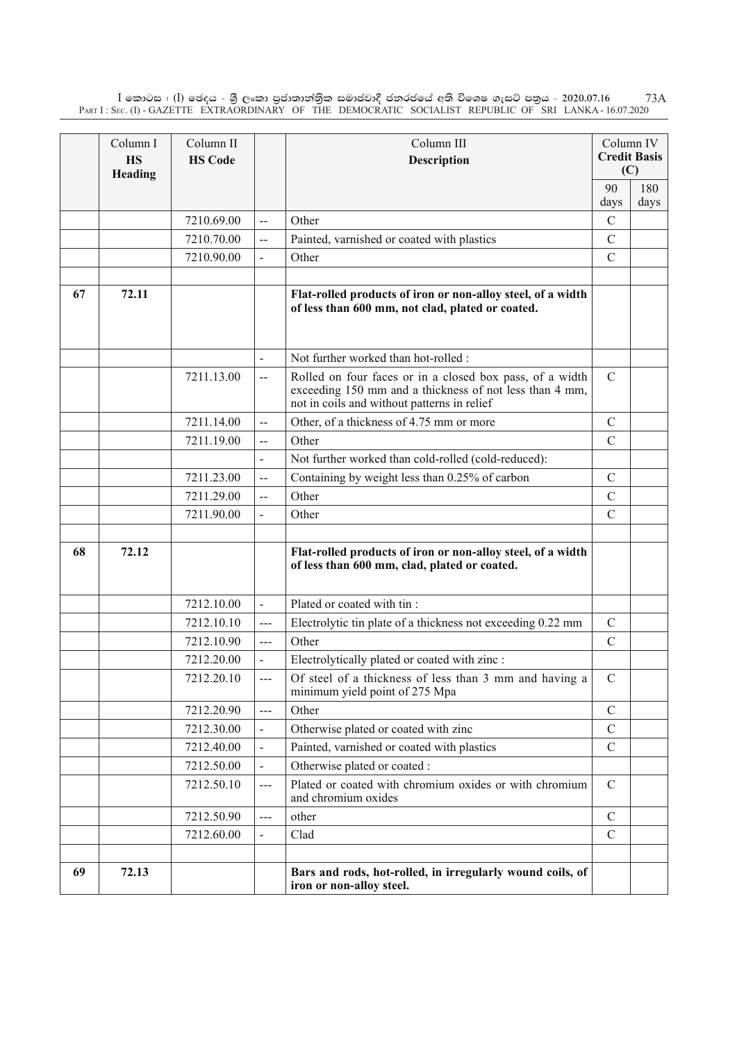$\rm I$  කොටස : ( $\rm I$ ) ඡෙදය - ශුී ලංකා පුජාතාන්තිුක සමාජවාදී ජනරජයේ අති විශෙෂ ගැසට් පතුය - 2020.07.16 Part I : Sec. (I) - GAZETTE EXTRAORDINARY OF THE DEMOCRATIC SOCIALIST REPUBLIC OF SRI LANKA - 16.07.2020 73A

|    | Column I<br><b>HS</b><br>Heading | Column II<br><b>HS Code</b> |                          | Column III<br>Description                                                                                                                                          |               | Column IV<br><b>Credit Basis</b><br>(C) |
|----|----------------------------------|-----------------------------|--------------------------|--------------------------------------------------------------------------------------------------------------------------------------------------------------------|---------------|-----------------------------------------|
|    |                                  |                             |                          |                                                                                                                                                                    | 90            | 180                                     |
|    |                                  |                             |                          |                                                                                                                                                                    | days          | days                                    |
|    |                                  | 7210.69.00                  | $\overline{a}$           | Other                                                                                                                                                              | $\mathcal{C}$ |                                         |
|    |                                  | 7210.70.00                  | --                       | Painted, varnished or coated with plastics                                                                                                                         | $\mathcal{C}$ |                                         |
|    |                                  | 7210.90.00                  |                          | Other                                                                                                                                                              | $\mathcal{C}$ |                                         |
| 67 | 72.11                            |                             |                          | Flat-rolled products of iron or non-alloy steel, of a width<br>of less than 600 mm, not clad, plated or coated.                                                    |               |                                         |
|    |                                  |                             |                          | Not further worked than hot-rolled :                                                                                                                               |               |                                         |
|    |                                  | 7211.13.00                  | $\overline{a}$           | Rolled on four faces or in a closed box pass, of a width<br>exceeding 150 mm and a thickness of not less than 4 mm,<br>not in coils and without patterns in relief | $\mathcal{C}$ |                                         |
|    |                                  | 7211.14.00                  | $\overline{a}$           | Other, of a thickness of 4.75 mm or more                                                                                                                           | $\mathcal{C}$ |                                         |
|    |                                  | 7211.19.00                  | $\overline{a}$           | Other                                                                                                                                                              | $\mathcal{C}$ |                                         |
|    |                                  |                             |                          | Not further worked than cold-rolled (cold-reduced):                                                                                                                |               |                                         |
|    |                                  | 7211.23.00                  | --                       | Containing by weight less than 0.25% of carbon                                                                                                                     | $\mathcal{C}$ |                                         |
|    |                                  | 7211.29.00                  | $\overline{a}$           | Other                                                                                                                                                              | $\mathcal{C}$ |                                         |
|    |                                  | 7211.90.00                  |                          | Other                                                                                                                                                              | $\mathcal{C}$ |                                         |
| 68 | 72.12                            |                             |                          | Flat-rolled products of iron or non-alloy steel, of a width<br>of less than 600 mm, clad, plated or coated.                                                        |               |                                         |
|    |                                  | 7212.10.00                  | $\overline{\phantom{0}}$ | Plated or coated with tin:                                                                                                                                         |               |                                         |
|    |                                  | 7212.10.10                  | $---$                    | Electrolytic tin plate of a thickness not exceeding 0.22 mm                                                                                                        | $\mathcal{C}$ |                                         |
|    |                                  | 7212.10.90                  | $---$                    | Other                                                                                                                                                              | $\mathcal{C}$ |                                         |
|    |                                  | 7212.20.00                  |                          | Electrolytically plated or coated with zinc :                                                                                                                      |               |                                         |
|    |                                  | 7212.20.10                  | $\overline{a}$           | Of steel of a thickness of less than 3 mm and having a<br>minimum yield point of 275 Mpa                                                                           | $\mathsf C$   |                                         |
|    |                                  | 7212.20.90                  | ---                      | Other                                                                                                                                                              | $\mathcal{C}$ |                                         |
|    |                                  | 7212.30.00                  | $\overline{\phantom{a}}$ | Otherwise plated or coated with zinc                                                                                                                               | $\mathcal{C}$ |                                         |
|    |                                  | 7212.40.00                  | $\overline{\phantom{a}}$ | Painted, varnished or coated with plastics                                                                                                                         | $\mathcal{C}$ |                                         |
|    |                                  | 7212.50.00                  |                          | Otherwise plated or coated :                                                                                                                                       |               |                                         |
|    |                                  | 7212.50.10                  | $---$                    | Plated or coated with chromium oxides or with chromium<br>and chromium oxides                                                                                      | $\mathcal{C}$ |                                         |
|    |                                  | 7212.50.90                  | ---                      | other                                                                                                                                                              | $\mathcal{C}$ |                                         |
|    |                                  | 7212.60.00                  |                          | Clad                                                                                                                                                               | $\mathcal{C}$ |                                         |
| 69 | 72.13                            |                             |                          | Bars and rods, hot-rolled, in irregularly wound coils, of<br>iron or non-alloy steel.                                                                              |               |                                         |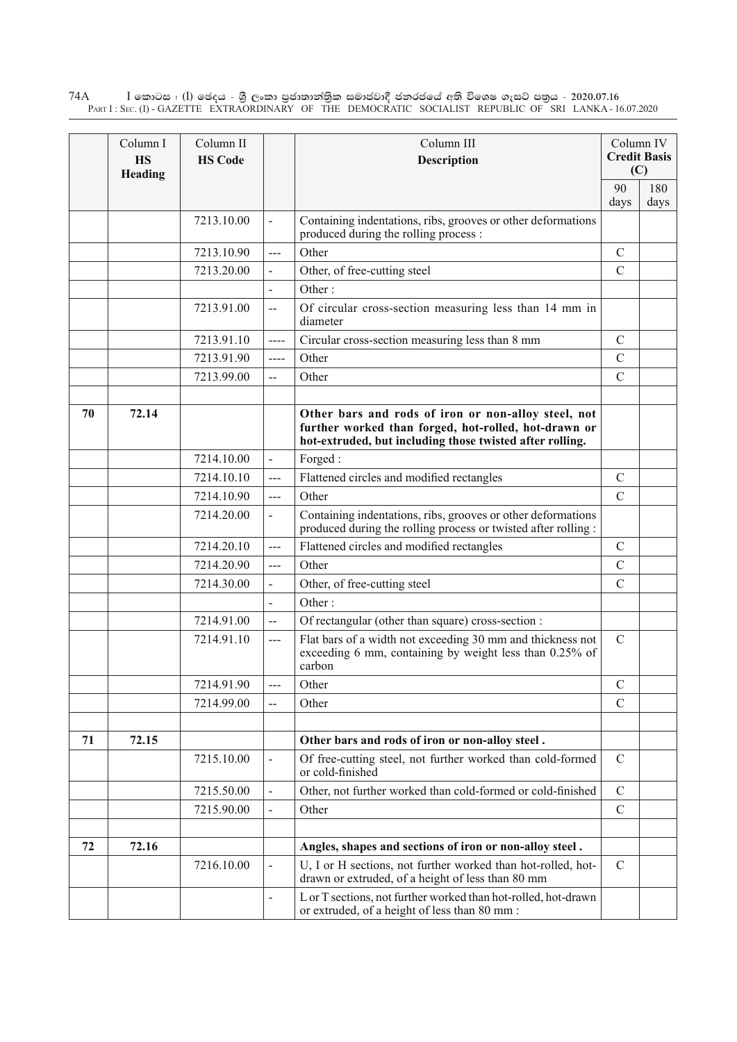$\rm I$  කොටස : ( $\rm I$ ) ඡෙදය - ශුී ලංකා පුජාතාන්තුික සමාජවාදී ජනරජයේ අති විශෙෂ ගැසට් පතුය - 2020.07.16 Part I : Sec. (I) - GAZETTE EXTRAORDINARY OF THE DEMOCRATIC SOCIALIST REPUBLIC OF SRI LANKA - 16.07.2020 74A

|    | Column I<br><b>HS</b><br>Heading | Column II<br><b>HS Code</b> |                          | Column III<br><b>Description</b>                                                                                                                                        |               | Column IV<br><b>Credit Basis</b><br>(C) |
|----|----------------------------------|-----------------------------|--------------------------|-------------------------------------------------------------------------------------------------------------------------------------------------------------------------|---------------|-----------------------------------------|
|    |                                  |                             |                          |                                                                                                                                                                         | 90<br>days    | 180<br>days                             |
|    |                                  | 7213.10.00                  | $\overline{a}$           | Containing indentations, ribs, grooves or other deformations<br>produced during the rolling process :                                                                   |               |                                         |
|    |                                  | 7213.10.90                  | ---                      | Other                                                                                                                                                                   | $\mathcal{C}$ |                                         |
|    |                                  | 7213.20.00                  | $\overline{\phantom{a}}$ | Other, of free-cutting steel                                                                                                                                            | $\mathcal{C}$ |                                         |
|    |                                  |                             |                          | Other:                                                                                                                                                                  |               |                                         |
|    |                                  | 7213.91.00                  | $\overline{a}$           | Of circular cross-section measuring less than 14 mm in<br>diameter                                                                                                      |               |                                         |
|    |                                  | 7213.91.10                  | ----                     | Circular cross-section measuring less than 8 mm                                                                                                                         | $\mathcal{C}$ |                                         |
|    |                                  | 7213.91.90                  | $---$                    | Other                                                                                                                                                                   | $\mathcal{C}$ |                                         |
|    |                                  | 7213.99.00                  | $\overline{a}$           | Other                                                                                                                                                                   | $\mathcal{C}$ |                                         |
|    |                                  |                             |                          |                                                                                                                                                                         |               |                                         |
| 70 | 72.14                            |                             |                          | Other bars and rods of iron or non-alloy steel, not<br>further worked than forged, hot-rolled, hot-drawn or<br>hot-extruded, but including those twisted after rolling. |               |                                         |
|    |                                  | 7214.10.00                  | $\blacksquare$           | Forged:                                                                                                                                                                 |               |                                         |
|    |                                  | 7214.10.10                  | $---$                    | Flattened circles and modified rectangles                                                                                                                               | $\mathcal{C}$ |                                         |
|    |                                  | 7214.10.90                  | $---$                    | Other                                                                                                                                                                   | $\mathcal{C}$ |                                         |
|    |                                  | 7214.20.00                  | $\blacksquare$           | Containing indentations, ribs, grooves or other deformations<br>produced during the rolling process or twisted after rolling :                                          |               |                                         |
|    |                                  | 7214.20.10                  | $---$                    | Flattened circles and modified rectangles                                                                                                                               | $\mathcal{C}$ |                                         |
|    |                                  | 7214.20.90                  | ---                      | Other                                                                                                                                                                   | $\mathcal{C}$ |                                         |
|    |                                  | 7214.30.00                  |                          | Other, of free-cutting steel                                                                                                                                            | $\mathcal{C}$ |                                         |
|    |                                  |                             |                          | Other:                                                                                                                                                                  |               |                                         |
|    |                                  | 7214.91.00                  | $\overline{a}$           | Of rectangular (other than square) cross-section :                                                                                                                      |               |                                         |
|    |                                  | 7214.91.10                  | $\overline{a}$           | Flat bars of a width not exceeding 30 mm and thickness not<br>exceeding 6 mm, containing by weight less than 0.25% of<br>carbon                                         | $\mathcal{C}$ |                                         |
|    |                                  | 7214.91.90                  | ---                      | Other                                                                                                                                                                   | $\mathcal{C}$ |                                         |
|    |                                  | 7214.99.00                  | --                       | Other                                                                                                                                                                   | $\mathcal{C}$ |                                         |
|    |                                  |                             |                          |                                                                                                                                                                         |               |                                         |
| 71 | 72.15                            |                             |                          | Other bars and rods of iron or non-alloy steel.                                                                                                                         |               |                                         |
|    |                                  | 7215.10.00                  |                          | Of free-cutting steel, not further worked than cold-formed<br>or cold-finished                                                                                          | $\mathcal{C}$ |                                         |
|    |                                  | 7215.50.00                  |                          | Other, not further worked than cold-formed or cold-finished                                                                                                             | $\mathcal{C}$ |                                         |
|    |                                  | 7215.90.00                  |                          | Other                                                                                                                                                                   | $\mathcal{C}$ |                                         |
| 72 | 72.16                            |                             |                          | Angles, shapes and sections of iron or non-alloy steel.                                                                                                                 |               |                                         |
|    |                                  | 7216.10.00                  |                          | U, I or H sections, not further worked than hot-rolled, hot-<br>drawn or extruded, of a height of less than 80 mm                                                       | $\mathcal{C}$ |                                         |
|    |                                  |                             |                          | L or T sections, not further worked than hot-rolled, hot-drawn<br>or extruded, of a height of less than 80 mm :                                                         |               |                                         |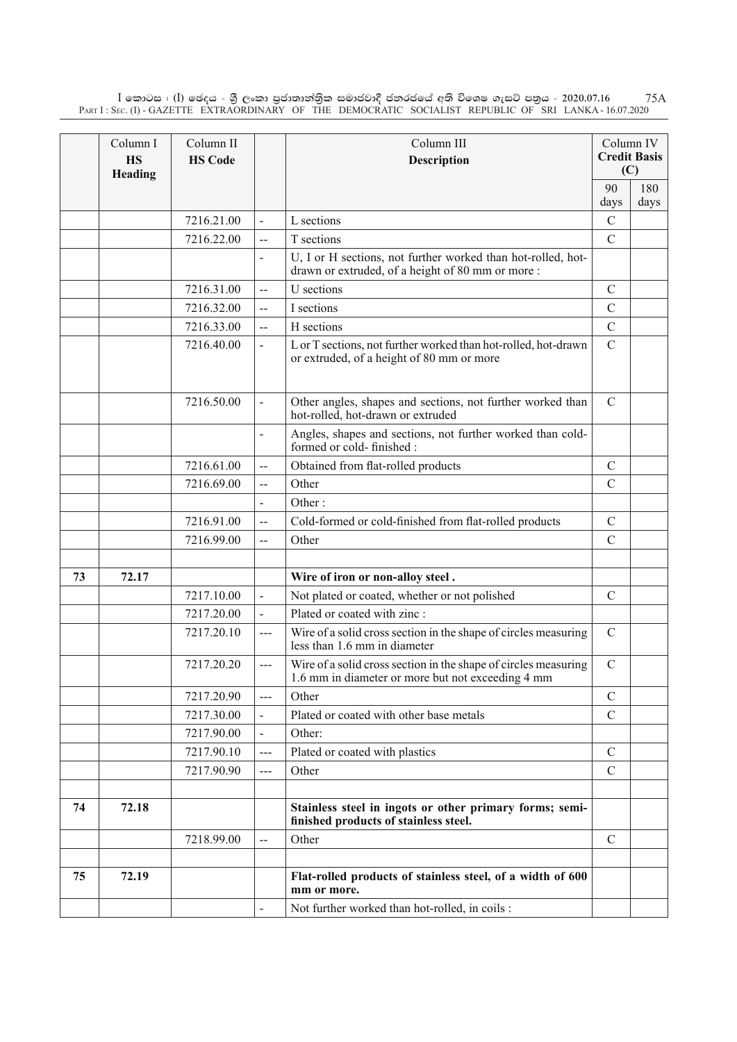$\rm I$  කොටස : ( $\rm I$ ) ඡෙදය - ශුී ලංකා පුජාතාන්තිුක සමාජවාදී ජනරජයේ අති විශෙෂ ගැසට් පතුය - 2020.07.16 Part I : Sec. (I) - GAZETTE EXTRAORDINARY OF THE DEMOCRATIC SOCIALIST REPUBLIC OF SRI LANKA - 16.07.2020 75A

|    | Column I<br><b>HS</b><br>Heading | Column II<br><b>HS Code</b> |                          | Column III<br><b>Description</b>                                                                                     |               | Column IV<br><b>Credit Basis</b><br>(C) |
|----|----------------------------------|-----------------------------|--------------------------|----------------------------------------------------------------------------------------------------------------------|---------------|-----------------------------------------|
|    |                                  |                             |                          |                                                                                                                      | 90            | 180                                     |
|    |                                  |                             |                          |                                                                                                                      | days          | days                                    |
|    |                                  | 7216.21.00                  | $\frac{1}{2}$            | L sections                                                                                                           | $\mathcal{C}$ |                                         |
|    |                                  | 7216.22.00                  | $\overline{a}$           | T sections                                                                                                           | $\mathcal{C}$ |                                         |
|    |                                  |                             | $\overline{\phantom{a}}$ | U, I or H sections, not further worked than hot-rolled, hot-<br>drawn or extruded, of a height of 80 mm or more:     |               |                                         |
|    |                                  | 7216.31.00                  | $-$                      | U sections                                                                                                           | $\mathcal{C}$ |                                         |
|    |                                  | 7216.32.00                  | --                       | I sections                                                                                                           | $\mathcal{C}$ |                                         |
|    |                                  | 7216.33.00                  | --                       | H sections                                                                                                           | $\mathcal{C}$ |                                         |
|    |                                  | 7216.40.00                  | $\blacksquare$           | L or T sections, not further worked than hot-rolled, hot-drawn<br>or extruded, of a height of 80 mm or more          | $\mathcal{C}$ |                                         |
|    |                                  | 7216.50.00                  |                          | Other angles, shapes and sections, not further worked than<br>hot-rolled, hot-drawn or extruded                      | $\mathcal{C}$ |                                         |
|    |                                  |                             |                          | Angles, shapes and sections, not further worked than cold-<br>formed or cold-finished :                              |               |                                         |
|    |                                  | 7216.61.00                  | $-$                      | Obtained from flat-rolled products                                                                                   | $\mathcal{C}$ |                                         |
|    |                                  | 7216.69.00                  | $\overline{a}$           | Other                                                                                                                | $\mathcal{C}$ |                                         |
|    |                                  |                             | $\overline{\phantom{a}}$ | Other:                                                                                                               |               |                                         |
|    |                                  | 7216.91.00                  | $\overline{a}$           | Cold-formed or cold-finished from flat-rolled products                                                               | $\mathcal{C}$ |                                         |
|    |                                  | 7216.99.00                  | $\overline{a}$           | Other                                                                                                                | $\mathcal{C}$ |                                         |
|    |                                  |                             |                          |                                                                                                                      |               |                                         |
| 73 | 72.17                            |                             |                          | Wire of iron or non-alloy steel.                                                                                     |               |                                         |
|    |                                  | 7217.10.00                  |                          | Not plated or coated, whether or not polished                                                                        | $\mathcal{C}$ |                                         |
|    |                                  | 7217.20.00                  | $\sim$                   | Plated or coated with zinc:                                                                                          |               |                                         |
|    |                                  | 7217.20.10                  | ---                      | Wire of a solid cross section in the shape of circles measuring<br>less than 1.6 mm in diameter                      | $\mathcal{C}$ |                                         |
|    |                                  | 7217.20.20                  | $\overline{a}$           | Wire of a solid cross section in the shape of circles measuring<br>1.6 mm in diameter or more but not exceeding 4 mm | $\mathbf C$   |                                         |
|    |                                  | 7217.20.90                  | ---                      | Other                                                                                                                | $\mathcal{C}$ |                                         |
|    |                                  | 7217.30.00                  |                          | Plated or coated with other base metals                                                                              | $\mathcal{C}$ |                                         |
|    |                                  | 7217.90.00                  |                          | Other:                                                                                                               |               |                                         |
|    |                                  | 7217.90.10                  | ---                      | Plated or coated with plastics                                                                                       | $\mathcal{C}$ |                                         |
|    |                                  | 7217.90.90                  | ---                      | Other                                                                                                                | $\mathcal{C}$ |                                         |
|    |                                  |                             |                          |                                                                                                                      |               |                                         |
| 74 | 72.18                            |                             |                          | Stainless steel in ingots or other primary forms; semi-<br>finished products of stainless steel.                     |               |                                         |
|    |                                  | 7218.99.00                  | $\overline{a}$           | Other                                                                                                                | $\mathcal{C}$ |                                         |
|    |                                  |                             |                          |                                                                                                                      |               |                                         |
| 75 | 72.19                            |                             |                          | Flat-rolled products of stainless steel, of a width of 600<br>mm or more.                                            |               |                                         |
|    |                                  |                             |                          | Not further worked than hot-rolled, in coils :                                                                       |               |                                         |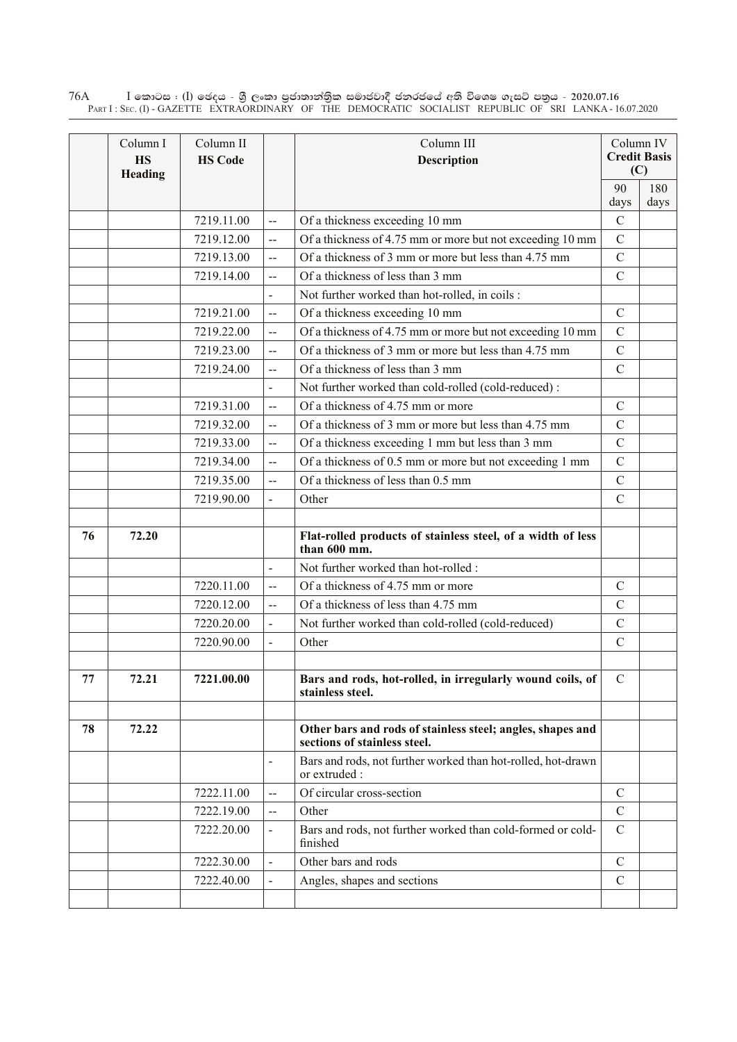$\rm I$  කොටස : ( $\rm I$ ) ඡෙදය - ශුී ලංකා පුජාතාන්තුික සමාජවාදී ජනරජයේ අති විශෙෂ ගැසට් පතුය - 2020.07.16 Part I : Sec. (I) - GAZETTE EXTRAORDINARY OF THE DEMOCRATIC SOCIALIST REPUBLIC OF SRI LANKA - 16.07.2020 76A

|    | Column I<br><b>HS</b><br>Heading | Column II<br><b>HS Code</b> |                          | Column III<br><b>Description</b>                                                           |                | Column IV<br><b>Credit Basis</b><br>(C) |
|----|----------------------------------|-----------------------------|--------------------------|--------------------------------------------------------------------------------------------|----------------|-----------------------------------------|
|    |                                  |                             |                          |                                                                                            | 90             | 180                                     |
|    |                                  |                             |                          |                                                                                            | days           | days                                    |
|    |                                  | 7219.11.00                  | $\overline{\phantom{a}}$ | Of a thickness exceeding 10 mm                                                             | $\overline{C}$ |                                         |
|    |                                  | 7219.12.00                  | $\overline{\phantom{a}}$ | Of a thickness of 4.75 mm or more but not exceeding 10 mm                                  | $\overline{C}$ |                                         |
|    |                                  | 7219.13.00                  | $\overline{a}$           | Of a thickness of 3 mm or more but less than 4.75 mm                                       | $\overline{C}$ |                                         |
|    |                                  | 7219.14.00                  | $\overline{a}$           | Of a thickness of less than 3 mm                                                           | $\mathcal{C}$  |                                         |
|    |                                  |                             | $\overline{a}$           | Not further worked than hot-rolled, in coils :                                             |                |                                         |
|    |                                  | 7219.21.00                  | $\overline{a}$           | Of a thickness exceeding 10 mm                                                             | $\mathbf C$    |                                         |
|    |                                  | 7219.22.00                  | --                       | Of a thickness of 4.75 mm or more but not exceeding 10 mm                                  | $\overline{C}$ |                                         |
|    |                                  | 7219.23.00                  | $\overline{\phantom{a}}$ | Of a thickness of 3 mm or more but less than 4.75 mm                                       | $\mathcal{C}$  |                                         |
|    |                                  | 7219.24.00                  | Ц.                       | Of a thickness of less than 3 mm                                                           | $\mathcal{C}$  |                                         |
|    |                                  |                             | $\overline{a}$           | Not further worked than cold-rolled (cold-reduced):                                        |                |                                         |
|    |                                  | 7219.31.00                  | $\overline{a}$           | Of a thickness of 4.75 mm or more                                                          | $\overline{C}$ |                                         |
|    |                                  | 7219.32.00                  | $\overline{a}$           | Of a thickness of 3 mm or more but less than 4.75 mm                                       | $\overline{C}$ |                                         |
|    |                                  | 7219.33.00                  | --                       | Of a thickness exceeding 1 mm but less than 3 mm                                           | $\overline{C}$ |                                         |
|    |                                  | 7219.34.00                  | --                       | Of a thickness of 0.5 mm or more but not exceeding 1 mm                                    | $\overline{C}$ |                                         |
|    |                                  | 7219.35.00                  | Ц.                       | Of a thickness of less than 0.5 mm                                                         | $\overline{C}$ |                                         |
|    |                                  | 7219.90.00                  | $\overline{a}$           | Other                                                                                      | $\overline{C}$ |                                         |
|    |                                  |                             |                          |                                                                                            |                |                                         |
| 76 | 72.20                            |                             |                          | Flat-rolled products of stainless steel, of a width of less<br>than 600 mm.                |                |                                         |
|    |                                  |                             | $\blacksquare$           | Not further worked than hot-rolled :                                                       |                |                                         |
|    |                                  | 7220.11.00                  | $\overline{a}$           | Of a thickness of 4.75 mm or more                                                          | $\mathcal{C}$  |                                         |
|    |                                  | 7220.12.00                  | $\overline{\phantom{a}}$ | Of a thickness of less than 4.75 mm                                                        | $\mathcal{C}$  |                                         |
|    |                                  | 7220.20.00                  | $\overline{a}$           | Not further worked than cold-rolled (cold-reduced)                                         | $\overline{C}$ |                                         |
|    |                                  | 7220.90.00                  | $\overline{a}$           | Other                                                                                      | $\mathcal{C}$  |                                         |
|    |                                  |                             |                          |                                                                                            |                |                                         |
| 77 | 72.21                            | 7221.00.00                  |                          | Bars and rods, hot-rolled, in irregularly wound coils, of<br>stainless steel.              | $\mathcal{C}$  |                                         |
|    |                                  |                             |                          |                                                                                            |                |                                         |
| 78 | 72.22                            |                             |                          | Other bars and rods of stainless steel; angles, shapes and<br>sections of stainless steel. |                |                                         |
|    |                                  |                             | $\overline{\phantom{a}}$ | Bars and rods, not further worked than hot-rolled, hot-drawn<br>or extruded :              |                |                                         |
|    |                                  | 7222.11.00                  | --                       | Of circular cross-section                                                                  | $\mathbf C$    |                                         |
|    |                                  | 7222.19.00                  | --                       | Other                                                                                      | $\mathcal{C}$  |                                         |
|    |                                  | 7222.20.00                  |                          | Bars and rods, not further worked than cold-formed or cold-<br>finished                    | $\mathcal{C}$  |                                         |
|    |                                  | 7222.30.00                  |                          | Other bars and rods                                                                        | $\mathcal{C}$  |                                         |
|    |                                  | 7222.40.00                  |                          | Angles, shapes and sections                                                                | $\mathcal{C}$  |                                         |
|    |                                  |                             |                          |                                                                                            |                |                                         |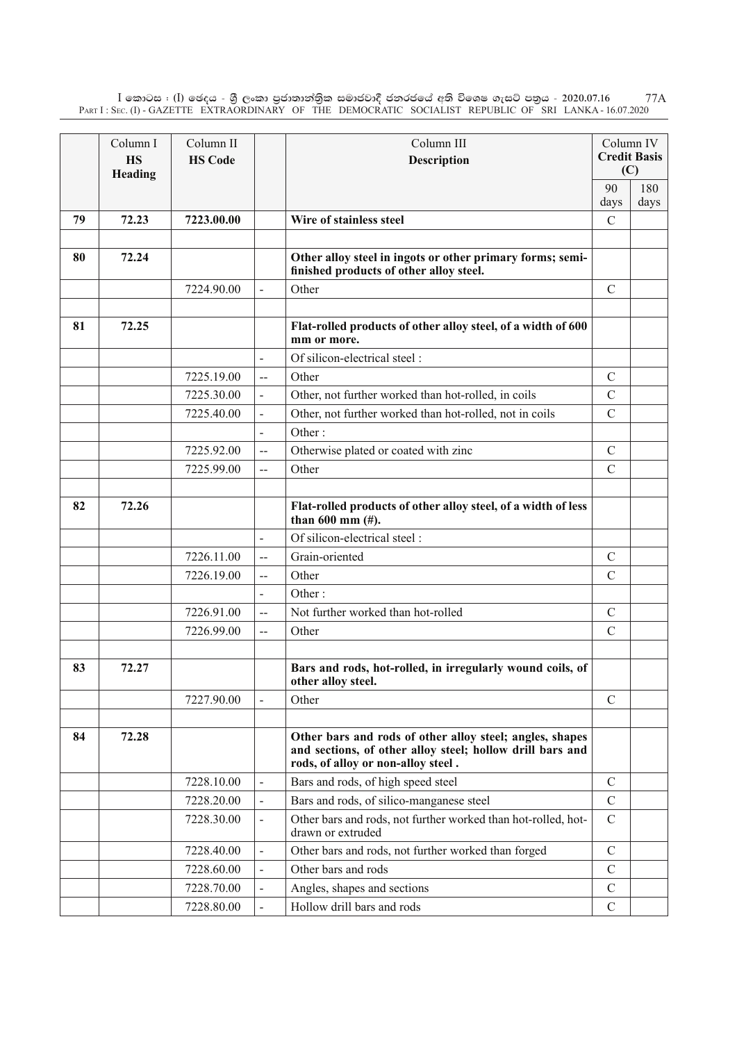$\rm I$  කොටස : ( $\rm I$ ) ඡෙදය - ශුී ලංකා පුජාතාන්තිුක සමාජවාදී ජනරජයේ අති විශෙෂ ගැසට් පතුය - 2020.07.16 Part I : Sec. (I) - GAZETTE EXTRAORDINARY OF THE DEMOCRATIC SOCIALIST REPUBLIC OF SRI LANKA - 16.07.2020 77A

|    | Column I<br><b>HS</b><br>Heading | Column II<br><b>HS Code</b> |                          | Column III<br><b>Description</b>                                                                                                                            |               | Column IV<br><b>Credit Basis</b><br>(C) |
|----|----------------------------------|-----------------------------|--------------------------|-------------------------------------------------------------------------------------------------------------------------------------------------------------|---------------|-----------------------------------------|
|    |                                  |                             |                          |                                                                                                                                                             | 90            | 180                                     |
|    |                                  |                             |                          |                                                                                                                                                             | days          | days                                    |
| 79 | 72.23                            | 7223.00.00                  |                          | Wire of stainless steel                                                                                                                                     | $\mathcal{C}$ |                                         |
| 80 | 72.24                            |                             |                          | Other alloy steel in ingots or other primary forms; semi-<br>finished products of other alloy steel.                                                        |               |                                         |
|    |                                  | 7224.90.00                  | $\overline{a}$           | Other                                                                                                                                                       | $\mathbf C$   |                                         |
|    |                                  |                             |                          |                                                                                                                                                             |               |                                         |
| 81 | 72.25                            |                             |                          | Flat-rolled products of other alloy steel, of a width of 600<br>mm or more.                                                                                 |               |                                         |
|    |                                  |                             |                          | Of silicon-electrical steel:                                                                                                                                |               |                                         |
|    |                                  | 7225.19.00                  | $\overline{a}$           | Other                                                                                                                                                       | $\mathcal{C}$ |                                         |
|    |                                  | 7225.30.00                  | $\blacksquare$           | Other, not further worked than hot-rolled, in coils                                                                                                         | $\mathcal{C}$ |                                         |
|    |                                  | 7225.40.00                  | $\overline{a}$           | Other, not further worked than hot-rolled, not in coils                                                                                                     | $\mathcal{C}$ |                                         |
|    |                                  |                             | $\overline{a}$           | Other:                                                                                                                                                      |               |                                         |
|    |                                  | 7225.92.00                  | $\overline{\phantom{a}}$ | Otherwise plated or coated with zinc                                                                                                                        | $\mathcal{C}$ |                                         |
|    |                                  | 7225.99.00                  | $-$                      | Other                                                                                                                                                       | $\mathcal{C}$ |                                         |
|    |                                  |                             |                          |                                                                                                                                                             |               |                                         |
| 82 | 72.26                            |                             |                          | Flat-rolled products of other alloy steel, of a width of less<br>than $600$ mm $(\#)$ .                                                                     |               |                                         |
|    |                                  |                             | $\overline{a}$           | Of silicon-electrical steel:                                                                                                                                |               |                                         |
|    |                                  | 7226.11.00                  | $\overline{a}$           | Grain-oriented                                                                                                                                              | $\mathcal{C}$ |                                         |
|    |                                  | 7226.19.00                  | $\overline{a}$           | Other                                                                                                                                                       | $\mathcal{C}$ |                                         |
|    |                                  |                             | $\frac{1}{2}$            | Other:                                                                                                                                                      |               |                                         |
|    |                                  | 7226.91.00                  | $\overline{a}$           | Not further worked than hot-rolled                                                                                                                          | $\mathcal{C}$ |                                         |
|    |                                  | 7226.99.00                  | $\overline{a}$           | Other                                                                                                                                                       | $\mathcal{C}$ |                                         |
|    |                                  |                             |                          |                                                                                                                                                             |               |                                         |
| 83 | 72.27                            |                             |                          | Bars and rods, hot-rolled, in irregularly wound coils, of<br>other alloy steel.                                                                             |               |                                         |
|    |                                  | 7227.90.00                  |                          | Other                                                                                                                                                       | $\mathcal{C}$ |                                         |
|    |                                  |                             |                          |                                                                                                                                                             |               |                                         |
| 84 | 72.28                            |                             |                          | Other bars and rods of other alloy steel; angles, shapes<br>and sections, of other alloy steel; hollow drill bars and<br>rods, of alloy or non-alloy steel. |               |                                         |
|    |                                  | 7228.10.00                  |                          | Bars and rods, of high speed steel                                                                                                                          | $\mathcal{C}$ |                                         |
|    |                                  | 7228.20.00                  |                          | Bars and rods, of silico-manganese steel                                                                                                                    | $\mathbf C$   |                                         |
|    |                                  | 7228.30.00                  |                          | Other bars and rods, not further worked than hot-rolled, hot-<br>drawn or extruded                                                                          | $\mathcal{C}$ |                                         |
|    |                                  | 7228.40.00                  |                          | Other bars and rods, not further worked than forged                                                                                                         | $\mathcal{C}$ |                                         |
|    |                                  | 7228.60.00                  |                          | Other bars and rods                                                                                                                                         | $\mathcal{C}$ |                                         |
|    |                                  | 7228.70.00                  |                          | Angles, shapes and sections                                                                                                                                 | $\mathcal{C}$ |                                         |
|    |                                  | 7228.80.00                  |                          | Hollow drill bars and rods                                                                                                                                  | $\mathcal{C}$ |                                         |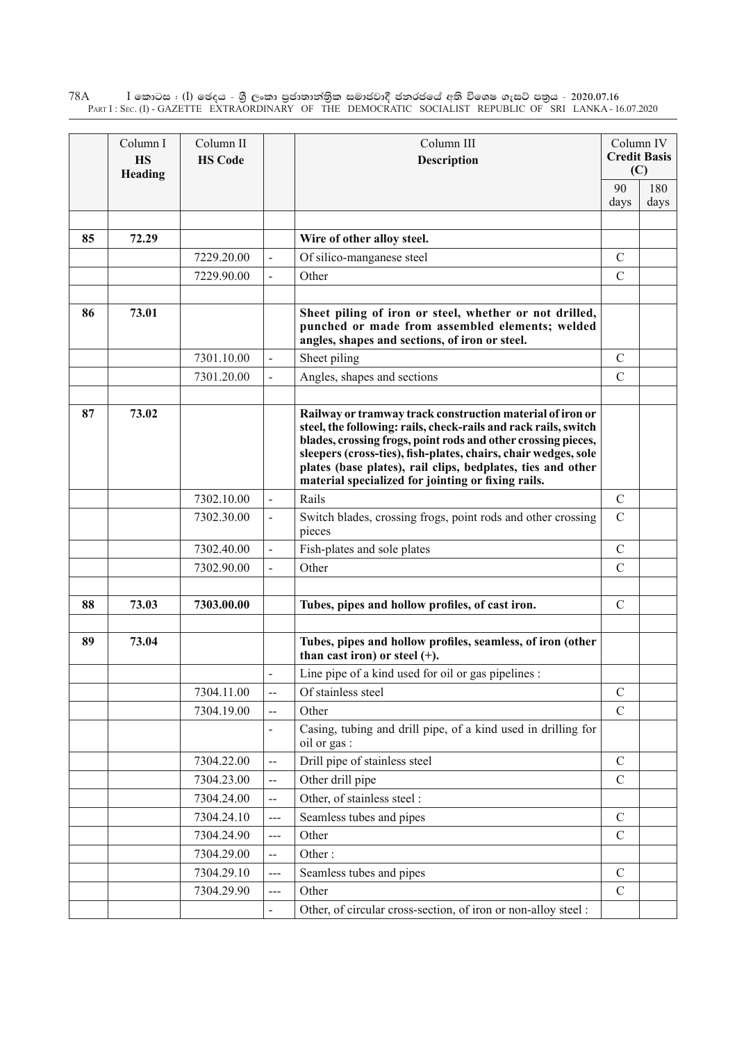$\rm I$  කොටස : ( $\rm I$ ) ඡෙදය - ශුී ලංකා පුජාතාන්තුික සමාජවාදී ජනරජයේ අති විශෙෂ ගැසට් පතුය - 2020.07.16 Part I : Sec. (I) - GAZETTE EXTRAORDINARY OF THE DEMOCRATIC SOCIALIST REPUBLIC OF SRI LANKA - 16.07.2020 78A

|    | Column I<br><b>HS</b><br>Heading | Column II<br><b>HS Code</b> |                          | Column III<br><b>Description</b>                                                                                                                                                                                                                                                                                                                                                     |               | Column IV<br><b>Credit Basis</b><br>(C) |
|----|----------------------------------|-----------------------------|--------------------------|--------------------------------------------------------------------------------------------------------------------------------------------------------------------------------------------------------------------------------------------------------------------------------------------------------------------------------------------------------------------------------------|---------------|-----------------------------------------|
|    |                                  |                             |                          | 90<br>days                                                                                                                                                                                                                                                                                                                                                                           | 180<br>days   |                                         |
| 85 | 72.29                            |                             |                          | Wire of other alloy steel.                                                                                                                                                                                                                                                                                                                                                           |               |                                         |
|    |                                  | 7229.20.00                  |                          | Of silico-manganese steel                                                                                                                                                                                                                                                                                                                                                            | $\mathcal{C}$ |                                         |
|    |                                  | 7229.90.00                  | $\overline{a}$           | Other                                                                                                                                                                                                                                                                                                                                                                                | $\mathcal{C}$ |                                         |
| 86 | 73.01                            |                             |                          | Sheet piling of iron or steel, whether or not drilled,<br>punched or made from assembled elements; welded<br>angles, shapes and sections, of iron or steel.                                                                                                                                                                                                                          |               |                                         |
|    |                                  | 7301.10.00                  |                          | Sheet piling                                                                                                                                                                                                                                                                                                                                                                         | $\mathcal{C}$ |                                         |
|    |                                  | 7301.20.00                  |                          | Angles, shapes and sections                                                                                                                                                                                                                                                                                                                                                          | $\mathcal{C}$ |                                         |
| 87 | 73.02                            |                             |                          | Railway or tramway track construction material of iron or<br>steel, the following: rails, check-rails and rack rails, switch<br>blades, crossing frogs, point rods and other crossing pieces,<br>sleepers (cross-ties), fish-plates, chairs, chair wedges, sole<br>plates (base plates), rail clips, bedplates, ties and other<br>material specialized for jointing or fixing rails. |               |                                         |
|    |                                  | 7302.10.00                  |                          | Rails                                                                                                                                                                                                                                                                                                                                                                                | $\mathcal{C}$ |                                         |
|    |                                  | 7302.30.00                  |                          | Switch blades, crossing frogs, point rods and other crossing<br>pieces                                                                                                                                                                                                                                                                                                               | $\mathcal{C}$ |                                         |
|    |                                  | 7302.40.00                  |                          | Fish-plates and sole plates                                                                                                                                                                                                                                                                                                                                                          | $\mathcal{C}$ |                                         |
|    |                                  | 7302.90.00                  |                          | Other                                                                                                                                                                                                                                                                                                                                                                                | $\mathcal{C}$ |                                         |
| 88 | 73.03                            | 7303.00.00                  |                          | Tubes, pipes and hollow profiles, of cast iron.                                                                                                                                                                                                                                                                                                                                      | $\mathcal{C}$ |                                         |
| 89 | 73.04                            |                             |                          | Tubes, pipes and hollow profiles, seamless, of iron (other<br>than cast iron) or steel $(+)$ .                                                                                                                                                                                                                                                                                       |               |                                         |
|    |                                  |                             |                          | Line pipe of a kind used for oil or gas pipelines :                                                                                                                                                                                                                                                                                                                                  |               |                                         |
|    |                                  | 7304.11.00                  | --                       | Of stainless steel                                                                                                                                                                                                                                                                                                                                                                   | $\mathcal{C}$ |                                         |
|    |                                  | 7304.19.00                  |                          | Other                                                                                                                                                                                                                                                                                                                                                                                | $\mathcal{C}$ |                                         |
|    |                                  |                             | $\overline{\phantom{0}}$ | Casing, tubing and drill pipe, of a kind used in drilling for<br>oil or gas :                                                                                                                                                                                                                                                                                                        |               |                                         |
|    |                                  | 7304.22.00                  | $-$                      | Drill pipe of stainless steel                                                                                                                                                                                                                                                                                                                                                        | $\mathcal{C}$ |                                         |
|    |                                  | 7304.23.00                  | $-$                      | Other drill pipe                                                                                                                                                                                                                                                                                                                                                                     | $\mathcal{C}$ |                                         |
|    |                                  | 7304.24.00                  | --                       | Other, of stainless steel :                                                                                                                                                                                                                                                                                                                                                          |               |                                         |
|    |                                  | 7304.24.10                  | $--$                     | Seamless tubes and pipes                                                                                                                                                                                                                                                                                                                                                             | $\mathcal{C}$ |                                         |
|    |                                  | 7304.24.90                  | $---$                    | Other                                                                                                                                                                                                                                                                                                                                                                                | $\mathcal{C}$ |                                         |
|    |                                  | 7304.29.00                  | --                       | Other:                                                                                                                                                                                                                                                                                                                                                                               |               |                                         |
|    |                                  | 7304.29.10                  | ---                      | Seamless tubes and pipes                                                                                                                                                                                                                                                                                                                                                             | $\mathcal{C}$ |                                         |
|    |                                  | 7304.29.90                  | $--$                     | Other                                                                                                                                                                                                                                                                                                                                                                                | $\mathcal{C}$ |                                         |
|    |                                  |                             |                          | Other, of circular cross-section, of iron or non-alloy steel :                                                                                                                                                                                                                                                                                                                       |               |                                         |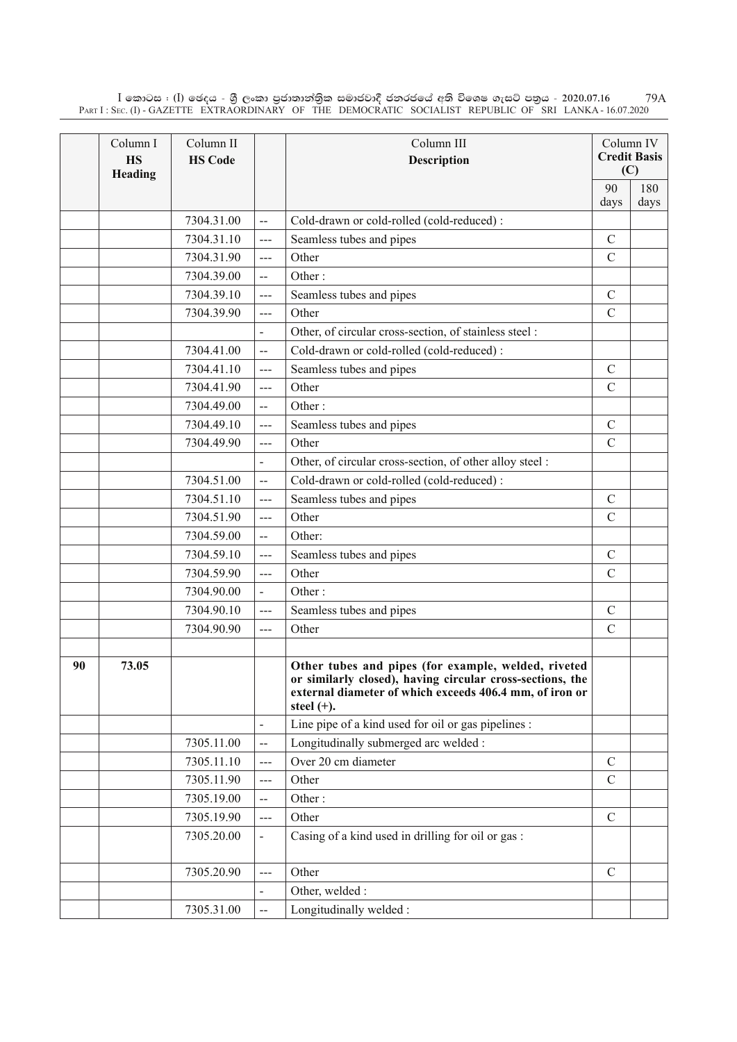$\rm I$  කොටස : ( $\rm I$ ) ඡෙදය - ශුී ලංකා පුජාතාන්තිුක සමාජවාදී ජනරජයේ අති විශෙෂ ගැසට් පතුය - 2020.07.16 Part I : Sec. (I) - GAZETTE EXTRAORDINARY OF THE DEMOCRATIC SOCIALIST REPUBLIC OF SRI LANKA - 16.07.2020 79A

|    | Column I<br><b>HS</b><br>Heading | Column II<br><b>HS Code</b> |                          | Column III<br>Description                                                                                                                                                                    |               | Column IV<br><b>Credit Basis</b><br>(C) |
|----|----------------------------------|-----------------------------|--------------------------|----------------------------------------------------------------------------------------------------------------------------------------------------------------------------------------------|---------------|-----------------------------------------|
|    |                                  |                             |                          |                                                                                                                                                                                              | 90            | 180                                     |
|    |                                  |                             |                          |                                                                                                                                                                                              | days          | days                                    |
|    |                                  | 7304.31.00                  | $\overline{\phantom{a}}$ | Cold-drawn or cold-rolled (cold-reduced):                                                                                                                                                    |               |                                         |
|    |                                  | 7304.31.10                  | ---                      | Seamless tubes and pipes                                                                                                                                                                     | $\mathcal{C}$ |                                         |
|    |                                  | 7304.31.90                  | $\overline{a}$           | Other                                                                                                                                                                                        | $\mathcal{C}$ |                                         |
|    |                                  | 7304.39.00                  | $\overline{a}$           | Other:                                                                                                                                                                                       |               |                                         |
|    |                                  | 7304.39.10                  | $\overline{a}$           | Seamless tubes and pipes                                                                                                                                                                     | $\mathcal{C}$ |                                         |
|    |                                  | 7304.39.90                  | ---                      | Other                                                                                                                                                                                        | $\mathcal{C}$ |                                         |
|    |                                  |                             | $\blacksquare$           | Other, of circular cross-section, of stainless steel :                                                                                                                                       |               |                                         |
|    |                                  | 7304.41.00                  | $-$                      | Cold-drawn or cold-rolled (cold-reduced):                                                                                                                                                    |               |                                         |
|    |                                  | 7304.41.10                  | $---$                    | Seamless tubes and pipes                                                                                                                                                                     | $\mathcal{C}$ |                                         |
|    |                                  | 7304.41.90                  | ---                      | Other                                                                                                                                                                                        | $\mathcal{C}$ |                                         |
|    |                                  | 7304.49.00                  | $\overline{\phantom{a}}$ | Other:                                                                                                                                                                                       |               |                                         |
|    |                                  | 7304.49.10                  | $---$                    | Seamless tubes and pipes                                                                                                                                                                     | $\mathcal{C}$ |                                         |
|    |                                  | 7304.49.90                  | $\overline{a}$           | Other                                                                                                                                                                                        | $\mathcal{C}$ |                                         |
|    |                                  |                             |                          | Other, of circular cross-section, of other alloy steel :                                                                                                                                     |               |                                         |
|    |                                  | 7304.51.00                  | $\overline{a}$           | Cold-drawn or cold-rolled (cold-reduced):                                                                                                                                                    |               |                                         |
|    |                                  | 7304.51.10                  | ---                      | Seamless tubes and pipes                                                                                                                                                                     | $\mathcal{C}$ |                                         |
|    |                                  | 7304.51.90                  | $\overline{a}$           | Other                                                                                                                                                                                        | $\mathcal{C}$ |                                         |
|    |                                  | 7304.59.00                  | $-$                      | Other:                                                                                                                                                                                       |               |                                         |
|    |                                  | 7304.59.10                  | $-$                      | Seamless tubes and pipes                                                                                                                                                                     | $\mathcal{C}$ |                                         |
|    |                                  | 7304.59.90                  | ---                      | Other                                                                                                                                                                                        | $\mathcal{C}$ |                                         |
|    |                                  | 7304.90.00                  | $\overline{\phantom{0}}$ | Other:                                                                                                                                                                                       |               |                                         |
|    |                                  | 7304.90.10                  | $---$                    | Seamless tubes and pipes                                                                                                                                                                     | $\mathcal{C}$ |                                         |
|    |                                  | 7304.90.90                  | ---                      | Other                                                                                                                                                                                        | $\mathcal{C}$ |                                         |
|    |                                  |                             |                          |                                                                                                                                                                                              |               |                                         |
| 90 | 73.05                            |                             |                          | Other tubes and pipes (for example, welded, riveted<br>or similarly closed), having circular cross-sections, the<br>external diameter of which exceeds 406.4 mm, of iron or<br>steel $(+)$ . |               |                                         |
|    |                                  |                             |                          | Line pipe of a kind used for oil or gas pipelines :                                                                                                                                          |               |                                         |
|    |                                  | 7305.11.00                  | --                       | Longitudinally submerged arc welded :                                                                                                                                                        |               |                                         |
|    |                                  | 7305.11.10                  | ---                      | Over 20 cm diameter                                                                                                                                                                          | $\mathcal{C}$ |                                         |
|    |                                  | 7305.11.90                  | ---                      | Other                                                                                                                                                                                        | $\mathcal{C}$ |                                         |
|    |                                  | 7305.19.00                  | $-$                      | Other:                                                                                                                                                                                       |               |                                         |
|    |                                  | 7305.19.90                  | ---                      | Other                                                                                                                                                                                        | $\mathcal{C}$ |                                         |
|    |                                  | 7305.20.00                  | $\overline{\phantom{a}}$ | Casing of a kind used in drilling for oil or gas:                                                                                                                                            |               |                                         |
|    |                                  | 7305.20.90                  | $---$                    | Other                                                                                                                                                                                        | $\mathcal{C}$ |                                         |
|    |                                  |                             |                          | Other, welded :                                                                                                                                                                              |               |                                         |
|    |                                  | 7305.31.00                  | --                       | Longitudinally welded:                                                                                                                                                                       |               |                                         |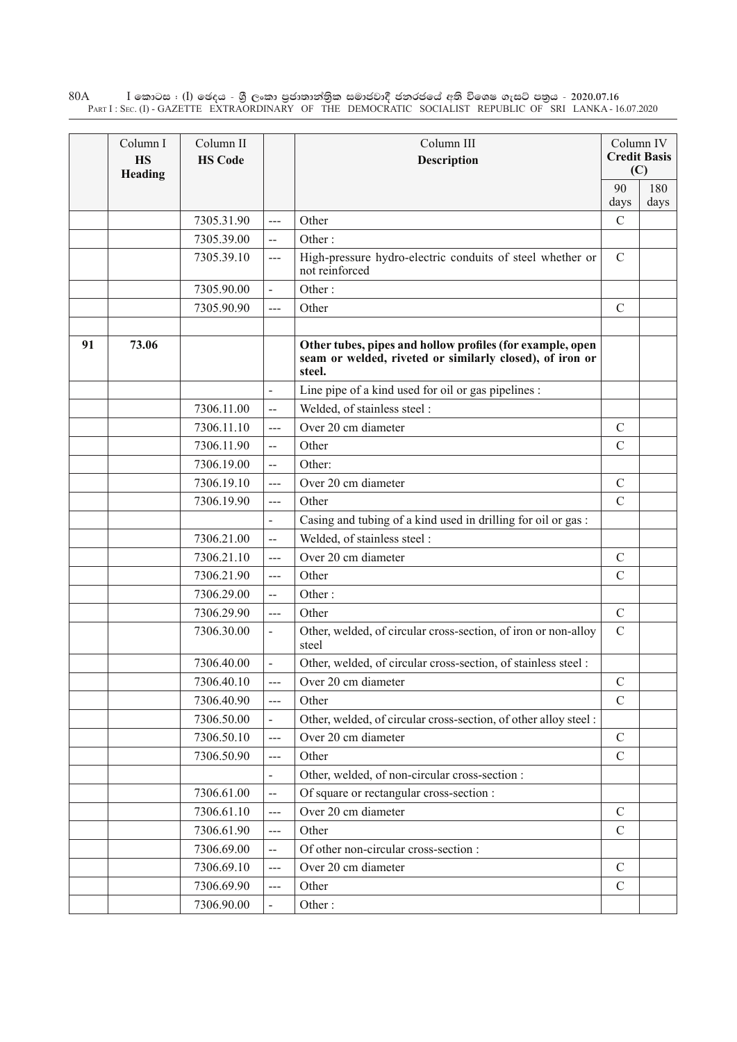$\rm I$  කොටස : ( $\rm I$ ) ඡෙදය - ශුී ලංකා පුජාතාන්තුික සමාජවාදී ජනරජයේ අති විශෙෂ ගැසට් පතුය - 2020.07.16 Part I : Sec. (I) - GAZETTE EXTRAORDINARY OF THE DEMOCRATIC SOCIALIST REPUBLIC OF SRI LANKA - 16.07.2020 80A

|    | Column I<br><b>HS</b><br>Heading | Column II<br><b>HS Code</b> |                          | Column III<br><b>Description</b>                                                                                                |               | Column IV<br><b>Credit Basis</b><br>(C) |
|----|----------------------------------|-----------------------------|--------------------------|---------------------------------------------------------------------------------------------------------------------------------|---------------|-----------------------------------------|
|    |                                  |                             |                          |                                                                                                                                 | 90<br>days    | 180<br>days                             |
|    |                                  | 7305.31.90                  | $\overline{a}$           | Other                                                                                                                           | $\mathcal{C}$ |                                         |
|    |                                  | 7305.39.00                  | $\overline{a}$           | Other:                                                                                                                          |               |                                         |
|    |                                  | 7305.39.10                  | $---$                    | High-pressure hydro-electric conduits of steel whether or<br>not reinforced                                                     | $\mathcal{C}$ |                                         |
|    |                                  | 7305.90.00                  | $\blacksquare$           | Other:                                                                                                                          |               |                                         |
|    |                                  | 7305.90.90                  | $\frac{1}{2}$            | Other                                                                                                                           | $\mathcal{C}$ |                                         |
|    |                                  |                             |                          |                                                                                                                                 |               |                                         |
| 91 | 73.06                            |                             |                          | Other tubes, pipes and hollow profiles (for example, open<br>seam or welded, riveted or similarly closed), of iron or<br>steel. |               |                                         |
|    |                                  |                             | $\overline{a}$           | Line pipe of a kind used for oil or gas pipelines :                                                                             |               |                                         |
|    |                                  | 7306.11.00                  | $\overline{\phantom{a}}$ | Welded, of stainless steel :                                                                                                    |               |                                         |
|    |                                  | 7306.11.10                  | ---                      | Over 20 cm diameter                                                                                                             | $\mathcal{C}$ |                                         |
|    |                                  | 7306.11.90                  | $\overline{a}$           | Other                                                                                                                           | $\mathcal{C}$ |                                         |
|    |                                  | 7306.19.00                  | $\overline{a}$           | Other:                                                                                                                          |               |                                         |
|    |                                  | 7306.19.10                  | ---                      | Over 20 cm diameter                                                                                                             | $\mathcal{C}$ |                                         |
|    |                                  | 7306.19.90                  | $\frac{1}{2}$            | Other                                                                                                                           | $\mathcal{C}$ |                                         |
|    |                                  |                             |                          | Casing and tubing of a kind used in drilling for oil or gas:                                                                    |               |                                         |
|    |                                  | 7306.21.00                  | $\overline{\phantom{a}}$ | Welded, of stainless steel :                                                                                                    |               |                                         |
|    |                                  | 7306.21.10                  | $\frac{1}{2}$            | Over 20 cm diameter                                                                                                             | $\mathcal{C}$ |                                         |
|    |                                  | 7306.21.90                  | $--$                     | Other                                                                                                                           | $\mathcal{C}$ |                                         |
|    |                                  | 7306.29.00                  | $\overline{a}$           | Other:                                                                                                                          |               |                                         |
|    |                                  | 7306.29.90                  | $\overline{a}$           | Other                                                                                                                           | $\mathcal{C}$ |                                         |
|    |                                  | 7306.30.00                  |                          | Other, welded, of circular cross-section, of iron or non-alloy<br>steel                                                         | $\mathcal{C}$ |                                         |
|    |                                  | 7306.40.00                  |                          | Other, welded, of circular cross-section, of stainless steel:                                                                   |               |                                         |
|    |                                  | 7306.40.10                  |                          | Over 20 cm diameter                                                                                                             | $\mathbf C$   |                                         |
|    |                                  | 7306.40.90                  | ---                      | Other                                                                                                                           | $\mathcal{C}$ |                                         |
|    |                                  | 7306.50.00                  |                          | Other, welded, of circular cross-section, of other alloy steel:                                                                 |               |                                         |
|    |                                  | 7306.50.10                  | $---$                    | Over 20 cm diameter                                                                                                             | $\mathbf C$   |                                         |
|    |                                  | 7306.50.90                  | ---                      | Other                                                                                                                           | $\mathcal{C}$ |                                         |
|    |                                  |                             |                          | Other, welded, of non-circular cross-section :                                                                                  |               |                                         |
|    |                                  | 7306.61.00                  | $\overline{a}$           | Of square or rectangular cross-section :                                                                                        |               |                                         |
|    |                                  | 7306.61.10                  | ---                      | Over 20 cm diameter                                                                                                             | $\mathcal{C}$ |                                         |
|    |                                  | 7306.61.90                  | ---                      | Other                                                                                                                           | $\mathcal{C}$ |                                         |
|    |                                  | 7306.69.00                  | --                       | Of other non-circular cross-section :                                                                                           |               |                                         |
|    |                                  | 7306.69.10                  | $\overline{a}$           | Over 20 cm diameter                                                                                                             | $\mathcal{C}$ |                                         |
|    |                                  | 7306.69.90                  | ---                      | Other                                                                                                                           | $\mathsf C$   |                                         |
|    |                                  | 7306.90.00                  |                          | Other:                                                                                                                          |               |                                         |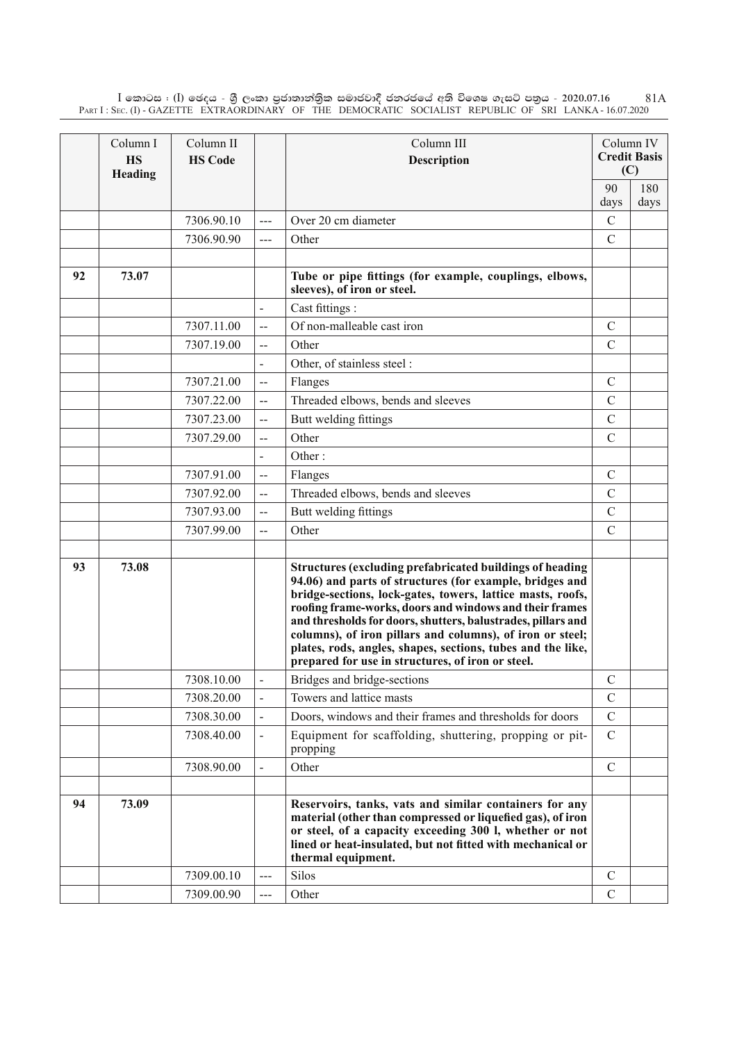$\rm I$  කොටස : ( $\rm I$ ) ඡෙදය - ශුී ලංකා පුජාතාන්තිුක සමාජවාදී ජනරජයේ අති විශෙෂ ගැසට් පතුය - 2020.07.16 Part I : Sec. (I) - GAZETTE EXTRAORDINARY OF THE DEMOCRATIC SOCIALIST REPUBLIC OF SRI LANKA - 16.07.2020 81A

|    | Column I<br><b>HS</b><br>Heading | Column II<br><b>HS Code</b> |                          | Column III<br><b>Description</b>                                                                                                                                                                                                                                                                                                                                                                                                                                                                      |               | Column IV<br><b>Credit Basis</b><br>(C) |
|----|----------------------------------|-----------------------------|--------------------------|-------------------------------------------------------------------------------------------------------------------------------------------------------------------------------------------------------------------------------------------------------------------------------------------------------------------------------------------------------------------------------------------------------------------------------------------------------------------------------------------------------|---------------|-----------------------------------------|
|    |                                  |                             |                          |                                                                                                                                                                                                                                                                                                                                                                                                                                                                                                       | 90            | 180                                     |
|    |                                  |                             |                          |                                                                                                                                                                                                                                                                                                                                                                                                                                                                                                       | days          | days                                    |
|    |                                  | 7306.90.10                  | ---                      | Over 20 cm diameter                                                                                                                                                                                                                                                                                                                                                                                                                                                                                   | $\mathcal{C}$ |                                         |
|    |                                  | 7306.90.90                  | ---                      | Other                                                                                                                                                                                                                                                                                                                                                                                                                                                                                                 | $\mathcal{C}$ |                                         |
|    |                                  |                             |                          |                                                                                                                                                                                                                                                                                                                                                                                                                                                                                                       |               |                                         |
| 92 | 73.07                            |                             |                          | Tube or pipe fittings (for example, couplings, elbows,<br>sleeves), of iron or steel.                                                                                                                                                                                                                                                                                                                                                                                                                 |               |                                         |
|    |                                  |                             | $\blacksquare$           | Cast fittings :                                                                                                                                                                                                                                                                                                                                                                                                                                                                                       |               |                                         |
|    |                                  | 7307.11.00                  | $-$                      | Of non-malleable cast iron                                                                                                                                                                                                                                                                                                                                                                                                                                                                            | $\mathcal{C}$ |                                         |
|    |                                  | 7307.19.00                  | $\overline{a}$           | Other                                                                                                                                                                                                                                                                                                                                                                                                                                                                                                 | $\mathcal{C}$ |                                         |
|    |                                  |                             |                          | Other, of stainless steel :                                                                                                                                                                                                                                                                                                                                                                                                                                                                           |               |                                         |
|    |                                  | 7307.21.00                  | $-$                      | Flanges                                                                                                                                                                                                                                                                                                                                                                                                                                                                                               | $\mathcal{C}$ |                                         |
|    |                                  | 7307.22.00                  | $\overline{a}$           | Threaded elbows, bends and sleeves                                                                                                                                                                                                                                                                                                                                                                                                                                                                    | $\mathcal{C}$ |                                         |
|    |                                  | 7307.23.00                  | --                       | Butt welding fittings                                                                                                                                                                                                                                                                                                                                                                                                                                                                                 | $\mathcal{C}$ |                                         |
|    |                                  | 7307.29.00                  | --                       | Other                                                                                                                                                                                                                                                                                                                                                                                                                                                                                                 | $\mathcal{C}$ |                                         |
|    |                                  |                             |                          | Other:                                                                                                                                                                                                                                                                                                                                                                                                                                                                                                |               |                                         |
|    |                                  | 7307.91.00                  | $\overline{a}$           | Flanges                                                                                                                                                                                                                                                                                                                                                                                                                                                                                               | $\mathcal{C}$ |                                         |
|    |                                  | 7307.92.00                  | --                       | Threaded elbows, bends and sleeves                                                                                                                                                                                                                                                                                                                                                                                                                                                                    | $\mathcal{C}$ |                                         |
|    |                                  | 7307.93.00                  | $\overline{\phantom{a}}$ | Butt welding fittings                                                                                                                                                                                                                                                                                                                                                                                                                                                                                 | $\mathcal{C}$ |                                         |
|    |                                  | 7307.99.00                  | $\overline{a}$           | Other                                                                                                                                                                                                                                                                                                                                                                                                                                                                                                 | $\mathcal{C}$ |                                         |
|    |                                  |                             |                          |                                                                                                                                                                                                                                                                                                                                                                                                                                                                                                       |               |                                         |
| 93 | 73.08                            |                             |                          | <b>Structures (excluding prefabricated buildings of heading</b><br>94.06) and parts of structures (for example, bridges and<br>bridge-sections, lock-gates, towers, lattice masts, roofs,<br>roofing frame-works, doors and windows and their frames<br>and thresholds for doors, shutters, balustrades, pillars and<br>columns), of iron pillars and columns), of iron or steel;<br>plates, rods, angles, shapes, sections, tubes and the like,<br>prepared for use in structures, of iron or steel. |               |                                         |
|    |                                  | 7308.10.00                  |                          | Bridges and bridge-sections                                                                                                                                                                                                                                                                                                                                                                                                                                                                           | $\mathcal{C}$ |                                         |
|    |                                  | 7308.20.00                  |                          | Towers and lattice masts                                                                                                                                                                                                                                                                                                                                                                                                                                                                              | $\mathcal{C}$ |                                         |
|    |                                  | 7308.30.00                  |                          | Doors, windows and their frames and thresholds for doors                                                                                                                                                                                                                                                                                                                                                                                                                                              | $\mathcal{C}$ |                                         |
|    |                                  | 7308.40.00                  |                          | Equipment for scaffolding, shuttering, propping or pit-<br>propping                                                                                                                                                                                                                                                                                                                                                                                                                                   | $\mathbf C$   |                                         |
|    |                                  | 7308.90.00                  |                          | Other                                                                                                                                                                                                                                                                                                                                                                                                                                                                                                 | $\mathcal{C}$ |                                         |
|    |                                  |                             |                          |                                                                                                                                                                                                                                                                                                                                                                                                                                                                                                       |               |                                         |
| 94 | 73.09                            |                             |                          | Reservoirs, tanks, vats and similar containers for any<br>material (other than compressed or liquefied gas), of iron<br>or steel, of a capacity exceeding 300 l, whether or not<br>lined or heat-insulated, but not fitted with mechanical or<br>thermal equipment.                                                                                                                                                                                                                                   |               |                                         |
|    |                                  | 7309.00.10                  |                          | Silos                                                                                                                                                                                                                                                                                                                                                                                                                                                                                                 | $\mathcal{C}$ |                                         |
|    |                                  | 7309.00.90                  | ---                      | Other                                                                                                                                                                                                                                                                                                                                                                                                                                                                                                 | $\mathcal{C}$ |                                         |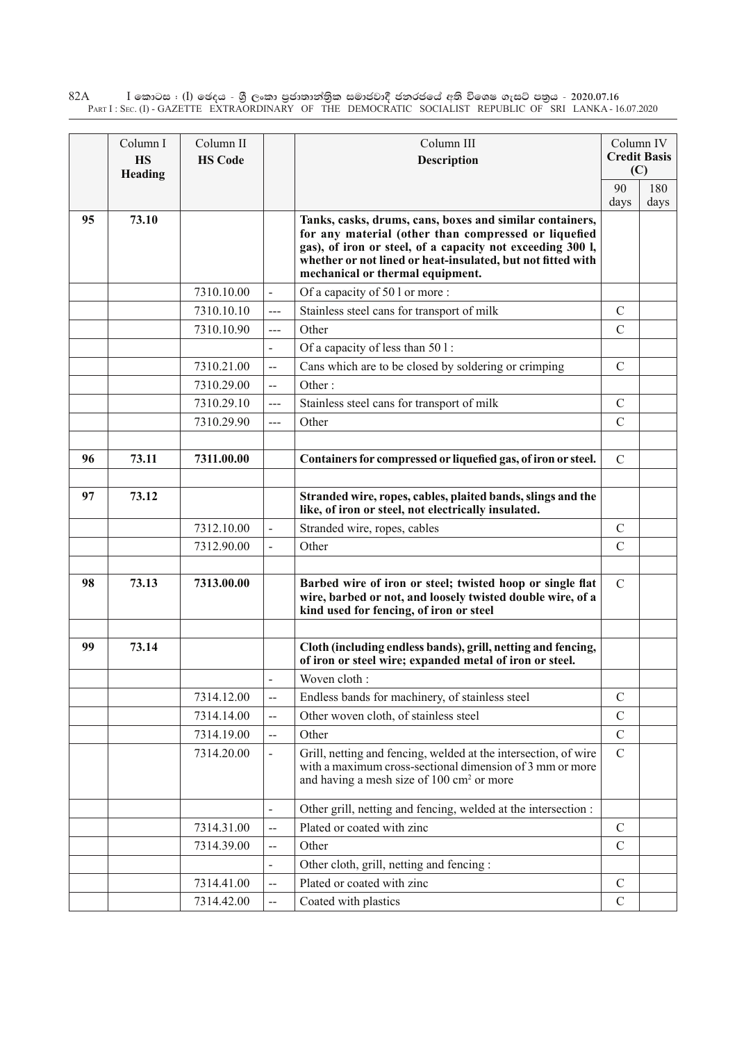$\rm I$  කොටස : ( $\rm I$ ) ඡෙදය - ශුී ලංකා පුජාතාන්තුික සමාජවාදී ජනරජයේ අති විශෙෂ ගැසට් පතුය - 2020.07.16 Part I : Sec. (I) - GAZETTE EXTRAORDINARY OF THE DEMOCRATIC SOCIALIST REPUBLIC OF SRI LANKA - 16.07.2020 82A

|    | Column I<br><b>HS</b><br>Heading | Column II<br><b>HS Code</b> |                          | Column III<br><b>Description</b>                                                                                                                                                                                                                                                  | Column IV<br><b>Credit Basis</b><br>(C) |      |
|----|----------------------------------|-----------------------------|--------------------------|-----------------------------------------------------------------------------------------------------------------------------------------------------------------------------------------------------------------------------------------------------------------------------------|-----------------------------------------|------|
|    |                                  |                             |                          |                                                                                                                                                                                                                                                                                   | 90                                      | 180  |
| 95 | 73.10                            |                             |                          | Tanks, casks, drums, cans, boxes and similar containers,<br>for any material (other than compressed or liquefied<br>gas), of iron or steel, of a capacity not exceeding 300 l,<br>whether or not lined or heat-insulated, but not fitted with<br>mechanical or thermal equipment. | days                                    | days |
|    |                                  | 7310.10.00                  | $\overline{\phantom{a}}$ | Of a capacity of 50 l or more :                                                                                                                                                                                                                                                   |                                         |      |
|    |                                  | 7310.10.10                  | ---                      | Stainless steel cans for transport of milk                                                                                                                                                                                                                                        | $\mathcal{C}$                           |      |
|    |                                  | 7310.10.90                  | $\frac{1}{2}$            | Other                                                                                                                                                                                                                                                                             | $\mathcal{C}$                           |      |
|    |                                  |                             | $\blacksquare$           | Of a capacity of less than 501:                                                                                                                                                                                                                                                   |                                         |      |
|    |                                  | 7310.21.00                  | $\overline{\phantom{a}}$ | Cans which are to be closed by soldering or crimping                                                                                                                                                                                                                              | $\mathcal{C}$                           |      |
|    |                                  | 7310.29.00                  | $\overline{\phantom{a}}$ | Other:                                                                                                                                                                                                                                                                            |                                         |      |
|    |                                  | 7310.29.10                  | $--$                     | Stainless steel cans for transport of milk                                                                                                                                                                                                                                        | $\mathcal{C}$                           |      |
|    |                                  | 7310.29.90                  | ---                      | Other                                                                                                                                                                                                                                                                             | $\mathcal{C}$                           |      |
|    |                                  |                             |                          |                                                                                                                                                                                                                                                                                   |                                         |      |
| 96 | 73.11                            | 7311.00.00                  |                          | Containers for compressed or liquefied gas, of iron or steel.                                                                                                                                                                                                                     | $\mathcal{C}$                           |      |
|    |                                  |                             |                          |                                                                                                                                                                                                                                                                                   |                                         |      |
| 97 | 73.12                            |                             |                          | Stranded wire, ropes, cables, plaited bands, slings and the<br>like, of iron or steel, not electrically insulated.                                                                                                                                                                |                                         |      |
|    |                                  | 7312.10.00                  |                          | Stranded wire, ropes, cables                                                                                                                                                                                                                                                      | $\mathbf C$                             |      |
|    |                                  | 7312.90.00                  |                          | Other                                                                                                                                                                                                                                                                             | $\mathcal{C}$                           |      |
|    |                                  |                             |                          |                                                                                                                                                                                                                                                                                   |                                         |      |
| 98 | 73.13                            | 7313.00.00                  |                          | Barbed wire of iron or steel; twisted hoop or single flat<br>wire, barbed or not, and loosely twisted double wire, of a<br>kind used for fencing, of iron or steel                                                                                                                | $\mathbf C$                             |      |
|    |                                  |                             |                          |                                                                                                                                                                                                                                                                                   |                                         |      |
| 99 | 73.14                            |                             |                          | Cloth (including endless bands), grill, netting and fencing,<br>of iron or steel wire; expanded metal of iron or steel.                                                                                                                                                           |                                         |      |
|    |                                  |                             |                          | Woven cloth:                                                                                                                                                                                                                                                                      |                                         |      |
|    |                                  | 7314.12.00                  | $\overline{\phantom{a}}$ | Endless bands for machinery, of stainless steel                                                                                                                                                                                                                                   | $\mathcal{C}$                           |      |
|    |                                  | 7314.14.00                  | --                       | Other woven cloth, of stainless steel                                                                                                                                                                                                                                             | $\mathbf C$                             |      |
|    |                                  | 7314.19.00                  | $\overline{\phantom{a}}$ | Other                                                                                                                                                                                                                                                                             | $\mathcal{C}$                           |      |
|    |                                  | 7314.20.00                  |                          | Grill, netting and fencing, welded at the intersection, of wire<br>with a maximum cross-sectional dimension of 3 mm or more<br>and having a mesh size of 100 cm <sup>2</sup> or more                                                                                              | $\mathbf C$                             |      |
|    |                                  |                             |                          | Other grill, netting and fencing, welded at the intersection :                                                                                                                                                                                                                    |                                         |      |
|    |                                  | 7314.31.00                  | $-$                      | Plated or coated with zinc                                                                                                                                                                                                                                                        | $\mathcal{C}$                           |      |
|    |                                  | 7314.39.00                  | --                       | Other                                                                                                                                                                                                                                                                             | $\mathcal{C}$                           |      |
|    |                                  |                             |                          | Other cloth, grill, netting and fencing:                                                                                                                                                                                                                                          |                                         |      |
|    |                                  | 7314.41.00                  | --                       | Plated or coated with zinc                                                                                                                                                                                                                                                        | $\mathcal{C}$                           |      |
|    |                                  | 7314.42.00                  |                          | Coated with plastics                                                                                                                                                                                                                                                              | $\mathcal{C}$                           |      |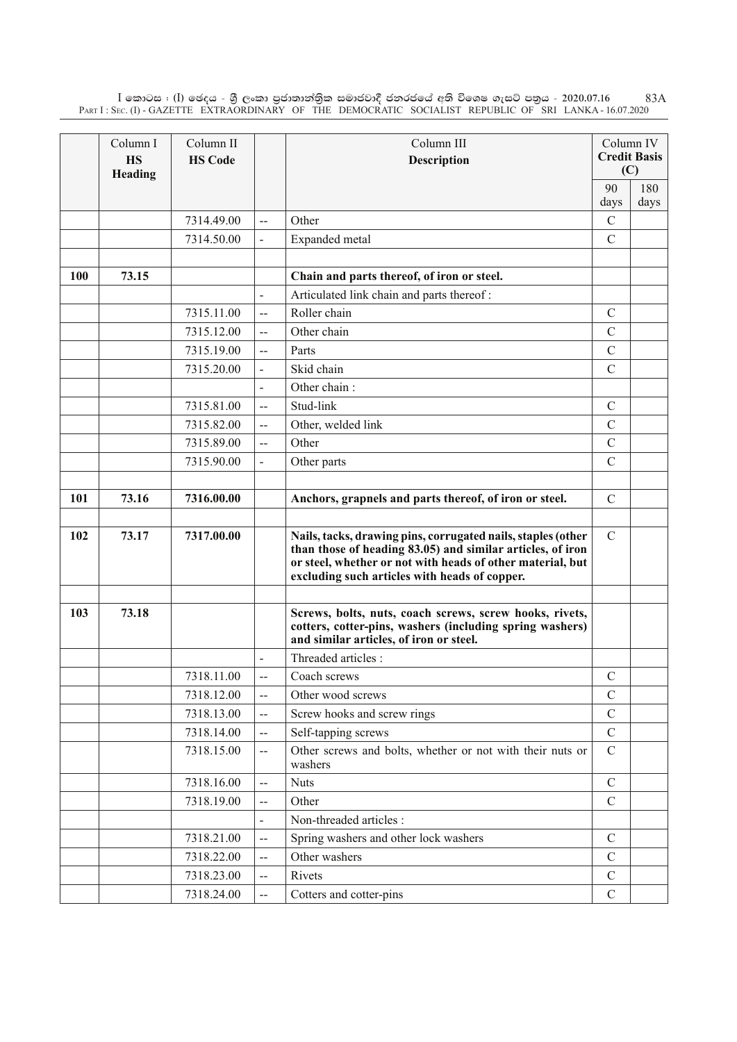$\rm I$  කොටස : ( $\rm I$ ) ඡෙදය - ශුී ලංකා පුජාතාන්තිුක සමාජවාදී ජනරජයේ අති විශෙෂ ගැසට් පතුය - 2020.07.16 Part I : Sec. (I) - GAZETTE EXTRAORDINARY OF THE DEMOCRATIC SOCIALIST REPUBLIC OF SRI LANKA - 16.07.2020 83A

|     | Column I<br><b>HS</b><br>Heading | Column II<br><b>HS Code</b> |                          | Column III<br><b>Description</b>                                                                                                                                                                                                          |                       | Column IV<br><b>Credit Basis</b><br>(C) |
|-----|----------------------------------|-----------------------------|--------------------------|-------------------------------------------------------------------------------------------------------------------------------------------------------------------------------------------------------------------------------------------|-----------------------|-----------------------------------------|
|     |                                  |                             |                          |                                                                                                                                                                                                                                           | 90                    | 180                                     |
|     |                                  | 7314.49.00                  |                          | Other                                                                                                                                                                                                                                     | days<br>$\mathcal{C}$ | days                                    |
|     |                                  | 7314.50.00                  | $-$                      |                                                                                                                                                                                                                                           | $\mathcal{C}$         |                                         |
|     |                                  |                             |                          | Expanded metal                                                                                                                                                                                                                            |                       |                                         |
| 100 | 73.15                            |                             |                          | Chain and parts thereof, of iron or steel.                                                                                                                                                                                                |                       |                                         |
|     |                                  |                             |                          | Articulated link chain and parts thereof:                                                                                                                                                                                                 |                       |                                         |
|     |                                  | 7315.11.00                  | $\overline{a}$           | Roller chain                                                                                                                                                                                                                              | $\mathcal{C}$         |                                         |
|     |                                  | 7315.12.00                  | $\overline{a}$           | Other chain                                                                                                                                                                                                                               | $\mathcal{C}$         |                                         |
|     |                                  | 7315.19.00                  | $-$                      | Parts                                                                                                                                                                                                                                     | $\mathcal{C}$         |                                         |
|     |                                  | 7315.20.00                  |                          | Skid chain                                                                                                                                                                                                                                | $\mathcal{C}$         |                                         |
|     |                                  |                             |                          | Other chain:                                                                                                                                                                                                                              |                       |                                         |
|     |                                  | 7315.81.00                  | $-$                      | Stud-link                                                                                                                                                                                                                                 | $\mathcal{C}$         |                                         |
|     |                                  | 7315.82.00                  | --                       | Other, welded link                                                                                                                                                                                                                        | $\mathcal{C}$         |                                         |
|     |                                  | 7315.89.00                  | $-$                      | Other                                                                                                                                                                                                                                     | $\mathcal{C}$         |                                         |
|     |                                  | 7315.90.00                  |                          | Other parts                                                                                                                                                                                                                               | $\mathcal{C}$         |                                         |
|     |                                  |                             |                          |                                                                                                                                                                                                                                           |                       |                                         |
| 101 | 73.16                            | 7316.00.00                  |                          | Anchors, grapnels and parts thereof, of iron or steel.                                                                                                                                                                                    | $\mathcal{C}$         |                                         |
| 102 | 73.17                            | 7317.00.00                  |                          | Nails, tacks, drawing pins, corrugated nails, staples (other<br>than those of heading 83.05) and similar articles, of iron<br>or steel, whether or not with heads of other material, but<br>excluding such articles with heads of copper. | $\mathcal{C}$         |                                         |
|     |                                  |                             |                          |                                                                                                                                                                                                                                           |                       |                                         |
| 103 | 73.18                            |                             |                          | Screws, bolts, nuts, coach screws, screw hooks, rivets,<br>cotters, cotter-pins, washers (including spring washers)<br>and similar articles, of iron or steel.                                                                            |                       |                                         |
|     |                                  |                             |                          | Threaded articles :                                                                                                                                                                                                                       |                       |                                         |
|     |                                  | 7318.11.00                  | $-$                      | Coach screws                                                                                                                                                                                                                              | $\mathcal{C}$         |                                         |
|     |                                  | 7318.12.00                  | --                       | Other wood screws                                                                                                                                                                                                                         | $\mathcal{C}$         |                                         |
|     |                                  | 7318.13.00                  | --                       | Screw hooks and screw rings                                                                                                                                                                                                               | $\mathbf C$           |                                         |
|     |                                  | 7318.14.00                  | $\overline{\phantom{a}}$ | Self-tapping screws                                                                                                                                                                                                                       | $\mathbf C$           |                                         |
|     |                                  | 7318.15.00                  | --                       | Other screws and bolts, whether or not with their nuts or<br>washers                                                                                                                                                                      | $\mathcal{C}$         |                                         |
|     |                                  | 7318.16.00                  | $\overline{\phantom{a}}$ | <b>Nuts</b>                                                                                                                                                                                                                               | $\mathcal{C}$         |                                         |
|     |                                  | 7318.19.00                  | $-$                      | Other                                                                                                                                                                                                                                     | $\mathcal{C}$         |                                         |
|     |                                  |                             | $\overline{\phantom{a}}$ | Non-threaded articles :                                                                                                                                                                                                                   |                       |                                         |
|     |                                  | 7318.21.00                  | $-$                      | Spring washers and other lock washers                                                                                                                                                                                                     | $\mathbf C$           |                                         |
|     |                                  | 7318.22.00                  | $\mathbf{u}$             | Other washers                                                                                                                                                                                                                             | $\mathcal{C}$         |                                         |
|     |                                  | 7318.23.00                  | $-$                      | Rivets                                                                                                                                                                                                                                    | $\mathcal{C}$         |                                         |
|     |                                  | 7318.24.00                  | $-$                      | Cotters and cotter-pins                                                                                                                                                                                                                   | ${\bf C}$             |                                         |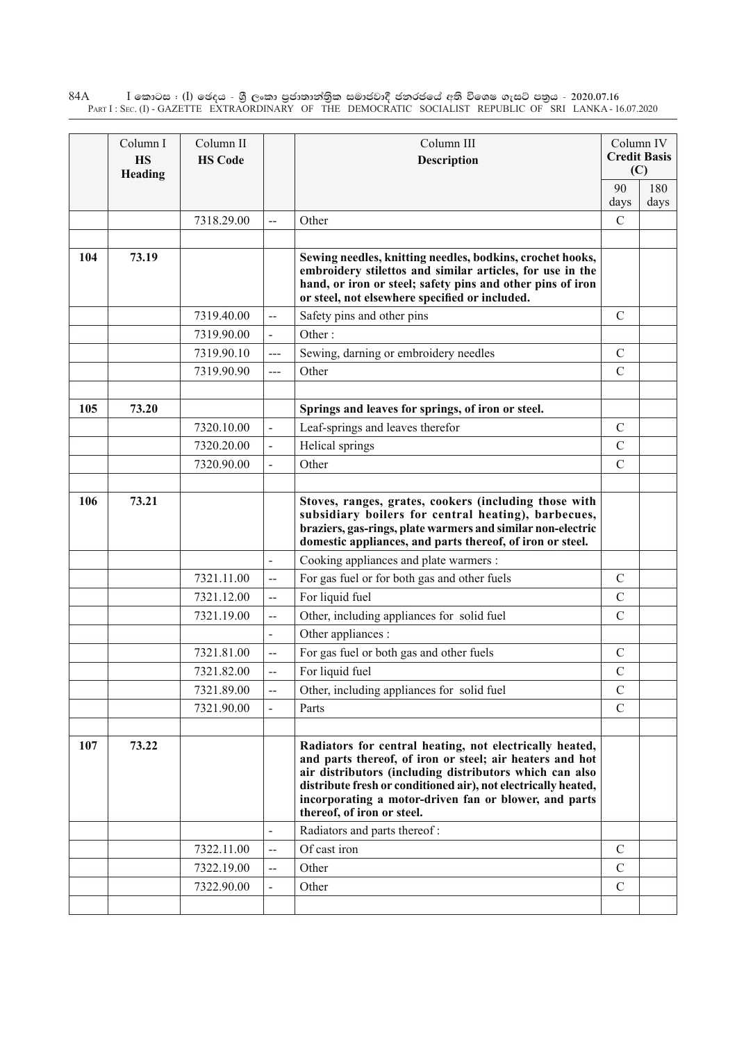$\rm I$  කොටස : ( $\rm I$ ) ඡෙදය - ශුී ලංකා පුජාතාන්තුික සමාජවාදී ජනරජයේ අති විශෙෂ ගැසට් පතුය - 2020.07.16 Part I : Sec. (I) - GAZETTE EXTRAORDINARY OF THE DEMOCRATIC SOCIALIST REPUBLIC OF SRI LANKA - 16.07.2020 84A

|     | Column I<br><b>HS</b><br>Heading | Column II<br><b>HS Code</b> |                          | Column III<br><b>Description</b>                                                                                                                                                                                                                                                                                                        |                | Column IV<br><b>Credit Basis</b><br>(C) |
|-----|----------------------------------|-----------------------------|--------------------------|-----------------------------------------------------------------------------------------------------------------------------------------------------------------------------------------------------------------------------------------------------------------------------------------------------------------------------------------|----------------|-----------------------------------------|
|     |                                  |                             |                          | 90<br>days                                                                                                                                                                                                                                                                                                                              | 180<br>days    |                                         |
|     |                                  | 7318.29.00                  |                          | Other                                                                                                                                                                                                                                                                                                                                   | $\overline{C}$ |                                         |
|     |                                  |                             |                          |                                                                                                                                                                                                                                                                                                                                         |                |                                         |
| 104 | 73.19                            |                             |                          | Sewing needles, knitting needles, bodkins, crochet hooks,<br>embroidery stilettos and similar articles, for use in the<br>hand, or iron or steel; safety pins and other pins of iron<br>or steel, not elsewhere specified or included.                                                                                                  |                |                                         |
|     |                                  | 7319.40.00                  | $\overline{a}$           | Safety pins and other pins                                                                                                                                                                                                                                                                                                              | $\mathcal{C}$  |                                         |
|     |                                  | 7319.90.00                  | $\blacksquare$           | Other:                                                                                                                                                                                                                                                                                                                                  |                |                                         |
|     |                                  | 7319.90.10                  | ---                      | Sewing, darning or embroidery needles                                                                                                                                                                                                                                                                                                   | $\mathcal{C}$  |                                         |
|     |                                  | 7319.90.90                  | ---                      | Other                                                                                                                                                                                                                                                                                                                                   | $\mathcal{C}$  |                                         |
|     |                                  |                             |                          |                                                                                                                                                                                                                                                                                                                                         |                |                                         |
| 105 | 73.20                            |                             |                          | Springs and leaves for springs, of iron or steel.                                                                                                                                                                                                                                                                                       |                |                                         |
|     |                                  | 7320.10.00                  | $\overline{a}$           | Leaf-springs and leaves therefor                                                                                                                                                                                                                                                                                                        | $\mathcal{C}$  |                                         |
|     |                                  | 7320.20.00                  |                          | Helical springs                                                                                                                                                                                                                                                                                                                         | $\mathcal{C}$  |                                         |
|     |                                  | 7320.90.00                  |                          | Other                                                                                                                                                                                                                                                                                                                                   | $\overline{C}$ |                                         |
|     |                                  |                             |                          |                                                                                                                                                                                                                                                                                                                                         |                |                                         |
| 106 | 73.21                            |                             |                          | Stoves, ranges, grates, cookers (including those with<br>subsidiary boilers for central heating), barbecues,<br>braziers, gas-rings, plate warmers and similar non-electric<br>domestic appliances, and parts thereof, of iron or steel.                                                                                                |                |                                         |
|     |                                  |                             | $\overline{a}$           | Cooking appliances and plate warmers :                                                                                                                                                                                                                                                                                                  |                |                                         |
|     |                                  | 7321.11.00                  |                          | For gas fuel or for both gas and other fuels                                                                                                                                                                                                                                                                                            | $\mathcal{C}$  |                                         |
|     |                                  | 7321.12.00                  | $\overline{\phantom{a}}$ | For liquid fuel                                                                                                                                                                                                                                                                                                                         | $\mathcal{C}$  |                                         |
|     |                                  | 7321.19.00                  | $\overline{\phantom{a}}$ | Other, including appliances for solid fuel                                                                                                                                                                                                                                                                                              | $\mathcal{C}$  |                                         |
|     |                                  |                             |                          | Other appliances :                                                                                                                                                                                                                                                                                                                      |                |                                         |
|     |                                  | 7321.81.00                  |                          | For gas fuel or both gas and other fuels                                                                                                                                                                                                                                                                                                | $\mathcal{C}$  |                                         |
|     |                                  | 7321.82.00                  |                          | For liquid fuel                                                                                                                                                                                                                                                                                                                         | $\mathcal{C}$  |                                         |
|     |                                  | 7321.89.00                  |                          | Other, including appliances for solid fuel                                                                                                                                                                                                                                                                                              | $\mathcal{C}$  |                                         |
|     |                                  | 7321.90.00                  |                          | Parts                                                                                                                                                                                                                                                                                                                                   | $\mathcal{C}$  |                                         |
|     |                                  |                             |                          |                                                                                                                                                                                                                                                                                                                                         |                |                                         |
| 107 | 73.22                            |                             |                          | Radiators for central heating, not electrically heated,<br>and parts thereof, of iron or steel; air heaters and hot<br>air distributors (including distributors which can also<br>distribute fresh or conditioned air), not electrically heated,<br>incorporating a motor-driven fan or blower, and parts<br>thereof, of iron or steel. |                |                                         |
|     |                                  |                             |                          | Radiators and parts thereof:                                                                                                                                                                                                                                                                                                            |                |                                         |
|     |                                  | 7322.11.00                  | $\overline{\phantom{a}}$ | Of cast iron                                                                                                                                                                                                                                                                                                                            | $\mathcal{C}$  |                                         |
|     |                                  | 7322.19.00                  |                          | Other                                                                                                                                                                                                                                                                                                                                   | $\mathcal{C}$  |                                         |
|     |                                  | 7322.90.00                  |                          | Other                                                                                                                                                                                                                                                                                                                                   | $\mathcal{C}$  |                                         |
|     |                                  |                             |                          |                                                                                                                                                                                                                                                                                                                                         |                |                                         |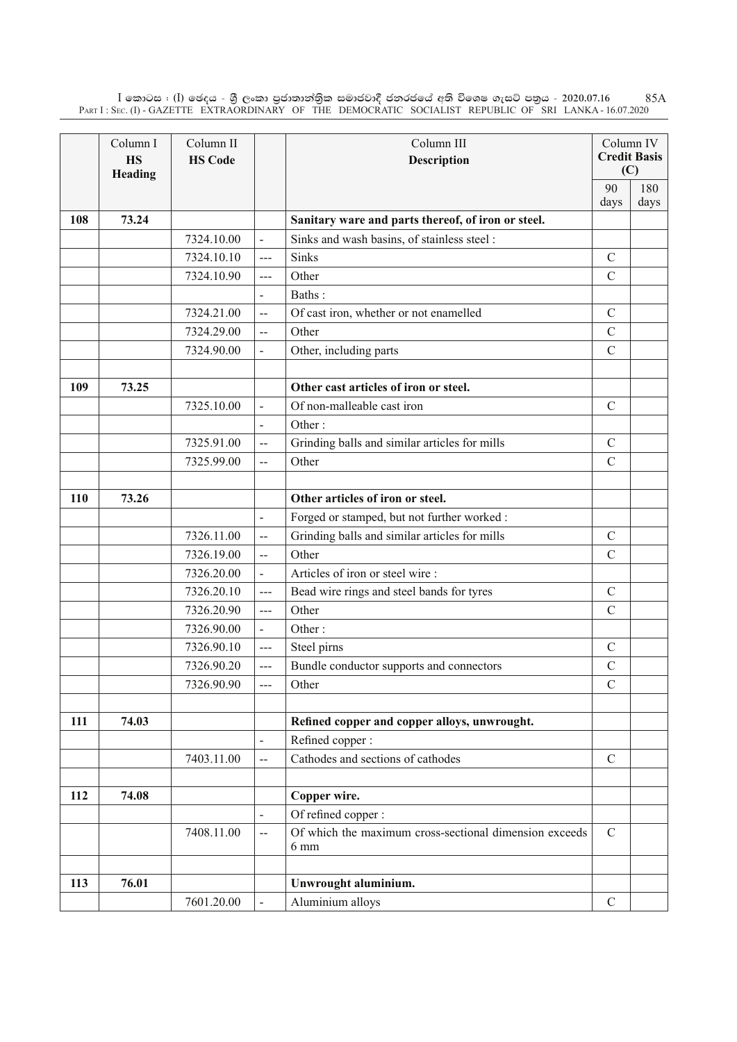$\rm I$  කොටස : ( $\rm I$ ) ඡෙදය - ශුී ලංකා පුජාතාන්තිුක සමාජවාදී ජනරජයේ අති විශෙෂ ගැසට් පතුය - 2020.07.16 Part I : Sec. (I) - GAZETTE EXTRAORDINARY OF THE DEMOCRATIC SOCIALIST REPUBLIC OF SRI LANKA - 16.07.2020 85A

|     | Column I<br><b>HS</b><br>Heading | Column II<br><b>HS Code</b> |                          | Column III<br>Description                                      |               | Column IV<br><b>Credit Basis</b><br>(C) |
|-----|----------------------------------|-----------------------------|--------------------------|----------------------------------------------------------------|---------------|-----------------------------------------|
|     |                                  |                             |                          |                                                                | 90            | 180                                     |
|     |                                  |                             |                          |                                                                | days          | days                                    |
| 108 | 73.24                            |                             |                          | Sanitary ware and parts thereof, of iron or steel.             |               |                                         |
|     |                                  | 7324.10.00                  | $\overline{a}$           | Sinks and wash basins, of stainless steel :                    |               |                                         |
|     |                                  | 7324.10.10                  | $---$                    | Sinks                                                          | $\mathcal{C}$ |                                         |
|     |                                  | 7324.10.90                  | $---$                    | Other                                                          | $\mathcal{C}$ |                                         |
|     |                                  |                             | $\blacksquare$           | Baths:                                                         |               |                                         |
|     |                                  | 7324.21.00                  | $\overline{a}$           | Of cast iron, whether or not enamelled                         | $\mathcal{C}$ |                                         |
|     |                                  | 7324.29.00                  | $\overline{\phantom{a}}$ | Other                                                          | $\mathcal{C}$ |                                         |
|     |                                  | 7324.90.00                  |                          | Other, including parts                                         | $\mathcal{C}$ |                                         |
|     |                                  |                             |                          |                                                                |               |                                         |
| 109 | 73.25                            |                             |                          | Other cast articles of iron or steel.                          |               |                                         |
|     |                                  | 7325.10.00                  | $\overline{a}$           | Of non-malleable cast iron                                     | $\mathcal{C}$ |                                         |
|     |                                  |                             | $\overline{a}$           | Other:                                                         |               |                                         |
|     |                                  | 7325.91.00                  | $\overline{a}$           | Grinding balls and similar articles for mills                  | $\mathcal{C}$ |                                         |
|     |                                  | 7325.99.00                  | $\overline{\phantom{a}}$ | Other                                                          | $\mathcal{C}$ |                                         |
|     |                                  |                             |                          |                                                                |               |                                         |
| 110 | 73.26                            |                             |                          | Other articles of iron or steel.                               |               |                                         |
|     |                                  |                             | $\blacksquare$           | Forged or stamped, but not further worked :                    |               |                                         |
|     |                                  | 7326.11.00                  | $\overline{\phantom{a}}$ | Grinding balls and similar articles for mills                  | $\mathcal{C}$ |                                         |
|     |                                  | 7326.19.00                  | $\overline{a}$           | Other                                                          | $\mathcal{C}$ |                                         |
|     |                                  | 7326.20.00                  | $\overline{a}$           | Articles of iron or steel wire:                                |               |                                         |
|     |                                  | 7326.20.10                  | $---$                    | Bead wire rings and steel bands for tyres                      | $\mathcal{C}$ |                                         |
|     |                                  | 7326.20.90                  | $\overline{a}$           | Other                                                          | $\mathcal{C}$ |                                         |
|     |                                  | 7326.90.00                  | $\overline{\phantom{a}}$ | Other:                                                         |               |                                         |
|     |                                  | 7326.90.10                  | $---$                    | Steel pirns                                                    | $\mathcal{C}$ |                                         |
|     |                                  | 7326.90.20                  | $---$                    | Bundle conductor supports and connectors                       | $\mathcal{C}$ |                                         |
|     |                                  | 7326.90.90                  |                          | Other                                                          | $\mathcal{C}$ |                                         |
|     |                                  |                             |                          |                                                                |               |                                         |
| 111 | 74.03                            |                             |                          | Refined copper and copper alloys, unwrought.                   |               |                                         |
|     |                                  |                             | $\blacksquare$           | Refined copper:                                                |               |                                         |
|     |                                  | 7403.11.00                  | $-$                      | Cathodes and sections of cathodes                              | $\mathbf C$   |                                         |
|     |                                  |                             |                          |                                                                |               |                                         |
| 112 | 74.08                            |                             |                          | Copper wire.                                                   |               |                                         |
|     |                                  |                             | $\overline{\phantom{a}}$ | Of refined copper:                                             |               |                                         |
|     |                                  | 7408.11.00                  | $\overline{a}$           | Of which the maximum cross-sectional dimension exceeds<br>6 mm | $\mathcal{C}$ |                                         |
|     |                                  |                             |                          |                                                                |               |                                         |
| 113 | 76.01                            |                             |                          | Unwrought aluminium.                                           |               |                                         |
|     |                                  | 7601.20.00                  |                          | Aluminium alloys                                               | $\mathcal{C}$ |                                         |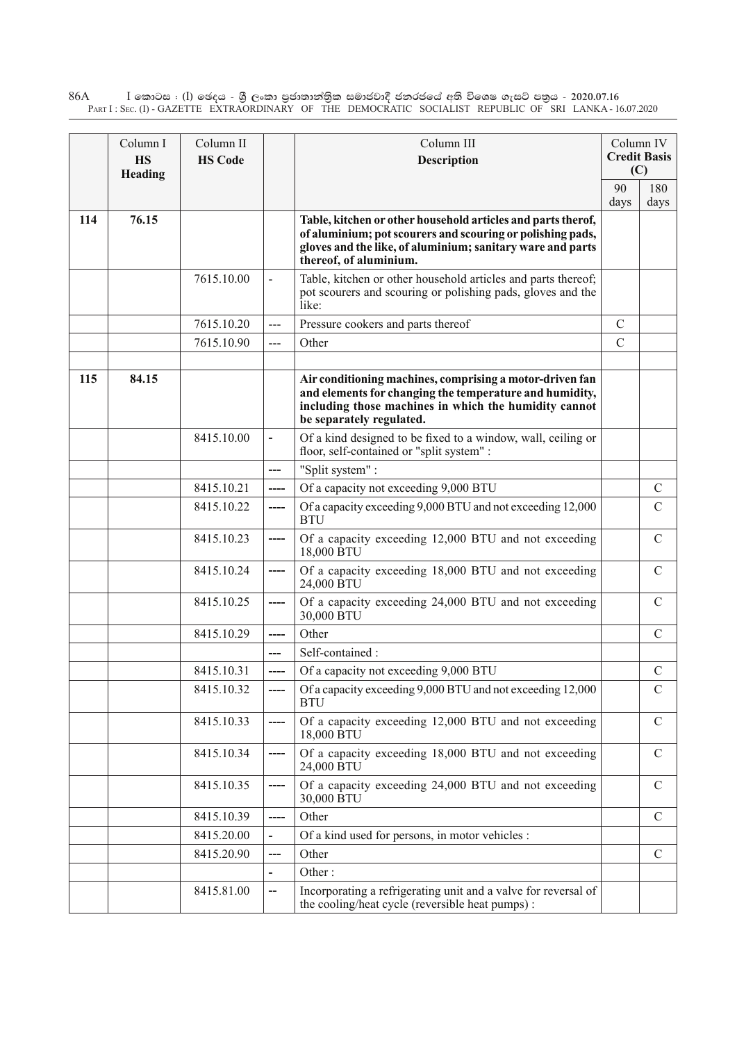$\rm I$  කොටස : ( $\rm I$ ) ඡෙදය - ශුී ලංකා පුජාතාන්තුික සමාජවාදී ජනරජයේ අති විශෙෂ ගැසට් පතුය - 2020.07.16 Part I : Sec. (I) - GAZETTE EXTRAORDINARY OF THE DEMOCRATIC SOCIALIST REPUBLIC OF SRI LANKA - 16.07.2020 86A

|     | Column I<br><b>HS</b><br>Heading | Column II<br><b>HS Code</b> |                              | Column III<br><b>Description</b>                                                                                                                                                                                   |               | Column IV<br><b>Credit Basis</b><br>(C) |
|-----|----------------------------------|-----------------------------|------------------------------|--------------------------------------------------------------------------------------------------------------------------------------------------------------------------------------------------------------------|---------------|-----------------------------------------|
|     |                                  |                             |                              |                                                                                                                                                                                                                    | 90<br>days    | 180<br>days                             |
| 114 | 76.15                            |                             |                              | Table, kitchen or other household articles and parts therof,<br>of aluminium; pot scourers and scouring or polishing pads,<br>gloves and the like, of aluminium; sanitary ware and parts<br>thereof, of aluminium. |               |                                         |
|     |                                  | 7615.10.00                  | $\overline{\phantom{a}}$     | Table, kitchen or other household articles and parts thereof;<br>pot scourers and scouring or polishing pads, gloves and the<br>like:                                                                              |               |                                         |
|     |                                  | 7615.10.20                  | $\overline{a}$               | Pressure cookers and parts thereof                                                                                                                                                                                 | $\mathcal{C}$ |                                         |
|     |                                  | 7615.10.90                  | ---                          | Other                                                                                                                                                                                                              | $\mathcal{C}$ |                                         |
| 115 | 84.15                            |                             |                              | Air conditioning machines, comprising a motor-driven fan<br>and elements for changing the temperature and humidity,<br>including those machines in which the humidity cannot<br>be separately regulated.           |               |                                         |
|     |                                  | 8415.10.00                  | $\qquad \qquad \blacksquare$ | Of a kind designed to be fixed to a window, wall, ceiling or<br>floor, self-contained or "split system" :                                                                                                          |               |                                         |
|     |                                  |                             | ---                          | "Split system":                                                                                                                                                                                                    |               |                                         |
|     |                                  | 8415.10.21                  | ----                         | Of a capacity not exceeding 9,000 BTU                                                                                                                                                                              |               | $\mathcal{C}$                           |
|     |                                  | 8415.10.22                  | ----                         | Of a capacity exceeding 9,000 BTU and not exceeding 12,000<br><b>BTU</b>                                                                                                                                           |               | $\mathcal{C}$                           |
|     |                                  | 8415.10.23                  | ----                         | Of a capacity exceeding 12,000 BTU and not exceeding<br>18,000 BTU                                                                                                                                                 |               | $\mathcal{C}$                           |
|     |                                  | 8415.10.24                  | ----                         | Of a capacity exceeding 18,000 BTU and not exceeding<br>24,000 BTU                                                                                                                                                 |               | $\mathcal{C}$                           |
|     |                                  | 8415.10.25                  | ----                         | Of a capacity exceeding 24,000 BTU and not exceeding<br>30,000 BTU                                                                                                                                                 |               | $\mathcal{C}$                           |
|     |                                  | 8415.10.29                  | ----                         | Other                                                                                                                                                                                                              |               | $\mathcal{C}$                           |
|     |                                  |                             | ---                          | Self-contained:                                                                                                                                                                                                    |               |                                         |
|     |                                  | 8415.10.31                  | ----                         | Of a capacity not exceeding 9,000 BTU                                                                                                                                                                              |               | $\mathcal{C}$                           |
|     |                                  | 8415.10.32                  |                              | Of a capacity exceeding 9,000 BTU and not exceeding 12,000<br><b>BTU</b>                                                                                                                                           |               | $\mathcal{C}$                           |
|     |                                  | 8415.10.33                  | ----                         | Of a capacity exceeding 12,000 BTU and not exceeding<br>18,000 BTU                                                                                                                                                 |               | $\mathcal{C}$                           |
|     |                                  | 8415.10.34                  | ----                         | Of a capacity exceeding 18,000 BTU and not exceeding<br>24,000 BTU                                                                                                                                                 |               | $\mathcal{C}$                           |
|     |                                  | 8415.10.35                  | ----                         | Of a capacity exceeding 24,000 BTU and not exceeding<br>30,000 BTU                                                                                                                                                 |               | $\mathcal{C}$                           |
|     |                                  | 8415.10.39                  | ----                         | Other                                                                                                                                                                                                              |               | $\mathcal{C}$                           |
|     |                                  | 8415.20.00                  | $\overline{\phantom{0}}$     | Of a kind used for persons, in motor vehicles :                                                                                                                                                                    |               |                                         |
|     |                                  | 8415.20.90                  | ---                          | Other                                                                                                                                                                                                              |               | $\mathcal{C}$                           |
|     |                                  |                             |                              | Other:                                                                                                                                                                                                             |               |                                         |
|     |                                  | 8415.81.00                  | --                           | Incorporating a refrigerating unit and a valve for reversal of<br>the cooling/heat cycle (reversible heat pumps):                                                                                                  |               |                                         |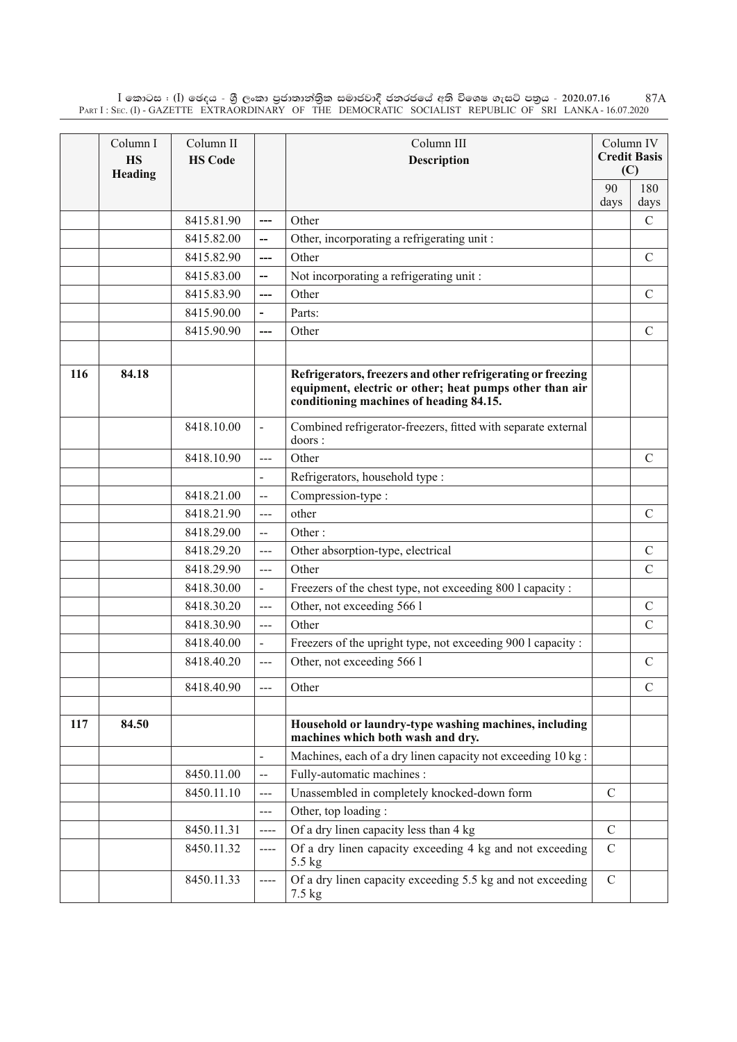$\rm I$  කොටස : ( $\rm I$ ) ඡෙදය - ශුී ලංකා පුජාතාන්තිුක සමාජවාදී ජනරජයේ අති විශෙෂ ගැසට් පතුය - 2020.07.16 Part I : Sec. (I) - GAZETTE EXTRAORDINARY OF THE DEMOCRATIC SOCIALIST REPUBLIC OF SRI LANKA - 16.07.2020 87A

|     | Column I<br><b>HS</b><br>Heading | Column II<br><b>HS Code</b> |                          | Column III<br><b>Description</b>                                                                                                                                  | Column IV<br><b>Credit Basis</b><br>(C) |                |
|-----|----------------------------------|-----------------------------|--------------------------|-------------------------------------------------------------------------------------------------------------------------------------------------------------------|-----------------------------------------|----------------|
|     |                                  |                             |                          |                                                                                                                                                                   | 90                                      | 180            |
|     |                                  |                             |                          |                                                                                                                                                                   | days                                    | days           |
|     |                                  | 8415.81.90                  | ---                      | Other                                                                                                                                                             |                                         | $\overline{C}$ |
|     |                                  | 8415.82.00                  | --                       | Other, incorporating a refrigerating unit:                                                                                                                        |                                         |                |
|     |                                  | 8415.82.90                  | ---                      | Other                                                                                                                                                             |                                         | $\mathcal{C}$  |
|     |                                  | 8415.83.00                  | --                       | Not incorporating a refrigerating unit:                                                                                                                           |                                         |                |
|     |                                  | 8415.83.90                  | ---                      | Other                                                                                                                                                             |                                         | $\mathsf{C}$   |
|     |                                  | 8415.90.00                  |                          | Parts:                                                                                                                                                            |                                         |                |
|     |                                  | 8415.90.90                  |                          | Other                                                                                                                                                             |                                         | $\mathcal{C}$  |
|     |                                  |                             |                          |                                                                                                                                                                   |                                         |                |
| 116 | 84.18                            |                             |                          | Refrigerators, freezers and other refrigerating or freezing<br>equipment, electric or other; heat pumps other than air<br>conditioning machines of heading 84.15. |                                         |                |
|     |                                  | 8418.10.00                  | $\overline{\phantom{0}}$ | Combined refrigerator-freezers, fitted with separate external<br>doors:                                                                                           |                                         |                |
|     |                                  | 8418.10.90                  | ---                      | Other                                                                                                                                                             |                                         | $\mathcal{C}$  |
|     |                                  |                             |                          | Refrigerators, household type:                                                                                                                                    |                                         |                |
|     |                                  | 8418.21.00                  | $\overline{a}$           | Compression-type:                                                                                                                                                 |                                         |                |
|     |                                  | 8418.21.90                  | ---                      | other                                                                                                                                                             |                                         | $\mathcal{C}$  |
|     |                                  | 8418.29.00                  | $\overline{a}$           | Other:                                                                                                                                                            |                                         |                |
|     |                                  | 8418.29.20                  | ---                      | Other absorption-type, electrical                                                                                                                                 |                                         | $\mathcal{C}$  |
|     |                                  | 8418.29.90                  | $---$                    | Other                                                                                                                                                             |                                         | $\mathcal{C}$  |
|     |                                  | 8418.30.00                  |                          | Freezers of the chest type, not exceeding 800 l capacity :                                                                                                        |                                         |                |
|     |                                  | 8418.30.20                  | ---                      | Other, not exceeding 566 l                                                                                                                                        |                                         | $\mathcal{C}$  |
|     |                                  | 8418.30.90                  | ---                      | Other                                                                                                                                                             |                                         | $\mathcal{C}$  |
|     |                                  | 8418.40.00                  | $\blacksquare$           | Freezers of the upright type, not exceeding 900 l capacity :                                                                                                      |                                         |                |
|     |                                  | 8418.40.20                  | ---                      | Other, not exceeding 566 l                                                                                                                                        |                                         | $\mathcal{C}$  |
|     |                                  | 8418.40.90                  | $---$                    | Other                                                                                                                                                             |                                         | $\mathcal{C}$  |
|     |                                  |                             |                          |                                                                                                                                                                   |                                         |                |
| 117 | 84.50                            |                             |                          | Household or laundry-type washing machines, including<br>machines which both wash and dry.                                                                        |                                         |                |
|     |                                  |                             | $\frac{1}{2}$            | Machines, each of a dry linen capacity not exceeding 10 kg:                                                                                                       |                                         |                |
|     |                                  | 8450.11.00                  | $-$                      | Fully-automatic machines :                                                                                                                                        |                                         |                |
|     |                                  | 8450.11.10                  | ---                      | Unassembled in completely knocked-down form                                                                                                                       | $\mathbf C$                             |                |
|     |                                  |                             | ---                      | Other, top loading:                                                                                                                                               |                                         |                |
|     |                                  | 8450.11.31                  | ----                     | Of a dry linen capacity less than 4 kg                                                                                                                            | $\mathcal{C}$                           |                |
|     |                                  | 8450.11.32                  | ----                     | Of a dry linen capacity exceeding 4 kg and not exceeding<br>5.5 kg                                                                                                | $\mathcal{C}$                           |                |
|     |                                  | 8450.11.33                  | $---$                    | Of a dry linen capacity exceeding 5.5 kg and not exceeding<br>$7.5$ kg                                                                                            | $\mathcal{C}$                           |                |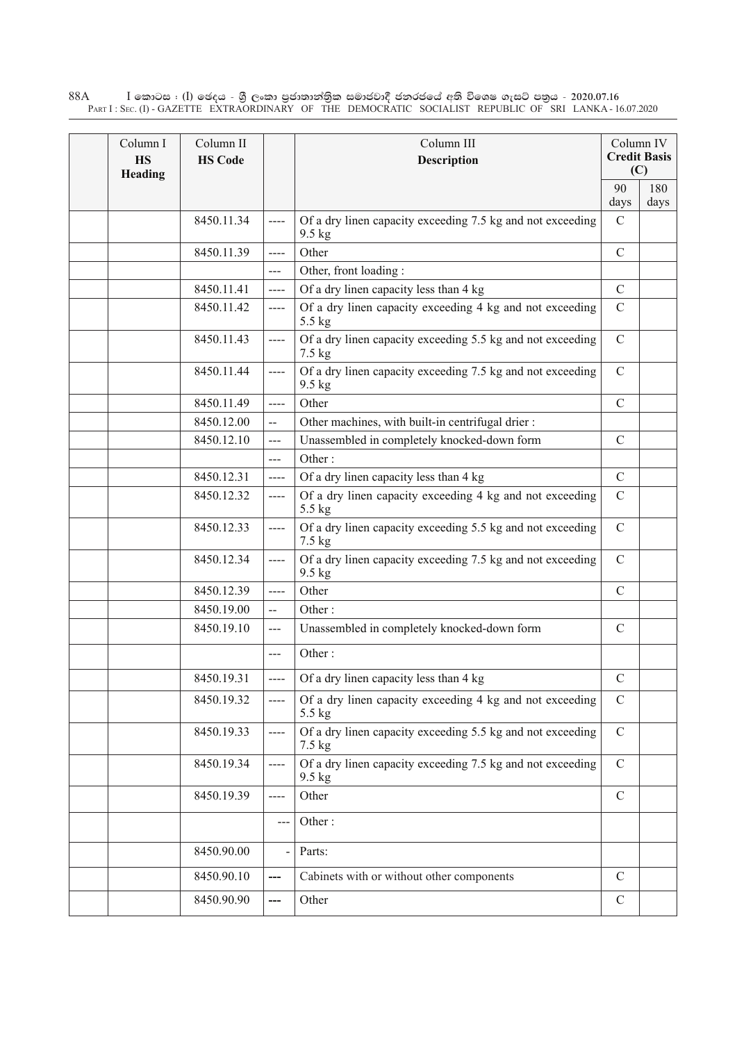$\rm I$  කොටස : ( $\rm I$ ) ඡෙදය - ශුී ලංකා පුජාතාන්තුික සමාජවාදී ජනරජයේ අති විශෙෂ ගැසට් පතුය - 2020.07.16 Part I : Sec. (I) - GAZETTE EXTRAORDINARY OF THE DEMOCRATIC SOCIALIST REPUBLIC OF SRI LANKA - 16.07.2020 88A

| Column I<br><b>HS</b><br>Heading | Column II<br><b>HS Code</b> |                          | Column III<br><b>Description</b>                                       |               | Column IV<br><b>Credit Basis</b><br>(C) |
|----------------------------------|-----------------------------|--------------------------|------------------------------------------------------------------------|---------------|-----------------------------------------|
|                                  |                             |                          |                                                                        | 90<br>days    | 180<br>days                             |
|                                  | 8450.11.34                  |                          | Of a dry linen capacity exceeding 7.5 kg and not exceeding<br>9.5 kg   | $\mathcal{C}$ |                                         |
|                                  | 8450.11.39                  | ----                     | Other                                                                  | $\mathcal{C}$ |                                         |
|                                  |                             | $---$                    | Other, front loading:                                                  |               |                                         |
|                                  | 8450.11.41                  | $---$                    | Of a dry linen capacity less than 4 kg                                 | $\mathcal{C}$ |                                         |
|                                  | 8450.11.42                  | $\qquad \qquad - - -$    | Of a dry linen capacity exceeding 4 kg and not exceeding<br>5.5 kg     | $\mathcal{C}$ |                                         |
|                                  | 8450.11.43                  | $---$                    | Of a dry linen capacity exceeding 5.5 kg and not exceeding<br>7.5 kg   | $\mathcal{C}$ |                                         |
|                                  | 8450.11.44                  | ----                     | Of a dry linen capacity exceeding 7.5 kg and not exceeding<br>$9.5$ kg | $\mathcal{C}$ |                                         |
|                                  | 8450.11.49                  | $--- -$                  | Other                                                                  | $\mathcal{C}$ |                                         |
|                                  | 8450.12.00                  | $\overline{a}$           | Other machines, with built-in centrifugal drier:                       |               |                                         |
|                                  | 8450.12.10                  | $---$                    | Unassembled in completely knocked-down form                            | $\mathcal{C}$ |                                         |
|                                  |                             | $\overline{a}$           | Other:                                                                 |               |                                         |
|                                  | 8450.12.31                  | ----                     | Of a dry linen capacity less than 4 kg                                 | $\mathcal{C}$ |                                         |
|                                  | 8450.12.32                  | ----                     | Of a dry linen capacity exceeding 4 kg and not exceeding<br>5.5 kg     | $\mathcal{C}$ |                                         |
|                                  | 8450.12.33                  | $---$                    | Of a dry linen capacity exceeding 5.5 kg and not exceeding<br>7.5 kg   | $\mathcal{C}$ |                                         |
|                                  | 8450.12.34                  | $---$                    | Of a dry linen capacity exceeding 7.5 kg and not exceeding<br>9.5 kg   | $\mathcal{C}$ |                                         |
|                                  | 8450.12.39                  | $---$                    | Other                                                                  | $\mathcal{C}$ |                                         |
|                                  | 8450.19.00                  | $\overline{\phantom{a}}$ | Other:                                                                 |               |                                         |
|                                  | 8450.19.10                  | $---$                    | Unassembled in completely knocked-down form                            | $\mathcal{C}$ |                                         |
|                                  |                             | $---$                    | Other:                                                                 |               |                                         |
|                                  | 8450.19.31                  |                          | $\left  \right $ ----   Of a dry linen capacity less than 4 kg         | $\mathcal{C}$ |                                         |
|                                  | 8450.19.32                  | $---$                    | Of a dry linen capacity exceeding 4 kg and not exceeding<br>5.5 kg     | $\mathcal{C}$ |                                         |
|                                  | 8450.19.33                  | $---$                    | Of a dry linen capacity exceeding 5.5 kg and not exceeding<br>7.5 kg   | $\mathbf C$   |                                         |
|                                  | 8450.19.34                  | ----                     | Of a dry linen capacity exceeding 7.5 kg and not exceeding<br>9.5 kg   | $\mathbf C$   |                                         |
|                                  | 8450.19.39                  | ----                     | Other                                                                  | $\mathbf C$   |                                         |
|                                  |                             | $--$                     | Other:                                                                 |               |                                         |
|                                  | 8450.90.00                  |                          | Parts:                                                                 |               |                                         |
|                                  | 8450.90.10                  | ---                      | Cabinets with or without other components                              | $\mathcal{C}$ |                                         |
|                                  | 8450.90.90                  | ---                      | Other                                                                  | $\mathsf{C}$  |                                         |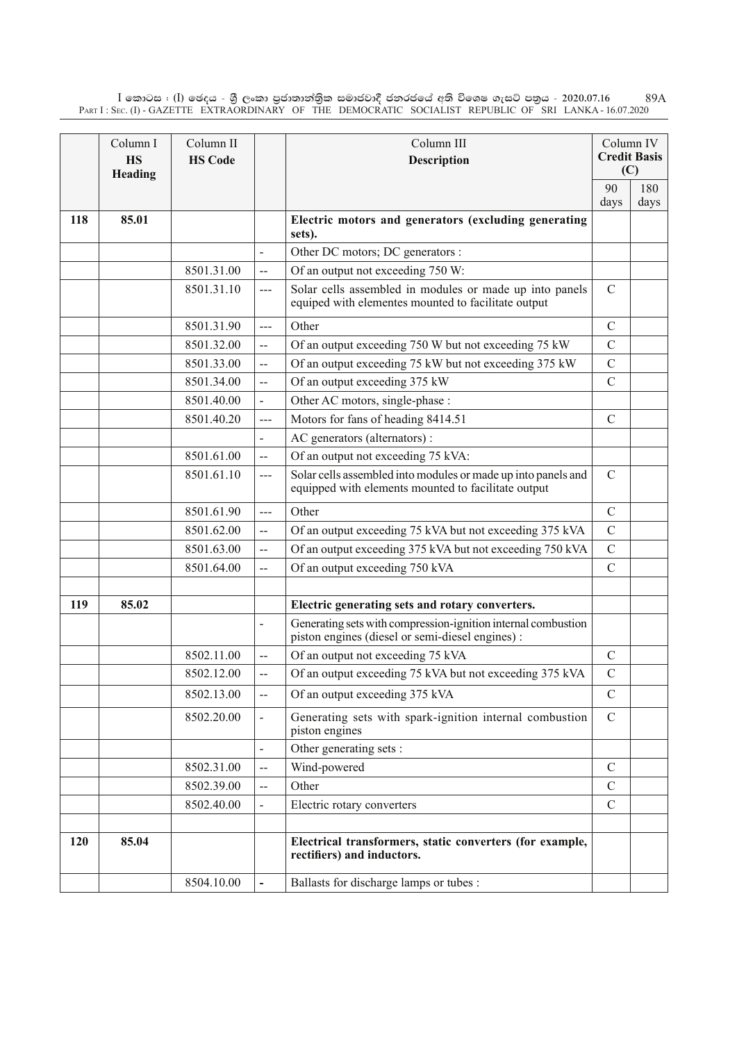$\rm I$  කොටස : ( $\rm I$ ) ඡෙදය - ශුී ලංකා පුජාතාන්තිුක සමාජවාදී ජනරජයේ අති විශෙෂ ගැසට් පතුය - 2020.07.16 Part I : Sec. (I) - GAZETTE EXTRAORDINARY OF THE DEMOCRATIC SOCIALIST REPUBLIC OF SRI LANKA - 16.07.2020 89A

|     | Column I<br><b>HS</b><br>Heading | Column II<br><b>HS Code</b> |                          | Column III<br><b>Description</b>                                                                                     |               | Column IV<br><b>Credit Basis</b><br>(C) |
|-----|----------------------------------|-----------------------------|--------------------------|----------------------------------------------------------------------------------------------------------------------|---------------|-----------------------------------------|
|     |                                  |                             |                          |                                                                                                                      | 90<br>days    | 180<br>days                             |
| 118 | 85.01                            |                             |                          | Electric motors and generators (excluding generating<br>sets).                                                       |               |                                         |
|     |                                  |                             | $\overline{\phantom{a}}$ | Other DC motors; DC generators :                                                                                     |               |                                         |
|     |                                  | 8501.31.00                  | $-$                      | Of an output not exceeding 750 W:                                                                                    |               |                                         |
|     |                                  | 8501.31.10                  | $---$                    | Solar cells assembled in modules or made up into panels<br>equiped with elementes mounted to facilitate output       | $\mathcal{C}$ |                                         |
|     |                                  | 8501.31.90                  | $\overline{a}$           | Other                                                                                                                | $\mathcal{C}$ |                                         |
|     |                                  | 8501.32.00                  | $\overline{a}$           | Of an output exceeding 750 W but not exceeding 75 kW                                                                 | $\mathcal{C}$ |                                         |
|     |                                  | 8501.33.00                  | $\ddot{\phantom{a}}$     | Of an output exceeding 75 kW but not exceeding 375 kW                                                                | $\mathcal{C}$ |                                         |
|     |                                  | 8501.34.00                  | $\overline{a}$           | Of an output exceeding 375 kW                                                                                        | $\mathcal{C}$ |                                         |
|     |                                  | 8501.40.00                  | $\overline{a}$           | Other AC motors, single-phase :                                                                                      |               |                                         |
|     |                                  | 8501.40.20                  | $---$                    | Motors for fans of heading 8414.51                                                                                   | $\mathcal{C}$ |                                         |
|     |                                  |                             |                          | AC generators (alternators):                                                                                         |               |                                         |
|     |                                  | 8501.61.00                  | $\overline{\phantom{a}}$ | Of an output not exceeding 75 kVA:                                                                                   |               |                                         |
|     |                                  | 8501.61.10                  | $---$                    | Solar cells assembled into modules or made up into panels and<br>equipped with elements mounted to facilitate output | $\mathcal{C}$ |                                         |
|     |                                  | 8501.61.90                  | $---$                    | Other                                                                                                                | $\mathcal{C}$ |                                         |
|     |                                  | 8501.62.00                  | $-$                      | Of an output exceeding 75 kVA but not exceeding 375 kVA                                                              | $\mathcal{C}$ |                                         |
|     |                                  | 8501.63.00                  | $\overline{\phantom{a}}$ | Of an output exceeding 375 kVA but not exceeding 750 kVA                                                             | $\mathcal{C}$ |                                         |
|     |                                  | 8501.64.00                  | --                       | Of an output exceeding 750 kVA                                                                                       | $\mathcal{C}$ |                                         |
|     |                                  |                             |                          |                                                                                                                      |               |                                         |
| 119 | 85.02                            |                             |                          | Electric generating sets and rotary converters.                                                                      |               |                                         |
|     |                                  |                             | $\overline{a}$           | Generating sets with compression-ignition internal combustion<br>piston engines (diesel or semi-diesel engines) :    |               |                                         |
|     |                                  | 8502.11.00                  | $\overline{a}$           | Of an output not exceeding 75 kVA                                                                                    | $\mathcal{C}$ |                                         |
|     |                                  | 8502.12.00                  | $\mathbf{--}$            | Of an output exceeding 75 kVA but not exceeding 375 kVA                                                              | $\mathcal{C}$ |                                         |
|     |                                  | 8502.13.00                  | $\overline{a}$           | Of an output exceeding 375 kVA                                                                                       | $\mathbf C$   |                                         |
|     |                                  | 8502.20.00                  | $\frac{1}{2}$            | Generating sets with spark-ignition internal combustion<br>piston engines                                            | $\mathcal{C}$ |                                         |
|     |                                  |                             | $\overline{a}$           | Other generating sets :                                                                                              |               |                                         |
|     |                                  | 8502.31.00                  | $\overline{a}$           | Wind-powered                                                                                                         | $\mathcal{C}$ |                                         |
|     |                                  | 8502.39.00                  | $\overline{a}$           | Other                                                                                                                | $\mathcal{C}$ |                                         |
|     |                                  | 8502.40.00                  |                          | Electric rotary converters                                                                                           | $\mathcal{C}$ |                                         |
|     |                                  |                             |                          |                                                                                                                      |               |                                         |
| 120 | 85.04                            |                             |                          | Electrical transformers, static converters (for example,<br>rectifiers) and inductors.                               |               |                                         |
|     |                                  | 8504.10.00                  |                          | Ballasts for discharge lamps or tubes :                                                                              |               |                                         |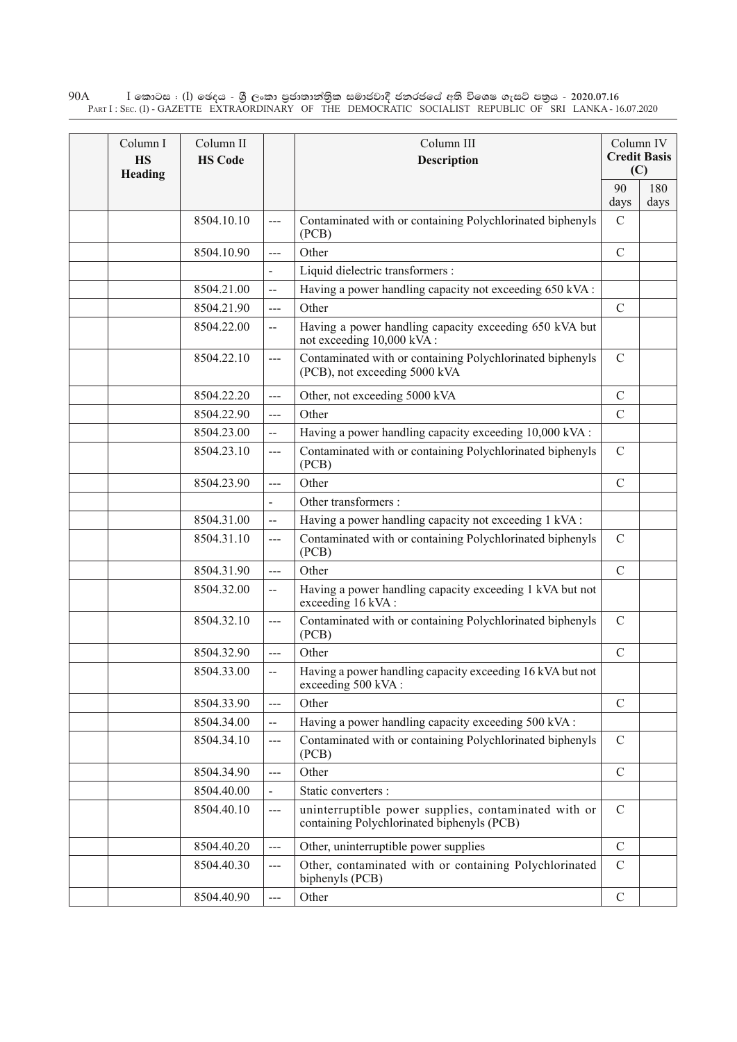$\rm I$  කොටස : ( $\rm I$ ) ඡෙදය - ශුී ලංකා පුජාතාන්තුික සමාජවාදී ජනරජයේ අති විශෙෂ ගැසට් පතුය - 2020.07.16 Part I : Sec. (I) - GAZETTE EXTRAORDINARY OF THE DEMOCRATIC SOCIALIST REPUBLIC OF SRI LANKA - 16.07.2020 90A

| Column I<br><b>HS</b><br>Heading | Column II<br>Column III<br><b>HS Code</b><br><b>Description</b> |                          | Column IV<br><b>Credit Basis</b><br>(C)                                                            |                |             |
|----------------------------------|-----------------------------------------------------------------|--------------------------|----------------------------------------------------------------------------------------------------|----------------|-------------|
|                                  |                                                                 |                          |                                                                                                    | 90<br>days     | 180<br>days |
|                                  | 8504.10.10                                                      | ---                      | Contaminated with or containing Polychlorinated biphenyls<br>(PCB)                                 | $\mathcal{C}$  |             |
|                                  | 8504.10.90                                                      | ---                      | Other                                                                                              | $\mathcal{C}$  |             |
|                                  |                                                                 | $\overline{a}$           | Liquid dielectric transformers :                                                                   |                |             |
|                                  | 8504.21.00                                                      | $\overline{\phantom{a}}$ | Having a power handling capacity not exceeding 650 kVA:                                            |                |             |
|                                  | 8504.21.90                                                      | $---$                    | Other                                                                                              | $\mathcal{C}$  |             |
|                                  | 8504.22.00                                                      | --                       | Having a power handling capacity exceeding 650 kVA but<br>not exceeding 10,000 kVA:                |                |             |
|                                  | 8504.22.10                                                      | ---                      | Contaminated with or containing Polychlorinated biphenyls<br>(PCB), not exceeding 5000 kVA         | $\mathcal{C}$  |             |
|                                  | 8504.22.20                                                      | $---$                    | Other, not exceeding 5000 kVA                                                                      | $\mathcal{C}$  |             |
|                                  | 8504.22.90                                                      | ---                      | Other                                                                                              | $\mathcal{C}$  |             |
|                                  | 8504.23.00                                                      | --                       | Having a power handling capacity exceeding 10,000 kVA :                                            |                |             |
|                                  | 8504.23.10                                                      | ---                      | Contaminated with or containing Polychlorinated biphenyls<br>(PCB)                                 | $\mathbf C$    |             |
|                                  | 8504.23.90                                                      | ---                      | Other                                                                                              | $\mathcal{C}$  |             |
|                                  |                                                                 | $\overline{a}$           | Other transformers :                                                                               |                |             |
|                                  | 8504.31.00                                                      | --                       | Having a power handling capacity not exceeding 1 kVA:                                              |                |             |
|                                  | 8504.31.10                                                      | ---                      | Contaminated with or containing Polychlorinated biphenyls<br>(PCB)                                 | $\mathbf C$    |             |
|                                  | 8504.31.90                                                      | $---$                    | Other                                                                                              | $\mathcal{C}$  |             |
|                                  | 8504.32.00                                                      | $\overline{\phantom{a}}$ | Having a power handling capacity exceeding 1 kVA but not<br>exceeding 16 kVA:                      |                |             |
|                                  | 8504.32.10                                                      | $---$                    | Contaminated with or containing Polychlorinated biphenyls<br>(PCB)                                 | $\mathbf C$    |             |
|                                  | 8504.32.90                                                      | ---                      | Other                                                                                              | $\overline{C}$ |             |
|                                  | 8504.33.00                                                      | $-$                      | Having a power handling capacity exceeding 16 kVA but not<br>exceeding 500 kVA :                   |                |             |
|                                  | 8504.33.90                                                      | ---                      | Other                                                                                              | $\mathbf C$    |             |
|                                  | 8504.34.00                                                      | $-$                      | Having a power handling capacity exceeding 500 kVA :                                               |                |             |
|                                  | 8504.34.10                                                      | ---                      | Contaminated with or containing Polychlorinated biphenyls<br>(PCB)                                 | $\mathbf C$    |             |
|                                  | 8504.34.90                                                      | $\overline{a}$           | Other                                                                                              | $\mathbf C$    |             |
|                                  | 8504.40.00                                                      | $\overline{a}$           | Static converters :                                                                                |                |             |
|                                  | 8504.40.10                                                      | ---                      | uninterruptible power supplies, contaminated with or<br>containing Polychlorinated biphenyls (PCB) | $\mathbf C$    |             |
|                                  | 8504.40.20                                                      | ---                      | Other, uninterruptible power supplies                                                              | $\mathcal{C}$  |             |
|                                  | 8504.40.30                                                      | ---                      | Other, contaminated with or containing Polychlorinated<br>biphenyls (PCB)                          | $\mathcal{C}$  |             |
|                                  | 8504.40.90                                                      | ---                      | Other                                                                                              | $\mathcal{C}$  |             |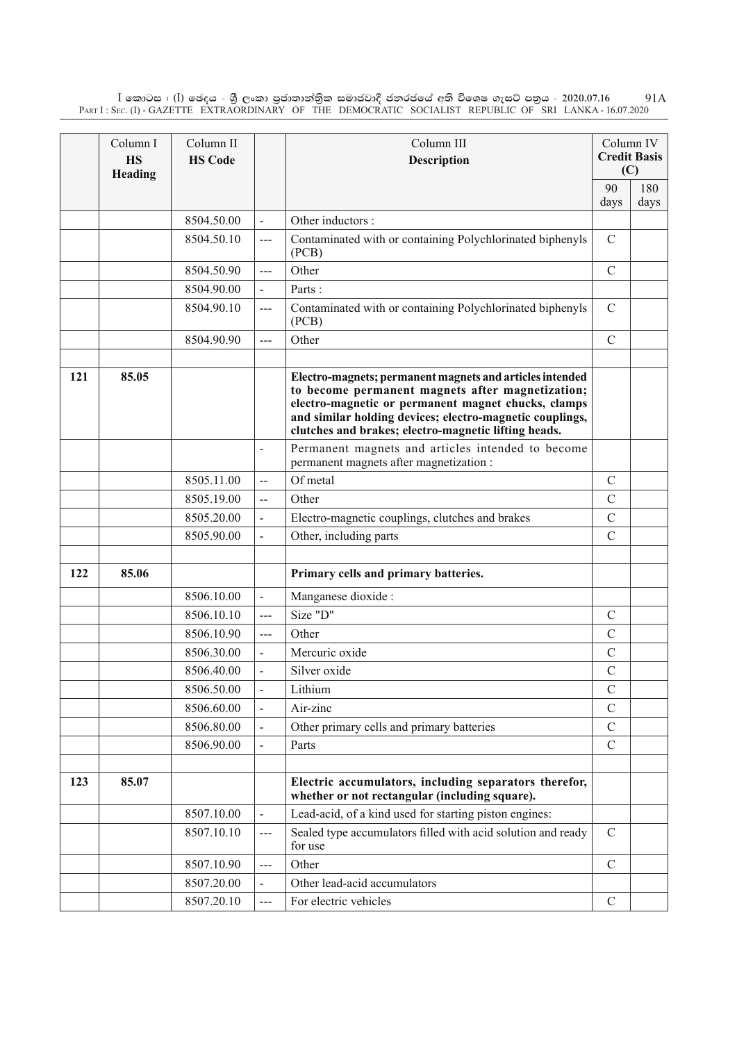$\rm I$  කොටස : ( $\rm I$ ) ඡෙදය - ශුී ලංකා පුජාතාන්තිුක සමාජවාදී ජනරජයේ අති විශෙෂ ගැසට් පතුය - 2020.07.16 Part I : Sec. (I) - GAZETTE EXTRAORDINARY OF THE DEMOCRATIC SOCIALIST REPUBLIC OF SRI LANKA - 16.07.2020 91A

|     | Column I<br><b>HS</b><br>Heading | Column II<br><b>HS Code</b> |                          | Column III<br><b>Description</b>                                                                                                                                                                                                                                                        | Column IV<br><b>Credit Basis</b><br>(C) |             |
|-----|----------------------------------|-----------------------------|--------------------------|-----------------------------------------------------------------------------------------------------------------------------------------------------------------------------------------------------------------------------------------------------------------------------------------|-----------------------------------------|-------------|
|     |                                  |                             |                          |                                                                                                                                                                                                                                                                                         | 90<br>days                              | 180<br>days |
|     |                                  | 8504.50.00                  | $\overline{a}$           | Other inductors :                                                                                                                                                                                                                                                                       |                                         |             |
|     |                                  | 8504.50.10                  | $\qquad \qquad - -$      | Contaminated with or containing Polychlorinated biphenyls<br>(PCB)                                                                                                                                                                                                                      | $\mathcal{C}$                           |             |
|     |                                  | 8504.50.90                  | $\overline{a}$           | Other                                                                                                                                                                                                                                                                                   | $\mathcal{C}$                           |             |
|     |                                  | 8504.90.00                  |                          | Parts:                                                                                                                                                                                                                                                                                  |                                         |             |
|     |                                  | 8504.90.10                  | $---$                    | Contaminated with or containing Polychlorinated biphenyls<br>(PCB)                                                                                                                                                                                                                      | $\mathcal{C}$                           |             |
|     |                                  | 8504.90.90                  | $\overline{a}$           | Other                                                                                                                                                                                                                                                                                   | $\mathcal{C}$                           |             |
| 121 | 85.05                            |                             |                          | Electro-magnets; permanent magnets and articles intended<br>to become permanent magnets after magnetization;<br>electro-magnetic or permanent magnet chucks, clamps<br>and similar holding devices; electro-magnetic couplings,<br>clutches and brakes; electro-magnetic lifting heads. |                                         |             |
|     |                                  |                             | $\overline{a}$           | Permanent magnets and articles intended to become<br>permanent magnets after magnetization :                                                                                                                                                                                            |                                         |             |
|     |                                  | 8505.11.00                  | --                       | Of metal                                                                                                                                                                                                                                                                                | $\mathcal{C}$                           |             |
|     |                                  | 8505.19.00                  | $-$                      | Other                                                                                                                                                                                                                                                                                   | $\mathcal{C}$                           |             |
|     |                                  | 8505.20.00                  |                          | Electro-magnetic couplings, clutches and brakes                                                                                                                                                                                                                                         | $\mathcal{C}$                           |             |
|     |                                  | 8505.90.00                  |                          | Other, including parts                                                                                                                                                                                                                                                                  | $\mathcal{C}$                           |             |
| 122 | 85.06                            |                             |                          | Primary cells and primary batteries.                                                                                                                                                                                                                                                    |                                         |             |
|     |                                  | 8506.10.00                  | $\overline{\phantom{0}}$ | Manganese dioxide :                                                                                                                                                                                                                                                                     |                                         |             |
|     |                                  | 8506.10.10                  | $---$                    | Size "D"                                                                                                                                                                                                                                                                                | $\mathcal{C}$                           |             |
|     |                                  | 8506.10.90                  | $\overline{a}$           | Other                                                                                                                                                                                                                                                                                   | $\mathcal{C}$                           |             |
|     |                                  | 8506.30.00                  |                          | Mercuric oxide                                                                                                                                                                                                                                                                          | $\mathcal{C}$                           |             |
|     |                                  | 8506.40.00                  |                          | Silver oxide                                                                                                                                                                                                                                                                            | $\mathcal{C}$                           |             |
|     |                                  | 8506.50.00                  | $\blacksquare$           | Lithium                                                                                                                                                                                                                                                                                 | $\mathcal{C}$                           |             |
|     |                                  | 8506.60.00                  |                          | Air-zinc                                                                                                                                                                                                                                                                                | $\mathcal{C}$                           |             |
|     |                                  | 8506.80.00                  |                          | Other primary cells and primary batteries                                                                                                                                                                                                                                               | $\mathcal{C}$                           |             |
|     |                                  | 8506.90.00                  |                          | Parts                                                                                                                                                                                                                                                                                   | $\mathcal{C}$                           |             |
|     |                                  |                             |                          |                                                                                                                                                                                                                                                                                         |                                         |             |
| 123 | 85.07                            |                             |                          | Electric accumulators, including separators therefor,<br>whether or not rectangular (including square).                                                                                                                                                                                 |                                         |             |
|     |                                  | 8507.10.00                  | $\overline{\phantom{0}}$ | Lead-acid, of a kind used for starting piston engines:                                                                                                                                                                                                                                  |                                         |             |
|     |                                  | 8507.10.10                  | $--$                     | Sealed type accumulators filled with acid solution and ready<br>for use                                                                                                                                                                                                                 | $\mathcal{C}$                           |             |
|     |                                  | 8507.10.90                  | $\overline{a}$           | Other                                                                                                                                                                                                                                                                                   | $\mathcal{C}$                           |             |
|     |                                  | 8507.20.00                  |                          | Other lead-acid accumulators                                                                                                                                                                                                                                                            |                                         |             |
|     |                                  | 8507.20.10                  | ---                      | For electric vehicles                                                                                                                                                                                                                                                                   | $\mathcal{C}$                           |             |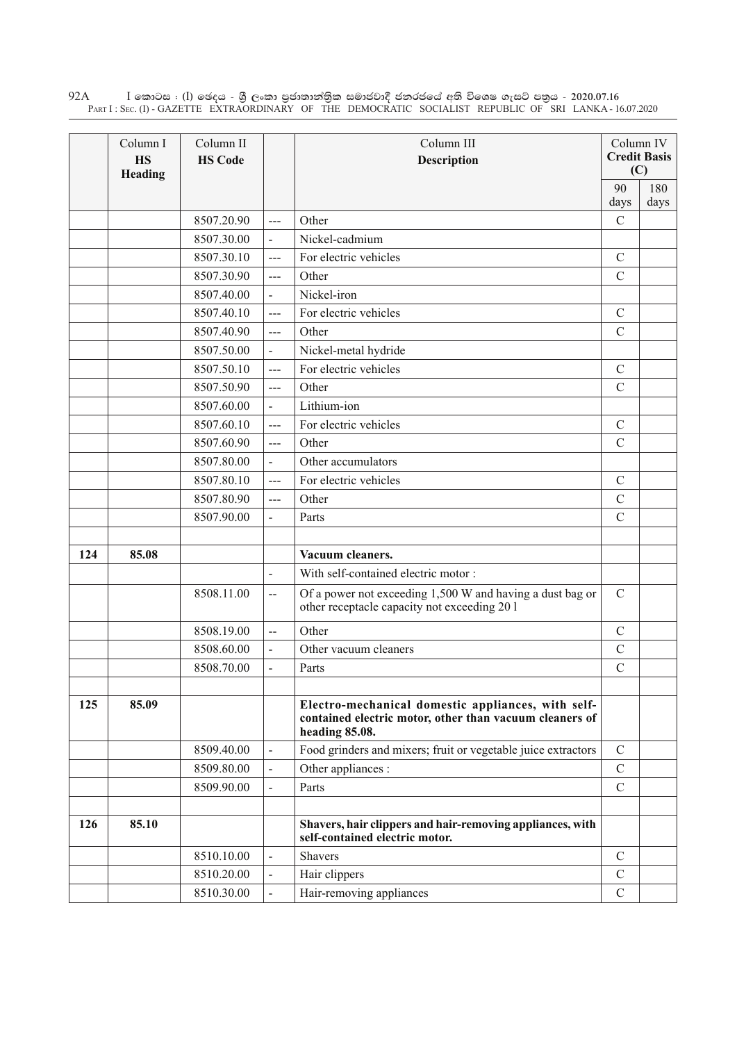$\rm I$  කොටස : ( $\rm I$ ) ඡෙදය - ශුී ලංකා පුජාතාන්තුික සමාජවාදී ජනරජයේ අති විශෙෂ ගැසට් පතුය - 2020.07.16 Part I : Sec. (I) - GAZETTE EXTRAORDINARY OF THE DEMOCRATIC SOCIALIST REPUBLIC OF SRI LANKA - 16.07.2020 92A

|     | Column I<br><b>HS</b><br>Heading | Column II<br><b>HS Code</b> |                          | Column III<br><b>Description</b>                                                                                                |               | Column IV<br><b>Credit Basis</b><br>(C) |
|-----|----------------------------------|-----------------------------|--------------------------|---------------------------------------------------------------------------------------------------------------------------------|---------------|-----------------------------------------|
|     |                                  |                             |                          |                                                                                                                                 | 90<br>days    | 180<br>days                             |
|     |                                  | 8507.20.90                  | $---$                    | Other                                                                                                                           | $\mathcal{C}$ |                                         |
|     |                                  | 8507.30.00                  | $\blacksquare$           | Nickel-cadmium                                                                                                                  |               |                                         |
|     |                                  | 8507.30.10                  | $\overline{a}$           | For electric vehicles                                                                                                           | $\mathcal{C}$ |                                         |
|     |                                  | 8507.30.90                  | $\frac{1}{2}$            | Other                                                                                                                           | $\mathcal{C}$ |                                         |
|     |                                  | 8507.40.00                  | $\overline{a}$           | Nickel-iron                                                                                                                     |               |                                         |
|     |                                  | 8507.40.10                  | $\frac{1}{2}$            | For electric vehicles                                                                                                           | $\mathcal{C}$ |                                         |
|     |                                  | 8507.40.90                  | $\overline{a}$           | Other                                                                                                                           | $\mathcal{C}$ |                                         |
|     |                                  | 8507.50.00                  | $\overline{\phantom{a}}$ | Nickel-metal hydride                                                                                                            |               |                                         |
|     |                                  | 8507.50.10                  | $\overline{a}$           | For electric vehicles                                                                                                           | $\mathcal{C}$ |                                         |
|     |                                  | 8507.50.90                  | $\frac{1}{2}$            | Other                                                                                                                           | $\mathcal{C}$ |                                         |
|     |                                  | 8507.60.00                  | $\overline{a}$           | Lithium-ion                                                                                                                     |               |                                         |
|     |                                  | 8507.60.10                  | $\frac{1}{2}$            | For electric vehicles                                                                                                           | $\mathcal{C}$ |                                         |
|     |                                  | 8507.60.90                  | $\frac{1}{2}$            | Other                                                                                                                           | $\mathcal{C}$ |                                         |
|     |                                  | 8507.80.00                  | $\blacksquare$           | Other accumulators                                                                                                              |               |                                         |
|     |                                  | 8507.80.10                  | $\overline{a}$           | For electric vehicles                                                                                                           | $\mathcal{C}$ |                                         |
|     |                                  | 8507.80.90                  | ---                      | Other                                                                                                                           | $\mathcal{C}$ |                                         |
|     |                                  | 8507.90.00                  | $\blacksquare$           | Parts                                                                                                                           | $\mathcal{C}$ |                                         |
|     |                                  |                             |                          |                                                                                                                                 |               |                                         |
| 124 | 85.08                            |                             |                          | Vacuum cleaners.                                                                                                                |               |                                         |
|     |                                  |                             | $\blacksquare$           | With self-contained electric motor:                                                                                             |               |                                         |
|     |                                  | 8508.11.00                  | $\overline{\phantom{a}}$ | Of a power not exceeding 1,500 W and having a dust bag or<br>other receptacle capacity not exceeding 201                        | $\mathbf C$   |                                         |
|     |                                  | 8508.19.00                  | $\overline{a}$           | Other                                                                                                                           | $\mathcal{C}$ |                                         |
|     |                                  | 8508.60.00                  | $\overline{a}$           | Other vacuum cleaners                                                                                                           | $\mathcal{C}$ |                                         |
|     |                                  | 8508.70.00                  |                          | Parts                                                                                                                           | $\mathcal{C}$ |                                         |
|     |                                  |                             |                          |                                                                                                                                 |               |                                         |
| 125 | 85.09                            |                             |                          | Electro-mechanical domestic appliances, with self-<br>contained electric motor, other than vacuum cleaners of<br>heading 85.08. |               |                                         |
|     |                                  | 8509.40.00                  |                          | Food grinders and mixers; fruit or vegetable juice extractors                                                                   | $\mathbf C$   |                                         |
|     |                                  | 8509.80.00                  |                          | Other appliances :                                                                                                              | $\mathcal{C}$ |                                         |
|     |                                  | 8509.90.00                  |                          | Parts                                                                                                                           | $\mathcal{C}$ |                                         |
|     |                                  |                             |                          |                                                                                                                                 |               |                                         |
| 126 | 85.10                            |                             |                          | Shavers, hair clippers and hair-removing appliances, with<br>self-contained electric motor.                                     |               |                                         |
|     |                                  | 8510.10.00                  |                          | Shavers                                                                                                                         | $\mathcal{C}$ |                                         |
|     |                                  | 8510.20.00                  |                          | Hair clippers                                                                                                                   | $\mathcal{C}$ |                                         |
|     |                                  | 8510.30.00                  |                          | Hair-removing appliances                                                                                                        | $\mathcal{C}$ |                                         |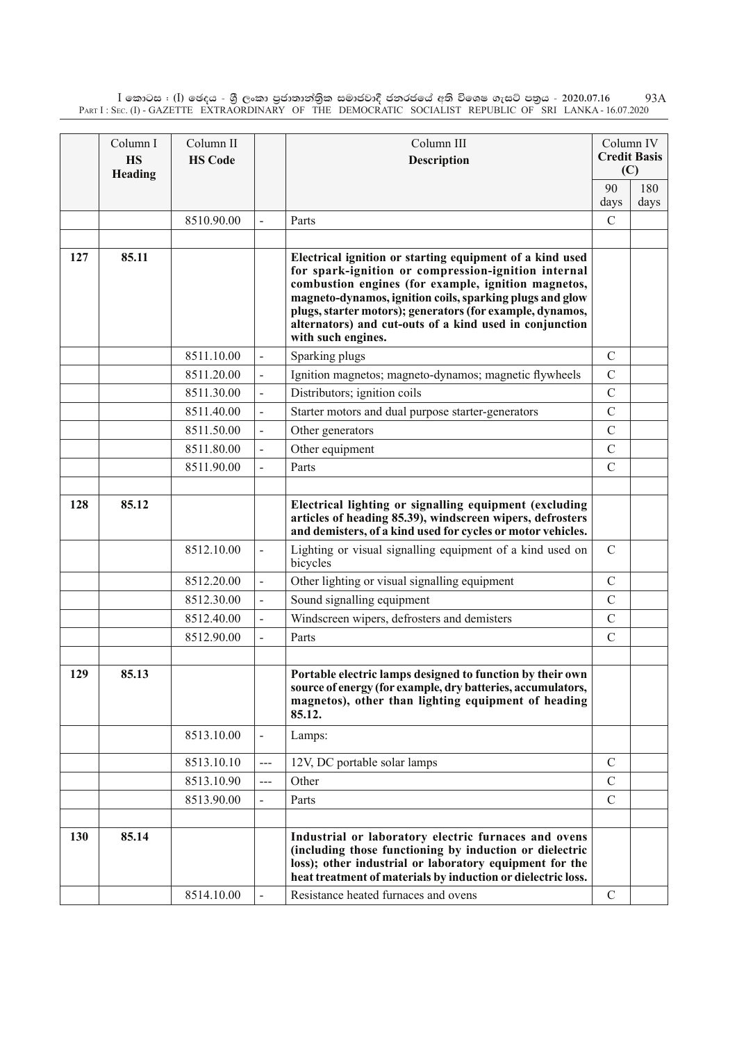$\rm I$  කොටස : ( $\rm I$ ) ඡෙදය - ශුී ලංකා පුජාතාන්තිුක සමාජවාදී ජනරජයේ අති විශෙෂ ගැසට් පතුය - 2020.07.16 Part I : Sec. (I) - GAZETTE EXTRAORDINARY OF THE DEMOCRATIC SOCIALIST REPUBLIC OF SRI LANKA - 16.07.2020 93A

|     | Column I<br><b>HS</b><br>Heading | Column II<br><b>HS Code</b> |                          | Column III<br>Description                                                                                                                                                                                                                                                                                                                                                        |               | Column IV<br><b>Credit Basis</b><br>(C) |
|-----|----------------------------------|-----------------------------|--------------------------|----------------------------------------------------------------------------------------------------------------------------------------------------------------------------------------------------------------------------------------------------------------------------------------------------------------------------------------------------------------------------------|---------------|-----------------------------------------|
|     |                                  |                             |                          |                                                                                                                                                                                                                                                                                                                                                                                  | 90<br>days    | 180<br>days                             |
|     |                                  | 8510.90.00                  |                          | Parts                                                                                                                                                                                                                                                                                                                                                                            | $\mathcal{C}$ |                                         |
|     |                                  |                             |                          |                                                                                                                                                                                                                                                                                                                                                                                  |               |                                         |
| 127 | 85.11                            |                             |                          | Electrical ignition or starting equipment of a kind used<br>for spark-ignition or compression-ignition internal<br>combustion engines (for example, ignition magnetos,<br>magneto-dynamos, ignition coils, sparking plugs and glow<br>plugs, starter motors); generators (for example, dynamos,<br>alternators) and cut-outs of a kind used in conjunction<br>with such engines. |               |                                         |
|     |                                  | 8511.10.00                  |                          | Sparking plugs                                                                                                                                                                                                                                                                                                                                                                   | $\mathcal{C}$ |                                         |
|     |                                  | 8511.20.00                  |                          | Ignition magnetos; magneto-dynamos; magnetic flywheels                                                                                                                                                                                                                                                                                                                           | $\mathcal{C}$ |                                         |
|     |                                  | 8511.30.00                  |                          | Distributors; ignition coils                                                                                                                                                                                                                                                                                                                                                     | $\mathcal{C}$ |                                         |
|     |                                  | 8511.40.00                  |                          | Starter motors and dual purpose starter-generators                                                                                                                                                                                                                                                                                                                               | $\mathcal{C}$ |                                         |
|     |                                  | 8511.50.00                  |                          | Other generators                                                                                                                                                                                                                                                                                                                                                                 | $\mathcal{C}$ |                                         |
|     |                                  | 8511.80.00                  |                          | Other equipment                                                                                                                                                                                                                                                                                                                                                                  | $\mathcal{C}$ |                                         |
|     |                                  | 8511.90.00                  |                          | Parts                                                                                                                                                                                                                                                                                                                                                                            | $\mathcal{C}$ |                                         |
|     |                                  |                             |                          |                                                                                                                                                                                                                                                                                                                                                                                  |               |                                         |
| 128 | 85.12                            |                             |                          | Electrical lighting or signalling equipment (excluding<br>articles of heading 85.39), windscreen wipers, defrosters<br>and demisters, of a kind used for cycles or motor vehicles.                                                                                                                                                                                               |               |                                         |
|     |                                  | 8512.10.00                  |                          | Lighting or visual signalling equipment of a kind used on<br>bicycles                                                                                                                                                                                                                                                                                                            | $\mathcal{C}$ |                                         |
|     |                                  | 8512.20.00                  |                          | Other lighting or visual signalling equipment                                                                                                                                                                                                                                                                                                                                    | $\mathcal{C}$ |                                         |
|     |                                  | 8512.30.00                  | $\overline{\phantom{a}}$ | Sound signalling equipment                                                                                                                                                                                                                                                                                                                                                       | $\mathcal{C}$ |                                         |
|     |                                  | 8512.40.00                  |                          | Windscreen wipers, defrosters and demisters                                                                                                                                                                                                                                                                                                                                      | $\mathcal{C}$ |                                         |
|     |                                  | 8512.90.00                  |                          | Parts                                                                                                                                                                                                                                                                                                                                                                            | $\mathcal{C}$ |                                         |
|     |                                  |                             |                          |                                                                                                                                                                                                                                                                                                                                                                                  |               |                                         |
| 129 | 85.13                            |                             |                          | Portable electric lamps designed to function by their own<br>source of energy (for example, dry batteries, accumulators,<br>magnetos), other than lighting equipment of heading<br>85.12.                                                                                                                                                                                        |               |                                         |
|     |                                  | 8513.10.00                  |                          | Lamps:                                                                                                                                                                                                                                                                                                                                                                           |               |                                         |
|     |                                  | 8513.10.10                  | $---$                    | 12V, DC portable solar lamps                                                                                                                                                                                                                                                                                                                                                     | $\mathcal{C}$ |                                         |
|     |                                  | 8513.10.90                  | $\qquad \qquad - -$      | Other                                                                                                                                                                                                                                                                                                                                                                            | $\mathcal{C}$ |                                         |
|     |                                  | 8513.90.00                  |                          | Parts                                                                                                                                                                                                                                                                                                                                                                            | $\mathcal{C}$ |                                         |
|     |                                  |                             |                          |                                                                                                                                                                                                                                                                                                                                                                                  |               |                                         |
| 130 | 85.14                            |                             |                          | Industrial or laboratory electric furnaces and ovens<br>(including those functioning by induction or dielectric<br>loss); other industrial or laboratory equipment for the<br>heat treatment of materials by induction or dielectric loss.                                                                                                                                       |               |                                         |
|     |                                  | 8514.10.00                  |                          | Resistance heated furnaces and ovens                                                                                                                                                                                                                                                                                                                                             | $\mathcal{C}$ |                                         |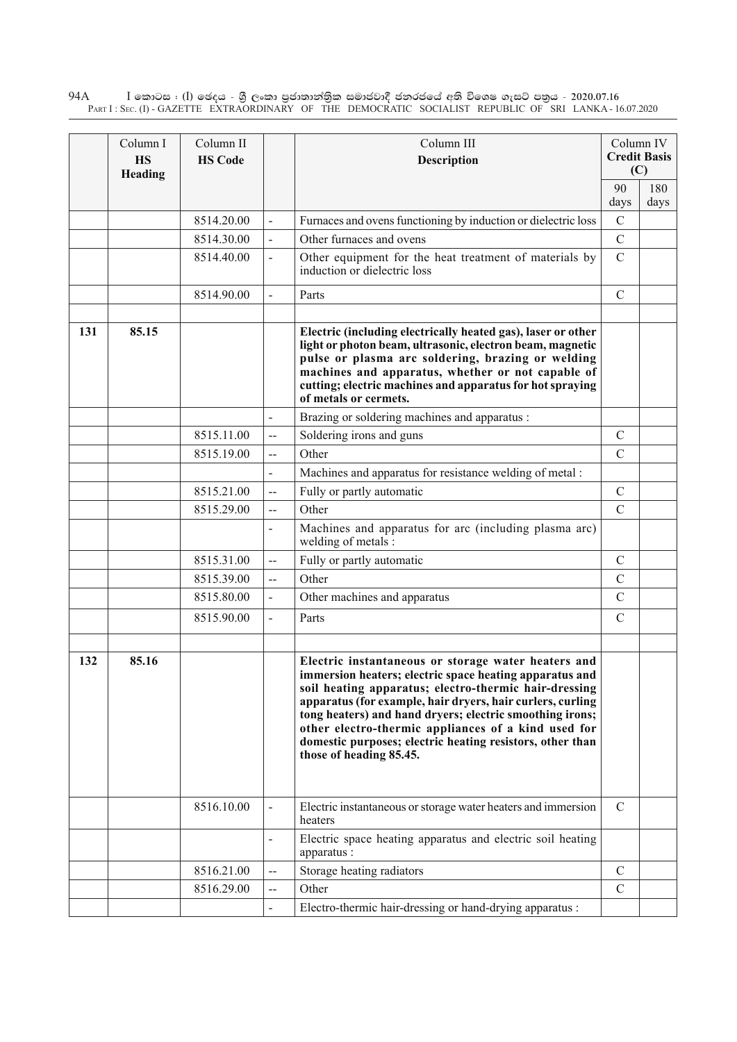$\rm I$  කොටස : ( $\rm I$ ) ඡෙදය - ශුී ලංකා පුජාතාන්තුික සමාජවාදී ජනරජයේ අති විශෙෂ ගැසට් පතුය - 2020.07.16 Part I : Sec. (I) - GAZETTE EXTRAORDINARY OF THE DEMOCRATIC SOCIALIST REPUBLIC OF SRI LANKA - 16.07.2020 94A

|     | Column I<br><b>HS</b><br>Heading | Column II<br><b>HS Code</b> |                          | Column III<br><b>Description</b>                                                                                                                                                                                                                                                                                                                                                                                                                 |                | Column IV<br><b>Credit Basis</b><br>(C) |
|-----|----------------------------------|-----------------------------|--------------------------|--------------------------------------------------------------------------------------------------------------------------------------------------------------------------------------------------------------------------------------------------------------------------------------------------------------------------------------------------------------------------------------------------------------------------------------------------|----------------|-----------------------------------------|
|     |                                  |                             |                          |                                                                                                                                                                                                                                                                                                                                                                                                                                                  | 90<br>days     | 180<br>days                             |
|     |                                  | 8514.20.00                  |                          | Furnaces and ovens functioning by induction or dielectric loss                                                                                                                                                                                                                                                                                                                                                                                   | $\overline{C}$ |                                         |
|     |                                  | 8514.30.00                  |                          | Other furnaces and ovens                                                                                                                                                                                                                                                                                                                                                                                                                         | $\overline{C}$ |                                         |
|     |                                  | 8514.40.00                  | $\overline{a}$           | Other equipment for the heat treatment of materials by<br>induction or dielectric loss                                                                                                                                                                                                                                                                                                                                                           | $\mathcal{C}$  |                                         |
|     |                                  | 8514.90.00                  | $\overline{a}$           | Parts                                                                                                                                                                                                                                                                                                                                                                                                                                            | $\mathcal{C}$  |                                         |
| 131 | 85.15                            |                             |                          | Electric (including electrically heated gas), laser or other<br>light or photon beam, ultrasonic, electron beam, magnetic<br>pulse or plasma arc soldering, brazing or welding<br>machines and apparatus, whether or not capable of<br>cutting; electric machines and apparatus for hot spraying<br>of metals or cermets.                                                                                                                        |                |                                         |
|     |                                  |                             | $\overline{a}$           | Brazing or soldering machines and apparatus :                                                                                                                                                                                                                                                                                                                                                                                                    |                |                                         |
|     |                                  | 8515.11.00                  | --                       | Soldering irons and guns                                                                                                                                                                                                                                                                                                                                                                                                                         | $\mathcal{C}$  |                                         |
|     |                                  | 8515.19.00                  | --                       | Other                                                                                                                                                                                                                                                                                                                                                                                                                                            | $\mathcal{C}$  |                                         |
|     |                                  |                             | $\overline{a}$           | Machines and apparatus for resistance welding of metal :                                                                                                                                                                                                                                                                                                                                                                                         |                |                                         |
|     |                                  | 8515.21.00                  | --                       | Fully or partly automatic                                                                                                                                                                                                                                                                                                                                                                                                                        | $\mathcal{C}$  |                                         |
|     |                                  | 8515.29.00                  | $\overline{a}$           | Other                                                                                                                                                                                                                                                                                                                                                                                                                                            | $\mathcal{C}$  |                                         |
|     |                                  |                             |                          | Machines and apparatus for arc (including plasma arc)<br>welding of metals:                                                                                                                                                                                                                                                                                                                                                                      |                |                                         |
|     |                                  | 8515.31.00                  | $-$                      | Fully or partly automatic                                                                                                                                                                                                                                                                                                                                                                                                                        | $\mathcal{C}$  |                                         |
|     |                                  | 8515.39.00                  | $-$                      | Other                                                                                                                                                                                                                                                                                                                                                                                                                                            | $\mathcal{C}$  |                                         |
|     |                                  | 8515.80.00                  | $\overline{\phantom{0}}$ | Other machines and apparatus                                                                                                                                                                                                                                                                                                                                                                                                                     | $\mathcal{C}$  |                                         |
|     |                                  | 8515.90.00                  | $\blacksquare$           | Parts                                                                                                                                                                                                                                                                                                                                                                                                                                            | $\mathcal{C}$  |                                         |
| 132 | 85.16                            |                             |                          | Electric instantaneous or storage water heaters and<br>immersion heaters; electric space heating apparatus and<br>soil heating apparatus; electro-thermic hair-dressing<br>apparatus (for example, hair dryers, hair curlers, curling<br>tong heaters) and hand dryers; electric smoothing irons;<br>other electro-thermic appliances of a kind used for<br>domestic purposes; electric heating resistors, other than<br>those of heading 85.45. |                |                                         |
|     |                                  | 8516.10.00                  |                          | Electric instantaneous or storage water heaters and immersion<br>heaters                                                                                                                                                                                                                                                                                                                                                                         | $\mathcal{C}$  |                                         |
|     |                                  |                             |                          | Electric space heating apparatus and electric soil heating<br>apparatus :                                                                                                                                                                                                                                                                                                                                                                        |                |                                         |
|     |                                  | 8516.21.00                  | --                       | Storage heating radiators                                                                                                                                                                                                                                                                                                                                                                                                                        | $\mathbf C$    |                                         |
|     |                                  | 8516.29.00                  | --                       | Other                                                                                                                                                                                                                                                                                                                                                                                                                                            | $\mathcal{C}$  |                                         |
|     |                                  |                             | $\blacksquare$           | Electro-thermic hair-dressing or hand-drying apparatus :                                                                                                                                                                                                                                                                                                                                                                                         |                |                                         |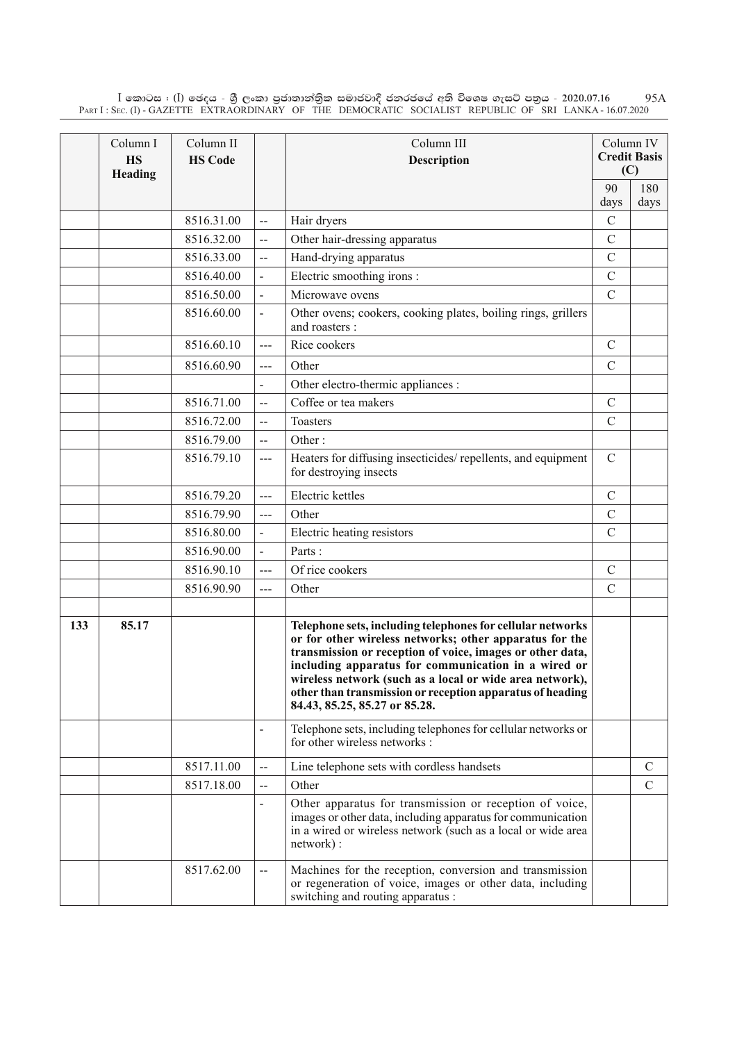$\rm I$  කොටස : ( $\rm I$ ) ඡෙදය - ශුී ලංකා පුජාතාන්තිුක සමාජවාදී ජනරජයේ අති විශෙෂ ගැසට් පතුය - 2020.07.16 Part I : Sec. (I) - GAZETTE EXTRAORDINARY OF THE DEMOCRATIC SOCIALIST REPUBLIC OF SRI LANKA - 16.07.2020 95A

|     | Column I<br><b>HS</b><br>Heading | Column II<br><b>HS Code</b> |                   | Column III<br><b>Description</b>                                                                                                                                                                                                                                                                                                                                                                    |               | Column IV<br><b>Credit Basis</b><br>(C) |
|-----|----------------------------------|-----------------------------|-------------------|-----------------------------------------------------------------------------------------------------------------------------------------------------------------------------------------------------------------------------------------------------------------------------------------------------------------------------------------------------------------------------------------------------|---------------|-----------------------------------------|
|     |                                  |                             |                   |                                                                                                                                                                                                                                                                                                                                                                                                     | 90            | 180                                     |
|     |                                  |                             |                   |                                                                                                                                                                                                                                                                                                                                                                                                     | days          | days                                    |
|     |                                  | 8516.31.00                  | $-$               | Hair dryers                                                                                                                                                                                                                                                                                                                                                                                         | $\mathcal{C}$ |                                         |
|     |                                  | 8516.32.00                  | $\overline{a}$    | Other hair-dressing apparatus                                                                                                                                                                                                                                                                                                                                                                       | $\mathcal{C}$ |                                         |
|     |                                  | 8516.33.00                  | $-$               | Hand-drying apparatus                                                                                                                                                                                                                                                                                                                                                                               | $\mathcal{C}$ |                                         |
|     |                                  | 8516.40.00                  |                   | Electric smoothing irons :                                                                                                                                                                                                                                                                                                                                                                          | $\mathcal{C}$ |                                         |
|     |                                  | 8516.50.00                  |                   | Microwave ovens                                                                                                                                                                                                                                                                                                                                                                                     | $\mathcal{C}$ |                                         |
|     |                                  | 8516.60.00                  |                   | Other ovens; cookers, cooking plates, boiling rings, grillers<br>and roasters :                                                                                                                                                                                                                                                                                                                     |               |                                         |
|     |                                  | 8516.60.10                  | $\overline{a}$    | Rice cookers                                                                                                                                                                                                                                                                                                                                                                                        | $\mathcal{C}$ |                                         |
|     |                                  | 8516.60.90                  | ---               | Other                                                                                                                                                                                                                                                                                                                                                                                               | $\mathcal{C}$ |                                         |
|     |                                  |                             |                   | Other electro-thermic appliances :                                                                                                                                                                                                                                                                                                                                                                  |               |                                         |
|     |                                  | 8516.71.00                  | --                | Coffee or tea makers                                                                                                                                                                                                                                                                                                                                                                                | $\mathcal{C}$ |                                         |
|     |                                  | 8516.72.00                  | $\overline{a}$    | Toasters                                                                                                                                                                                                                                                                                                                                                                                            | $\mathcal{C}$ |                                         |
|     |                                  | 8516.79.00                  | $-$               | Other:                                                                                                                                                                                                                                                                                                                                                                                              |               |                                         |
|     |                                  | 8516.79.10                  | ---               | Heaters for diffusing insecticides/repellents, and equipment<br>for destroying insects                                                                                                                                                                                                                                                                                                              | $\mathcal{C}$ |                                         |
|     |                                  | 8516.79.20                  | $---$             | Electric kettles                                                                                                                                                                                                                                                                                                                                                                                    | $\mathcal{C}$ |                                         |
|     |                                  | 8516.79.90                  | ---               | Other                                                                                                                                                                                                                                                                                                                                                                                               | $\mathcal{C}$ |                                         |
|     |                                  | 8516.80.00                  |                   | Electric heating resistors                                                                                                                                                                                                                                                                                                                                                                          | $\mathcal{C}$ |                                         |
|     |                                  | 8516.90.00                  |                   | Parts:                                                                                                                                                                                                                                                                                                                                                                                              |               |                                         |
|     |                                  | 8516.90.10                  | ---               | Of rice cookers                                                                                                                                                                                                                                                                                                                                                                                     | $\mathcal{C}$ |                                         |
|     |                                  | 8516.90.90                  | ---               | Other                                                                                                                                                                                                                                                                                                                                                                                               | $\mathcal{C}$ |                                         |
|     |                                  |                             |                   |                                                                                                                                                                                                                                                                                                                                                                                                     |               |                                         |
| 133 | 85.17                            |                             |                   | Telephone sets, including telephones for cellular networks<br>or for other wireless networks; other apparatus for the<br>transmission or reception of voice, images or other data,<br>including apparatus for communication in a wired or<br>wireless network (such as a local or wide area network),<br>other than transmission or reception apparatus of heading<br>84.43, 85.25, 85.27 or 85.28. |               |                                         |
|     |                                  |                             |                   | Telephone sets, including telephones for cellular networks or<br>for other wireless networks :                                                                                                                                                                                                                                                                                                      |               |                                         |
|     |                                  | 8517.11.00                  | $\qquad \qquad -$ | Line telephone sets with cordless handsets                                                                                                                                                                                                                                                                                                                                                          |               | $\mathcal{C}$                           |
|     |                                  | 8517.18.00                  |                   | Other                                                                                                                                                                                                                                                                                                                                                                                               |               | $\mathsf{C}$                            |
|     |                                  |                             |                   | Other apparatus for transmission or reception of voice,<br>images or other data, including apparatus for communication<br>in a wired or wireless network (such as a local or wide area<br>network):                                                                                                                                                                                                 |               |                                         |
|     |                                  | 8517.62.00                  | --                | Machines for the reception, conversion and transmission<br>or regeneration of voice, images or other data, including<br>switching and routing apparatus :                                                                                                                                                                                                                                           |               |                                         |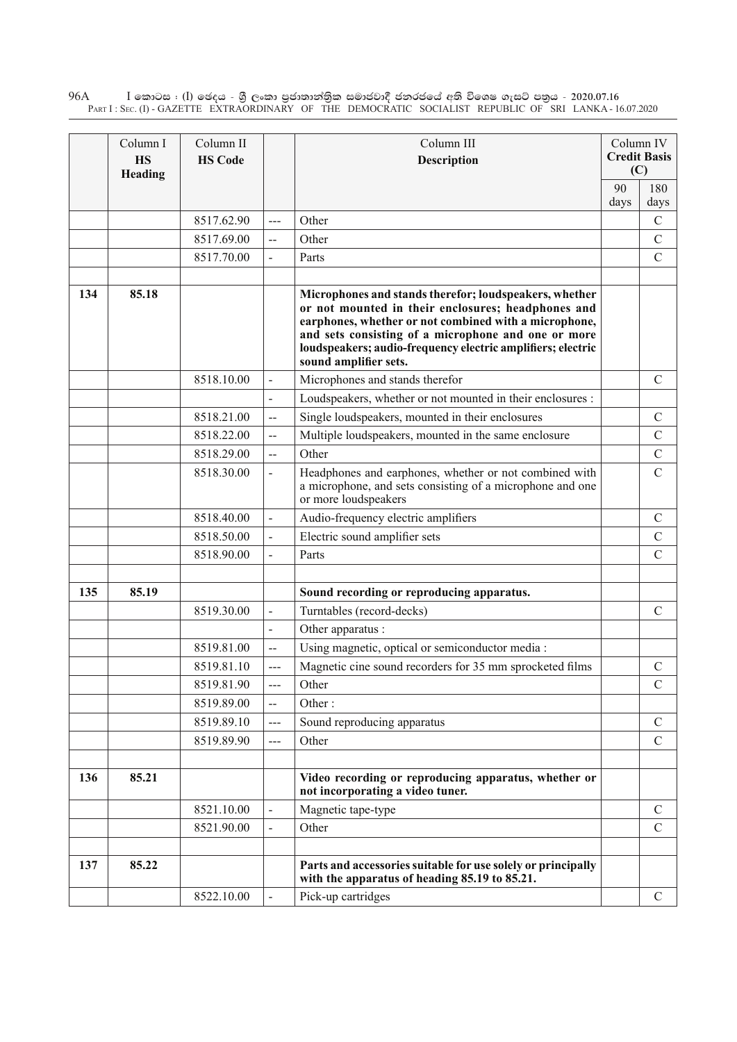$\rm I$  කොටස : ( $\rm I$ ) ඡෙදය - ශුී ලංකා පුජාතාන්තුික සමාජවාදී ජනරජයේ අති විශෙෂ ගැසට් පතුය - 2020.07.16 Part I : Sec. (I) - GAZETTE EXTRAORDINARY OF THE DEMOCRATIC SOCIALIST REPUBLIC OF SRI LANKA - 16.07.2020 96A

|     | Column I<br><b>HS</b><br>Heading | Column II<br><b>HS Code</b> |                          | Column III<br><b>Description</b>                                                                                                                                                                                                                                                                                     |      | Column IV<br><b>Credit Basis</b><br>(C) |
|-----|----------------------------------|-----------------------------|--------------------------|----------------------------------------------------------------------------------------------------------------------------------------------------------------------------------------------------------------------------------------------------------------------------------------------------------------------|------|-----------------------------------------|
|     |                                  |                             |                          |                                                                                                                                                                                                                                                                                                                      | 90   | 180                                     |
|     |                                  |                             |                          |                                                                                                                                                                                                                                                                                                                      | days | days                                    |
|     |                                  | 8517.62.90                  | $---$                    | Other                                                                                                                                                                                                                                                                                                                |      | $\mathcal{C}$                           |
|     |                                  | 8517.69.00                  | $\overline{\phantom{a}}$ | Other                                                                                                                                                                                                                                                                                                                |      | $\mathcal{C}$                           |
|     |                                  | 8517.70.00                  |                          | Parts                                                                                                                                                                                                                                                                                                                |      | $\mathcal{C}$                           |
| 134 | 85.18                            |                             |                          | Microphones and stands therefor; loudspeakers, whether<br>or not mounted in their enclosures; headphones and<br>earphones, whether or not combined with a microphone,<br>and sets consisting of a microphone and one or more<br>loudspeakers; audio-frequency electric amplifiers; electric<br>sound amplifier sets. |      |                                         |
|     |                                  | 8518.10.00                  | $\overline{\phantom{0}}$ | Microphones and stands therefor                                                                                                                                                                                                                                                                                      |      | $\mathcal{C}$                           |
|     |                                  |                             |                          | Loudspeakers, whether or not mounted in their enclosures :                                                                                                                                                                                                                                                           |      |                                         |
|     |                                  | 8518.21.00                  | $-$                      | Single loudspeakers, mounted in their enclosures                                                                                                                                                                                                                                                                     |      | $\mathcal{C}$                           |
|     |                                  | 8518.22.00                  | $\overline{\phantom{a}}$ | Multiple loudspeakers, mounted in the same enclosure                                                                                                                                                                                                                                                                 |      | $\mathcal{C}$                           |
|     |                                  | 8518.29.00                  | $\overline{\phantom{a}}$ | Other                                                                                                                                                                                                                                                                                                                |      | $\mathcal{C}$                           |
|     |                                  | 8518.30.00                  |                          | Headphones and earphones, whether or not combined with<br>a microphone, and sets consisting of a microphone and one<br>or more loudspeakers                                                                                                                                                                          |      | $\overline{C}$                          |
|     |                                  | 8518.40.00                  |                          | Audio-frequency electric amplifiers                                                                                                                                                                                                                                                                                  |      | $\mathcal{C}$                           |
|     |                                  | 8518.50.00                  |                          | Electric sound amplifier sets                                                                                                                                                                                                                                                                                        |      | $\mathcal{C}$                           |
|     |                                  | 8518.90.00                  |                          | Parts                                                                                                                                                                                                                                                                                                                |      | $\overline{C}$                          |
| 135 | 85.19                            |                             |                          | Sound recording or reproducing apparatus.                                                                                                                                                                                                                                                                            |      |                                         |
|     |                                  | 8519.30.00                  | $\overline{a}$           | Turntables (record-decks)                                                                                                                                                                                                                                                                                            |      | $\mathcal{C}$                           |
|     |                                  |                             | $\overline{a}$           | Other apparatus :                                                                                                                                                                                                                                                                                                    |      |                                         |
|     |                                  | 8519.81.00                  | $\overline{\phantom{a}}$ | Using magnetic, optical or semiconductor media :                                                                                                                                                                                                                                                                     |      |                                         |
|     |                                  | 8519.81.10                  | ---                      | Magnetic cine sound recorders for 35 mm sprocketed films                                                                                                                                                                                                                                                             |      | $\mathcal{C}$                           |
|     |                                  | 8519.81.90                  | ---                      | Other                                                                                                                                                                                                                                                                                                                |      | C                                       |
|     |                                  | 8519.89.00                  | $\overline{\phantom{a}}$ | Other:                                                                                                                                                                                                                                                                                                               |      |                                         |
|     |                                  | 8519.89.10                  | ---                      | Sound reproducing apparatus                                                                                                                                                                                                                                                                                          |      | $\mathcal{C}$                           |
|     |                                  | 8519.89.90                  | ---                      | Other                                                                                                                                                                                                                                                                                                                |      | $\mathcal{C}$                           |
|     |                                  |                             |                          |                                                                                                                                                                                                                                                                                                                      |      |                                         |
| 136 | 85.21                            |                             |                          | Video recording or reproducing apparatus, whether or<br>not incorporating a video tuner.                                                                                                                                                                                                                             |      |                                         |
|     |                                  | 8521.10.00                  |                          | Magnetic tape-type                                                                                                                                                                                                                                                                                                   |      | $\mathcal{C}$                           |
|     |                                  | 8521.90.00                  |                          | Other                                                                                                                                                                                                                                                                                                                |      | $\mathcal{C}$                           |
|     |                                  |                             |                          |                                                                                                                                                                                                                                                                                                                      |      |                                         |
| 137 | 85.22                            |                             |                          | Parts and accessories suitable for use solely or principally<br>with the apparatus of heading 85.19 to 85.21.                                                                                                                                                                                                        |      |                                         |
|     |                                  | 8522.10.00                  |                          | Pick-up cartridges                                                                                                                                                                                                                                                                                                   |      | $\mathcal{C}$                           |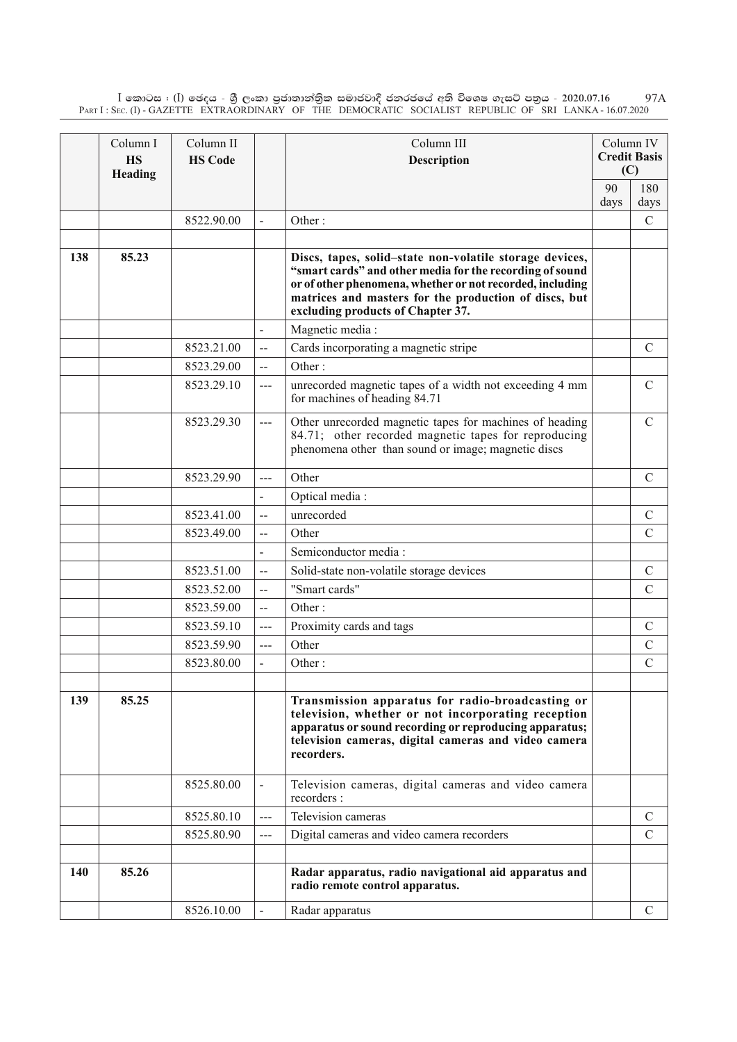$\rm I$  කොටස : ( $\rm I$ ) ඡෙදය - ශුී ලංකා පුජාතාන්තිුක සමාජවාදී ජනරජයේ අති විශෙෂ ගැසට් පතුය - 2020.07.16 Part I : Sec. (I) - GAZETTE EXTRAORDINARY OF THE DEMOCRATIC SOCIALIST REPUBLIC OF SRI LANKA - 16.07.2020 97A

|     | Column I<br><b>HS</b><br>Heading | Column II<br><b>HS Code</b> |                          | Column III<br>Description                                                                                                                                                                                                                                                      |      | Column IV<br><b>Credit Basis</b><br>(C) |
|-----|----------------------------------|-----------------------------|--------------------------|--------------------------------------------------------------------------------------------------------------------------------------------------------------------------------------------------------------------------------------------------------------------------------|------|-----------------------------------------|
|     |                                  |                             |                          |                                                                                                                                                                                                                                                                                | 90   | 180                                     |
|     |                                  |                             |                          |                                                                                                                                                                                                                                                                                | days | days                                    |
|     |                                  | 8522.90.00                  |                          | Other:                                                                                                                                                                                                                                                                         |      | $\mathcal{C}$                           |
| 138 | 85.23                            |                             |                          | Discs, tapes, solid-state non-volatile storage devices,<br>"smart cards" and other media for the recording of sound<br>or of other phenomena, whether or not recorded, including<br>matrices and masters for the production of discs, but<br>excluding products of Chapter 37. |      |                                         |
|     |                                  |                             |                          | Magnetic media:                                                                                                                                                                                                                                                                |      |                                         |
|     |                                  | 8523.21.00                  | $\overline{a}$           | Cards incorporating a magnetic stripe                                                                                                                                                                                                                                          |      | $\mathcal{C}$                           |
|     |                                  | 8523.29.00                  | $-$                      | Other:                                                                                                                                                                                                                                                                         |      |                                         |
|     |                                  | 8523.29.10                  | $---$                    | unrecorded magnetic tapes of a width not exceeding 4 mm<br>for machines of heading 84.71                                                                                                                                                                                       |      | $\mathsf{C}$                            |
|     |                                  | 8523.29.30                  | $---$                    | Other unrecorded magnetic tapes for machines of heading<br>84.71; other recorded magnetic tapes for reproducing<br>phenomena other than sound or image; magnetic discs                                                                                                         |      | $\mathcal{C}$                           |
|     |                                  | 8523.29.90                  | $\overline{a}$           | Other                                                                                                                                                                                                                                                                          |      | $\mathcal{C}$                           |
|     |                                  |                             |                          | Optical media:                                                                                                                                                                                                                                                                 |      |                                         |
|     |                                  | 8523.41.00                  | $\overline{\phantom{a}}$ | unrecorded                                                                                                                                                                                                                                                                     |      | $\mathcal{C}$                           |
|     |                                  | 8523.49.00                  | $\overline{\phantom{a}}$ | Other                                                                                                                                                                                                                                                                          |      | $\mathcal{C}$                           |
|     |                                  |                             | $\overline{a}$           | Semiconductor media:                                                                                                                                                                                                                                                           |      |                                         |
|     |                                  | 8523.51.00                  | $\overline{\phantom{a}}$ | Solid-state non-volatile storage devices                                                                                                                                                                                                                                       |      | $\mathcal{C}$                           |
|     |                                  | 8523.52.00                  | $\overline{\phantom{a}}$ | "Smart cards"                                                                                                                                                                                                                                                                  |      | $\mathcal{C}$                           |
|     |                                  | 8523.59.00                  | $\overline{\phantom{a}}$ | Other:                                                                                                                                                                                                                                                                         |      |                                         |
|     |                                  | 8523.59.10                  | ---                      | Proximity cards and tags                                                                                                                                                                                                                                                       |      | $\mathcal{C}$                           |
|     |                                  | 8523.59.90                  | $\overline{a}$           | Other                                                                                                                                                                                                                                                                          |      | $\mathcal{C}$                           |
|     |                                  | 8523.80.00                  |                          | Other:                                                                                                                                                                                                                                                                         |      | $\mathcal{C}$                           |
|     |                                  |                             |                          |                                                                                                                                                                                                                                                                                |      |                                         |
| 139 | 85.25                            |                             |                          | Transmission apparatus for radio-broadcasting or<br>television, whether or not incorporating reception<br>apparatus or sound recording or reproducing apparatus;<br>television cameras, digital cameras and video camera<br>recorders.                                         |      |                                         |
|     |                                  | 8525.80.00                  |                          | Television cameras, digital cameras and video camera<br>recorders :                                                                                                                                                                                                            |      |                                         |
|     |                                  | 8525.80.10                  | $---$                    | Television cameras                                                                                                                                                                                                                                                             |      | $\mathsf{C}$                            |
|     |                                  | 8525.80.90                  | $\qquad \qquad - -$      | Digital cameras and video camera recorders                                                                                                                                                                                                                                     |      | $\mathcal{C}$                           |
|     |                                  |                             |                          |                                                                                                                                                                                                                                                                                |      |                                         |
| 140 | 85.26                            |                             |                          | Radar apparatus, radio navigational aid apparatus and<br>radio remote control apparatus.                                                                                                                                                                                       |      |                                         |
|     |                                  | 8526.10.00                  |                          | Radar apparatus                                                                                                                                                                                                                                                                |      | $\mathsf{C}$                            |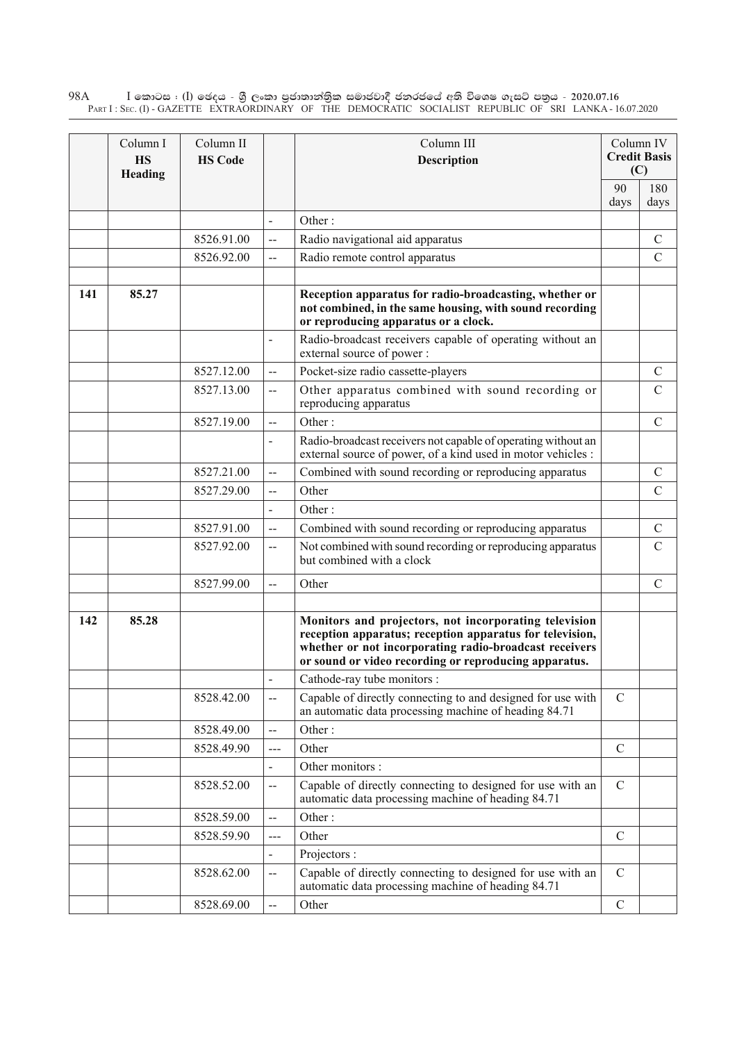$\rm I$  කොටස : ( $\rm I$ ) ඡෙදය - ශුී ලංකා පුජාතාන්තුික සමාජවාදී ජනරජයේ අති විශෙෂ ගැසට් පතුය - 2020.07.16 Part I : Sec. (I) - GAZETTE EXTRAORDINARY OF THE DEMOCRATIC SOCIALIST REPUBLIC OF SRI LANKA - 16.07.2020 98A

|     | Column I<br><b>HS</b><br>Heading | Column II<br><b>HS Code</b> |                          | Column III<br><b>Description</b>                                                                                                                                                                                                     |               | Column IV<br><b>Credit Basis</b><br>(C) |
|-----|----------------------------------|-----------------------------|--------------------------|--------------------------------------------------------------------------------------------------------------------------------------------------------------------------------------------------------------------------------------|---------------|-----------------------------------------|
|     |                                  |                             |                          | 90<br>days                                                                                                                                                                                                                           | 180<br>days   |                                         |
|     |                                  |                             | $\overline{a}$           | Other:                                                                                                                                                                                                                               |               |                                         |
|     |                                  | 8526.91.00                  | $-$                      | Radio navigational aid apparatus                                                                                                                                                                                                     |               | $\mathcal{C}$                           |
|     |                                  | 8526.92.00                  | --                       | Radio remote control apparatus                                                                                                                                                                                                       |               | $\mathcal{C}$                           |
| 141 | 85.27                            |                             |                          | Reception apparatus for radio-broadcasting, whether or<br>not combined, in the same housing, with sound recording<br>or reproducing apparatus or a clock.                                                                            |               |                                         |
|     |                                  |                             |                          | Radio-broadcast receivers capable of operating without an<br>external source of power:                                                                                                                                               |               |                                         |
|     |                                  | 8527.12.00                  | $\overline{\phantom{a}}$ | Pocket-size radio cassette-players                                                                                                                                                                                                   |               | $\mathcal{C}$                           |
|     |                                  | 8527.13.00                  | $-$                      | Other apparatus combined with sound recording or<br>reproducing apparatus                                                                                                                                                            |               | $\mathcal{C}$                           |
|     |                                  | 8527.19.00                  | $\overline{\phantom{a}}$ | Other:                                                                                                                                                                                                                               |               | $\mathcal{C}$                           |
|     |                                  |                             |                          | Radio-broadcast receivers not capable of operating without an<br>external source of power, of a kind used in motor vehicles :                                                                                                        |               |                                         |
|     |                                  | 8527.21.00                  | $-$                      | Combined with sound recording or reproducing apparatus                                                                                                                                                                               |               | $\mathcal{C}$                           |
|     |                                  | 8527.29.00                  | $\overline{a}$           | Other                                                                                                                                                                                                                                |               | $\mathcal{C}$                           |
|     |                                  |                             |                          | Other:                                                                                                                                                                                                                               |               |                                         |
|     |                                  | 8527.91.00                  | $-$                      | Combined with sound recording or reproducing apparatus                                                                                                                                                                               |               | $\mathcal{C}$                           |
|     |                                  | 8527.92.00                  | $\overline{a}$           | Not combined with sound recording or reproducing apparatus<br>but combined with a clock                                                                                                                                              |               | $\mathcal{C}$                           |
|     |                                  | 8527.99.00                  | $\overline{\phantom{a}}$ | Other                                                                                                                                                                                                                                |               | $\mathcal{C}$                           |
| 142 | 85.28                            |                             |                          | Monitors and projectors, not incorporating television<br>reception apparatus; reception apparatus for television,<br>whether or not incorporating radio-broadcast receivers<br>or sound or video recording or reproducing apparatus. |               |                                         |
|     |                                  |                             |                          | Cathode-ray tube monitors :                                                                                                                                                                                                          |               |                                         |
|     |                                  | 8528.42.00                  |                          | Capable of directly connecting to and designed for use with<br>an automatic data processing machine of heading 84.71                                                                                                                 | $\mathcal{C}$ |                                         |
|     |                                  | 8528.49.00                  | --                       | Other:                                                                                                                                                                                                                               |               |                                         |
|     |                                  | 8528.49.90                  | ---                      | Other                                                                                                                                                                                                                                | $\mathcal{C}$ |                                         |
|     |                                  |                             |                          | Other monitors :                                                                                                                                                                                                                     |               |                                         |
|     |                                  | 8528.52.00                  | $\overline{\phantom{a}}$ | Capable of directly connecting to designed for use with an<br>automatic data processing machine of heading 84.71                                                                                                                     | $\mathbf C$   |                                         |
|     |                                  | 8528.59.00                  | $-$                      | Other:                                                                                                                                                                                                                               |               |                                         |
|     |                                  | 8528.59.90                  | ---                      | Other                                                                                                                                                                                                                                | $\mathcal{C}$ |                                         |
|     |                                  |                             |                          | Projectors :                                                                                                                                                                                                                         |               |                                         |
|     |                                  | 8528.62.00                  | $-$                      | Capable of directly connecting to designed for use with an<br>automatic data processing machine of heading 84.71                                                                                                                     | $\mathbf C$   |                                         |
|     |                                  | 8528.69.00                  |                          | Other                                                                                                                                                                                                                                | $\mathcal{C}$ |                                         |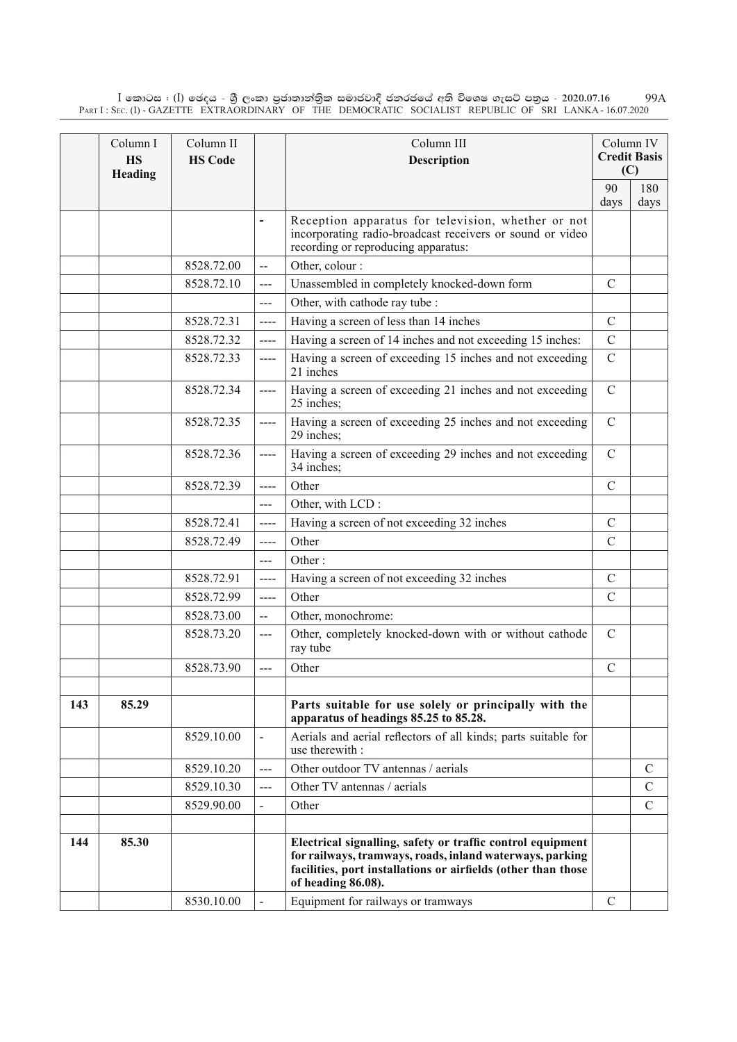$\rm I$  කොටස : ( $\rm I$ ) ඡෙදය - ශුී ලංකා පුජාතාන්තිුක සමාජවාදී ජනරජයේ අති විශෙෂ ගැසට් පතුය - 2020.07.16 Part I : Sec. (I) - GAZETTE EXTRAORDINARY OF THE DEMOCRATIC SOCIALIST REPUBLIC OF SRI LANKA - 16.07.2020 99A

|     | Column I<br><b>HS</b><br>Heading | Column II<br><b>HS Code</b> |                              | Column III<br><b>Description</b>                                                                                                                                                                              |               | Column IV<br><b>Credit Basis</b><br>(C) |
|-----|----------------------------------|-----------------------------|------------------------------|---------------------------------------------------------------------------------------------------------------------------------------------------------------------------------------------------------------|---------------|-----------------------------------------|
|     |                                  |                             |                              |                                                                                                                                                                                                               | 90            | 180                                     |
|     |                                  |                             | $\qquad \qquad \blacksquare$ | Reception apparatus for television, whether or not<br>incorporating radio-broadcast receivers or sound or video<br>recording or reproducing apparatus:                                                        | days          | days                                    |
|     |                                  | 8528.72.00                  | $\overline{a}$               | Other, colour :                                                                                                                                                                                               |               |                                         |
|     |                                  | 8528.72.10                  | ---                          | Unassembled in completely knocked-down form                                                                                                                                                                   | $\mathcal{C}$ |                                         |
|     |                                  |                             | $---$                        | Other, with cathode ray tube :                                                                                                                                                                                |               |                                         |
|     |                                  | 8528.72.31                  | $---$                        | Having a screen of less than 14 inches                                                                                                                                                                        | $\mathcal{C}$ |                                         |
|     |                                  | 8528.72.32                  | $---$                        | Having a screen of 14 inches and not exceeding 15 inches:                                                                                                                                                     | $\mathcal{C}$ |                                         |
|     |                                  | 8528.72.33                  | $---$                        | Having a screen of exceeding 15 inches and not exceeding<br>21 inches                                                                                                                                         | $\mathcal{C}$ |                                         |
|     |                                  | 8528.72.34                  | $---$                        | Having a screen of exceeding 21 inches and not exceeding<br>25 inches;                                                                                                                                        | $\mathcal{C}$ |                                         |
|     |                                  | 8528.72.35                  | $---$                        | Having a screen of exceeding 25 inches and not exceeding<br>29 inches;                                                                                                                                        | $\mathcal{C}$ |                                         |
|     |                                  | 8528.72.36                  | $---$                        | Having a screen of exceeding 29 inches and not exceeding<br>34 inches;                                                                                                                                        | $\mathcal{C}$ |                                         |
|     |                                  | 8528.72.39                  | $---$                        | Other                                                                                                                                                                                                         | $\mathcal{C}$ |                                         |
|     |                                  |                             | $\overline{a}$               | Other, with LCD:                                                                                                                                                                                              |               |                                         |
|     |                                  | 8528.72.41                  | $---$                        | Having a screen of not exceeding 32 inches                                                                                                                                                                    | $\mathcal{C}$ |                                         |
|     |                                  | 8528.72.49                  | $---$                        | Other                                                                                                                                                                                                         | $\mathcal{C}$ |                                         |
|     |                                  |                             | ---                          | Other:                                                                                                                                                                                                        |               |                                         |
|     |                                  | 8528.72.91                  | $---$                        | Having a screen of not exceeding 32 inches                                                                                                                                                                    | $\mathcal{C}$ |                                         |
|     |                                  | 8528.72.99                  | $---$                        | Other                                                                                                                                                                                                         | $\mathcal{C}$ |                                         |
|     |                                  | 8528.73.00                  | $-$                          | Other, monochrome:                                                                                                                                                                                            |               |                                         |
|     |                                  | 8528.73.20                  | $\overline{a}$               | Other, completely knocked-down with or without cathode<br>ray tube                                                                                                                                            | $\mathcal{C}$ |                                         |
|     |                                  | 8528.73.90                  | $---$                        | Other                                                                                                                                                                                                         | $\mathcal{C}$ |                                         |
| 143 | 85.29                            |                             |                              | Parts suitable for use solely or principally with the<br>apparatus of headings 85.25 to 85.28.                                                                                                                |               |                                         |
|     |                                  | 8529.10.00                  |                              | Aerials and aerial reflectors of all kinds; parts suitable for<br>use therewith :                                                                                                                             |               |                                         |
|     |                                  | 8529.10.20                  | $---$                        | Other outdoor TV antennas / aerials                                                                                                                                                                           |               | $\mathcal{C}$                           |
|     |                                  | 8529.10.30                  | $\qquad \qquad - -$          | Other TV antennas / aerials                                                                                                                                                                                   |               | $\mathcal{C}$                           |
|     |                                  | 8529.90.00                  |                              | Other                                                                                                                                                                                                         |               | $\mathbf C$                             |
|     |                                  |                             |                              |                                                                                                                                                                                                               |               |                                         |
| 144 | 85.30                            |                             |                              | Electrical signalling, safety or traffic control equipment<br>for railways, tramways, roads, inland waterways, parking<br>facilities, port installations or airfields (other than those<br>of heading 86.08). |               |                                         |
|     |                                  | 8530.10.00                  |                              | Equipment for railways or tramways                                                                                                                                                                            | $\mathcal{C}$ |                                         |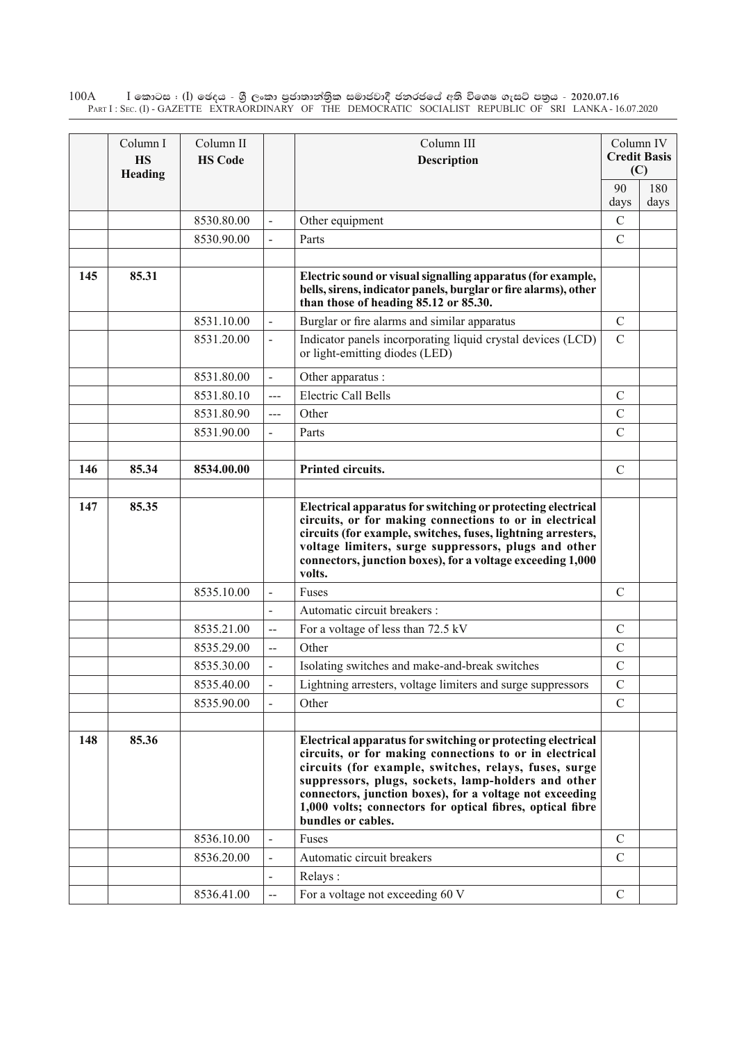$\rm I$  කොටස : ( $\rm I$ ) ඡෙදය - ශුී ලංකා පුජාතාන්තුික සමාජවාදී ජනරජයේ අති විශෙෂ ගැසට් පතුය - 2020.07.16 Part I : Sec. (I) - GAZETTE EXTRAORDINARY OF THE DEMOCRATIC SOCIALIST REPUBLIC OF SRI LANKA - 16.07.2020 100A

|     | Column I<br><b>HS</b><br>Heading | Column II<br><b>HS Code</b> |                          | Column III<br><b>Description</b>                                                                                                                                                                                                                                                                                                                                                      |               | Column IV<br><b>Credit Basis</b><br>(C) |
|-----|----------------------------------|-----------------------------|--------------------------|---------------------------------------------------------------------------------------------------------------------------------------------------------------------------------------------------------------------------------------------------------------------------------------------------------------------------------------------------------------------------------------|---------------|-----------------------------------------|
|     |                                  |                             |                          |                                                                                                                                                                                                                                                                                                                                                                                       | 90<br>days    | 180<br>days                             |
|     |                                  | 8530.80.00                  |                          | Other equipment                                                                                                                                                                                                                                                                                                                                                                       | $\mathcal{C}$ |                                         |
|     |                                  | 8530.90.00                  |                          | Parts                                                                                                                                                                                                                                                                                                                                                                                 | $\mathcal{C}$ |                                         |
|     |                                  |                             |                          |                                                                                                                                                                                                                                                                                                                                                                                       |               |                                         |
| 145 | 85.31                            |                             |                          | Electric sound or visual signalling apparatus (for example,<br>bells, sirens, indicator panels, burglar or fire alarms), other<br>than those of heading 85.12 or 85.30.                                                                                                                                                                                                               |               |                                         |
|     |                                  | 8531.10.00                  |                          | Burglar or fire alarms and similar apparatus                                                                                                                                                                                                                                                                                                                                          | $\mathcal{C}$ |                                         |
|     |                                  | 8531.20.00                  |                          | Indicator panels incorporating liquid crystal devices (LCD)<br>or light-emitting diodes (LED)                                                                                                                                                                                                                                                                                         | $\mathcal{C}$ |                                         |
|     |                                  | 8531.80.00                  | $\overline{a}$           | Other apparatus :                                                                                                                                                                                                                                                                                                                                                                     |               |                                         |
|     |                                  | 8531.80.10                  | ---                      | <b>Electric Call Bells</b>                                                                                                                                                                                                                                                                                                                                                            | $\mathcal{C}$ |                                         |
|     |                                  | 8531.80.90                  | $\overline{a}$           | Other                                                                                                                                                                                                                                                                                                                                                                                 | $\mathcal{C}$ |                                         |
|     |                                  | 8531.90.00                  |                          | Parts                                                                                                                                                                                                                                                                                                                                                                                 | $\mathcal{C}$ |                                         |
|     |                                  |                             |                          |                                                                                                                                                                                                                                                                                                                                                                                       |               |                                         |
| 146 | 85.34                            | 8534.00.00                  |                          | Printed circuits.                                                                                                                                                                                                                                                                                                                                                                     | $\mathcal{C}$ |                                         |
| 147 | 85.35                            |                             |                          | Electrical apparatus for switching or protecting electrical<br>circuits, or for making connections to or in electrical<br>circuits (for example, switches, fuses, lightning arresters,<br>voltage limiters, surge suppressors, plugs and other<br>connectors, junction boxes), for a voltage exceeding 1,000<br>volts.                                                                |               |                                         |
|     |                                  | 8535.10.00                  | $\overline{a}$           | Fuses                                                                                                                                                                                                                                                                                                                                                                                 | $\mathcal{C}$ |                                         |
|     |                                  |                             |                          | Automatic circuit breakers :                                                                                                                                                                                                                                                                                                                                                          |               |                                         |
|     |                                  | 8535.21.00                  | $\overline{\phantom{a}}$ | For a voltage of less than 72.5 kV                                                                                                                                                                                                                                                                                                                                                    | $\mathcal{C}$ |                                         |
|     |                                  | 8535.29.00                  | $\overline{\phantom{a}}$ | Other                                                                                                                                                                                                                                                                                                                                                                                 | $\mathcal{C}$ |                                         |
|     |                                  | 8535.30.00                  |                          | Isolating switches and make-and-break switches                                                                                                                                                                                                                                                                                                                                        | $\mathcal{C}$ |                                         |
|     |                                  | 8535.40.00                  |                          | Lightning arresters, voltage limiters and surge suppressors                                                                                                                                                                                                                                                                                                                           | C             |                                         |
|     |                                  | 8535.90.00                  |                          | Other                                                                                                                                                                                                                                                                                                                                                                                 | $\mathcal{C}$ |                                         |
|     |                                  |                             |                          |                                                                                                                                                                                                                                                                                                                                                                                       |               |                                         |
| 148 | 85.36                            |                             |                          | Electrical apparatus for switching or protecting electrical<br>circuits, or for making connections to or in electrical<br>circuits (for example, switches, relays, fuses, surge<br>suppressors, plugs, sockets, lamp-holders and other<br>connectors, junction boxes), for a voltage not exceeding<br>1,000 volts; connectors for optical fibres, optical fibre<br>bundles or cables. |               |                                         |
|     |                                  | 8536.10.00                  |                          | Fuses                                                                                                                                                                                                                                                                                                                                                                                 | $\mathcal{C}$ |                                         |
|     |                                  | 8536.20.00                  |                          | Automatic circuit breakers                                                                                                                                                                                                                                                                                                                                                            | $\mathcal{C}$ |                                         |
|     |                                  |                             |                          | Relays:                                                                                                                                                                                                                                                                                                                                                                               |               |                                         |
|     |                                  | 8536.41.00                  | $\overline{\phantom{a}}$ | For a voltage not exceeding 60 V                                                                                                                                                                                                                                                                                                                                                      | $\mathbf C$   |                                         |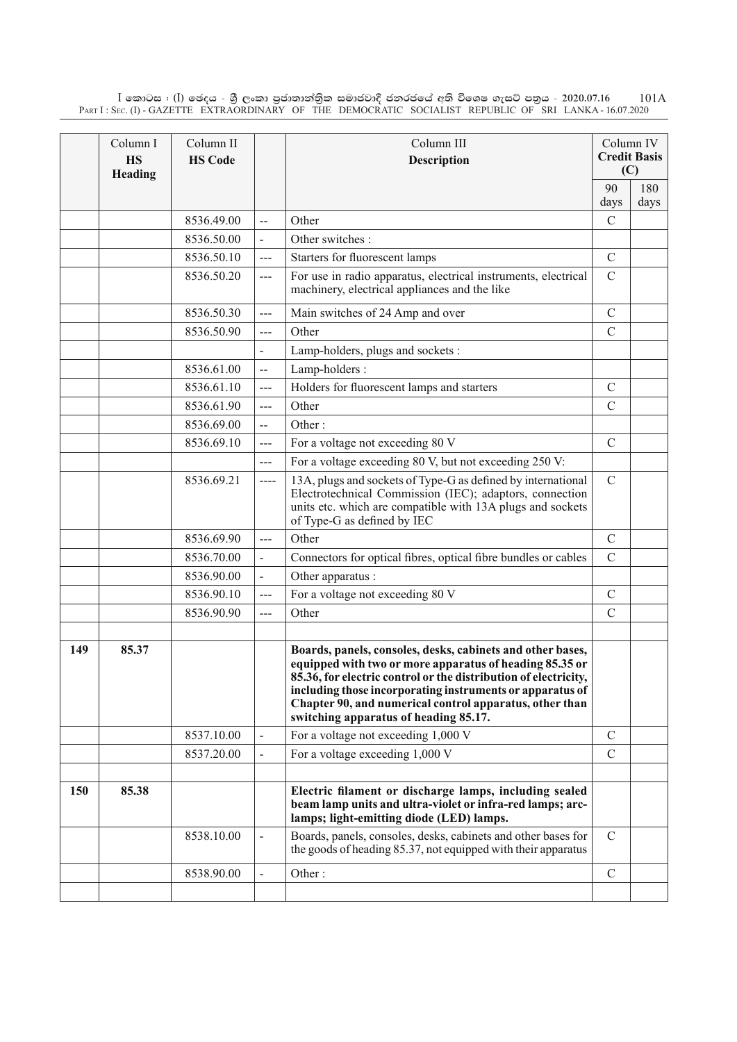$\rm I$  කොටස : ( $\rm I$ ) ඡෙදය - ශුී ලංකා පුජාතාන්තිුක සමාජවාදී ජනරජයේ අති විශෙෂ ගැසට් පතුය - 2020.07.16 Part I : Sec. (I) - GAZETTE EXTRAORDINARY OF THE DEMOCRATIC SOCIALIST REPUBLIC OF SRI LANKA - 16.07.2020 101A

|     | Column I<br><b>HS</b><br>Heading | Column II<br><b>HS Code</b> |                      | Column III<br><b>Description</b>                                                                                                                                                                                                                                                                                                                          |               | Column IV<br><b>Credit Basis</b><br>(C) |
|-----|----------------------------------|-----------------------------|----------------------|-----------------------------------------------------------------------------------------------------------------------------------------------------------------------------------------------------------------------------------------------------------------------------------------------------------------------------------------------------------|---------------|-----------------------------------------|
|     |                                  |                             |                      |                                                                                                                                                                                                                                                                                                                                                           | 90            | 180                                     |
|     |                                  |                             |                      |                                                                                                                                                                                                                                                                                                                                                           | days          | days                                    |
|     |                                  | 8536.49.00                  | $\overline{a}$       | Other                                                                                                                                                                                                                                                                                                                                                     | $\mathcal{C}$ |                                         |
|     |                                  | 8536.50.00                  |                      | Other switches:                                                                                                                                                                                                                                                                                                                                           |               |                                         |
|     |                                  | 8536.50.10                  | $---$                | Starters for fluorescent lamps                                                                                                                                                                                                                                                                                                                            | $\mathcal{C}$ |                                         |
|     |                                  | 8536.50.20                  | $---$                | For use in radio apparatus, electrical instruments, electrical<br>machinery, electrical appliances and the like                                                                                                                                                                                                                                           | $\mathcal{C}$ |                                         |
|     |                                  | 8536.50.30                  | $\overline{a}$       | Main switches of 24 Amp and over                                                                                                                                                                                                                                                                                                                          | $\mathcal{C}$ |                                         |
|     |                                  | 8536.50.90                  | $---$                | Other                                                                                                                                                                                                                                                                                                                                                     | $\mathcal{C}$ |                                         |
|     |                                  |                             |                      | Lamp-holders, plugs and sockets:                                                                                                                                                                                                                                                                                                                          |               |                                         |
|     |                                  | 8536.61.00                  | $\mathbf{L}$         | Lamp-holders:                                                                                                                                                                                                                                                                                                                                             |               |                                         |
|     |                                  | 8536.61.10                  | ---                  | Holders for fluorescent lamps and starters                                                                                                                                                                                                                                                                                                                | $\mathcal{C}$ |                                         |
|     |                                  | 8536.61.90                  | $---$                | Other                                                                                                                                                                                                                                                                                                                                                     | $\mathcal{C}$ |                                         |
|     |                                  | 8536.69.00                  | $-$                  | Other:                                                                                                                                                                                                                                                                                                                                                    |               |                                         |
|     |                                  | 8536.69.10                  | $---$                | For a voltage not exceeding 80 V                                                                                                                                                                                                                                                                                                                          | $\mathcal{C}$ |                                         |
|     |                                  |                             | $\overline{a}$       | For a voltage exceeding 80 V, but not exceeding 250 V:                                                                                                                                                                                                                                                                                                    |               |                                         |
|     |                                  | 8536.69.21                  | $\frac{1}{2}$        | 13A, plugs and sockets of Type-G as defined by international<br>Electrotechnical Commission (IEC); adaptors, connection<br>units etc. which are compatible with 13A plugs and sockets<br>of Type-G as defined by IEC                                                                                                                                      | $\mathcal{C}$ |                                         |
|     |                                  | 8536.69.90                  | $\sim$ $\sim$ $\sim$ | Other                                                                                                                                                                                                                                                                                                                                                     | $\mathcal{C}$ |                                         |
|     |                                  | 8536.70.00                  |                      | Connectors for optical fibres, optical fibre bundles or cables                                                                                                                                                                                                                                                                                            | $\mathcal{C}$ |                                         |
|     |                                  | 8536.90.00                  | $\blacksquare$       | Other apparatus :                                                                                                                                                                                                                                                                                                                                         |               |                                         |
|     |                                  | 8536.90.10                  | $---$                | For a voltage not exceeding 80 V                                                                                                                                                                                                                                                                                                                          | $\mathcal{C}$ |                                         |
|     |                                  | 8536.90.90                  | $\overline{a}$       | Other                                                                                                                                                                                                                                                                                                                                                     | $\mathcal{C}$ |                                         |
|     |                                  |                             |                      |                                                                                                                                                                                                                                                                                                                                                           |               |                                         |
| 149 | 85.37                            |                             |                      | Boards, panels, consoles, desks, cabinets and other bases,<br>equipped with two or more apparatus of heading 85.35 or<br>85.36, for electric control or the distribution of electricity,<br>including those incorporating instruments or apparatus of<br>Chapter 90, and numerical control apparatus, other than<br>switching apparatus of heading 85.17. |               |                                         |
|     |                                  | 8537.10.00                  |                      | For a voltage not exceeding 1,000 V                                                                                                                                                                                                                                                                                                                       | $\mathcal{C}$ |                                         |
|     |                                  | 8537.20.00                  |                      | For a voltage exceeding 1,000 V                                                                                                                                                                                                                                                                                                                           | $\mathcal{C}$ |                                         |
|     |                                  |                             |                      |                                                                                                                                                                                                                                                                                                                                                           |               |                                         |
| 150 | 85.38                            |                             |                      | Electric filament or discharge lamps, including sealed<br>beam lamp units and ultra-violet or infra-red lamps; arc-<br>lamps; light-emitting diode (LED) lamps.                                                                                                                                                                                           |               |                                         |
|     |                                  | 8538.10.00                  |                      | Boards, panels, consoles, desks, cabinets and other bases for<br>the goods of heading 85.37, not equipped with their apparatus                                                                                                                                                                                                                            | $\mathcal{C}$ |                                         |
|     |                                  | 8538.90.00                  |                      | Other:                                                                                                                                                                                                                                                                                                                                                    | $\mathcal{C}$ |                                         |
|     |                                  |                             |                      |                                                                                                                                                                                                                                                                                                                                                           |               |                                         |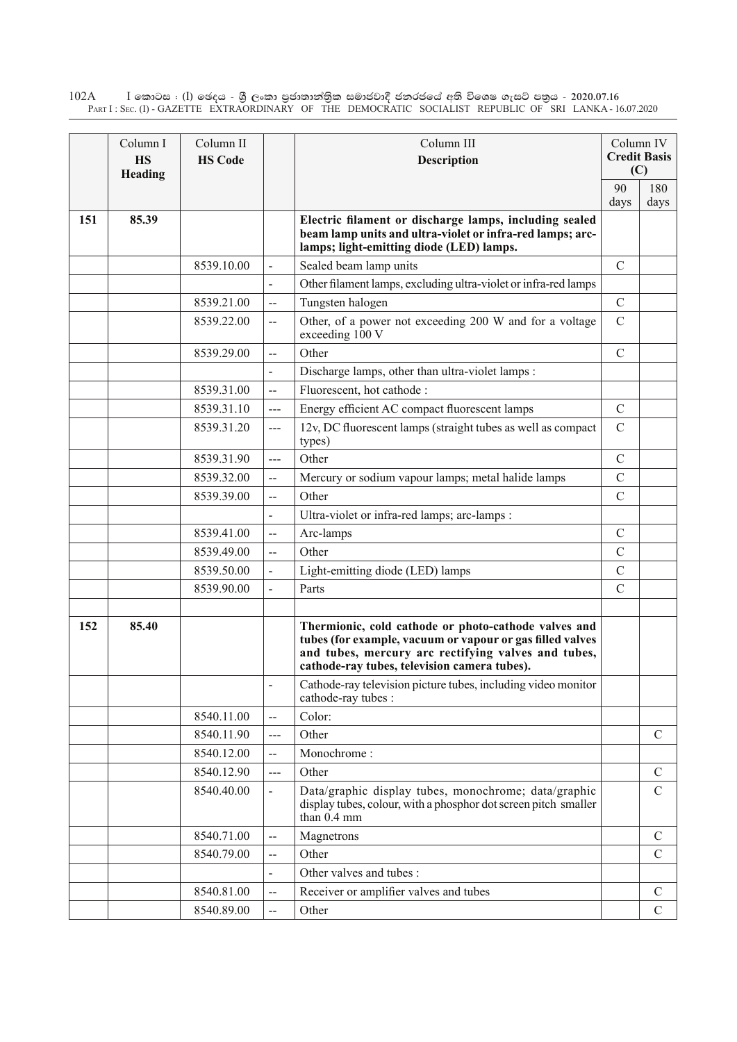$\rm I$  කොටස : ( $\rm I$ ) ඡෙදය - ශුී ලංකා පුජාතාන්තුික සමාජවාදී ජනරජයේ අති විශෙෂ ගැසට් පතුය - 2020.07.16 Part I : Sec. (I) - GAZETTE EXTRAORDINARY OF THE DEMOCRATIC SOCIALIST REPUBLIC OF SRI LANKA - 16.07.2020 102A

|     | Column I<br><b>HS</b><br>Heading | Column II<br><b>HS Code</b> |                          | Column III<br><b>Description</b>                                                                                                                                                                                         |               | Column IV<br><b>Credit Basis</b><br>(C) |
|-----|----------------------------------|-----------------------------|--------------------------|--------------------------------------------------------------------------------------------------------------------------------------------------------------------------------------------------------------------------|---------------|-----------------------------------------|
|     |                                  |                             |                          |                                                                                                                                                                                                                          | 90<br>days    | 180<br>days                             |
| 151 | 85.39                            |                             |                          | Electric filament or discharge lamps, including sealed<br>beam lamp units and ultra-violet or infra-red lamps; arc-<br>lamps; light-emitting diode (LED) lamps.                                                          |               |                                         |
|     |                                  | 8539.10.00                  | $\overline{a}$           | Sealed beam lamp units                                                                                                                                                                                                   | $\mathcal{C}$ |                                         |
|     |                                  |                             |                          | Other filament lamps, excluding ultra-violet or infra-red lamps                                                                                                                                                          |               |                                         |
|     |                                  | 8539.21.00                  | $\overline{a}$           | Tungsten halogen                                                                                                                                                                                                         | $\mathcal{C}$ |                                         |
|     |                                  | 8539.22.00                  | $\overline{\phantom{a}}$ | Other, of a power not exceeding 200 W and for a voltage<br>exceeding 100 V                                                                                                                                               | $\mathcal{C}$ |                                         |
|     |                                  | 8539.29.00                  | $\overline{a}$           | Other                                                                                                                                                                                                                    | $\mathcal{C}$ |                                         |
|     |                                  |                             |                          | Discharge lamps, other than ultra-violet lamps :                                                                                                                                                                         |               |                                         |
|     |                                  | 8539.31.00                  | $\overline{a}$           | Fluorescent, hot cathode :                                                                                                                                                                                               |               |                                         |
|     |                                  | 8539.31.10                  | ---                      | Energy efficient AC compact fluorescent lamps                                                                                                                                                                            | $\mathcal{C}$ |                                         |
|     |                                  | 8539.31.20                  | $---$                    | 12v, DC fluorescent lamps (straight tubes as well as compact<br>types)                                                                                                                                                   | $\mathcal{C}$ |                                         |
|     |                                  | 8539.31.90                  | $\frac{1}{2}$            | Other                                                                                                                                                                                                                    | $\mathcal{C}$ |                                         |
|     |                                  | 8539.32.00                  | --                       | Mercury or sodium vapour lamps; metal halide lamps                                                                                                                                                                       | $\mathcal{C}$ |                                         |
|     |                                  | 8539.39.00                  | --                       | Other                                                                                                                                                                                                                    | $\mathcal{C}$ |                                         |
|     |                                  |                             |                          | Ultra-violet or infra-red lamps; arc-lamps :                                                                                                                                                                             |               |                                         |
|     |                                  | 8539.41.00                  | --                       | Arc-lamps                                                                                                                                                                                                                | $\mathcal{C}$ |                                         |
|     |                                  | 8539.49.00                  | $\overline{a}$           | Other                                                                                                                                                                                                                    | $\mathcal{C}$ |                                         |
|     |                                  | 8539.50.00                  |                          | Light-emitting diode (LED) lamps                                                                                                                                                                                         | $\mathcal{C}$ |                                         |
|     |                                  | 8539.90.00                  |                          | Parts                                                                                                                                                                                                                    | $\mathcal{C}$ |                                         |
| 152 | 85.40                            |                             |                          | Thermionic, cold cathode or photo-cathode valves and<br>tubes (for example, vacuum or vapour or gas filled valves<br>and tubes, mercury arc rectifying valves and tubes,<br>cathode-ray tubes, television camera tubes). |               |                                         |
|     |                                  |                             |                          | Cathode-ray television picture tubes, including video monitor<br>cathode-ray tubes :                                                                                                                                     |               |                                         |
|     |                                  | 8540.11.00                  | $\overline{a}$           | Color:                                                                                                                                                                                                                   |               |                                         |
|     |                                  | 8540.11.90                  | ---                      | Other                                                                                                                                                                                                                    |               | $\mathcal{C}$                           |
|     |                                  | 8540.12.00                  | $\overline{\phantom{a}}$ | Monochrome:                                                                                                                                                                                                              |               |                                         |
|     |                                  | 8540.12.90                  | $---$                    | Other                                                                                                                                                                                                                    |               | $\mathcal{C}$                           |
|     |                                  | 8540.40.00                  | $\overline{\phantom{a}}$ | Data/graphic display tubes, monochrome; data/graphic<br>display tubes, colour, with a phosphor dot screen pitch smaller<br>than 0.4 mm                                                                                   |               | $\mathbf C$                             |
|     |                                  | 8540.71.00                  | $-$                      | Magnetrons                                                                                                                                                                                                               |               | $\mathcal{C}$                           |
|     |                                  | 8540.79.00                  | $\overline{\phantom{a}}$ | Other                                                                                                                                                                                                                    |               | $\mathcal{C}$                           |
|     |                                  |                             | $\blacksquare$           | Other valves and tubes :                                                                                                                                                                                                 |               |                                         |
|     |                                  | 8540.81.00                  |                          | Receiver or amplifier valves and tubes                                                                                                                                                                                   |               | $\mathcal{C}$                           |
|     |                                  | 8540.89.00                  |                          | Other                                                                                                                                                                                                                    |               | $\mathcal{C}$                           |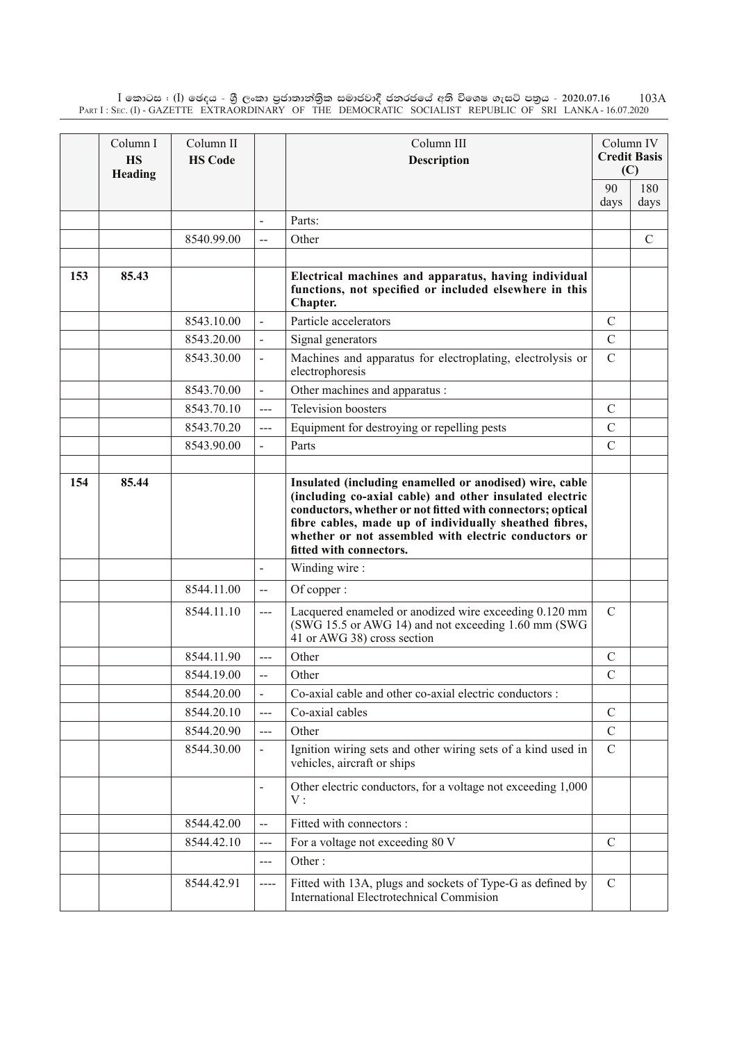$\rm I$  කොටස : ( $\rm I$ ) ඡෙදය - ශුී ලංකා පුජාතාන්තිුක සමාජවාදී ජනරජයේ අති විශෙෂ ගැසට් පතුය - 2020.07.16 Part I : Sec. (I) - GAZETTE EXTRAORDINARY OF THE DEMOCRATIC SOCIALIST REPUBLIC OF SRI LANKA - 16.07.2020 103A

|     | Column I<br><b>HS</b><br>Heading | Column II<br><b>HS Code</b> |                              | Column III<br><b>Description</b>                                                                                                                                                                                                                                                                                              |               | Column IV<br><b>Credit Basis</b><br>(C) |
|-----|----------------------------------|-----------------------------|------------------------------|-------------------------------------------------------------------------------------------------------------------------------------------------------------------------------------------------------------------------------------------------------------------------------------------------------------------------------|---------------|-----------------------------------------|
|     |                                  |                             |                              |                                                                                                                                                                                                                                                                                                                               | 90            | 180                                     |
|     |                                  |                             |                              |                                                                                                                                                                                                                                                                                                                               | days          | days                                    |
|     |                                  |                             | $\blacksquare$               | Parts:                                                                                                                                                                                                                                                                                                                        |               |                                         |
|     |                                  | 8540.99.00                  | $-$                          | Other                                                                                                                                                                                                                                                                                                                         |               | $\mathcal{C}$                           |
| 153 | 85.43                            |                             |                              | Electrical machines and apparatus, having individual<br>functions, not specified or included elsewhere in this<br>Chapter.                                                                                                                                                                                                    |               |                                         |
|     |                                  | 8543.10.00                  | $\frac{1}{2}$                | Particle accelerators                                                                                                                                                                                                                                                                                                         | $\mathcal{C}$ |                                         |
|     |                                  | 8543.20.00                  | $\overline{\phantom{a}}$     | Signal generators                                                                                                                                                                                                                                                                                                             | $\mathcal{C}$ |                                         |
|     |                                  | 8543.30.00                  |                              | Machines and apparatus for electroplating, electrolysis or<br>electrophoresis                                                                                                                                                                                                                                                 | $\mathcal{C}$ |                                         |
|     |                                  | 8543.70.00                  |                              | Other machines and apparatus :                                                                                                                                                                                                                                                                                                |               |                                         |
|     |                                  | 8543.70.10                  | ---                          | Television boosters                                                                                                                                                                                                                                                                                                           | $\mathcal{C}$ |                                         |
|     |                                  | 8543.70.20                  | ---                          | Equipment for destroying or repelling pests                                                                                                                                                                                                                                                                                   | $\mathcal{C}$ |                                         |
|     |                                  | 8543.90.00                  |                              | Parts                                                                                                                                                                                                                                                                                                                         | $\mathcal{C}$ |                                         |
|     |                                  |                             |                              |                                                                                                                                                                                                                                                                                                                               |               |                                         |
| 154 | 85.44                            |                             |                              | Insulated (including enamelled or anodised) wire, cable<br>(including co-axial cable) and other insulated electric<br>conductors, whether or not fitted with connectors; optical<br>fibre cables, made up of individually sheathed fibres,<br>whether or not assembled with electric conductors or<br>fitted with connectors. |               |                                         |
|     |                                  |                             | $\overline{\phantom{a}}$     | Winding wire:                                                                                                                                                                                                                                                                                                                 |               |                                         |
|     |                                  | 8544.11.00                  | $\overline{a}$               | Of copper:                                                                                                                                                                                                                                                                                                                    |               |                                         |
|     |                                  | 8544.11.10                  | ---                          | Lacquered enameled or anodized wire exceeding 0.120 mm<br>(SWG 15.5 or AWG 14) and not exceeding 1.60 mm (SWG<br>41 or AWG 38) cross section                                                                                                                                                                                  | $\mathcal{C}$ |                                         |
|     |                                  | 8544.11.90                  | $---$                        | Other                                                                                                                                                                                                                                                                                                                         | $\mathcal{C}$ |                                         |
|     |                                  | 8544.19.00                  | $-$                          | Other                                                                                                                                                                                                                                                                                                                         | $\mathcal{C}$ |                                         |
|     |                                  | 8544.20.00                  |                              | Co-axial cable and other co-axial electric conductors :                                                                                                                                                                                                                                                                       |               |                                         |
|     |                                  | 8544.20.10                  | $---$                        | Co-axial cables                                                                                                                                                                                                                                                                                                               | $\mathcal{C}$ |                                         |
|     |                                  | 8544.20.90                  | ---                          | Other                                                                                                                                                                                                                                                                                                                         | $\mathcal{C}$ |                                         |
|     |                                  | 8544.30.00                  |                              | Ignition wiring sets and other wiring sets of a kind used in<br>vehicles, aircraft or ships                                                                                                                                                                                                                                   | $\mathcal{C}$ |                                         |
|     |                                  |                             | $\qquad \qquad \blacksquare$ | Other electric conductors, for a voltage not exceeding 1,000<br>V:                                                                                                                                                                                                                                                            |               |                                         |
|     |                                  | 8544.42.00                  | $-$                          | Fitted with connectors :                                                                                                                                                                                                                                                                                                      |               |                                         |
|     |                                  | 8544.42.10                  | ---                          | For a voltage not exceeding 80 V                                                                                                                                                                                                                                                                                              | $\mathcal{C}$ |                                         |
|     |                                  |                             | ---                          | Other:                                                                                                                                                                                                                                                                                                                        |               |                                         |
|     |                                  | 8544.42.91                  | ----                         | Fitted with 13A, plugs and sockets of Type-G as defined by<br><b>International Electrotechnical Commision</b>                                                                                                                                                                                                                 | $\mathcal{C}$ |                                         |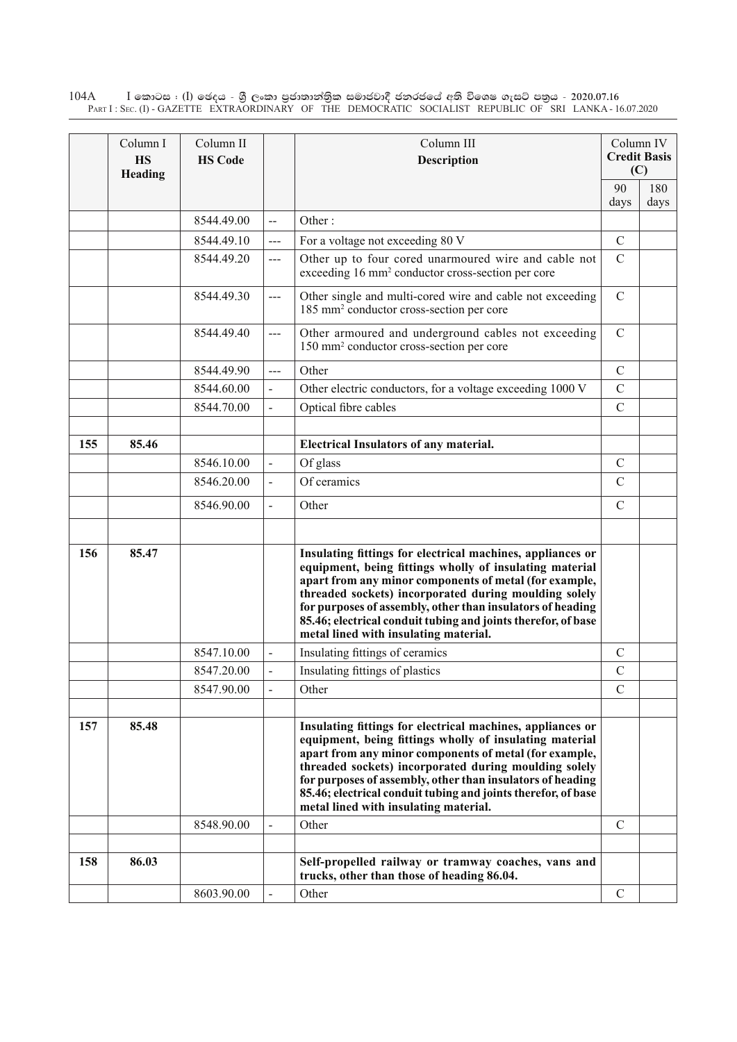$\rm I$  කොටස : ( $\rm I$ ) ඡෙදය - ශුී ලංකා පුජාතාන්තුික සමාජවාදී ජනරජයේ අති විශෙෂ ගැසට් පතුය - 2020.07.16 Part I : Sec. (I) - GAZETTE EXTRAORDINARY OF THE DEMOCRATIC SOCIALIST REPUBLIC OF SRI LANKA - 16.07.2020 104A

|     | Column I<br><b>HS</b><br>Heading | Column II<br><b>HS Code</b> |                          | Column III<br><b>Description</b>                                                                                                                                                                                                                                                                                                                                                                                 |               | Column IV<br><b>Credit Basis</b><br>(C) |
|-----|----------------------------------|-----------------------------|--------------------------|------------------------------------------------------------------------------------------------------------------------------------------------------------------------------------------------------------------------------------------------------------------------------------------------------------------------------------------------------------------------------------------------------------------|---------------|-----------------------------------------|
|     |                                  |                             |                          |                                                                                                                                                                                                                                                                                                                                                                                                                  | 90            | 180                                     |
|     |                                  |                             |                          |                                                                                                                                                                                                                                                                                                                                                                                                                  | days          | days                                    |
|     |                                  | 8544.49.00                  | $\overline{\phantom{a}}$ | Other:                                                                                                                                                                                                                                                                                                                                                                                                           |               |                                         |
|     |                                  | 8544.49.10                  | $\frac{1}{2}$            | For a voltage not exceeding 80 V                                                                                                                                                                                                                                                                                                                                                                                 | $\mathcal{C}$ |                                         |
|     |                                  | 8544.49.20                  | ---                      | Other up to four cored unarmoured wire and cable not<br>exceeding 16 mm <sup>2</sup> conductor cross-section per core                                                                                                                                                                                                                                                                                            | $\mathcal{C}$ |                                         |
|     |                                  | 8544.49.30                  | $\overline{a}$           | Other single and multi-cored wire and cable not exceeding<br>185 mm <sup>2</sup> conductor cross-section per core                                                                                                                                                                                                                                                                                                | $\mathcal{C}$ |                                         |
|     |                                  | 8544.49.40                  | $\overline{a}$           | Other armoured and underground cables not exceeding<br>150 mm <sup>2</sup> conductor cross-section per core                                                                                                                                                                                                                                                                                                      | $\mathcal{C}$ |                                         |
|     |                                  | 8544.49.90                  | ---                      | Other                                                                                                                                                                                                                                                                                                                                                                                                            | $\mathcal{C}$ |                                         |
|     |                                  | 8544.60.00                  | $\overline{a}$           | Other electric conductors, for a voltage exceeding 1000 V                                                                                                                                                                                                                                                                                                                                                        | $\mathcal{C}$ |                                         |
|     |                                  | 8544.70.00                  |                          | Optical fibre cables                                                                                                                                                                                                                                                                                                                                                                                             | $\mathcal{C}$ |                                         |
|     |                                  |                             |                          |                                                                                                                                                                                                                                                                                                                                                                                                                  |               |                                         |
| 155 | 85.46                            |                             |                          | <b>Electrical Insulators of any material.</b>                                                                                                                                                                                                                                                                                                                                                                    |               |                                         |
|     |                                  | 8546.10.00                  | $\overline{a}$           | Of glass                                                                                                                                                                                                                                                                                                                                                                                                         | $\mathcal{C}$ |                                         |
|     |                                  | 8546.20.00                  | $\overline{a}$           | Of ceramics                                                                                                                                                                                                                                                                                                                                                                                                      | $\mathcal{C}$ |                                         |
|     |                                  | 8546.90.00                  |                          | Other                                                                                                                                                                                                                                                                                                                                                                                                            | $\mathcal{C}$ |                                         |
|     |                                  |                             |                          |                                                                                                                                                                                                                                                                                                                                                                                                                  |               |                                         |
| 156 | 85.47                            |                             |                          | Insulating fittings for electrical machines, appliances or<br>equipment, being fittings wholly of insulating material<br>apart from any minor components of metal (for example,<br>threaded sockets) incorporated during moulding solely<br>for purposes of assembly, other than insulators of heading<br>85.46; electrical conduit tubing and joints therefor, of base<br>metal lined with insulating material. |               |                                         |
|     |                                  | 8547.10.00                  |                          | Insulating fittings of ceramics                                                                                                                                                                                                                                                                                                                                                                                  | $\mathcal{C}$ |                                         |
|     |                                  | 8547.20.00                  |                          | Insulating fittings of plastics                                                                                                                                                                                                                                                                                                                                                                                  | $\mathcal{C}$ |                                         |
|     |                                  | 8547.90.00                  |                          | Other                                                                                                                                                                                                                                                                                                                                                                                                            | $\mathcal{C}$ |                                         |
|     |                                  |                             |                          |                                                                                                                                                                                                                                                                                                                                                                                                                  |               |                                         |
| 157 | 85.48                            |                             |                          | Insulating fittings for electrical machines, appliances or<br>equipment, being fittings wholly of insulating material<br>apart from any minor components of metal (for example,<br>threaded sockets) incorporated during moulding solely<br>for purposes of assembly, other than insulators of heading<br>85.46; electrical conduit tubing and joints therefor, of base<br>metal lined with insulating material. |               |                                         |
|     |                                  | 8548.90.00                  |                          | Other                                                                                                                                                                                                                                                                                                                                                                                                            | $\mathcal{C}$ |                                         |
|     |                                  |                             |                          |                                                                                                                                                                                                                                                                                                                                                                                                                  |               |                                         |
| 158 | 86.03                            |                             |                          | Self-propelled railway or tramway coaches, vans and<br>trucks, other than those of heading 86.04.                                                                                                                                                                                                                                                                                                                |               |                                         |
|     |                                  | 8603.90.00                  |                          | Other                                                                                                                                                                                                                                                                                                                                                                                                            | $\mathcal{C}$ |                                         |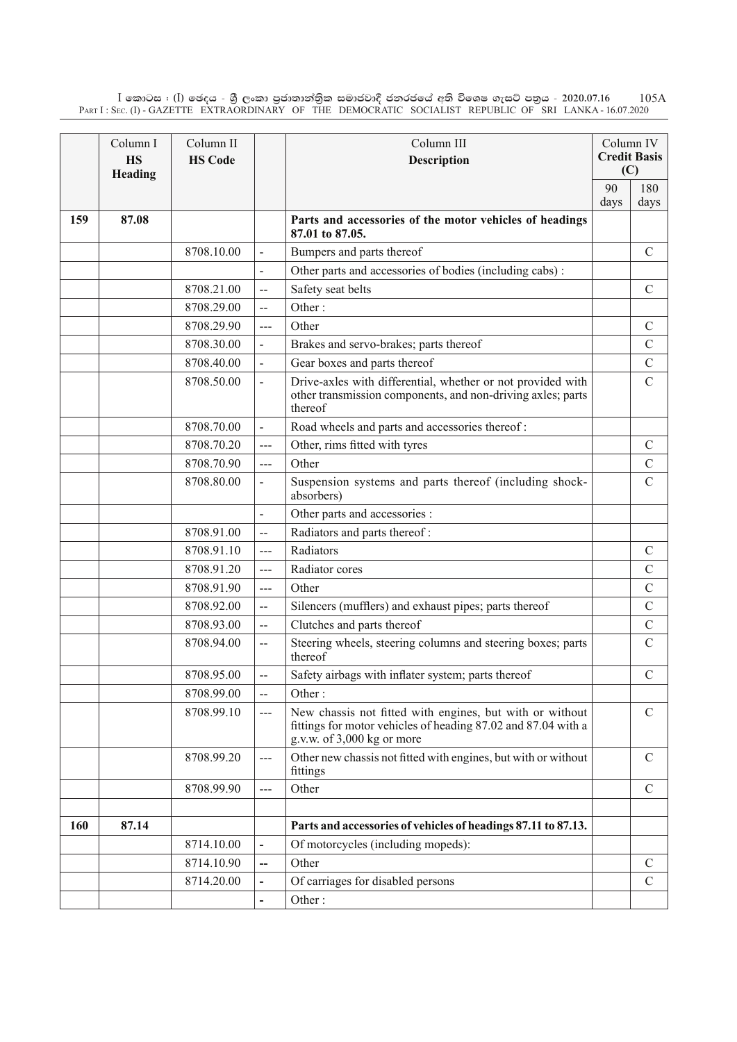$\rm I$  කොටස : ( $\rm I$ ) ඡෙදය - ශුී ලංකා පුජාතාන්තිුක සමාජවාදී ජනරජයේ අති විශෙෂ ගැසට් පතුය - 2020.07.16 Part I : Sec. (I) - GAZETTE EXTRAORDINARY OF THE DEMOCRATIC SOCIALIST REPUBLIC OF SRI LANKA - 16.07.2020 105A

|     | Column I<br><b>HS</b><br>Heading | Column II<br><b>HS Code</b> |                          | Column III<br><b>Description</b>                                                                                                                        |      | Column IV<br><b>Credit Basis</b><br>(C) |
|-----|----------------------------------|-----------------------------|--------------------------|---------------------------------------------------------------------------------------------------------------------------------------------------------|------|-----------------------------------------|
|     |                                  |                             |                          |                                                                                                                                                         | 90   | 180                                     |
|     |                                  |                             |                          |                                                                                                                                                         | days | days                                    |
| 159 | 87.08                            |                             |                          | Parts and accessories of the motor vehicles of headings<br>87.01 to 87.05.                                                                              |      |                                         |
|     |                                  | 8708.10.00                  | $\overline{\phantom{a}}$ | Bumpers and parts thereof                                                                                                                               |      | $\mathcal{C}$                           |
|     |                                  |                             |                          | Other parts and accessories of bodies (including cabs):                                                                                                 |      |                                         |
|     |                                  | 8708.21.00                  | --                       | Safety seat belts                                                                                                                                       |      | $\mathcal{C}$                           |
|     |                                  | 8708.29.00                  | $\overline{a}$           | Other:                                                                                                                                                  |      |                                         |
|     |                                  | 8708.29.90                  | $---$                    | Other                                                                                                                                                   |      | $\mathcal{C}$                           |
|     |                                  | 8708.30.00                  |                          | Brakes and servo-brakes; parts thereof                                                                                                                  |      | $\mathcal{C}$                           |
|     |                                  | 8708.40.00                  |                          | Gear boxes and parts thereof                                                                                                                            |      | $\mathcal{C}$                           |
|     |                                  | 8708.50.00                  | $\frac{1}{2}$            | Drive-axles with differential, whether or not provided with<br>other transmission components, and non-driving axles; parts<br>thereof                   |      | $\mathcal{C}$                           |
|     |                                  | 8708.70.00                  | $\overline{\phantom{0}}$ | Road wheels and parts and accessories thereof:                                                                                                          |      |                                         |
|     |                                  | 8708.70.20                  | $\overline{a}$           | Other, rims fitted with tyres                                                                                                                           |      | $\mathcal{C}$                           |
|     |                                  | 8708.70.90                  | $---$                    | Other                                                                                                                                                   |      | $\mathcal{C}$                           |
|     |                                  | 8708.80.00                  |                          | Suspension systems and parts thereof (including shock-<br>absorbers)                                                                                    |      | $\mathbf C$                             |
|     |                                  |                             |                          | Other parts and accessories :                                                                                                                           |      |                                         |
|     |                                  | 8708.91.00                  | $\overline{\phantom{a}}$ | Radiators and parts thereof:                                                                                                                            |      |                                         |
|     |                                  | 8708.91.10                  | ---                      | Radiators                                                                                                                                               |      | $\mathcal{C}$                           |
|     |                                  | 8708.91.20                  | ---                      | Radiator cores                                                                                                                                          |      | $\mathcal{C}$                           |
|     |                                  | 8708.91.90                  | ---                      | Other                                                                                                                                                   |      | $\mathcal{C}$                           |
|     |                                  | 8708.92.00                  | $\overline{\phantom{a}}$ | Silencers (mufflers) and exhaust pipes; parts thereof                                                                                                   |      | $\mathcal{C}$                           |
|     |                                  | 8708.93.00                  | $-$                      | Clutches and parts thereof                                                                                                                              |      | $\mathcal{C}$                           |
|     |                                  | 8708.94.00                  | $\overline{\phantom{a}}$ | Steering wheels, steering columns and steering boxes; parts<br>thereof                                                                                  |      | $\mathsf{C}$                            |
|     |                                  | 8708.95.00                  | --                       | Safety airbags with inflater system; parts thereof                                                                                                      |      | $\mathcal{C}$                           |
|     |                                  | 8708.99.00                  | $-$                      | Other:                                                                                                                                                  |      |                                         |
|     |                                  | 8708.99.10                  | $---$                    | New chassis not fitted with engines, but with or without<br>fittings for motor vehicles of heading 87.02 and 87.04 with a<br>g.v.w. of 3,000 kg or more |      | $\mathbf C$                             |
|     |                                  | 8708.99.20                  | ---                      | Other new chassis not fitted with engines, but with or without<br>fittings                                                                              |      | $\mathcal{C}$                           |
|     |                                  | 8708.99.90                  | $---$                    | Other                                                                                                                                                   |      | $\mathcal{C}$                           |
|     |                                  |                             |                          |                                                                                                                                                         |      |                                         |
| 160 | 87.14                            |                             |                          | Parts and accessories of vehicles of headings 87.11 to 87.13.                                                                                           |      |                                         |
|     |                                  | 8714.10.00                  | $\overline{\phantom{0}}$ | Of motorcycles (including mopeds):                                                                                                                      |      |                                         |
|     |                                  | 8714.10.90                  | --                       | Other                                                                                                                                                   |      | $\mathcal{C}$                           |
|     |                                  | 8714.20.00                  | $\overline{\phantom{a}}$ | Of carriages for disabled persons                                                                                                                       |      | $\mathcal{C}$                           |
|     |                                  |                             |                          | Other:                                                                                                                                                  |      |                                         |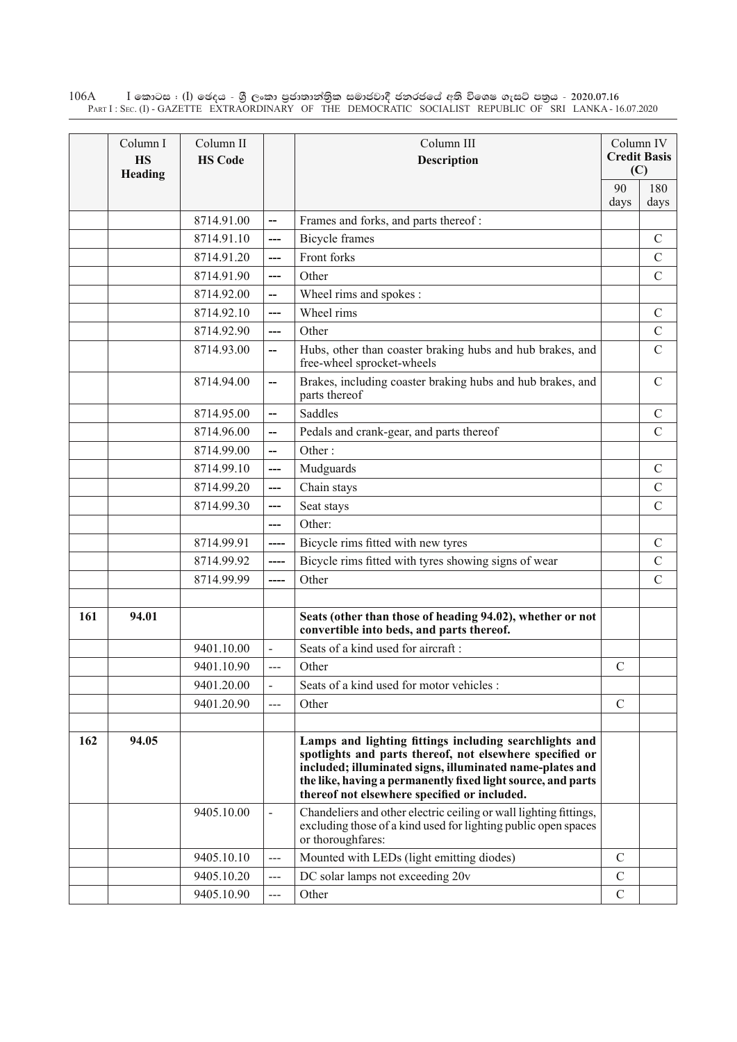$\rm I$  කොටස : ( $\rm I$ ) ඡෙදය - ශුී ලංකා පුජාතාන්තුික සමාජවාදී ජනරජයේ අති විශෙෂ ගැසට් පතුය - 2020.07.16 Part I : Sec. (I) - GAZETTE EXTRAORDINARY OF THE DEMOCRATIC SOCIALIST REPUBLIC OF SRI LANKA - 16.07.2020 106A

|     | Column I<br><b>HS</b><br>Heading | Column II<br><b>HS Code</b> |                              | Column III<br><b>Description</b>                                                                                                                                                                                                                                                               |               | Column IV<br><b>Credit Basis</b><br>(C) |
|-----|----------------------------------|-----------------------------|------------------------------|------------------------------------------------------------------------------------------------------------------------------------------------------------------------------------------------------------------------------------------------------------------------------------------------|---------------|-----------------------------------------|
|     |                                  |                             |                              |                                                                                                                                                                                                                                                                                                | 90<br>days    | 180<br>days                             |
|     |                                  | 8714.91.00                  | $\overline{\phantom{a}}$     | Frames and forks, and parts thereof:                                                                                                                                                                                                                                                           |               |                                         |
|     |                                  | 8714.91.10                  | ---                          | <b>Bicycle</b> frames                                                                                                                                                                                                                                                                          |               | $\mathcal{C}$                           |
|     |                                  | 8714.91.20                  | ---                          | Front forks                                                                                                                                                                                                                                                                                    |               | $\mathcal{C}$                           |
|     |                                  | 8714.91.90                  | ---                          | Other                                                                                                                                                                                                                                                                                          |               | $\mathcal{C}$                           |
|     |                                  | 8714.92.00                  | --                           | Wheel rims and spokes :                                                                                                                                                                                                                                                                        |               |                                         |
|     |                                  | 8714.92.10                  | ---                          | Wheel rims                                                                                                                                                                                                                                                                                     |               | $\mathcal{C}$                           |
|     |                                  | 8714.92.90                  | $\overline{a}$               | Other                                                                                                                                                                                                                                                                                          |               | $\mathcal{C}$                           |
|     |                                  | 8714.93.00                  | --                           | Hubs, other than coaster braking hubs and hub brakes, and<br>free-wheel sprocket-wheels                                                                                                                                                                                                        |               | $\mathcal{C}$                           |
|     |                                  | 8714.94.00                  | --                           | Brakes, including coaster braking hubs and hub brakes, and<br>parts thereof                                                                                                                                                                                                                    |               | $\mathcal{C}$                           |
|     |                                  | 8714.95.00                  | Щ,                           | Saddles                                                                                                                                                                                                                                                                                        |               | $\mathcal{C}$                           |
|     |                                  | 8714.96.00                  | --                           | Pedals and crank-gear, and parts thereof                                                                                                                                                                                                                                                       |               | $\mathcal{C}$                           |
|     |                                  | 8714.99.00                  | $\overline{\phantom{a}}$     | Other:                                                                                                                                                                                                                                                                                         |               |                                         |
|     |                                  | 8714.99.10                  | ---                          | Mudguards                                                                                                                                                                                                                                                                                      |               | $\mathcal{C}$                           |
|     |                                  | 8714.99.20                  | $\overline{a}$               | Chain stays                                                                                                                                                                                                                                                                                    |               | $\mathcal{C}$                           |
|     |                                  | 8714.99.30                  | ---                          | Seat stays                                                                                                                                                                                                                                                                                     |               | $\overline{C}$                          |
|     |                                  |                             | ---                          | Other:                                                                                                                                                                                                                                                                                         |               |                                         |
|     |                                  | 8714.99.91                  | ----                         | Bicycle rims fitted with new tyres                                                                                                                                                                                                                                                             |               | $\mathcal{C}$                           |
|     |                                  | 8714.99.92                  | ----                         | Bicycle rims fitted with tyres showing signs of wear                                                                                                                                                                                                                                           |               | $\mathcal{C}$                           |
|     |                                  | 8714.99.99                  | ----                         | Other                                                                                                                                                                                                                                                                                          |               | $\overline{C}$                          |
|     |                                  |                             |                              |                                                                                                                                                                                                                                                                                                |               |                                         |
| 161 | 94.01                            |                             |                              | Seats (other than those of heading 94.02), whether or not<br>convertible into beds, and parts thereof.                                                                                                                                                                                         |               |                                         |
|     |                                  | 9401.10.00                  |                              | Seats of a kind used for aircraft:                                                                                                                                                                                                                                                             |               |                                         |
|     |                                  | 9401.10.90                  | ---                          | Other                                                                                                                                                                                                                                                                                          | $\mathcal{C}$ |                                         |
|     |                                  | 9401.20.00                  |                              | Seats of a kind used for motor vehicles :                                                                                                                                                                                                                                                      |               |                                         |
|     |                                  | 9401.20.90                  | ---                          | Other                                                                                                                                                                                                                                                                                          | $\mathcal{C}$ |                                         |
|     |                                  |                             |                              |                                                                                                                                                                                                                                                                                                |               |                                         |
| 162 | 94.05                            |                             |                              | Lamps and lighting fittings including searchlights and<br>spotlights and parts thereof, not elsewhere specified or<br>included; illuminated signs, illuminated name-plates and<br>the like, having a permanently fixed light source, and parts<br>thereof not elsewhere specified or included. |               |                                         |
|     |                                  | 9405.10.00                  | $\qquad \qquad \blacksquare$ | Chandeliers and other electric ceiling or wall lighting fittings,<br>excluding those of a kind used for lighting public open spaces<br>or thoroughfares:                                                                                                                                       |               |                                         |
|     |                                  | 9405.10.10                  | ---                          | Mounted with LEDs (light emitting diodes)                                                                                                                                                                                                                                                      | $\mathcal{C}$ |                                         |
|     |                                  | 9405.10.20                  | ---                          | DC solar lamps not exceeding 20v                                                                                                                                                                                                                                                               | $\mathcal{C}$ |                                         |
|     |                                  | 9405.10.90                  | $---$                        | Other                                                                                                                                                                                                                                                                                          | $\mathcal{C}$ |                                         |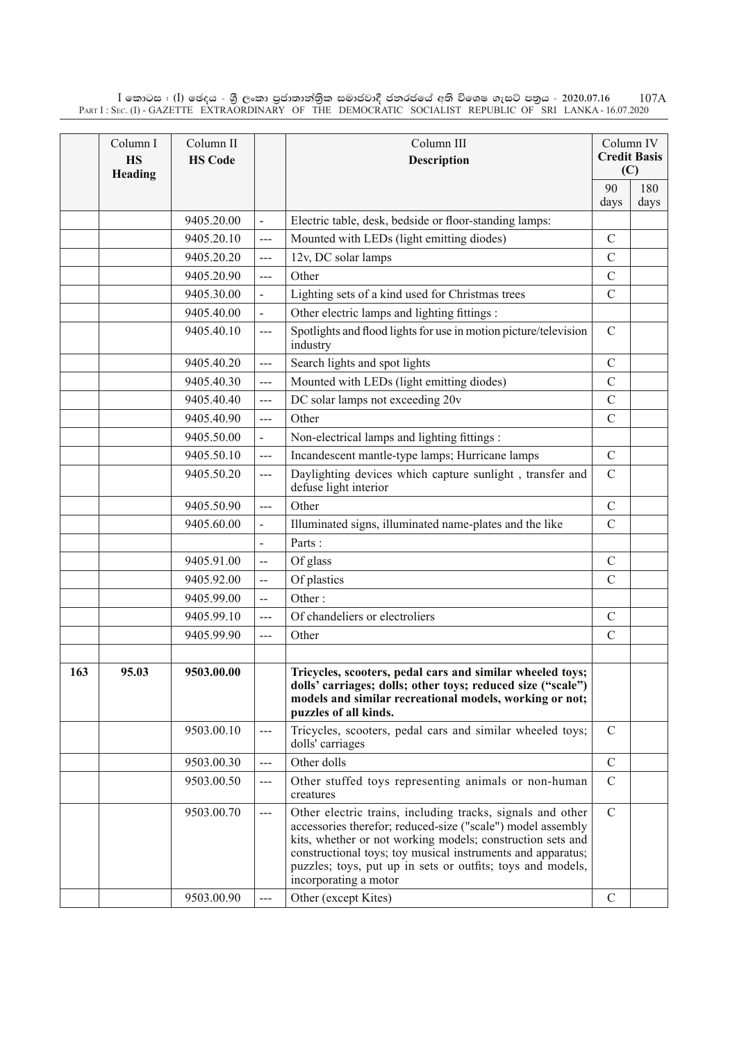$\rm I$  කොටස : ( $\rm I$ ) ඡෙදය - ශුී ලංකා පුජාතාන්තිුක සමාජවාදී ජනරජයේ අති විශෙෂ ගැසට් පතුය - 2020.07.16 Part I : Sec. (I) - GAZETTE EXTRAORDINARY OF THE DEMOCRATIC SOCIALIST REPUBLIC OF SRI LANKA - 16.07.2020 107A

|     | Column I<br><b>HS</b><br>Heading | Column II<br><b>HS Code</b> |                          | Column III<br><b>Description</b>                                                                                                                                                                                                                                                                                                              |               | Column IV<br><b>Credit Basis</b><br>(C) |
|-----|----------------------------------|-----------------------------|--------------------------|-----------------------------------------------------------------------------------------------------------------------------------------------------------------------------------------------------------------------------------------------------------------------------------------------------------------------------------------------|---------------|-----------------------------------------|
|     |                                  |                             |                          |                                                                                                                                                                                                                                                                                                                                               | 90            | 180                                     |
|     |                                  |                             |                          |                                                                                                                                                                                                                                                                                                                                               | days          | days                                    |
|     |                                  | 9405.20.00                  | $\blacksquare$           | Electric table, desk, bedside or floor-standing lamps:                                                                                                                                                                                                                                                                                        |               |                                         |
|     |                                  | 9405.20.10                  | $---$                    | Mounted with LEDs (light emitting diodes)                                                                                                                                                                                                                                                                                                     | $\mathbf C$   |                                         |
|     |                                  | 9405.20.20                  | $---$                    | 12v, DC solar lamps                                                                                                                                                                                                                                                                                                                           | $\mathcal{C}$ |                                         |
|     |                                  | 9405.20.90                  | $---$                    | Other                                                                                                                                                                                                                                                                                                                                         | $\mathcal{C}$ |                                         |
|     |                                  | 9405.30.00                  | $\blacksquare$           | Lighting sets of a kind used for Christmas trees                                                                                                                                                                                                                                                                                              | $\mathcal{C}$ |                                         |
|     |                                  | 9405.40.00                  |                          | Other electric lamps and lighting fittings :                                                                                                                                                                                                                                                                                                  |               |                                         |
|     |                                  | 9405.40.10                  | $---$                    | Spotlights and flood lights for use in motion picture/television<br>industry                                                                                                                                                                                                                                                                  | $\mathbf C$   |                                         |
|     |                                  | 9405.40.20                  | $---$                    | Search lights and spot lights                                                                                                                                                                                                                                                                                                                 | $\mathcal{C}$ |                                         |
|     |                                  | 9405.40.30                  | $\overline{a}$           | Mounted with LEDs (light emitting diodes)                                                                                                                                                                                                                                                                                                     | $\mathcal{C}$ |                                         |
|     |                                  | 9405.40.40                  | $---$                    | DC solar lamps not exceeding 20v                                                                                                                                                                                                                                                                                                              | $\mathcal{C}$ |                                         |
|     |                                  | 9405.40.90                  | $---$                    | Other                                                                                                                                                                                                                                                                                                                                         | $\mathcal{C}$ |                                         |
|     |                                  | 9405.50.00                  |                          | Non-electrical lamps and lighting fittings :                                                                                                                                                                                                                                                                                                  |               |                                         |
|     |                                  | 9405.50.10                  | $\overline{a}$           | Incandescent mantle-type lamps; Hurricane lamps                                                                                                                                                                                                                                                                                               | $\mathcal{C}$ |                                         |
|     |                                  | 9405.50.20                  | $---$                    | Daylighting devices which capture sunlight, transfer and<br>defuse light interior                                                                                                                                                                                                                                                             | $\mathcal{C}$ |                                         |
|     |                                  | 9405.50.90                  | $\overline{a}$           | Other                                                                                                                                                                                                                                                                                                                                         | $\mathbf C$   |                                         |
|     |                                  | 9405.60.00                  | $\blacksquare$           | Illuminated signs, illuminated name-plates and the like                                                                                                                                                                                                                                                                                       | $\mathcal{C}$ |                                         |
|     |                                  |                             | $\blacksquare$           | Parts:                                                                                                                                                                                                                                                                                                                                        |               |                                         |
|     |                                  | 9405.91.00                  | $\overline{\phantom{a}}$ | Of glass                                                                                                                                                                                                                                                                                                                                      | $\mathcal{C}$ |                                         |
|     |                                  | 9405.92.00                  | $\overline{a}$           | Of plastics                                                                                                                                                                                                                                                                                                                                   | $\mathcal{C}$ |                                         |
|     |                                  | 9405.99.00                  | $-$                      | Other:                                                                                                                                                                                                                                                                                                                                        |               |                                         |
|     |                                  | 9405.99.10                  | ---                      | Of chandeliers or electroliers                                                                                                                                                                                                                                                                                                                | $\mathcal{C}$ |                                         |
|     |                                  | 9405.99.90                  | $\overline{a}$           | Other                                                                                                                                                                                                                                                                                                                                         | $\mathcal{C}$ |                                         |
|     |                                  |                             |                          |                                                                                                                                                                                                                                                                                                                                               |               |                                         |
| 163 | 95.03                            | 9503.00.00                  |                          | Tricycles, scooters, pedal cars and similar wheeled toys;<br>dolls' carriages; dolls; other toys; reduced size ("scale")<br>models and similar recreational models, working or not;<br>puzzles of all kinds.                                                                                                                                  |               |                                         |
|     |                                  | 9503.00.10                  | $---$                    | Tricycles, scooters, pedal cars and similar wheeled toys;<br>dolls' carriages                                                                                                                                                                                                                                                                 | $\mathcal{C}$ |                                         |
|     |                                  | 9503.00.30                  | $\sim$ $\sim$ $\sim$     | Other dolls                                                                                                                                                                                                                                                                                                                                   | $\mathcal{C}$ |                                         |
|     |                                  | 9503.00.50                  | $\qquad \qquad - -$      | Other stuffed toys representing animals or non-human<br>creatures                                                                                                                                                                                                                                                                             | $\mathcal{C}$ |                                         |
|     |                                  | 9503.00.70                  | $---$                    | Other electric trains, including tracks, signals and other<br>accessories therefor; reduced-size ("scale") model assembly<br>kits, whether or not working models; construction sets and<br>constructional toys; toy musical instruments and apparatus;<br>puzzles; toys, put up in sets or outfits; toys and models,<br>incorporating a motor | $\mathcal{C}$ |                                         |
|     |                                  | 9503.00.90                  |                          | Other (except Kites)                                                                                                                                                                                                                                                                                                                          | $\mathcal{C}$ |                                         |